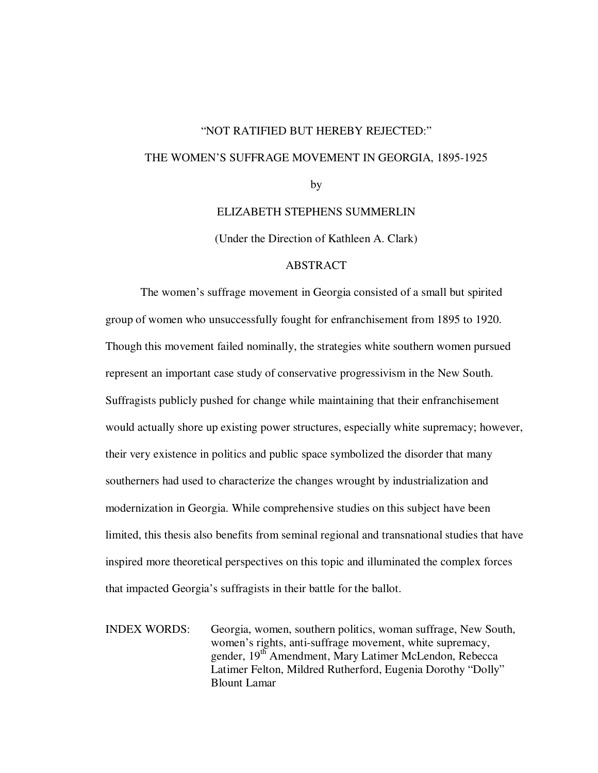# "NOT RATIFIED BUT HEREBY REJECTED:" THE WOMEN'S SUFFRAGE MOVEMENT IN GEORGIA, 1895-1925 by

ELIZABETH STEPHENS SUMMERLIN

(Under the Direction of Kathleen A. Clark)

### ABSTRACT

The women's suffrage movement in Georgia consisted of a small but spirited group of women who unsuccessfully fought for enfranchisement from 1895 to 1920. Though this movement failed nominally, the strategies white southern women pursued represent an important case study of conservative progressivism in the New South. Suffragists publicly pushed for change while maintaining that their enfranchisement would actually shore up existing power structures, especially white supremacy; however, their very existence in politics and public space symbolized the disorder that many southerners had used to characterize the changes wrought by industrialization and modernization in Georgia. While comprehensive studies on this subject have been limited, this thesis also benefits from seminal regional and transnational studies that have inspired more theoretical perspectives on this topic and illuminated the complex forces that impacted Georgia's suffragists in their battle for the ballot.

INDEX WORDS: Georgia, women, southern politics, woman suffrage, New South, women's rights, anti-suffrage movement, white supremacy, gender, 19<sup>th</sup> Amendment, Mary Latimer McLendon, Rebecca Latimer Felton, Mildred Rutherford, Eugenia Dorothy "Dolly" Blount Lamar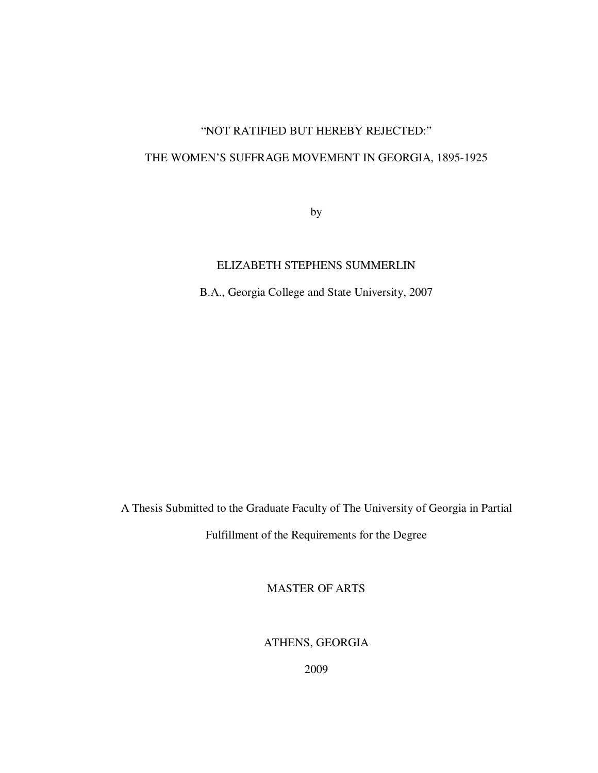# "NOT RATIFIED BUT HEREBY REJECTED:"

## THE WOMEN'S SUFFRAGE MOVEMENT IN GEORGIA, 1895-1925

by

## ELIZABETH STEPHENS SUMMERLIN

B.A., Georgia College and State University, 2007

A Thesis Submitted to the Graduate Faculty of The University of Georgia in Partial

Fulfillment of the Requirements for the Degree

MASTER OF ARTS

ATHENS, GEORGIA

2009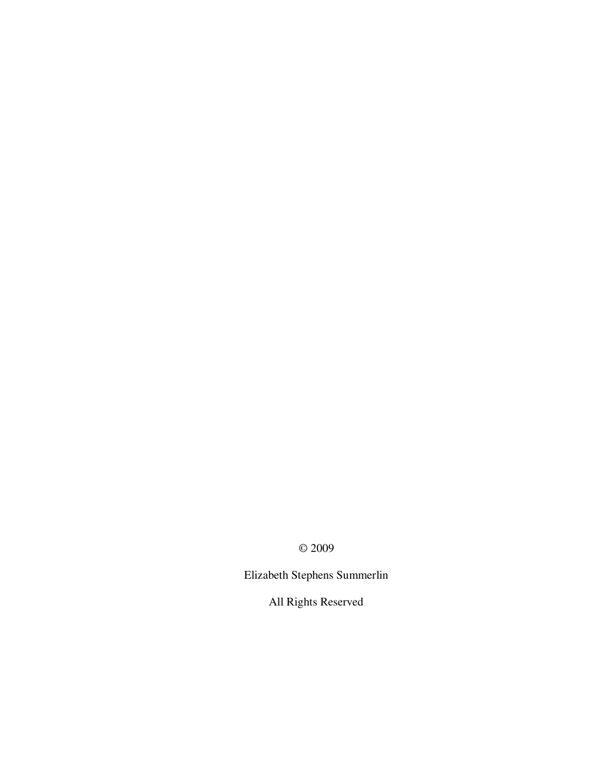© 2009

Elizabeth Stephens Summerlin

All Rights Reserved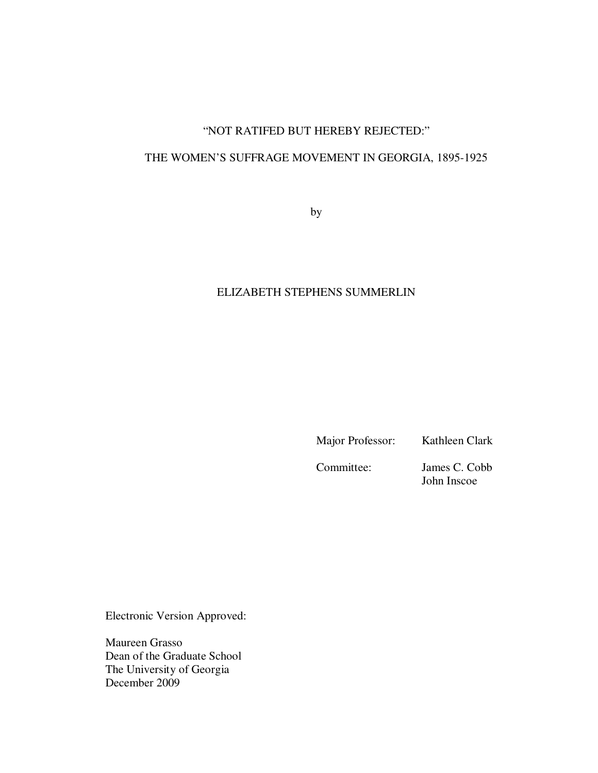## "NOT RATIFED BUT HEREBY REJECTED:"

## THE WOMEN'S SUFFRAGE MOVEMENT IN GEORGIA, 1895-1925

by

## ELIZABETH STEPHENS SUMMERLIN

Major Professor: Kathleen Clark

Committee: James C. Cobb John Inscoe

Electronic Version Approved:

Maureen Grasso Dean of the Graduate School The University of Georgia December 2009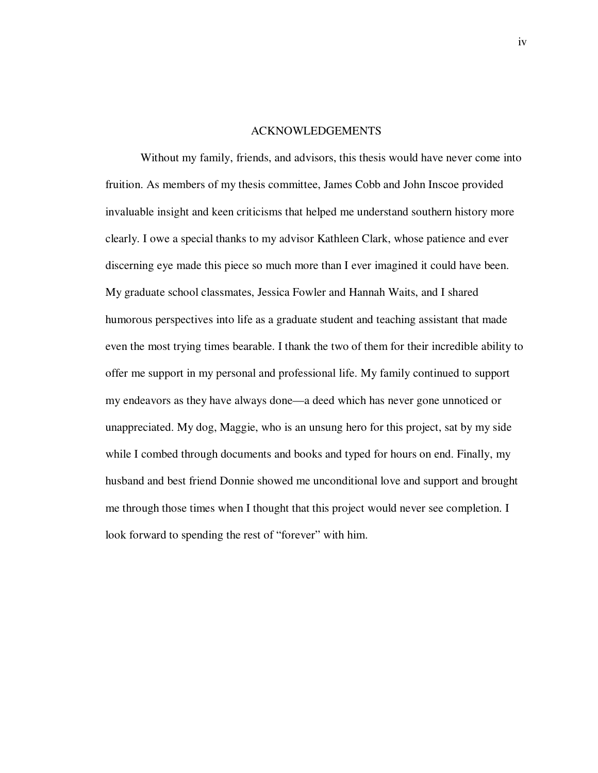#### ACKNOWLEDGEMENTS

Without my family, friends, and advisors, this thesis would have never come into fruition. As members of my thesis committee, James Cobb and John Inscoe provided invaluable insight and keen criticisms that helped me understand southern history more clearly. I owe a special thanks to my advisor Kathleen Clark, whose patience and ever discerning eye made this piece so much more than I ever imagined it could have been. My graduate school classmates, Jessica Fowler and Hannah Waits, and I shared humorous perspectives into life as a graduate student and teaching assistant that made even the most trying times bearable. I thank the two of them for their incredible ability to offer me support in my personal and professional life. My family continued to support my endeavors as they have always done—a deed which has never gone unnoticed or unappreciated. My dog, Maggie, who is an unsung hero for this project, sat by my side while I combed through documents and books and typed for hours on end. Finally, my husband and best friend Donnie showed me unconditional love and support and brought me through those times when I thought that this project would never see completion. I look forward to spending the rest of "forever" with him.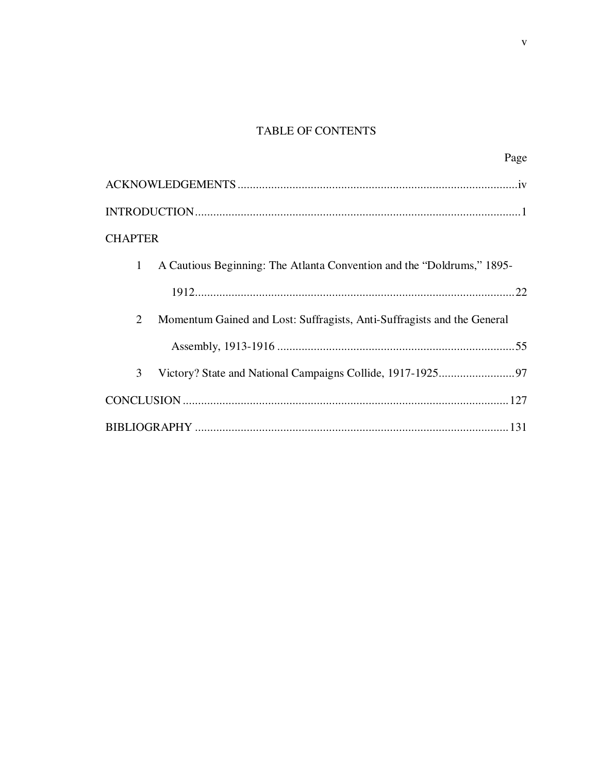# TABLE OF CONTENTS

| Page                                                                            |
|---------------------------------------------------------------------------------|
|                                                                                 |
|                                                                                 |
| <b>CHAPTER</b>                                                                  |
| 1<br>A Cautious Beginning: The Atlanta Convention and the "Doldrums," 1895–1898 |
|                                                                                 |
| 2<br>Momentum Gained and Lost: Suffragists, Anti-Suffragists and the General    |
|                                                                                 |
| 3                                                                               |
|                                                                                 |
|                                                                                 |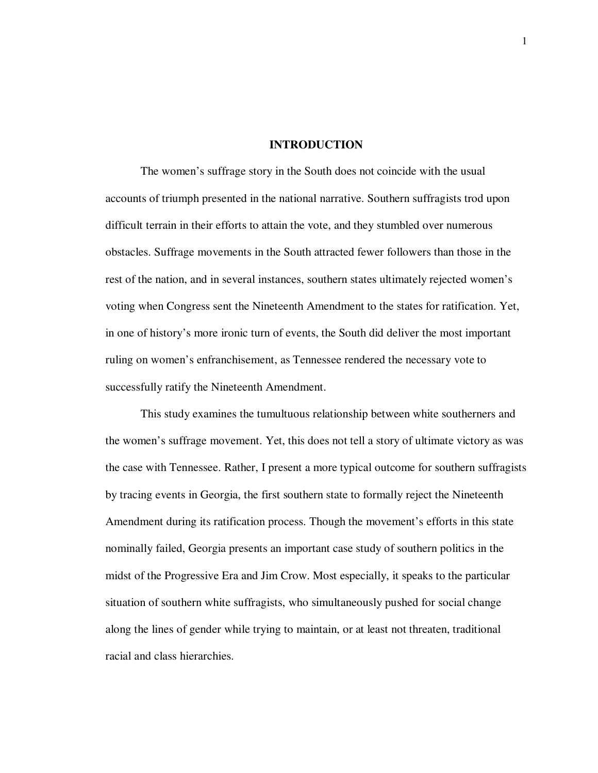### **INTRODUCTION**

The women's suffrage story in the South does not coincide with the usual accounts of triumph presented in the national narrative. Southern suffragists trod upon difficult terrain in their efforts to attain the vote, and they stumbled over numerous obstacles. Suffrage movements in the South attracted fewer followers than those in the rest of the nation, and in several instances, southern states ultimately rejected women's voting when Congress sent the Nineteenth Amendment to the states for ratification. Yet, in one of history's more ironic turn of events, the South did deliver the most important ruling on women's enfranchisement, as Tennessee rendered the necessary vote to successfully ratify the Nineteenth Amendment.

This study examines the tumultuous relationship between white southerners and the women's suffrage movement. Yet, this does not tell a story of ultimate victory as was the case with Tennessee. Rather, I present a more typical outcome for southern suffragists by tracing events in Georgia, the first southern state to formally reject the Nineteenth Amendment during its ratification process. Though the movement's efforts in this state nominally failed, Georgia presents an important case study of southern politics in the midst of the Progressive Era and Jim Crow. Most especially, it speaks to the particular situation of southern white suffragists, who simultaneously pushed for social change along the lines of gender while trying to maintain, or at least not threaten, traditional racial and class hierarchies.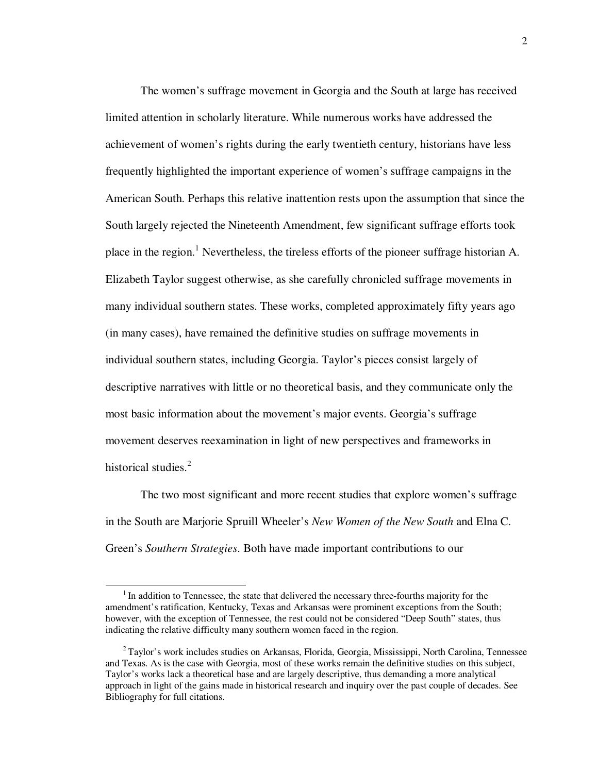The women's suffrage movement in Georgia and the South at large has received limited attention in scholarly literature. While numerous works have addressed the achievement of women's rights during the early twentieth century, historians have less frequently highlighted the important experience of women's suffrage campaigns in the American South. Perhaps this relative inattention rests upon the assumption that since the South largely rejected the Nineteenth Amendment, few significant suffrage efforts took place in the region.<sup>1</sup> Nevertheless, the tireless efforts of the pioneer suffrage historian A. Elizabeth Taylor suggest otherwise, as she carefully chronicled suffrage movements in many individual southern states. These works, completed approximately fifty years ago (in many cases), have remained the definitive studies on suffrage movements in individual southern states, including Georgia. Taylor's pieces consist largely of descriptive narratives with little or no theoretical basis, and they communicate only the most basic information about the movement's major events. Georgia's suffrage movement deserves reexamination in light of new perspectives and frameworks in historical studies.<sup>2</sup>

The two most significant and more recent studies that explore women's suffrage in the South are Marjorie Spruill Wheeler's *New Women of the New South* and Elna C. Green's *Southern Strategies*. Both have made important contributions to our

 $1$ In addition to Tennessee, the state that delivered the necessary three-fourths majority for the amendment's ratification, Kentucky, Texas and Arkansas were prominent exceptions from the South; however, with the exception of Tennessee, the rest could not be considered "Deep South" states, thus indicating the relative difficulty many southern women faced in the region.

 $2^2$ Taylor's work includes studies on Arkansas, Florida, Georgia, Mississippi, North Carolina, Tennessee and Texas. As is the case with Georgia, most of these works remain the definitive studies on this subject, Taylor's works lack a theoretical base and are largely descriptive, thus demanding a more analytical approach in light of the gains made in historical research and inquiry over the past couple of decades. See Bibliography for full citations.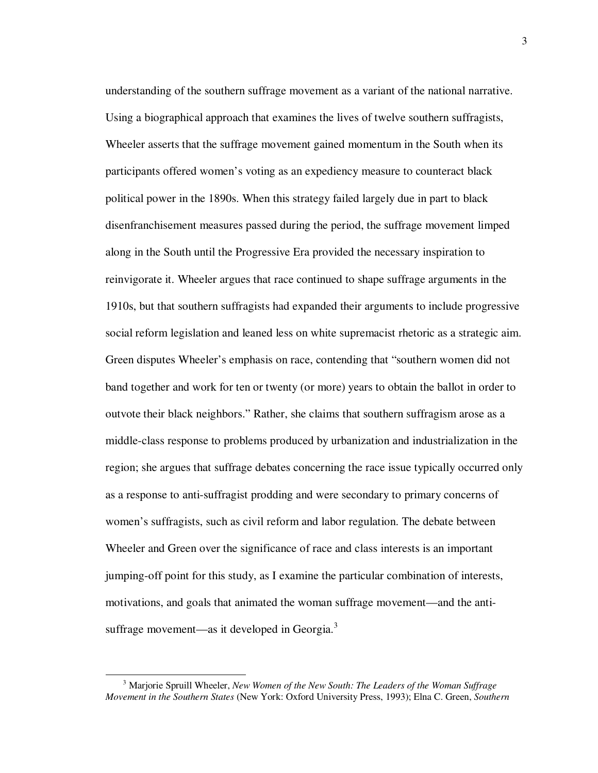understanding of the southern suffrage movement as a variant of the national narrative. Using a biographical approach that examines the lives of twelve southern suffragists, Wheeler asserts that the suffrage movement gained momentum in the South when its participants offered women's voting as an expediency measure to counteract black political power in the 1890s. When this strategy failed largely due in part to black disenfranchisement measures passed during the period, the suffrage movement limped along in the South until the Progressive Era provided the necessary inspiration to reinvigorate it. Wheeler argues that race continued to shape suffrage arguments in the 1910s, but that southern suffragists had expanded their arguments to include progressive social reform legislation and leaned less on white supremacist rhetoric as a strategic aim. Green disputes Wheeler's emphasis on race, contending that "southern women did not band together and work for ten or twenty (or more) years to obtain the ballot in order to outvote their black neighbors." Rather, she claims that southern suffragism arose as a middle-class response to problems produced by urbanization and industrialization in the region; she argues that suffrage debates concerning the race issue typically occurred only as a response to anti-suffragist prodding and were secondary to primary concerns of women's suffragists, such as civil reform and labor regulation. The debate between Wheeler and Green over the significance of race and class interests is an important jumping-off point for this study, as I examine the particular combination of interests, motivations, and goals that animated the woman suffrage movement—and the antisuffrage movement—as it developed in Georgia. $3$ 

<sup>3</sup> Marjorie Spruill Wheeler, *New Women of the New South: The Leaders of the Woman Suffrage Movement in the Southern States* (New York: Oxford University Press, 1993); Elna C. Green, *Southern*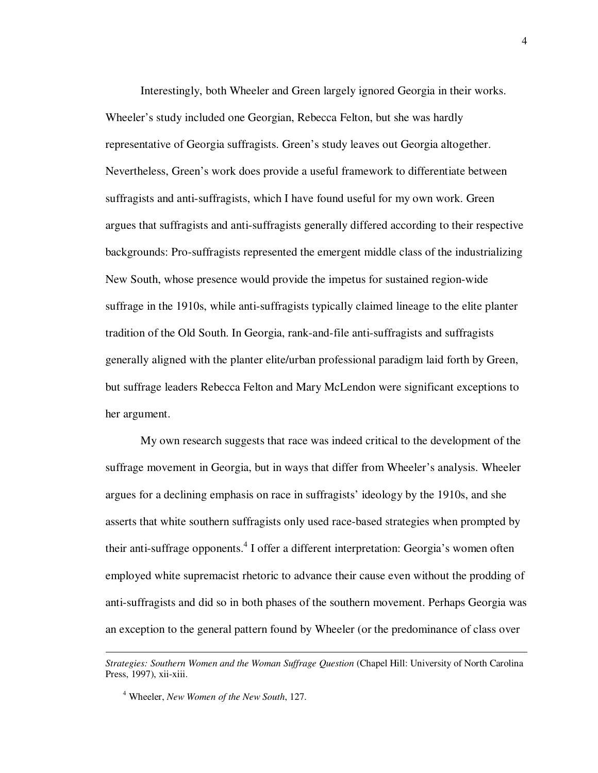Interestingly, both Wheeler and Green largely ignored Georgia in their works. Wheeler's study included one Georgian, Rebecca Felton, but she was hardly representative of Georgia suffragists. Green's study leaves out Georgia altogether. Nevertheless, Green's work does provide a useful framework to differentiate between suffragists and anti-suffragists, which I have found useful for my own work. Green argues that suffragists and anti-suffragists generally differed according to their respective backgrounds: Pro-suffragists represented the emergent middle class of the industrializing New South, whose presence would provide the impetus for sustained region-wide suffrage in the 1910s, while anti-suffragists typically claimed lineage to the elite planter tradition of the Old South. In Georgia, rank-and-file anti-suffragists and suffragists generally aligned with the planter elite/urban professional paradigm laid forth by Green, but suffrage leaders Rebecca Felton and Mary McLendon were significant exceptions to her argument.

My own research suggests that race was indeed critical to the development of the suffrage movement in Georgia, but in ways that differ from Wheeler's analysis. Wheeler argues for a declining emphasis on race in suffragists' ideology by the 1910s, and she asserts that white southern suffragists only used race-based strategies when prompted by their anti-suffrage opponents.<sup>4</sup> I offer a different interpretation: Georgia's women often employed white supremacist rhetoric to advance their cause even without the prodding of anti-suffragists and did so in both phases of the southern movement. Perhaps Georgia was an exception to the general pattern found by Wheeler (or the predominance of class over

*Strategies: Southern Women and the Woman Suffrage Question* (Chapel Hill: University of North Carolina Press, 1997), xii-xiii.

<sup>4</sup> Wheeler, *New Women of the New South*, 127.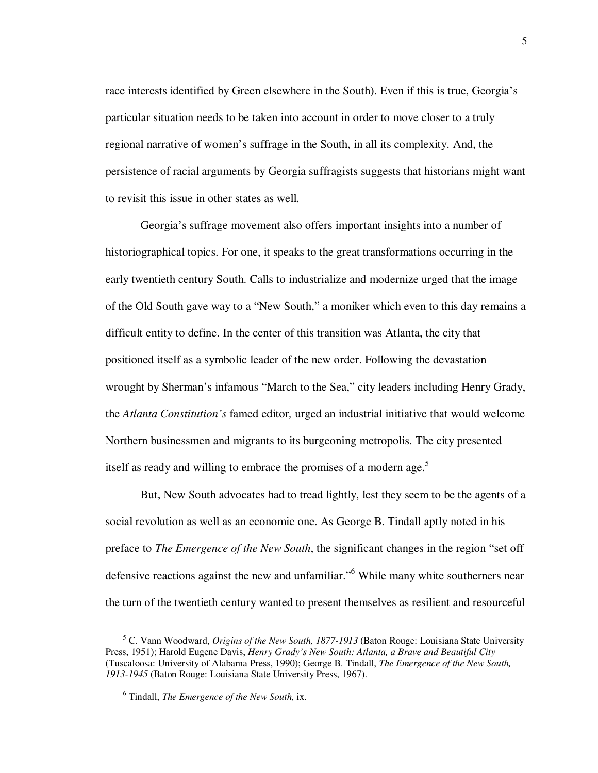race interests identified by Green elsewhere in the South). Even if this is true, Georgia's particular situation needs to be taken into account in order to move closer to a truly regional narrative of women's suffrage in the South, in all its complexity. And, the persistence of racial arguments by Georgia suffragists suggests that historians might want to revisit this issue in other states as well.

Georgia's suffrage movement also offers important insights into a number of historiographical topics. For one, it speaks to the great transformations occurring in the early twentieth century South. Calls to industrialize and modernize urged that the image of the Old South gave way to a "New South," a moniker which even to this day remains a difficult entity to define. In the center of this transition was Atlanta, the city that positioned itself as a symbolic leader of the new order. Following the devastation wrought by Sherman's infamous "March to the Sea," city leaders including Henry Grady, the *Atlanta Constitution's* famed editor*,* urged an industrial initiative that would welcome Northern businessmen and migrants to its burgeoning metropolis. The city presented itself as ready and willing to embrace the promises of a modern age.<sup>5</sup>

But, New South advocates had to tread lightly, lest they seem to be the agents of a social revolution as well as an economic one. As George B. Tindall aptly noted in his preface to *The Emergence of the New South*, the significant changes in the region "set off defensive reactions against the new and unfamiliar."<sup>6</sup> While many white southerners near the turn of the twentieth century wanted to present themselves as resilient and resourceful

<sup>5</sup> C. Vann Woodward, *Origins of the New South, 1877-1913* (Baton Rouge: Louisiana State University Press, 1951); Harold Eugene Davis, *Henry Grady's New South: Atlanta, a Brave and Beautiful City* (Tuscaloosa: University of Alabama Press, 1990); George B. Tindall, *The Emergence of the New South, 1913-1945* (Baton Rouge: Louisiana State University Press, 1967).

<sup>6</sup> Tindall, *The Emergence of the New South,* ix.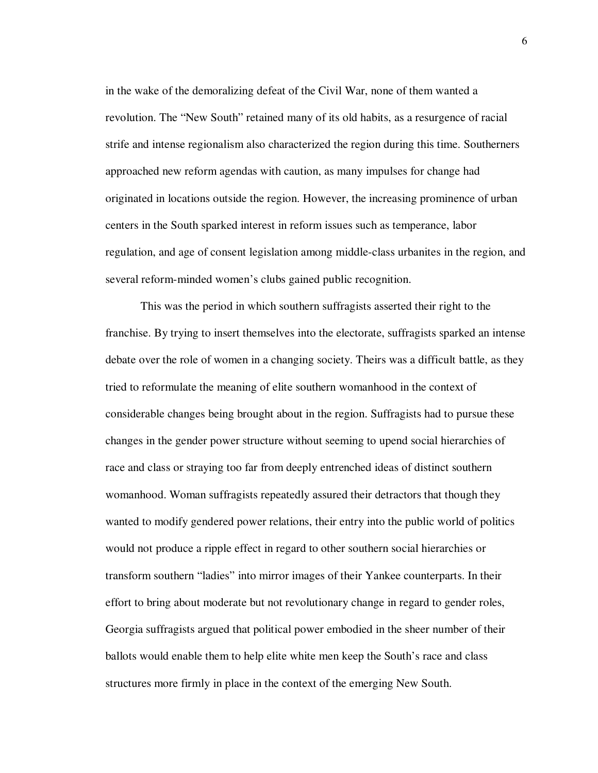in the wake of the demoralizing defeat of the Civil War, none of them wanted a revolution. The "New South" retained many of its old habits, as a resurgence of racial strife and intense regionalism also characterized the region during this time. Southerners approached new reform agendas with caution, as many impulses for change had originated in locations outside the region. However, the increasing prominence of urban centers in the South sparked interest in reform issues such as temperance, labor regulation, and age of consent legislation among middle-class urbanites in the region, and several reform-minded women's clubs gained public recognition.

This was the period in which southern suffragists asserted their right to the franchise. By trying to insert themselves into the electorate, suffragists sparked an intense debate over the role of women in a changing society. Theirs was a difficult battle, as they tried to reformulate the meaning of elite southern womanhood in the context of considerable changes being brought about in the region. Suffragists had to pursue these changes in the gender power structure without seeming to upend social hierarchies of race and class or straying too far from deeply entrenched ideas of distinct southern womanhood. Woman suffragists repeatedly assured their detractors that though they wanted to modify gendered power relations, their entry into the public world of politics would not produce a ripple effect in regard to other southern social hierarchies or transform southern "ladies" into mirror images of their Yankee counterparts. In their effort to bring about moderate but not revolutionary change in regard to gender roles, Georgia suffragists argued that political power embodied in the sheer number of their ballots would enable them to help elite white men keep the South's race and class structures more firmly in place in the context of the emerging New South.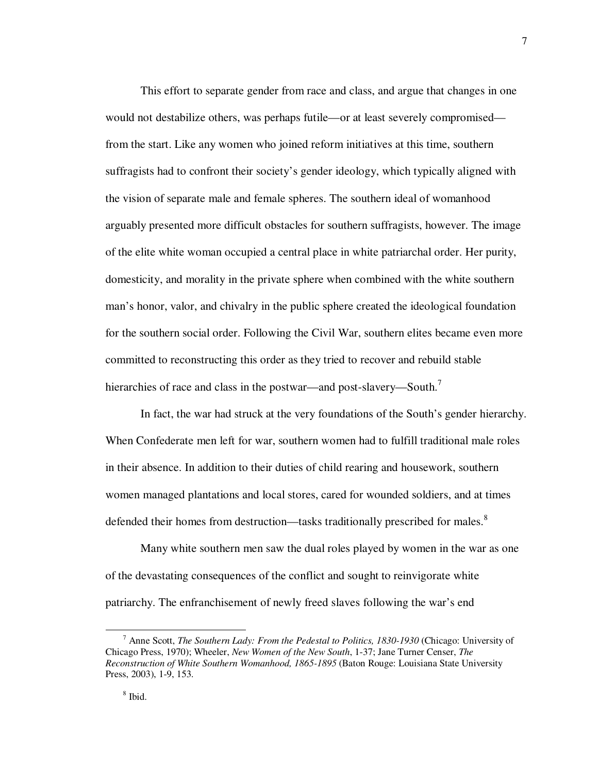This effort to separate gender from race and class, and argue that changes in one would not destabilize others, was perhaps futile—or at least severely compromised from the start. Like any women who joined reform initiatives at this time, southern suffragists had to confront their society's gender ideology, which typically aligned with the vision of separate male and female spheres. The southern ideal of womanhood arguably presented more difficult obstacles for southern suffragists, however. The image of the elite white woman occupied a central place in white patriarchal order. Her purity, domesticity, and morality in the private sphere when combined with the white southern man's honor, valor, and chivalry in the public sphere created the ideological foundation for the southern social order. Following the Civil War, southern elites became even more committed to reconstructing this order as they tried to recover and rebuild stable hierarchies of race and class in the postwar—and post-slavery—South.<sup>7</sup>

In fact, the war had struck at the very foundations of the South's gender hierarchy. When Confederate men left for war, southern women had to fulfill traditional male roles in their absence. In addition to their duties of child rearing and housework, southern women managed plantations and local stores, cared for wounded soldiers, and at times defended their homes from destruction—tasks traditionally prescribed for males.<sup>8</sup>

Many white southern men saw the dual roles played by women in the war as one of the devastating consequences of the conflict and sought to reinvigorate white patriarchy. The enfranchisement of newly freed slaves following the war's end

<sup>7</sup> Anne Scott, *The Southern Lady: From the Pedestal to Politics, 1830-1930* (Chicago: University of Chicago Press, 1970); Wheeler, *New Women of the New South*, 1-37; Jane Turner Censer, *The Reconstruction of White Southern Womanhood, 1865-1895* (Baton Rouge: Louisiana State University Press, 2003), 1-9, 153.

<sup>7</sup> 

<sup>8</sup> Ibid.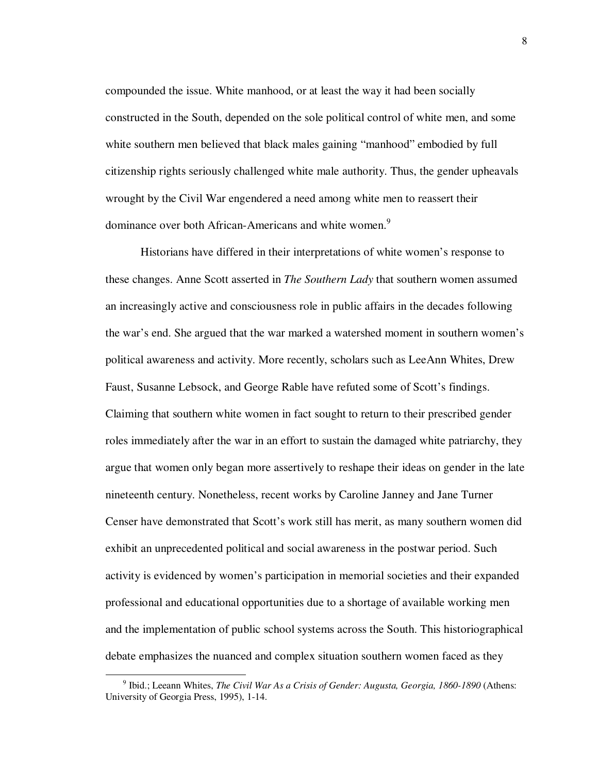compounded the issue. White manhood, or at least the way it had been socially constructed in the South, depended on the sole political control of white men, and some white southern men believed that black males gaining "manhood" embodied by full citizenship rights seriously challenged white male authority. Thus, the gender upheavals wrought by the Civil War engendered a need among white men to reassert their dominance over both African-Americans and white women.<sup>9</sup>

Historians have differed in their interpretations of white women's response to these changes. Anne Scott asserted in *The Southern Lady* that southern women assumed an increasingly active and consciousness role in public affairs in the decades following the war's end. She argued that the war marked a watershed moment in southern women's political awareness and activity. More recently, scholars such as LeeAnn Whites, Drew Faust, Susanne Lebsock, and George Rable have refuted some of Scott's findings. Claiming that southern white women in fact sought to return to their prescribed gender roles immediately after the war in an effort to sustain the damaged white patriarchy, they argue that women only began more assertively to reshape their ideas on gender in the late nineteenth century. Nonetheless, recent works by Caroline Janney and Jane Turner Censer have demonstrated that Scott's work still has merit, as many southern women did exhibit an unprecedented political and social awareness in the postwar period. Such activity is evidenced by women's participation in memorial societies and their expanded professional and educational opportunities due to a shortage of available working men and the implementation of public school systems across the South. This historiographical debate emphasizes the nuanced and complex situation southern women faced as they

<sup>&</sup>lt;sup>9</sup> Ibid.; Leeann Whites, *The Civil War As a Crisis of Gender: Augusta, Georgia, 1860-1890* (Athens: University of Georgia Press, 1995), 1-14.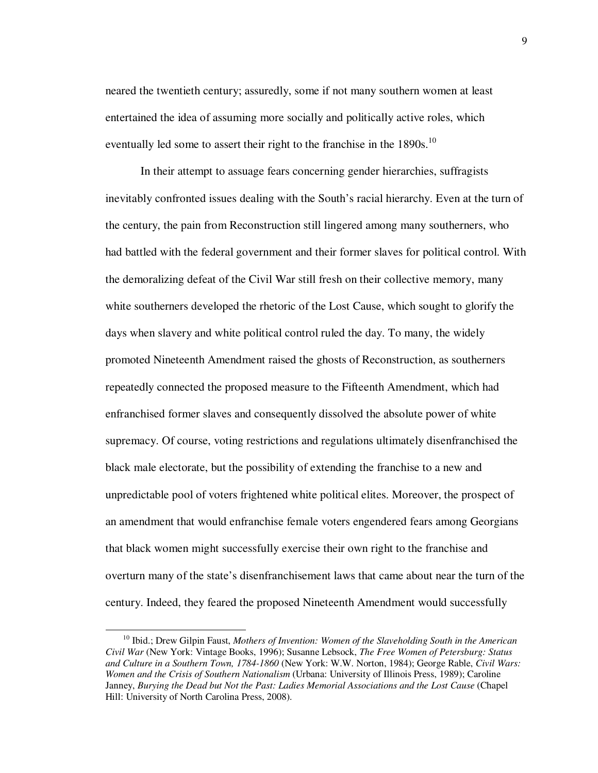neared the twentieth century; assuredly, some if not many southern women at least entertained the idea of assuming more socially and politically active roles, which eventually led some to assert their right to the franchise in the  $1890s$ .<sup>10</sup>

In their attempt to assuage fears concerning gender hierarchies, suffragists inevitably confronted issues dealing with the South's racial hierarchy. Even at the turn of the century, the pain from Reconstruction still lingered among many southerners, who had battled with the federal government and their former slaves for political control. With the demoralizing defeat of the Civil War still fresh on their collective memory, many white southerners developed the rhetoric of the Lost Cause, which sought to glorify the days when slavery and white political control ruled the day. To many, the widely promoted Nineteenth Amendment raised the ghosts of Reconstruction, as southerners repeatedly connected the proposed measure to the Fifteenth Amendment, which had enfranchised former slaves and consequently dissolved the absolute power of white supremacy. Of course, voting restrictions and regulations ultimately disenfranchised the black male electorate, but the possibility of extending the franchise to a new and unpredictable pool of voters frightened white political elites. Moreover, the prospect of an amendment that would enfranchise female voters engendered fears among Georgians that black women might successfully exercise their own right to the franchise and overturn many of the state's disenfranchisement laws that came about near the turn of the century. Indeed, they feared the proposed Nineteenth Amendment would successfully

<sup>10</sup> Ibid.; Drew Gilpin Faust, *Mothers of Invention: Women of the Slaveholding South in the American Civil War* (New York: Vintage Books, 1996); Susanne Lebsock, *The Free Women of Petersburg: Status and Culture in a Southern Town, 1784-1860* (New York: W.W. Norton, 1984); George Rable, *Civil Wars: Women and the Crisis of Southern Nationalism* (Urbana: University of Illinois Press, 1989); Caroline Janney, *Burying the Dead but Not the Past: Ladies Memorial Associations and the Lost Cause* (Chapel Hill: University of North Carolina Press, 2008).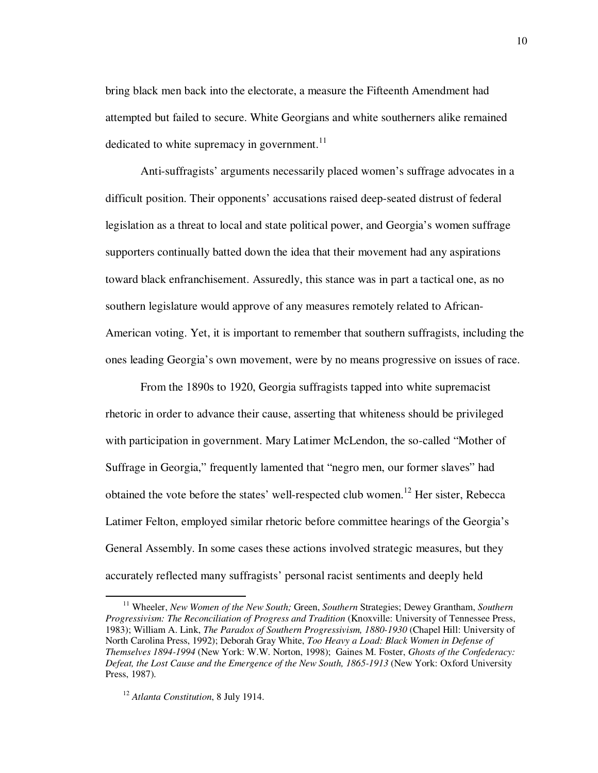bring black men back into the electorate, a measure the Fifteenth Amendment had attempted but failed to secure. White Georgians and white southerners alike remained dedicated to white supremacy in government. $11$ 

Anti-suffragists' arguments necessarily placed women's suffrage advocates in a difficult position. Their opponents' accusations raised deep-seated distrust of federal legislation as a threat to local and state political power, and Georgia's women suffrage supporters continually batted down the idea that their movement had any aspirations toward black enfranchisement. Assuredly, this stance was in part a tactical one, as no southern legislature would approve of any measures remotely related to African-American voting. Yet, it is important to remember that southern suffragists, including the ones leading Georgia's own movement, were by no means progressive on issues of race.

From the 1890s to 1920, Georgia suffragists tapped into white supremacist rhetoric in order to advance their cause, asserting that whiteness should be privileged with participation in government. Mary Latimer McLendon, the so-called "Mother of Suffrage in Georgia," frequently lamented that "negro men, our former slaves" had obtained the vote before the states' well-respected club women.<sup>12</sup> Her sister, Rebecca Latimer Felton, employed similar rhetoric before committee hearings of the Georgia's General Assembly. In some cases these actions involved strategic measures, but they accurately reflected many suffragists' personal racist sentiments and deeply held

<sup>&</sup>lt;sup>11</sup> Wheeler, *New Women of the New South; Green, Southern Strategies; Dewey Grantham, Southern Progressivism: The Reconciliation of Progress and Tradition* (Knoxville: University of Tennessee Press, 1983); William A. Link, *The Paradox of Southern Progressivism, 1880-1930* (Chapel Hill: University of North Carolina Press, 1992); Deborah Gray White, *Too Heavy a Load: Black Women in Defense of Themselves 1894-1994* (New York: W.W. Norton, 1998); Gaines M. Foster, *Ghosts of the Confederacy: Defeat, the Lost Cause and the Emergence of the New South, 1865-1913* (New York: Oxford University Press, 1987).

<sup>12</sup> *Atlanta Constitution*, 8 July 1914.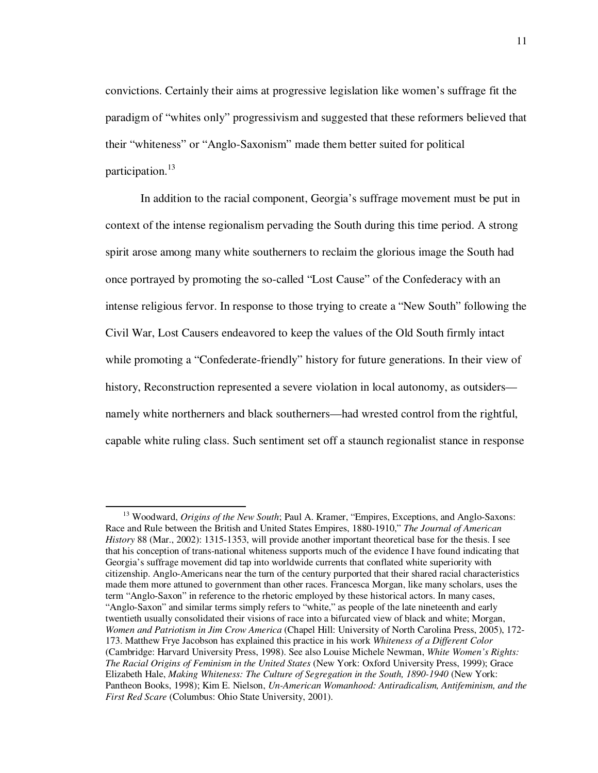convictions. Certainly their aims at progressive legislation like women's suffrage fit the paradigm of "whites only" progressivism and suggested that these reformers believed that their "whiteness" or "Anglo-Saxonism" made them better suited for political participation.<sup>13</sup>

In addition to the racial component, Georgia's suffrage movement must be put in context of the intense regionalism pervading the South during this time period. A strong spirit arose among many white southerners to reclaim the glorious image the South had once portrayed by promoting the so-called "Lost Cause" of the Confederacy with an intense religious fervor. In response to those trying to create a "New South" following the Civil War, Lost Causers endeavored to keep the values of the Old South firmly intact while promoting a "Confederate-friendly" history for future generations. In their view of history, Reconstruction represented a severe violation in local autonomy, as outsiders namely white northerners and black southerners—had wrested control from the rightful, capable white ruling class. Such sentiment set off a staunch regionalist stance in response

<sup>&</sup>lt;sup>13</sup> Woodward, *Origins of the New South*; Paul A. Kramer, "Empires, Exceptions, and Anglo-Saxons: Race and Rule between the British and United States Empires, 1880-1910," *The Journal of American History* 88 (Mar., 2002): 1315-1353, will provide another important theoretical base for the thesis. I see that his conception of trans-national whiteness supports much of the evidence I have found indicating that Georgia's suffrage movement did tap into worldwide currents that conflated white superiority with citizenship. Anglo-Americans near the turn of the century purported that their shared racial characteristics made them more attuned to government than other races. Francesca Morgan, like many scholars, uses the term "Anglo-Saxon" in reference to the rhetoric employed by these historical actors. In many cases, "Anglo-Saxon" and similar terms simply refers to "white," as people of the late nineteenth and early twentieth usually consolidated their visions of race into a bifurcated view of black and white; Morgan, *Women and Patriotism in Jim Crow America* (Chapel Hill: University of North Carolina Press, 2005), 172- 173. Matthew Frye Jacobson has explained this practice in his work *Whiteness of a Different Color*  (Cambridge: Harvard University Press, 1998). See also Louise Michele Newman, *White Women's Rights: The Racial Origins of Feminism in the United States* (New York: Oxford University Press, 1999); Grace Elizabeth Hale, *Making Whiteness: The Culture of Segregation in the South, 1890-1940* (New York: Pantheon Books, 1998); Kim E. Nielson, *Un-American Womanhood: Antiradicalism, Antifeminism, and the First Red Scare* (Columbus: Ohio State University, 2001).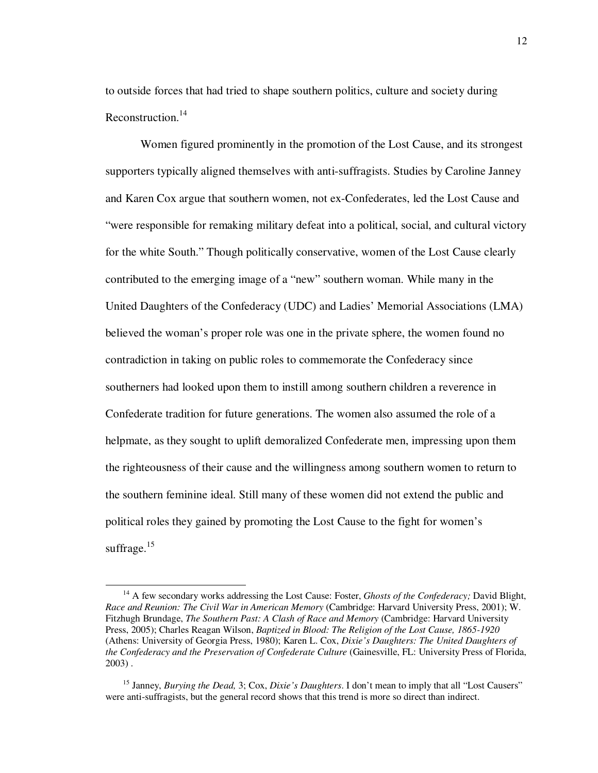to outside forces that had tried to shape southern politics, culture and society during Reconstruction.<sup>14</sup>

Women figured prominently in the promotion of the Lost Cause, and its strongest supporters typically aligned themselves with anti-suffragists. Studies by Caroline Janney and Karen Cox argue that southern women, not ex-Confederates, led the Lost Cause and "were responsible for remaking military defeat into a political, social, and cultural victory for the white South." Though politically conservative, women of the Lost Cause clearly contributed to the emerging image of a "new" southern woman. While many in the United Daughters of the Confederacy (UDC) and Ladies' Memorial Associations (LMA) believed the woman's proper role was one in the private sphere, the women found no contradiction in taking on public roles to commemorate the Confederacy since southerners had looked upon them to instill among southern children a reverence in Confederate tradition for future generations. The women also assumed the role of a helpmate, as they sought to uplift demoralized Confederate men, impressing upon them the righteousness of their cause and the willingness among southern women to return to the southern feminine ideal. Still many of these women did not extend the public and political roles they gained by promoting the Lost Cause to the fight for women's suffrage.<sup>15</sup>

<sup>&</sup>lt;sup>14</sup> A few secondary works addressing the Lost Cause: Foster, *Ghosts of the Confederacy*; David Blight, *Race and Reunion: The Civil War in American Memory* (Cambridge: Harvard University Press, 2001); W. Fitzhugh Brundage, *The Southern Past: A Clash of Race and Memory* (Cambridge: Harvard University Press, 2005); Charles Reagan Wilson, *Baptized in Blood: The Religion of the Lost Cause, 1865-1920*  (Athens: University of Georgia Press, 1980); Karen L. Cox, *Dixie's Daughters: The United Daughters of the Confederacy and the Preservation of Confederate Culture* (Gainesville, FL: University Press of Florida, 2003) .

<sup>15</sup> Janney, *Burying the Dead,* 3; Cox, *Dixie's Daughters*. I don't mean to imply that all "Lost Causers" were anti-suffragists, but the general record shows that this trend is more so direct than indirect.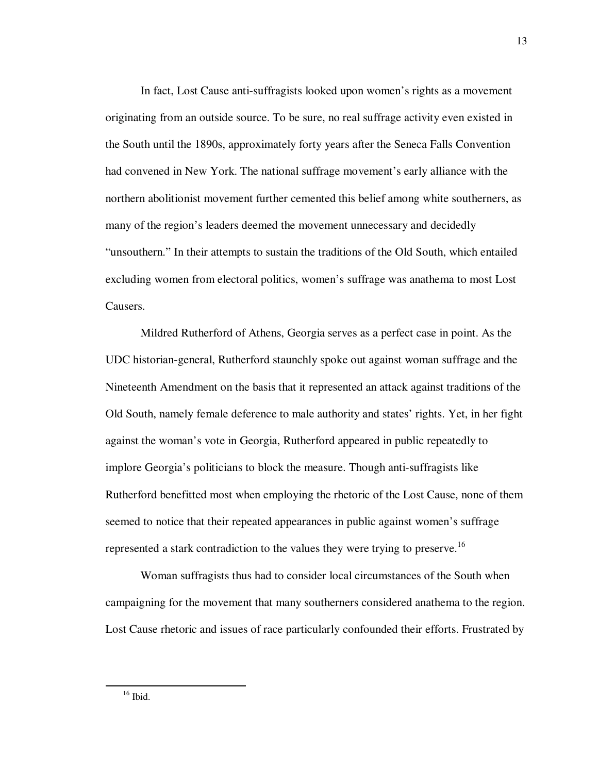In fact, Lost Cause anti-suffragists looked upon women's rights as a movement originating from an outside source. To be sure, no real suffrage activity even existed in the South until the 1890s, approximately forty years after the Seneca Falls Convention had convened in New York. The national suffrage movement's early alliance with the northern abolitionist movement further cemented this belief among white southerners, as many of the region's leaders deemed the movement unnecessary and decidedly "unsouthern." In their attempts to sustain the traditions of the Old South, which entailed excluding women from electoral politics, women's suffrage was anathema to most Lost Causers.

Mildred Rutherford of Athens, Georgia serves as a perfect case in point. As the UDC historian-general, Rutherford staunchly spoke out against woman suffrage and the Nineteenth Amendment on the basis that it represented an attack against traditions of the Old South, namely female deference to male authority and states' rights. Yet, in her fight against the woman's vote in Georgia, Rutherford appeared in public repeatedly to implore Georgia's politicians to block the measure. Though anti-suffragists like Rutherford benefitted most when employing the rhetoric of the Lost Cause, none of them seemed to notice that their repeated appearances in public against women's suffrage represented a stark contradiction to the values they were trying to preserve.<sup>16</sup>

Woman suffragists thus had to consider local circumstances of the South when campaigning for the movement that many southerners considered anathema to the region. Lost Cause rhetoric and issues of race particularly confounded their efforts. Frustrated by

 $16$  Ibid.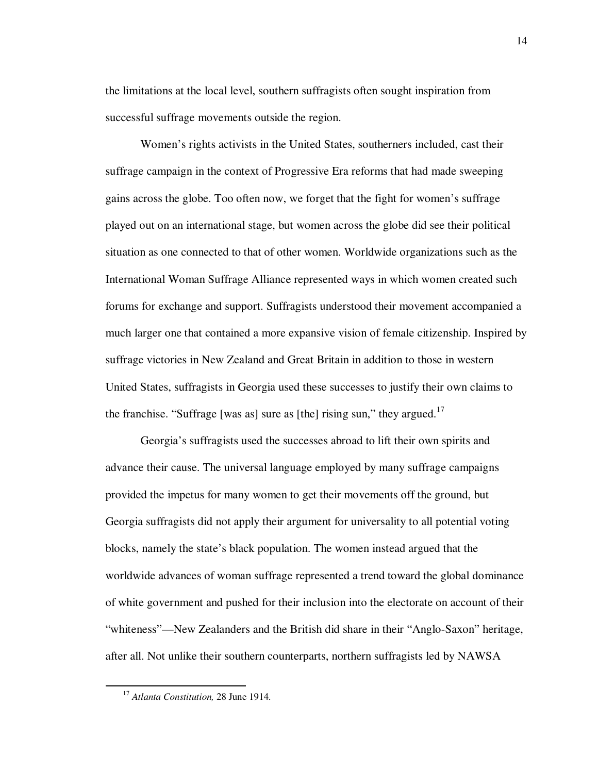the limitations at the local level, southern suffragists often sought inspiration from successful suffrage movements outside the region.

Women's rights activists in the United States, southerners included, cast their suffrage campaign in the context of Progressive Era reforms that had made sweeping gains across the globe. Too often now, we forget that the fight for women's suffrage played out on an international stage, but women across the globe did see their political situation as one connected to that of other women. Worldwide organizations such as the International Woman Suffrage Alliance represented ways in which women created such forums for exchange and support. Suffragists understood their movement accompanied a much larger one that contained a more expansive vision of female citizenship. Inspired by suffrage victories in New Zealand and Great Britain in addition to those in western United States, suffragists in Georgia used these successes to justify their own claims to the franchise. "Suffrage [was as] sure as [the] rising sun," they argued. $17$ 

Georgia's suffragists used the successes abroad to lift their own spirits and advance their cause. The universal language employed by many suffrage campaigns provided the impetus for many women to get their movements off the ground, but Georgia suffragists did not apply their argument for universality to all potential voting blocks, namely the state's black population. The women instead argued that the worldwide advances of woman suffrage represented a trend toward the global dominance of white government and pushed for their inclusion into the electorate on account of their "whiteness"—New Zealanders and the British did share in their "Anglo-Saxon" heritage, after all. Not unlike their southern counterparts, northern suffragists led by NAWSA

<sup>17</sup> *Atlanta Constitution,* 28 June 1914.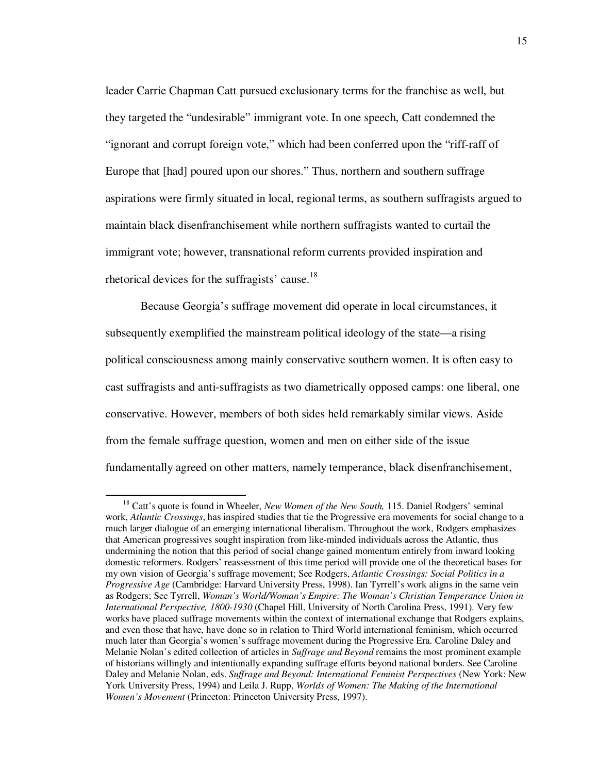leader Carrie Chapman Catt pursued exclusionary terms for the franchise as well, but they targeted the "undesirable" immigrant vote. In one speech, Catt condemned the "ignorant and corrupt foreign vote," which had been conferred upon the "riff-raff of Europe that [had] poured upon our shores." Thus, northern and southern suffrage aspirations were firmly situated in local, regional terms, as southern suffragists argued to maintain black disenfranchisement while northern suffragists wanted to curtail the immigrant vote; however, transnational reform currents provided inspiration and rhetorical devices for the suffragists' cause.<sup>18</sup>

Because Georgia's suffrage movement did operate in local circumstances, it subsequently exemplified the mainstream political ideology of the state—a rising political consciousness among mainly conservative southern women. It is often easy to cast suffragists and anti-suffragists as two diametrically opposed camps: one liberal, one conservative. However, members of both sides held remarkably similar views. Aside from the female suffrage question, women and men on either side of the issue fundamentally agreed on other matters, namely temperance, black disenfranchisement,

<sup>&</sup>lt;sup>18</sup> Catt's quote is found in Wheeler, *New Women of the New South*, 115. Daniel Rodgers' seminal work, *Atlantic Crossings*, has inspired studies that tie the Progressive era movements for social change to a much larger dialogue of an emerging international liberalism. Throughout the work, Rodgers emphasizes that American progressives sought inspiration from like-minded individuals across the Atlantic, thus undermining the notion that this period of social change gained momentum entirely from inward looking domestic reformers. Rodgers' reassessment of this time period will provide one of the theoretical bases for my own vision of Georgia's suffrage movement; See Rodgers, *Atlantic Crossings: Social Politics in a Progressive Age* (Cambridge: Harvard University Press, 1998). Ian Tyrrell's work aligns in the same vein as Rodgers; See Tyrrell, *Woman's World/Woman's Empire: The Woman's Christian Temperance Union in International Perspective, 1800-1930* (Chapel Hill, University of North Carolina Press, 1991). Very few works have placed suffrage movements within the context of international exchange that Rodgers explains, and even those that have, have done so in relation to Third World international feminism, which occurred much later than Georgia's women's suffrage movement during the Progressive Era. Caroline Daley and Melanie Nolan's edited collection of articles in *Suffrage and Beyond* remains the most prominent example of historians willingly and intentionally expanding suffrage efforts beyond national borders. See Caroline Daley and Melanie Nolan, eds. *Suffrage and Beyond: International Feminist Perspectives* (New York: New York University Press, 1994) and Leila J. Rupp, *Worlds of Women: The Making of the International Women's Movement* (Princeton: Princeton University Press, 1997).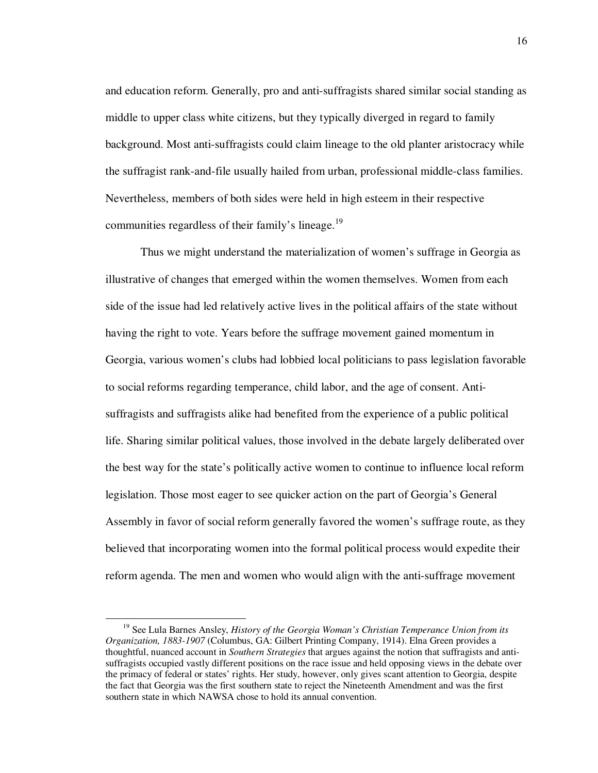and education reform. Generally, pro and anti-suffragists shared similar social standing as middle to upper class white citizens, but they typically diverged in regard to family background. Most anti-suffragists could claim lineage to the old planter aristocracy while the suffragist rank-and-file usually hailed from urban, professional middle-class families. Nevertheless, members of both sides were held in high esteem in their respective communities regardless of their family's lineage.<sup>19</sup>

Thus we might understand the materialization of women's suffrage in Georgia as illustrative of changes that emerged within the women themselves. Women from each side of the issue had led relatively active lives in the political affairs of the state without having the right to vote. Years before the suffrage movement gained momentum in Georgia, various women's clubs had lobbied local politicians to pass legislation favorable to social reforms regarding temperance, child labor, and the age of consent. Antisuffragists and suffragists alike had benefited from the experience of a public political life. Sharing similar political values, those involved in the debate largely deliberated over the best way for the state's politically active women to continue to influence local reform legislation. Those most eager to see quicker action on the part of Georgia's General Assembly in favor of social reform generally favored the women's suffrage route, as they believed that incorporating women into the formal political process would expedite their reform agenda. The men and women who would align with the anti-suffrage movement

<sup>19</sup> See Lula Barnes Ansley, *History of the Georgia Woman's Christian Temperance Union from its Organization, 1883-1907* (Columbus, GA: Gilbert Printing Company, 1914). Elna Green provides a thoughtful, nuanced account in *Southern Strategies* that argues against the notion that suffragists and antisuffragists occupied vastly different positions on the race issue and held opposing views in the debate over the primacy of federal or states' rights. Her study, however, only gives scant attention to Georgia, despite the fact that Georgia was the first southern state to reject the Nineteenth Amendment and was the first southern state in which NAWSA chose to hold its annual convention.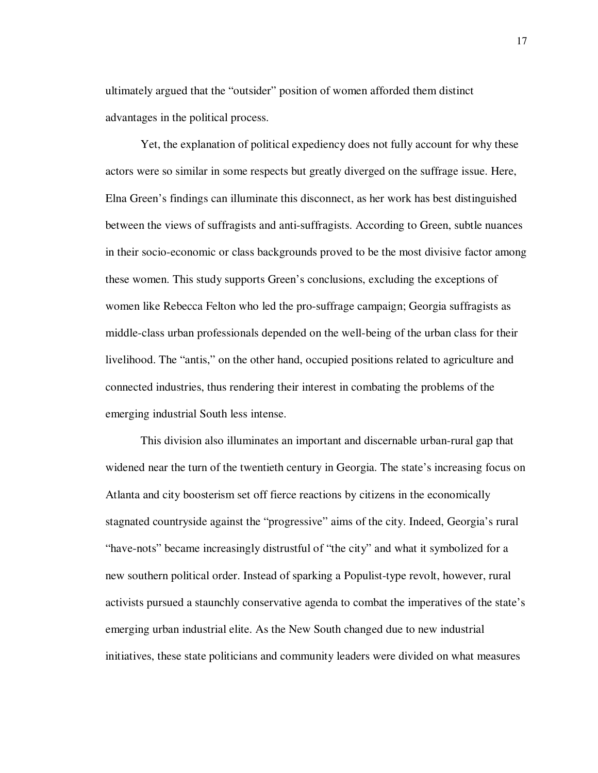ultimately argued that the "outsider" position of women afforded them distinct advantages in the political process.

Yet, the explanation of political expediency does not fully account for why these actors were so similar in some respects but greatly diverged on the suffrage issue. Here, Elna Green's findings can illuminate this disconnect, as her work has best distinguished between the views of suffragists and anti-suffragists. According to Green, subtle nuances in their socio-economic or class backgrounds proved to be the most divisive factor among these women. This study supports Green's conclusions, excluding the exceptions of women like Rebecca Felton who led the pro-suffrage campaign; Georgia suffragists as middle-class urban professionals depended on the well-being of the urban class for their livelihood. The "antis," on the other hand, occupied positions related to agriculture and connected industries, thus rendering their interest in combating the problems of the emerging industrial South less intense.

This division also illuminates an important and discernable urban-rural gap that widened near the turn of the twentieth century in Georgia. The state's increasing focus on Atlanta and city boosterism set off fierce reactions by citizens in the economically stagnated countryside against the "progressive" aims of the city. Indeed, Georgia's rural "have-nots" became increasingly distrustful of "the city" and what it symbolized for a new southern political order. Instead of sparking a Populist-type revolt, however, rural activists pursued a staunchly conservative agenda to combat the imperatives of the state's emerging urban industrial elite. As the New South changed due to new industrial initiatives, these state politicians and community leaders were divided on what measures

17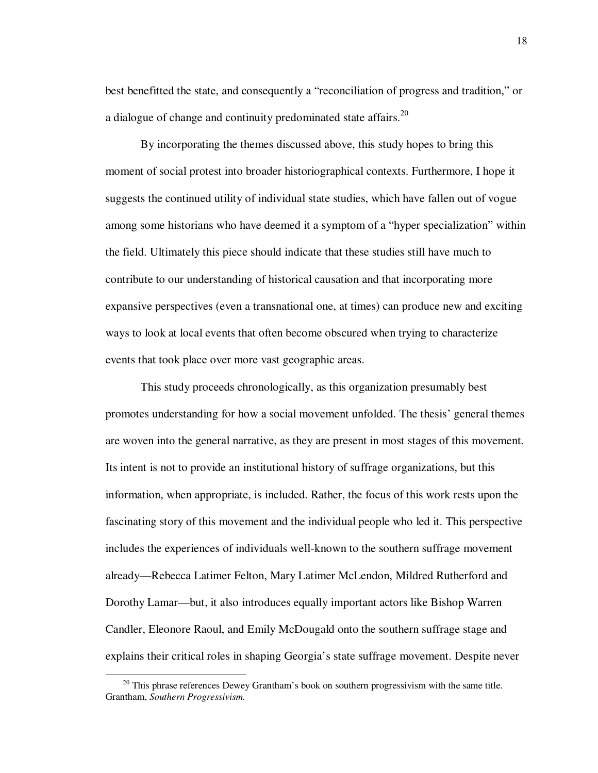best benefitted the state, and consequently a "reconciliation of progress and tradition," or a dialogue of change and continuity predominated state affairs. $^{20}$ 

By incorporating the themes discussed above, this study hopes to bring this moment of social protest into broader historiographical contexts. Furthermore, I hope it suggests the continued utility of individual state studies, which have fallen out of vogue among some historians who have deemed it a symptom of a "hyper specialization" within the field. Ultimately this piece should indicate that these studies still have much to contribute to our understanding of historical causation and that incorporating more expansive perspectives (even a transnational one, at times) can produce new and exciting ways to look at local events that often become obscured when trying to characterize events that took place over more vast geographic areas.

This study proceeds chronologically, as this organization presumably best promotes understanding for how a social movement unfolded. The thesis' general themes are woven into the general narrative, as they are present in most stages of this movement. Its intent is not to provide an institutional history of suffrage organizations, but this information, when appropriate, is included. Rather, the focus of this work rests upon the fascinating story of this movement and the individual people who led it. This perspective includes the experiences of individuals well-known to the southern suffrage movement already—Rebecca Latimer Felton, Mary Latimer McLendon, Mildred Rutherford and Dorothy Lamar—but, it also introduces equally important actors like Bishop Warren Candler, Eleonore Raoul, and Emily McDougald onto the southern suffrage stage and explains their critical roles in shaping Georgia's state suffrage movement. Despite never

 $20$  This phrase references Dewey Grantham's book on southern progressivism with the same title. Grantham, *Southern Progressivism.*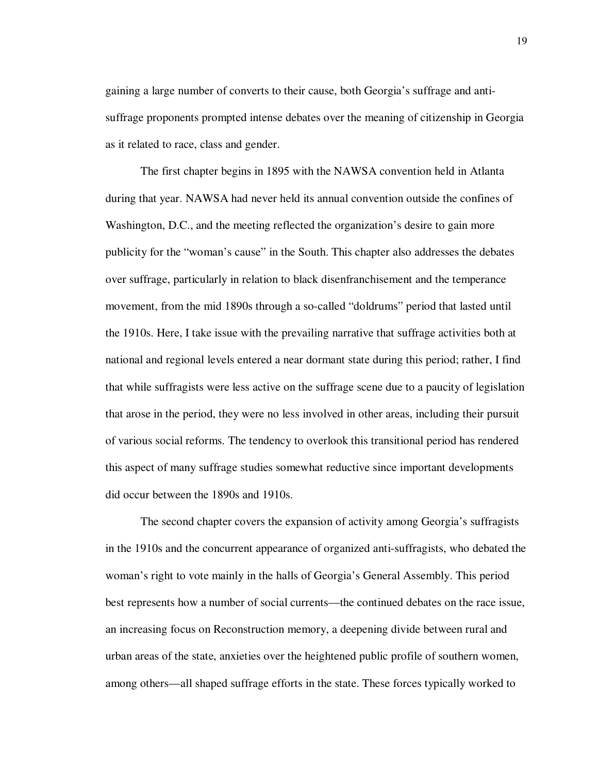gaining a large number of converts to their cause, both Georgia's suffrage and antisuffrage proponents prompted intense debates over the meaning of citizenship in Georgia as it related to race, class and gender.

The first chapter begins in 1895 with the NAWSA convention held in Atlanta during that year. NAWSA had never held its annual convention outside the confines of Washington, D.C., and the meeting reflected the organization's desire to gain more publicity for the "woman's cause" in the South. This chapter also addresses the debates over suffrage, particularly in relation to black disenfranchisement and the temperance movement, from the mid 1890s through a so-called "doldrums" period that lasted until the 1910s. Here, I take issue with the prevailing narrative that suffrage activities both at national and regional levels entered a near dormant state during this period; rather, I find that while suffragists were less active on the suffrage scene due to a paucity of legislation that arose in the period, they were no less involved in other areas, including their pursuit of various social reforms. The tendency to overlook this transitional period has rendered this aspect of many suffrage studies somewhat reductive since important developments did occur between the 1890s and 1910s.

The second chapter covers the expansion of activity among Georgia's suffragists in the 1910s and the concurrent appearance of organized anti-suffragists, who debated the woman's right to vote mainly in the halls of Georgia's General Assembly. This period best represents how a number of social currents—the continued debates on the race issue, an increasing focus on Reconstruction memory, a deepening divide between rural and urban areas of the state, anxieties over the heightened public profile of southern women, among others—all shaped suffrage efforts in the state. These forces typically worked to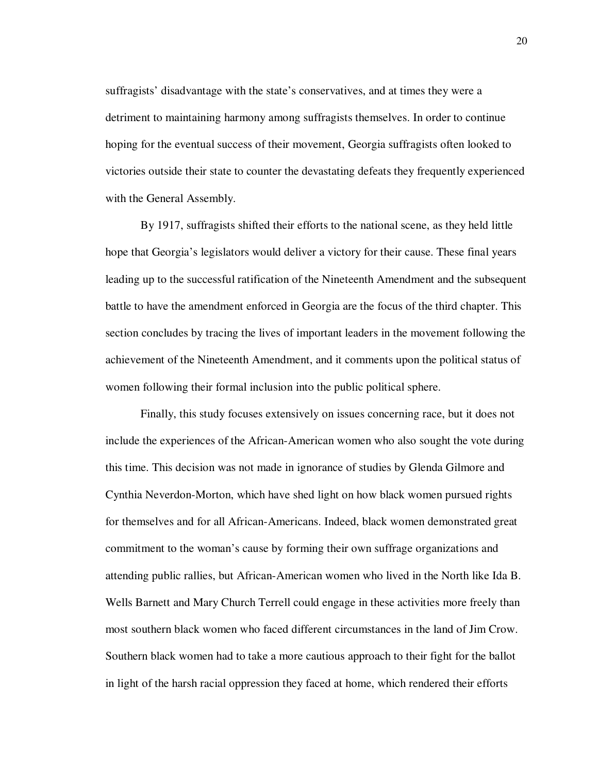suffragists' disadvantage with the state's conservatives, and at times they were a detriment to maintaining harmony among suffragists themselves. In order to continue hoping for the eventual success of their movement, Georgia suffragists often looked to victories outside their state to counter the devastating defeats they frequently experienced with the General Assembly.

By 1917, suffragists shifted their efforts to the national scene, as they held little hope that Georgia's legislators would deliver a victory for their cause. These final years leading up to the successful ratification of the Nineteenth Amendment and the subsequent battle to have the amendment enforced in Georgia are the focus of the third chapter. This section concludes by tracing the lives of important leaders in the movement following the achievement of the Nineteenth Amendment, and it comments upon the political status of women following their formal inclusion into the public political sphere.

Finally, this study focuses extensively on issues concerning race, but it does not include the experiences of the African-American women who also sought the vote during this time. This decision was not made in ignorance of studies by Glenda Gilmore and Cynthia Neverdon-Morton, which have shed light on how black women pursued rights for themselves and for all African-Americans. Indeed, black women demonstrated great commitment to the woman's cause by forming their own suffrage organizations and attending public rallies, but African-American women who lived in the North like Ida B. Wells Barnett and Mary Church Terrell could engage in these activities more freely than most southern black women who faced different circumstances in the land of Jim Crow. Southern black women had to take a more cautious approach to their fight for the ballot in light of the harsh racial oppression they faced at home, which rendered their efforts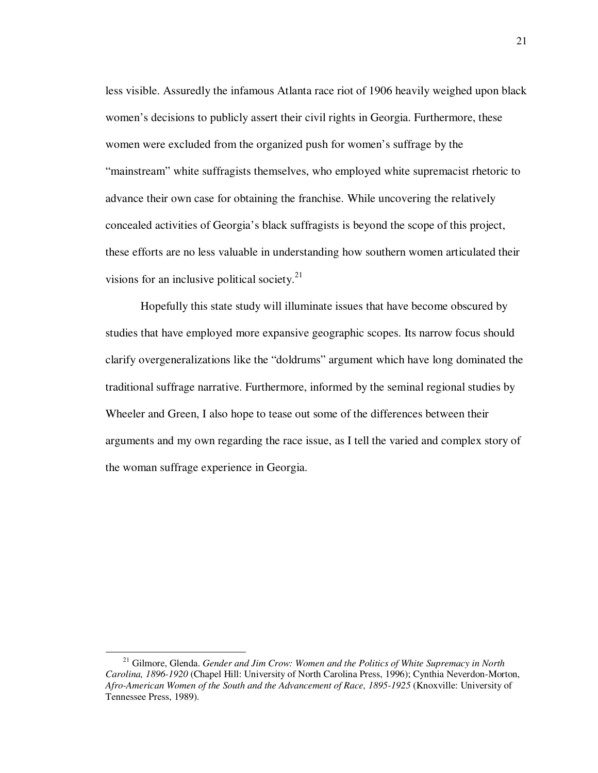less visible. Assuredly the infamous Atlanta race riot of 1906 heavily weighed upon black women's decisions to publicly assert their civil rights in Georgia. Furthermore, these women were excluded from the organized push for women's suffrage by the "mainstream" white suffragists themselves, who employed white supremacist rhetoric to advance their own case for obtaining the franchise. While uncovering the relatively concealed activities of Georgia's black suffragists is beyond the scope of this project, these efforts are no less valuable in understanding how southern women articulated their visions for an inclusive political society. $21$ 

Hopefully this state study will illuminate issues that have become obscured by studies that have employed more expansive geographic scopes. Its narrow focus should clarify overgeneralizations like the "doldrums" argument which have long dominated the traditional suffrage narrative. Furthermore, informed by the seminal regional studies by Wheeler and Green, I also hope to tease out some of the differences between their arguments and my own regarding the race issue, as I tell the varied and complex story of the woman suffrage experience in Georgia.

<sup>21</sup> Gilmore, Glenda. *Gender and Jim Crow: Women and the Politics of White Supremacy in North Carolina, 1896-1920* (Chapel Hill: University of North Carolina Press, 1996); Cynthia Neverdon-Morton, *Afro-American Women of the South and the Advancement of Race, 1895-1925* (Knoxville: University of Tennessee Press, 1989).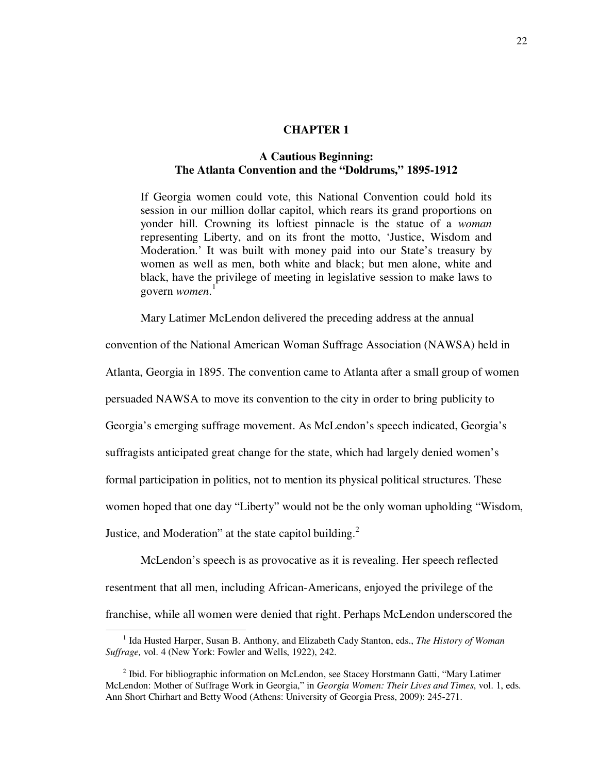#### **CHAPTER 1**

## **A Cautious Beginning: The Atlanta Convention and the "Doldrums," 1895-1912**

If Georgia women could vote, this National Convention could hold its session in our million dollar capitol, which rears its grand proportions on yonder hill. Crowning its loftiest pinnacle is the statue of a *woman*  representing Liberty, and on its front the motto, 'Justice, Wisdom and Moderation.' It was built with money paid into our State's treasury by women as well as men, both white and black; but men alone, white and black, have the privilege of meeting in legislative session to make laws to govern *women*. 1

Mary Latimer McLendon delivered the preceding address at the annual

convention of the National American Woman Suffrage Association (NAWSA) held in

Atlanta, Georgia in 1895. The convention came to Atlanta after a small group of women

persuaded NAWSA to move its convention to the city in order to bring publicity to

Georgia's emerging suffrage movement. As McLendon's speech indicated, Georgia's

suffragists anticipated great change for the state, which had largely denied women's

formal participation in politics, not to mention its physical political structures. These

women hoped that one day "Liberty" would not be the only woman upholding "Wisdom,

Justice, and Moderation" at the state capitol building. $2$ 

l

McLendon's speech is as provocative as it is revealing. Her speech reflected resentment that all men, including African-Americans, enjoyed the privilege of the franchise, while all women were denied that right. Perhaps McLendon underscored the

<sup>&</sup>lt;sup>1</sup> Ida Husted Harper, Susan B. Anthony, and Elizabeth Cady Stanton, eds., *The History of Woman Suffrage,* vol. 4 (New York: Fowler and Wells, 1922), 242.

<sup>&</sup>lt;sup>2</sup> Ibid. For bibliographic information on McLendon, see Stacey Horstmann Gatti, "Mary Latimer McLendon: Mother of Suffrage Work in Georgia," in *Georgia Women: Their Lives and Times*, vol. 1, eds. Ann Short Chirhart and Betty Wood (Athens: University of Georgia Press, 2009): 245-271.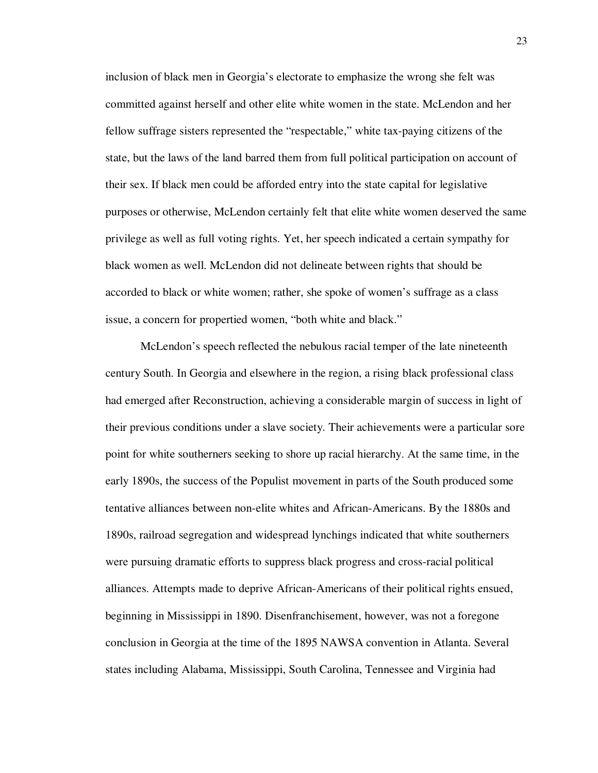inclusion of black men in Georgia's electorate to emphasize the wrong she felt was committed against herself and other elite white women in the state. McLendon and her fellow suffrage sisters represented the "respectable," white tax-paying citizens of the state, but the laws of the land barred them from full political participation on account of their sex. If black men could be afforded entry into the state capital for legislative purposes or otherwise, McLendon certainly felt that elite white women deserved the same privilege as well as full voting rights. Yet, her speech indicated a certain sympathy for black women as well. McLendon did not delineate between rights that should be accorded to black or white women; rather, she spoke of women's suffrage as a class issue, a concern for propertied women, "both white and black."

McLendon's speech reflected the nebulous racial temper of the late nineteenth century South. In Georgia and elsewhere in the region, a rising black professional class had emerged after Reconstruction, achieving a considerable margin of success in light of their previous conditions under a slave society. Their achievements were a particular sore point for white southerners seeking to shore up racial hierarchy. At the same time, in the early 1890s, the success of the Populist movement in parts of the South produced some tentative alliances between non-elite whites and African-Americans. By the 1880s and 1890s, railroad segregation and widespread lynchings indicated that white southerners were pursuing dramatic efforts to suppress black progress and cross-racial political alliances. Attempts made to deprive African-Americans of their political rights ensued, beginning in Mississippi in 1890. Disenfranchisement, however, was not a foregone conclusion in Georgia at the time of the 1895 NAWSA convention in Atlanta. Several states including Alabama, Mississippi, South Carolina, Tennessee and Virginia had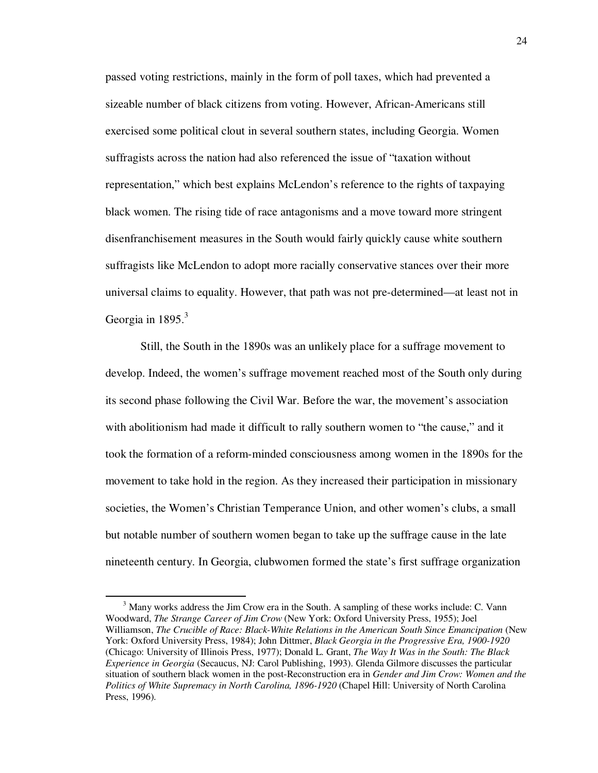passed voting restrictions, mainly in the form of poll taxes, which had prevented a sizeable number of black citizens from voting. However, African-Americans still exercised some political clout in several southern states, including Georgia. Women suffragists across the nation had also referenced the issue of "taxation without representation," which best explains McLendon's reference to the rights of taxpaying black women. The rising tide of race antagonisms and a move toward more stringent disenfranchisement measures in the South would fairly quickly cause white southern suffragists like McLendon to adopt more racially conservative stances over their more universal claims to equality. However, that path was not pre-determined—at least not in Georgia in  $1895.<sup>3</sup>$ 

Still, the South in the 1890s was an unlikely place for a suffrage movement to develop. Indeed, the women's suffrage movement reached most of the South only during its second phase following the Civil War. Before the war, the movement's association with abolitionism had made it difficult to rally southern women to "the cause," and it took the formation of a reform-minded consciousness among women in the 1890s for the movement to take hold in the region. As they increased their participation in missionary societies, the Women's Christian Temperance Union, and other women's clubs, a small but notable number of southern women began to take up the suffrage cause in the late nineteenth century. In Georgia, clubwomen formed the state's first suffrage organization

 $3$  Many works address the Jim Crow era in the South. A sampling of these works include: C. Vann Woodward, *The Strange Career of Jim Crow* (New York: Oxford University Press, 1955); Joel Williamson, *The Crucible of Race: Black-White Relations in the American South Since Emancipation* (New York: Oxford University Press, 1984); John Dittmer, *Black Georgia in the Progressive Era, 1900-1920* (Chicago: University of Illinois Press, 1977); Donald L. Grant, *The Way It Was in the South: The Black Experience in Georgia* (Secaucus, NJ: Carol Publishing, 1993). Glenda Gilmore discusses the particular situation of southern black women in the post-Reconstruction era in *Gender and Jim Crow: Women and the Politics of White Supremacy in North Carolina, 1896-1920* (Chapel Hill: University of North Carolina Press, 1996).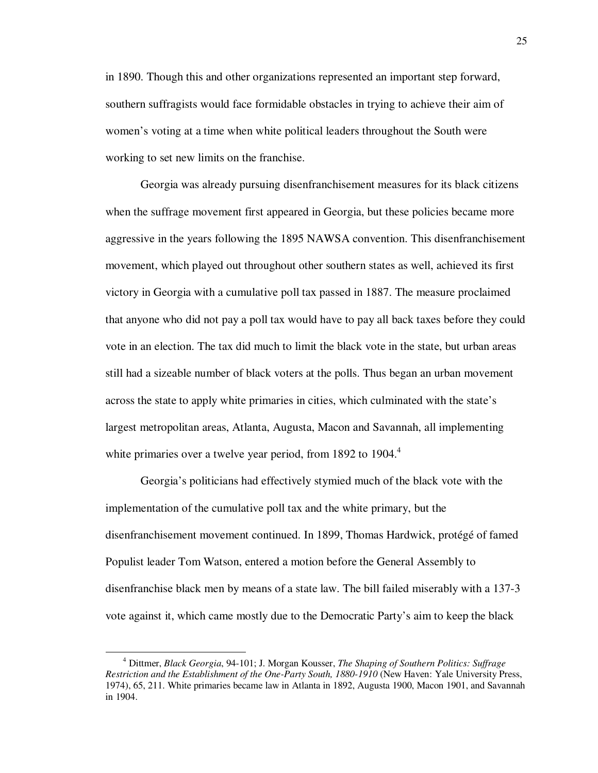in 1890. Though this and other organizations represented an important step forward, southern suffragists would face formidable obstacles in trying to achieve their aim of women's voting at a time when white political leaders throughout the South were working to set new limits on the franchise.

Georgia was already pursuing disenfranchisement measures for its black citizens when the suffrage movement first appeared in Georgia, but these policies became more aggressive in the years following the 1895 NAWSA convention. This disenfranchisement movement, which played out throughout other southern states as well, achieved its first victory in Georgia with a cumulative poll tax passed in 1887. The measure proclaimed that anyone who did not pay a poll tax would have to pay all back taxes before they could vote in an election. The tax did much to limit the black vote in the state, but urban areas still had a sizeable number of black voters at the polls. Thus began an urban movement across the state to apply white primaries in cities, which culminated with the state's largest metropolitan areas, Atlanta, Augusta, Macon and Savannah, all implementing white primaries over a twelve year period, from 1892 to 1904. $4$ 

Georgia's politicians had effectively stymied much of the black vote with the implementation of the cumulative poll tax and the white primary, but the disenfranchisement movement continued. In 1899, Thomas Hardwick, protégé of famed Populist leader Tom Watson, entered a motion before the General Assembly to disenfranchise black men by means of a state law. The bill failed miserably with a 137-3 vote against it, which came mostly due to the Democratic Party's aim to keep the black

<sup>4</sup> Dittmer, *Black Georgia*, 94-101; J. Morgan Kousser, *The Shaping of Southern Politics: Suffrage Restriction and the Establishment of the One-Party South, 1880-1910* (New Haven: Yale University Press, 1974), 65, 211. White primaries became law in Atlanta in 1892, Augusta 1900, Macon 1901, and Savannah in 1904.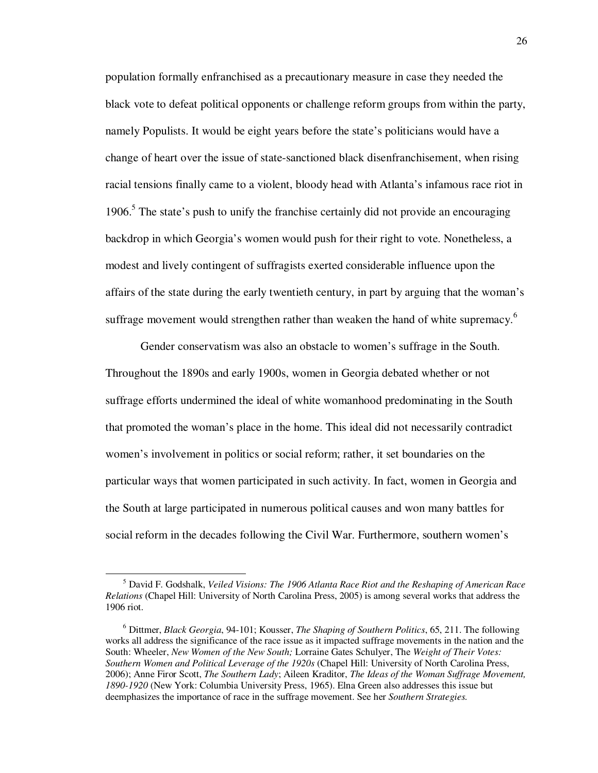population formally enfranchised as a precautionary measure in case they needed the black vote to defeat political opponents or challenge reform groups from within the party, namely Populists. It would be eight years before the state's politicians would have a change of heart over the issue of state-sanctioned black disenfranchisement, when rising racial tensions finally came to a violent, bloody head with Atlanta's infamous race riot in 1906.<sup>5</sup> The state's push to unify the franchise certainly did not provide an encouraging backdrop in which Georgia's women would push for their right to vote. Nonetheless, a modest and lively contingent of suffragists exerted considerable influence upon the affairs of the state during the early twentieth century, in part by arguing that the woman's suffrage movement would strengthen rather than weaken the hand of white supremacy.<sup>6</sup>

Gender conservatism was also an obstacle to women's suffrage in the South. Throughout the 1890s and early 1900s, women in Georgia debated whether or not suffrage efforts undermined the ideal of white womanhood predominating in the South that promoted the woman's place in the home. This ideal did not necessarily contradict women's involvement in politics or social reform; rather, it set boundaries on the particular ways that women participated in such activity. In fact, women in Georgia and the South at large participated in numerous political causes and won many battles for social reform in the decades following the Civil War. Furthermore, southern women's

<sup>5</sup> David F. Godshalk, *Veiled Visions: The 1906 Atlanta Race Riot and the Reshaping of American Race Relations* (Chapel Hill: University of North Carolina Press, 2005) is among several works that address the 1906 riot.

<sup>6</sup> Dittmer, *Black Georgia*, 94-101; Kousser, *The Shaping of Southern Politics*, 65, 211. The following works all address the significance of the race issue as it impacted suffrage movements in the nation and the South: Wheeler, *New Women of the New South;* Lorraine Gates Schulyer, The *Weight of Their Votes: Southern Women and Political Leverage of the 1920s* (Chapel Hill: University of North Carolina Press, 2006); Anne Firor Scott, *The Southern Lady*; Aileen Kraditor, *The Ideas of the Woman Suffrage Movement, 1890-1920* (New York: Columbia University Press, 1965). Elna Green also addresses this issue but deemphasizes the importance of race in the suffrage movement. See her *Southern Strategies.*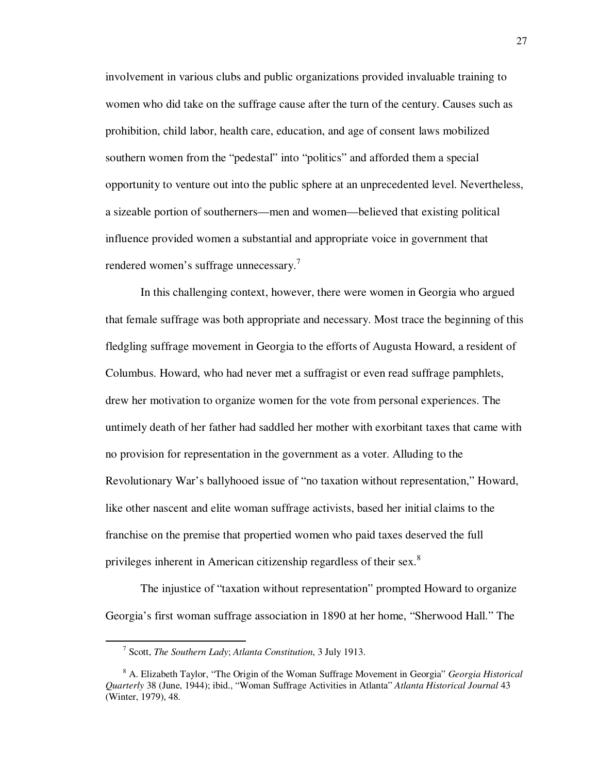involvement in various clubs and public organizations provided invaluable training to women who did take on the suffrage cause after the turn of the century. Causes such as prohibition, child labor, health care, education, and age of consent laws mobilized southern women from the "pedestal" into "politics" and afforded them a special opportunity to venture out into the public sphere at an unprecedented level. Nevertheless, a sizeable portion of southerners—men and women—believed that existing political influence provided women a substantial and appropriate voice in government that rendered women's suffrage unnecessary.<sup>7</sup>

In this challenging context, however, there were women in Georgia who argued that female suffrage was both appropriate and necessary. Most trace the beginning of this fledgling suffrage movement in Georgia to the efforts of Augusta Howard, a resident of Columbus. Howard, who had never met a suffragist or even read suffrage pamphlets, drew her motivation to organize women for the vote from personal experiences. The untimely death of her father had saddled her mother with exorbitant taxes that came with no provision for representation in the government as a voter. Alluding to the Revolutionary War's ballyhooed issue of "no taxation without representation," Howard, like other nascent and elite woman suffrage activists, based her initial claims to the franchise on the premise that propertied women who paid taxes deserved the full privileges inherent in American citizenship regardless of their sex. $8$ 

The injustice of "taxation without representation" prompted Howard to organize Georgia's first woman suffrage association in 1890 at her home, "Sherwood Hall." The

<sup>7</sup> Scott, *The Southern Lady*; *Atlanta Constitution*, 3 July 1913.

<sup>8</sup> A. Elizabeth Taylor, "The Origin of the Woman Suffrage Movement in Georgia" *Georgia Historical Quarterly* 38 (June, 1944); ibid., "Woman Suffrage Activities in Atlanta" *Atlanta Historical Journal* 43 (Winter, 1979), 48.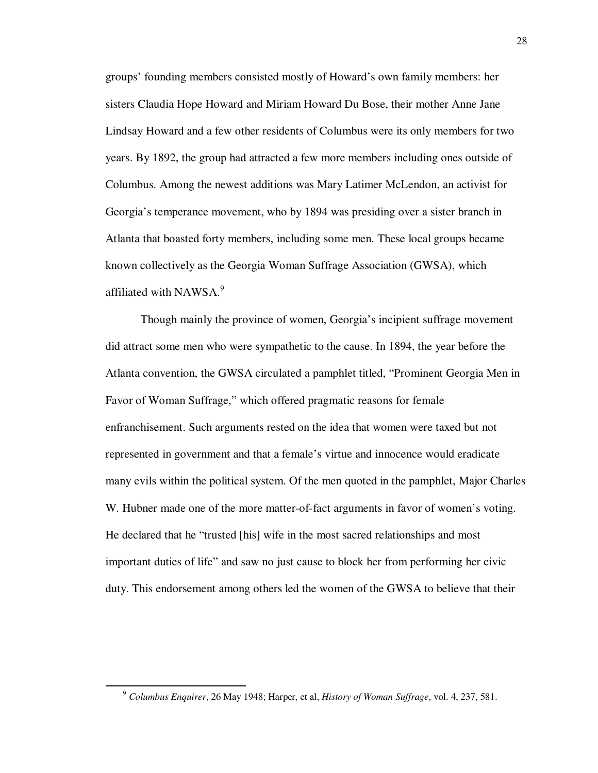groups' founding members consisted mostly of Howard's own family members: her sisters Claudia Hope Howard and Miriam Howard Du Bose, their mother Anne Jane Lindsay Howard and a few other residents of Columbus were its only members for two years. By 1892, the group had attracted a few more members including ones outside of Columbus. Among the newest additions was Mary Latimer McLendon, an activist for Georgia's temperance movement, who by 1894 was presiding over a sister branch in Atlanta that boasted forty members, including some men. These local groups became known collectively as the Georgia Woman Suffrage Association (GWSA), which affiliated with NAWSA.<sup>9</sup>

Though mainly the province of women, Georgia's incipient suffrage movement did attract some men who were sympathetic to the cause. In 1894, the year before the Atlanta convention, the GWSA circulated a pamphlet titled, "Prominent Georgia Men in Favor of Woman Suffrage," which offered pragmatic reasons for female enfranchisement. Such arguments rested on the idea that women were taxed but not represented in government and that a female's virtue and innocence would eradicate many evils within the political system. Of the men quoted in the pamphlet, Major Charles W. Hubner made one of the more matter-of-fact arguments in favor of women's voting. He declared that he "trusted [his] wife in the most sacred relationships and most important duties of life" and saw no just cause to block her from performing her civic duty. This endorsement among others led the women of the GWSA to believe that their

<sup>9</sup> *Columbus Enquirer*, 26 May 1948; Harper, et al, *History of Woman Suffrage*, vol. 4, 237, 581.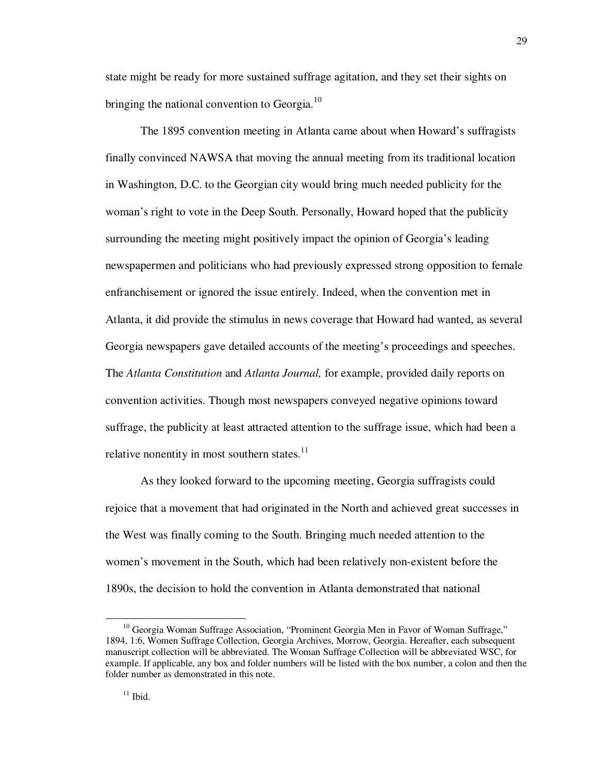state might be ready for more sustained suffrage agitation, and they set their sights on bringing the national convention to Georgia. $^{10}$ 

 The 1895 convention meeting in Atlanta came about when Howard's suffragists finally convinced NAWSA that moving the annual meeting from its traditional location in Washington, D.C. to the Georgian city would bring much needed publicity for the woman's right to vote in the Deep South. Personally, Howard hoped that the publicity surrounding the meeting might positively impact the opinion of Georgia's leading newspapermen and politicians who had previously expressed strong opposition to female enfranchisement or ignored the issue entirely. Indeed, when the convention met in Atlanta, it did provide the stimulus in news coverage that Howard had wanted, as several Georgia newspapers gave detailed accounts of the meeting's proceedings and speeches. The *Atlanta Constitution* and *Atlanta Journal,* for example, provided daily reports on convention activities. Though most newspapers conveyed negative opinions toward suffrage, the publicity at least attracted attention to the suffrage issue, which had been a relative nonentity in most southern states. $11$ 

 As they looked forward to the upcoming meeting, Georgia suffragists could rejoice that a movement that had originated in the North and achieved great successes in the West was finally coming to the South. Bringing much needed attention to the women's movement in the South, which had been relatively non-existent before the 1890s, the decision to hold the convention in Atlanta demonstrated that national

 $10$  Georgia Woman Suffrage Association, "Prominent Georgia Men in Favor of Woman Suffrage," 1894, 1:6, Women Suffrage Collection, Georgia Archives, Morrow, Georgia. Hereafter, each subsequent manuscript collection will be abbreviated. The Woman Suffrage Collection will be abbreviated WSC, for example. If applicable, any box and folder numbers will be listed with the box number, a colon and then the folder number as demonstrated in this note.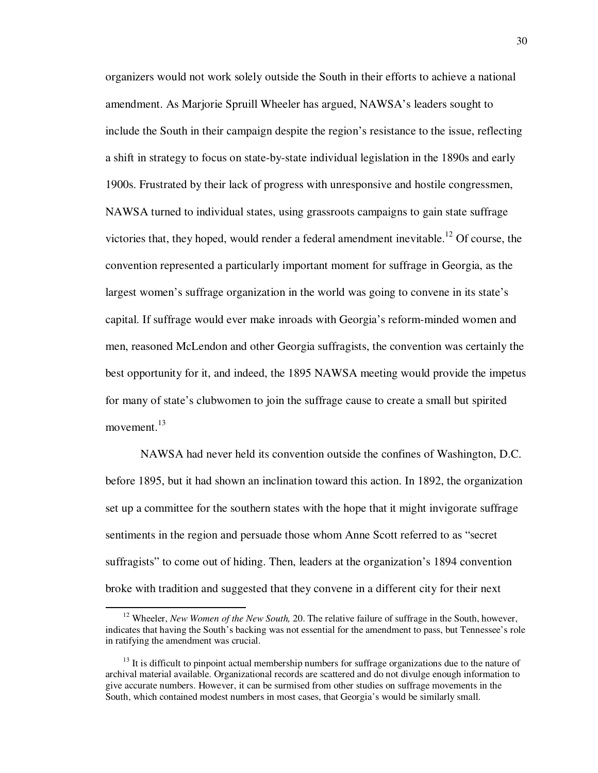organizers would not work solely outside the South in their efforts to achieve a national amendment. As Marjorie Spruill Wheeler has argued, NAWSA's leaders sought to include the South in their campaign despite the region's resistance to the issue, reflecting a shift in strategy to focus on state-by-state individual legislation in the 1890s and early 1900s. Frustrated by their lack of progress with unresponsive and hostile congressmen, NAWSA turned to individual states, using grassroots campaigns to gain state suffrage victories that, they hoped, would render a federal amendment inevitable.<sup>12</sup> Of course, the convention represented a particularly important moment for suffrage in Georgia, as the largest women's suffrage organization in the world was going to convene in its state's capital. If suffrage would ever make inroads with Georgia's reform-minded women and men, reasoned McLendon and other Georgia suffragists, the convention was certainly the best opportunity for it, and indeed, the 1895 NAWSA meeting would provide the impetus for many of state's clubwomen to join the suffrage cause to create a small but spirited movement.<sup>13</sup>

NAWSA had never held its convention outside the confines of Washington, D.C. before 1895, but it had shown an inclination toward this action. In 1892, the organization set up a committee for the southern states with the hope that it might invigorate suffrage sentiments in the region and persuade those whom Anne Scott referred to as "secret suffragists" to come out of hiding. Then, leaders at the organization's 1894 convention broke with tradition and suggested that they convene in a different city for their next

<sup>&</sup>lt;sup>12</sup> Wheeler. *New Women of the New South*, 20. The relative failure of suffrage in the South, however, indicates that having the South's backing was not essential for the amendment to pass, but Tennessee's role in ratifying the amendment was crucial.

 $13$  It is difficult to pinpoint actual membership numbers for suffrage organizations due to the nature of archival material available. Organizational records are scattered and do not divulge enough information to give accurate numbers. However, it can be surmised from other studies on suffrage movements in the South, which contained modest numbers in most cases, that Georgia's would be similarly small.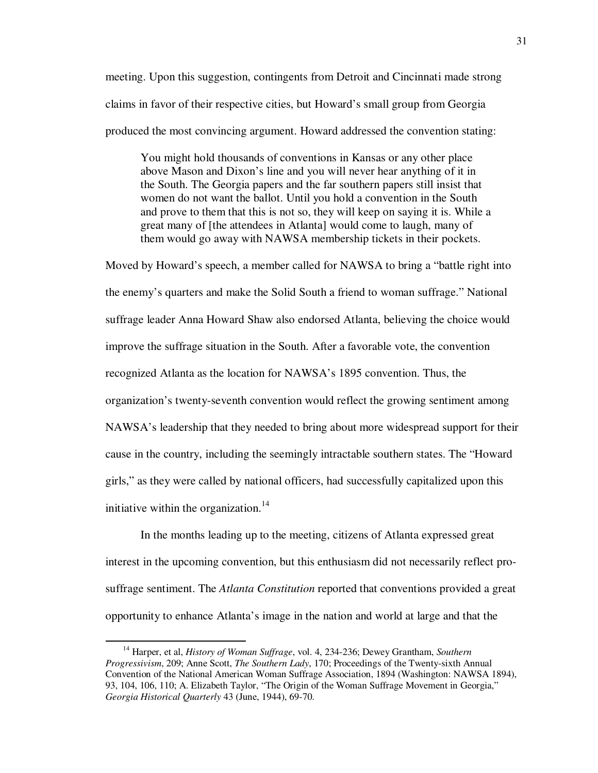meeting. Upon this suggestion, contingents from Detroit and Cincinnati made strong claims in favor of their respective cities, but Howard's small group from Georgia produced the most convincing argument. Howard addressed the convention stating:

You might hold thousands of conventions in Kansas or any other place above Mason and Dixon's line and you will never hear anything of it in the South. The Georgia papers and the far southern papers still insist that women do not want the ballot. Until you hold a convention in the South and prove to them that this is not so, they will keep on saying it is. While a great many of [the attendees in Atlanta] would come to laugh, many of them would go away with NAWSA membership tickets in their pockets.

Moved by Howard's speech, a member called for NAWSA to bring a "battle right into the enemy's quarters and make the Solid South a friend to woman suffrage." National suffrage leader Anna Howard Shaw also endorsed Atlanta, believing the choice would improve the suffrage situation in the South. After a favorable vote, the convention recognized Atlanta as the location for NAWSA's 1895 convention. Thus, the organization's twenty-seventh convention would reflect the growing sentiment among NAWSA's leadership that they needed to bring about more widespread support for their cause in the country, including the seemingly intractable southern states. The "Howard girls," as they were called by national officers, had successfully capitalized upon this initiative within the organization.<sup>14</sup>

In the months leading up to the meeting, citizens of Atlanta expressed great interest in the upcoming convention, but this enthusiasm did not necessarily reflect prosuffrage sentiment. The *Atlanta Constitution* reported that conventions provided a great opportunity to enhance Atlanta's image in the nation and world at large and that the

<sup>14</sup> Harper, et al, *History of Woman Suffrage*, vol. 4, 234-236; Dewey Grantham, *Southern Progressivism*, 209; Anne Scott, *The Southern Lady*, 170; Proceedings of the Twenty-sixth Annual Convention of the National American Woman Suffrage Association, 1894 (Washington: NAWSA 1894), 93, 104, 106, 110; A. Elizabeth Taylor, "The Origin of the Woman Suffrage Movement in Georgia," *Georgia Historical Quarterly* 43 (June, 1944), 69-70.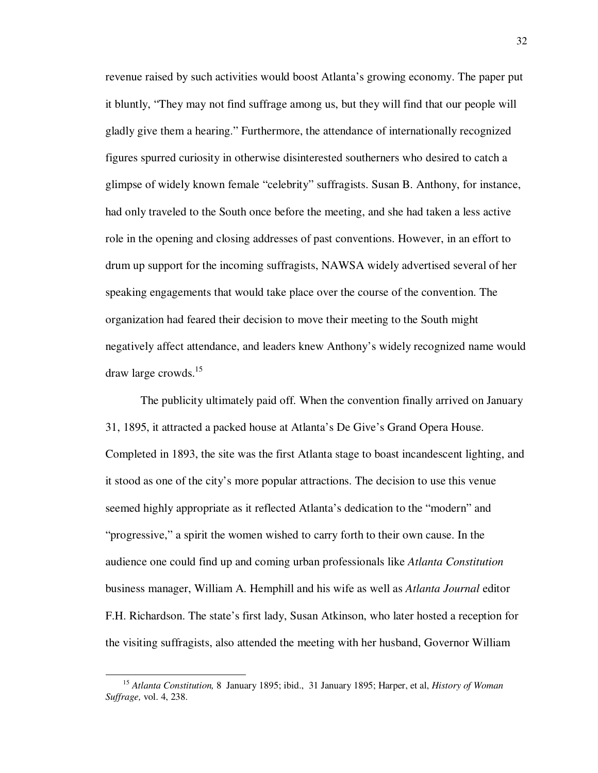revenue raised by such activities would boost Atlanta's growing economy. The paper put it bluntly, "They may not find suffrage among us, but they will find that our people will gladly give them a hearing." Furthermore, the attendance of internationally recognized figures spurred curiosity in otherwise disinterested southerners who desired to catch a glimpse of widely known female "celebrity" suffragists. Susan B. Anthony, for instance, had only traveled to the South once before the meeting, and she had taken a less active role in the opening and closing addresses of past conventions. However, in an effort to drum up support for the incoming suffragists, NAWSA widely advertised several of her speaking engagements that would take place over the course of the convention. The organization had feared their decision to move their meeting to the South might negatively affect attendance, and leaders knew Anthony's widely recognized name would draw large crowds.<sup>15</sup>

The publicity ultimately paid off. When the convention finally arrived on January 31, 1895, it attracted a packed house at Atlanta's De Give's Grand Opera House. Completed in 1893, the site was the first Atlanta stage to boast incandescent lighting, and it stood as one of the city's more popular attractions. The decision to use this venue seemed highly appropriate as it reflected Atlanta's dedication to the "modern" and "progressive," a spirit the women wished to carry forth to their own cause. In the audience one could find up and coming urban professionals like *Atlanta Constitution*  business manager, William A. Hemphill and his wife as well as *Atlanta Journal* editor F.H. Richardson. The state's first lady, Susan Atkinson, who later hosted a reception for the visiting suffragists, also attended the meeting with her husband, Governor William

<sup>15</sup> *Atlanta Constitution,* 8 January 1895; ibid., 31 January 1895; Harper, et al, *History of Woman Suffrage,* vol. 4, 238.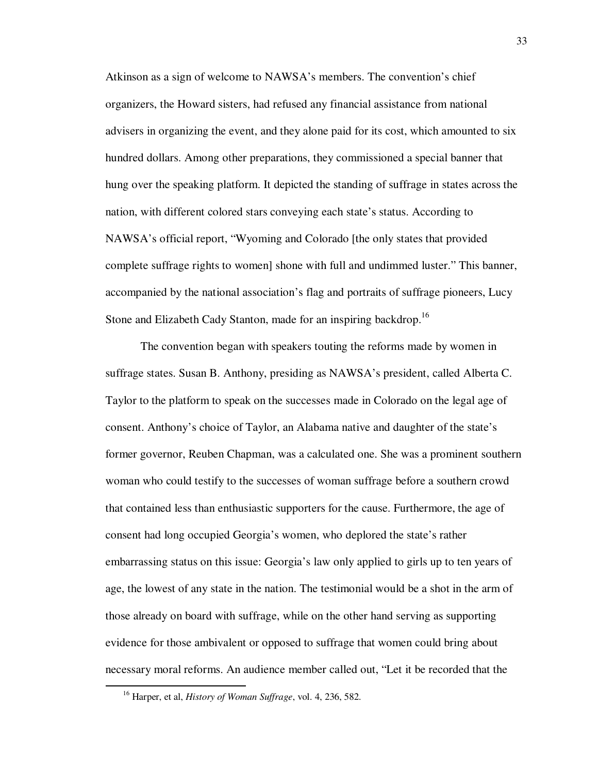Atkinson as a sign of welcome to NAWSA's members. The convention's chief organizers, the Howard sisters, had refused any financial assistance from national advisers in organizing the event, and they alone paid for its cost, which amounted to six hundred dollars. Among other preparations, they commissioned a special banner that hung over the speaking platform. It depicted the standing of suffrage in states across the nation, with different colored stars conveying each state's status. According to NAWSA's official report, "Wyoming and Colorado [the only states that provided complete suffrage rights to women] shone with full and undimmed luster." This banner, accompanied by the national association's flag and portraits of suffrage pioneers, Lucy Stone and Elizabeth Cady Stanton, made for an inspiring backdrop.<sup>16</sup>

 The convention began with speakers touting the reforms made by women in suffrage states. Susan B. Anthony, presiding as NAWSA's president, called Alberta C. Taylor to the platform to speak on the successes made in Colorado on the legal age of consent. Anthony's choice of Taylor, an Alabama native and daughter of the state's former governor, Reuben Chapman, was a calculated one. She was a prominent southern woman who could testify to the successes of woman suffrage before a southern crowd that contained less than enthusiastic supporters for the cause. Furthermore, the age of consent had long occupied Georgia's women, who deplored the state's rather embarrassing status on this issue: Georgia's law only applied to girls up to ten years of age, the lowest of any state in the nation. The testimonial would be a shot in the arm of those already on board with suffrage, while on the other hand serving as supporting evidence for those ambivalent or opposed to suffrage that women could bring about necessary moral reforms. An audience member called out, "Let it be recorded that the

<sup>16</sup> Harper, et al, *History of Woman Suffrage*, vol. 4, 236, 582.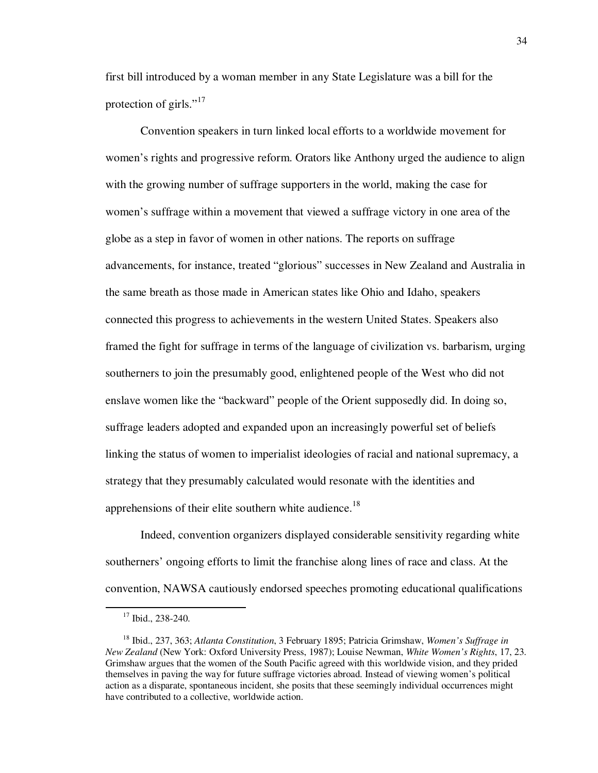first bill introduced by a woman member in any State Legislature was a bill for the protection of girls." $17$ 

Convention speakers in turn linked local efforts to a worldwide movement for women's rights and progressive reform. Orators like Anthony urged the audience to align with the growing number of suffrage supporters in the world, making the case for women's suffrage within a movement that viewed a suffrage victory in one area of the globe as a step in favor of women in other nations. The reports on suffrage advancements, for instance, treated "glorious" successes in New Zealand and Australia in the same breath as those made in American states like Ohio and Idaho, speakers connected this progress to achievements in the western United States. Speakers also framed the fight for suffrage in terms of the language of civilization vs. barbarism, urging southerners to join the presumably good, enlightened people of the West who did not enslave women like the "backward" people of the Orient supposedly did. In doing so, suffrage leaders adopted and expanded upon an increasingly powerful set of beliefs linking the status of women to imperialist ideologies of racial and national supremacy, a strategy that they presumably calculated would resonate with the identities and apprehensions of their elite southern white audience.<sup>18</sup>

Indeed, convention organizers displayed considerable sensitivity regarding white southerners' ongoing efforts to limit the franchise along lines of race and class. At the convention, NAWSA cautiously endorsed speeches promoting educational qualifications

 $17$  Ibid., 238-240.

<sup>18</sup> Ibid., 237, 363; *Atlanta Constitution*, 3 February 1895; Patricia Grimshaw, *Women's Suffrage in New Zealand* (New York: Oxford University Press, 1987); Louise Newman, *White Women's Rights*, 17, 23. Grimshaw argues that the women of the South Pacific agreed with this worldwide vision, and they prided themselves in paving the way for future suffrage victories abroad. Instead of viewing women's political action as a disparate, spontaneous incident, she posits that these seemingly individual occurrences might have contributed to a collective, worldwide action.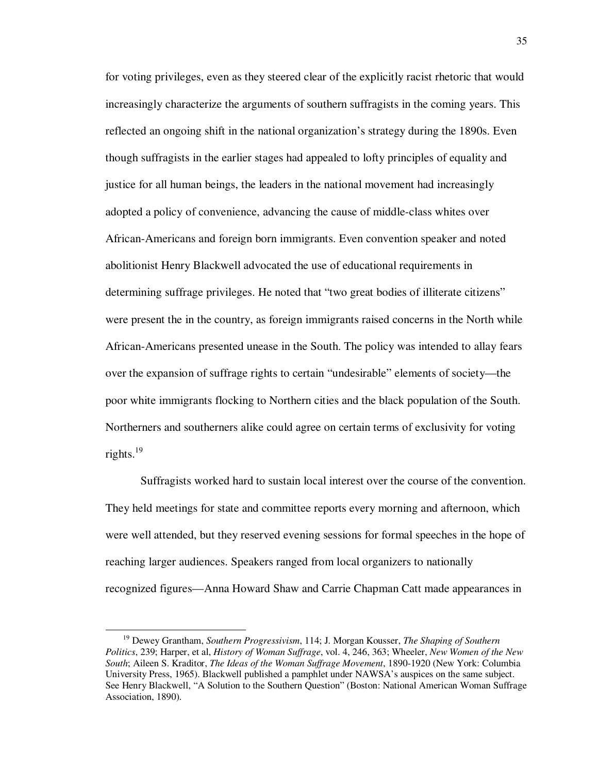for voting privileges, even as they steered clear of the explicitly racist rhetoric that would increasingly characterize the arguments of southern suffragists in the coming years. This reflected an ongoing shift in the national organization's strategy during the 1890s. Even though suffragists in the earlier stages had appealed to lofty principles of equality and justice for all human beings, the leaders in the national movement had increasingly adopted a policy of convenience, advancing the cause of middle-class whites over African-Americans and foreign born immigrants. Even convention speaker and noted abolitionist Henry Blackwell advocated the use of educational requirements in determining suffrage privileges. He noted that "two great bodies of illiterate citizens" were present the in the country, as foreign immigrants raised concerns in the North while African-Americans presented unease in the South. The policy was intended to allay fears over the expansion of suffrage rights to certain "undesirable" elements of society—the poor white immigrants flocking to Northern cities and the black population of the South. Northerners and southerners alike could agree on certain terms of exclusivity for voting rights.<sup>19</sup>

Suffragists worked hard to sustain local interest over the course of the convention. They held meetings for state and committee reports every morning and afternoon, which were well attended, but they reserved evening sessions for formal speeches in the hope of reaching larger audiences. Speakers ranged from local organizers to nationally recognized figures—Anna Howard Shaw and Carrie Chapman Catt made appearances in

<sup>19</sup> Dewey Grantham, *Southern Progressivism*, 114; J. Morgan Kousser, *The Shaping of Southern Politics*, 239; Harper, et al, *History of Woman Suffrage*, vol. 4, 246, 363; Wheeler, *New Women of the New South*; Aileen S. Kraditor, *The Ideas of the Woman Suffrage Movement*, 1890-1920 (New York: Columbia University Press, 1965). Blackwell published a pamphlet under NAWSA's auspices on the same subject. See Henry Blackwell, "A Solution to the Southern Question" (Boston: National American Woman Suffrage Association, 1890).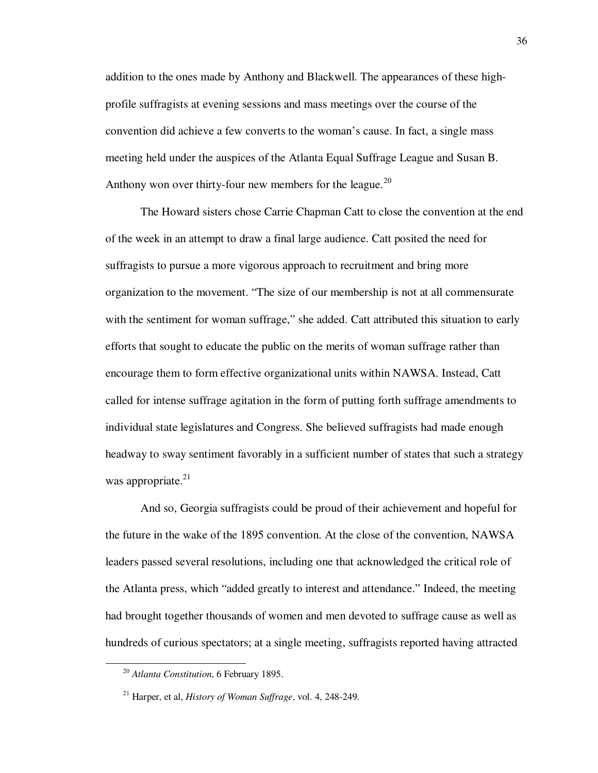addition to the ones made by Anthony and Blackwell. The appearances of these highprofile suffragists at evening sessions and mass meetings over the course of the convention did achieve a few converts to the woman's cause. In fact, a single mass meeting held under the auspices of the Atlanta Equal Suffrage League and Susan B. Anthony won over thirty-four new members for the league.<sup>20</sup>

The Howard sisters chose Carrie Chapman Catt to close the convention at the end of the week in an attempt to draw a final large audience. Catt posited the need for suffragists to pursue a more vigorous approach to recruitment and bring more organization to the movement. "The size of our membership is not at all commensurate with the sentiment for woman suffrage," she added. Catt attributed this situation to early efforts that sought to educate the public on the merits of woman suffrage rather than encourage them to form effective organizational units within NAWSA. Instead, Catt called for intense suffrage agitation in the form of putting forth suffrage amendments to individual state legislatures and Congress. She believed suffragists had made enough headway to sway sentiment favorably in a sufficient number of states that such a strategy was appropriate.<sup>21</sup>

And so, Georgia suffragists could be proud of their achievement and hopeful for the future in the wake of the 1895 convention. At the close of the convention, NAWSA leaders passed several resolutions, including one that acknowledged the critical role of the Atlanta press, which "added greatly to interest and attendance." Indeed, the meeting had brought together thousands of women and men devoted to suffrage cause as well as hundreds of curious spectators; at a single meeting, suffragists reported having attracted

<sup>20</sup> *Atlanta Constitution*, 6 February 1895.

<sup>21</sup> Harper, et al, *History of Woman Suffrage*, vol. 4, 248-249.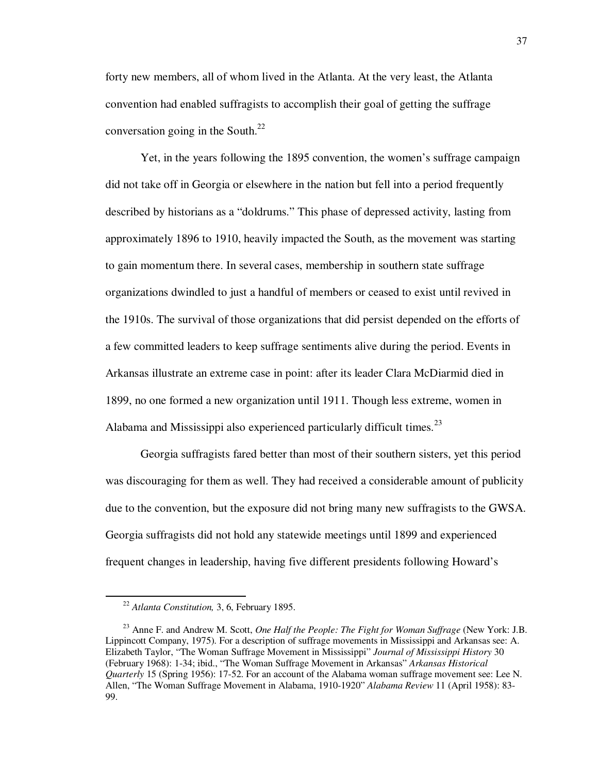forty new members, all of whom lived in the Atlanta. At the very least, the Atlanta convention had enabled suffragists to accomplish their goal of getting the suffrage conversation going in the South. $^{22}$ 

Yet, in the years following the 1895 convention, the women's suffrage campaign did not take off in Georgia or elsewhere in the nation but fell into a period frequently described by historians as a "doldrums." This phase of depressed activity, lasting from approximately 1896 to 1910, heavily impacted the South, as the movement was starting to gain momentum there. In several cases, membership in southern state suffrage organizations dwindled to just a handful of members or ceased to exist until revived in the 1910s. The survival of those organizations that did persist depended on the efforts of a few committed leaders to keep suffrage sentiments alive during the period. Events in Arkansas illustrate an extreme case in point: after its leader Clara McDiarmid died in 1899, no one formed a new organization until 1911. Though less extreme, women in Alabama and Mississippi also experienced particularly difficult times.<sup>23</sup>

Georgia suffragists fared better than most of their southern sisters, yet this period was discouraging for them as well. They had received a considerable amount of publicity due to the convention, but the exposure did not bring many new suffragists to the GWSA. Georgia suffragists did not hold any statewide meetings until 1899 and experienced frequent changes in leadership, having five different presidents following Howard's

<sup>22</sup> *Atlanta Constitution,* 3, 6, February 1895.

<sup>&</sup>lt;sup>23</sup> Anne F. and Andrew M. Scott, *One Half the People: The Fight for Woman Suffrage* (New York: J.B. Lippincott Company, 1975). For a description of suffrage movements in Mississippi and Arkansas see: A. Elizabeth Taylor, "The Woman Suffrage Movement in Mississippi" *Journal of Mississippi History* 30 (February 1968): 1-34; ibid., "The Woman Suffrage Movement in Arkansas" *Arkansas Historical Quarterly* 15 (Spring 1956): 17-52. For an account of the Alabama woman suffrage movement see: Lee N. Allen, "The Woman Suffrage Movement in Alabama, 1910-1920" *Alabama Review* 11 (April 1958): 83- 99.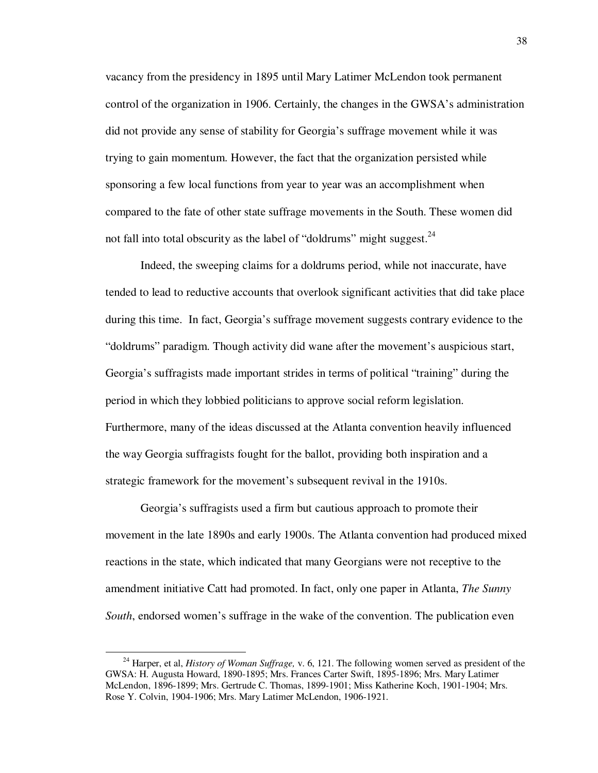vacancy from the presidency in 1895 until Mary Latimer McLendon took permanent control of the organization in 1906. Certainly, the changes in the GWSA's administration did not provide any sense of stability for Georgia's suffrage movement while it was trying to gain momentum. However, the fact that the organization persisted while sponsoring a few local functions from year to year was an accomplishment when compared to the fate of other state suffrage movements in the South. These women did not fall into total obscurity as the label of "doldrums" might suggest. $24$ 

Indeed, the sweeping claims for a doldrums period, while not inaccurate, have tended to lead to reductive accounts that overlook significant activities that did take place during this time. In fact, Georgia's suffrage movement suggests contrary evidence to the "doldrums" paradigm. Though activity did wane after the movement's auspicious start, Georgia's suffragists made important strides in terms of political "training" during the period in which they lobbied politicians to approve social reform legislation. Furthermore, many of the ideas discussed at the Atlanta convention heavily influenced the way Georgia suffragists fought for the ballot, providing both inspiration and a strategic framework for the movement's subsequent revival in the 1910s.

Georgia's suffragists used a firm but cautious approach to promote their movement in the late 1890s and early 1900s. The Atlanta convention had produced mixed reactions in the state, which indicated that many Georgians were not receptive to the amendment initiative Catt had promoted. In fact, only one paper in Atlanta, *The Sunny South*, endorsed women's suffrage in the wake of the convention. The publication even

<sup>24</sup> Harper, et al, *History of Woman Suffrage,* v. 6, 121. The following women served as president of the GWSA: H. Augusta Howard, 1890-1895; Mrs. Frances Carter Swift, 1895-1896; Mrs. Mary Latimer McLendon, 1896-1899; Mrs. Gertrude C. Thomas, 1899-1901; Miss Katherine Koch, 1901-1904; Mrs. Rose Y. Colvin, 1904-1906; Mrs. Mary Latimer McLendon, 1906-1921.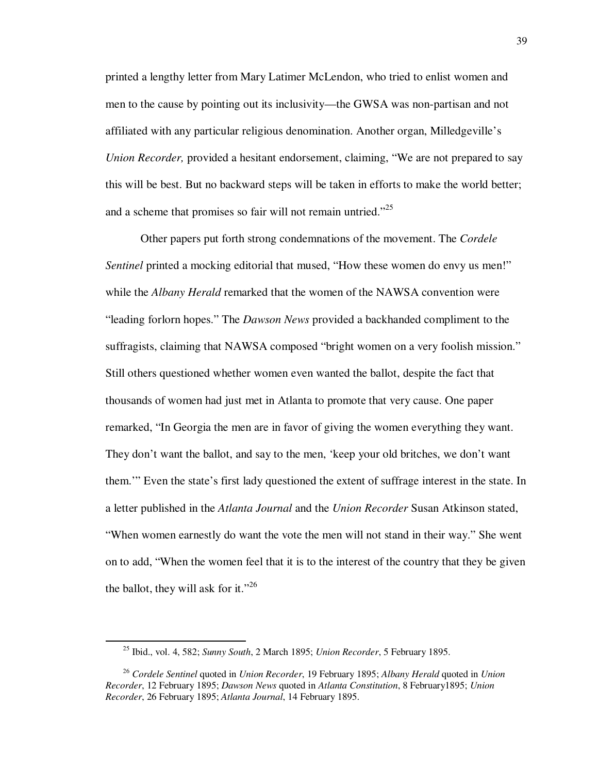printed a lengthy letter from Mary Latimer McLendon, who tried to enlist women and men to the cause by pointing out its inclusivity—the GWSA was non-partisan and not affiliated with any particular religious denomination. Another organ, Milledgeville's *Union Recorder, provided a hesitant endorsement, claiming, "We are not prepared to say* this will be best. But no backward steps will be taken in efforts to make the world better; and a scheme that promises so fair will not remain untried."<sup>25</sup>

Other papers put forth strong condemnations of the movement. The *Cordele Sentinel* printed a mocking editorial that mused, "How these women do envy us men!" while the *Albany Herald* remarked that the women of the NAWSA convention were "leading forlorn hopes." The *Dawson News* provided a backhanded compliment to the suffragists, claiming that NAWSA composed "bright women on a very foolish mission." Still others questioned whether women even wanted the ballot, despite the fact that thousands of women had just met in Atlanta to promote that very cause. One paper remarked, "In Georgia the men are in favor of giving the women everything they want. They don't want the ballot, and say to the men, 'keep your old britches, we don't want them.'" Even the state's first lady questioned the extent of suffrage interest in the state. In a letter published in the *Atlanta Journal* and the *Union Recorder* Susan Atkinson stated, "When women earnestly do want the vote the men will not stand in their way." She went on to add, "When the women feel that it is to the interest of the country that they be given the ballot, they will ask for it."<sup>26</sup>

<sup>25</sup> Ibid., vol. 4, 582; *Sunny South*, 2 March 1895; *Union Recorder*, 5 February 1895.

<sup>26</sup> *Cordele Sentinel* quoted in *Union Recorder*, 19 February 1895; *Albany Herald* quoted in *Union Recorder*, 12 February 1895; *Dawson News* quoted in *Atlanta Constitution*, 8 February1895; *Union Recorder*, 26 February 1895; *Atlanta Journal*, 14 February 1895.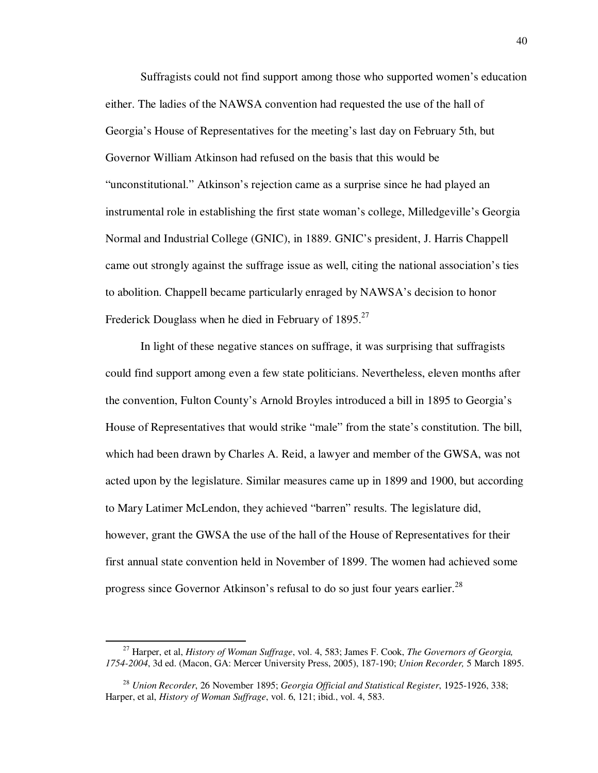Suffragists could not find support among those who supported women's education either. The ladies of the NAWSA convention had requested the use of the hall of Georgia's House of Representatives for the meeting's last day on February 5th, but Governor William Atkinson had refused on the basis that this would be "unconstitutional." Atkinson's rejection came as a surprise since he had played an instrumental role in establishing the first state woman's college, Milledgeville's Georgia Normal and Industrial College (GNIC), in 1889. GNIC's president, J. Harris Chappell came out strongly against the suffrage issue as well, citing the national association's ties to abolition. Chappell became particularly enraged by NAWSA's decision to honor Frederick Douglass when he died in February of  $1895.<sup>27</sup>$ 

In light of these negative stances on suffrage, it was surprising that suffragists could find support among even a few state politicians. Nevertheless, eleven months after the convention, Fulton County's Arnold Broyles introduced a bill in 1895 to Georgia's House of Representatives that would strike "male" from the state's constitution. The bill, which had been drawn by Charles A. Reid, a lawyer and member of the GWSA, was not acted upon by the legislature. Similar measures came up in 1899 and 1900, but according to Mary Latimer McLendon, they achieved "barren" results. The legislature did, however, grant the GWSA the use of the hall of the House of Representatives for their first annual state convention held in November of 1899. The women had achieved some progress since Governor Atkinson's refusal to do so just four years earlier.<sup>28</sup>

<sup>27</sup> Harper, et al, *History of Woman Suffrage*, vol. 4, 583; James F. Cook, *The Governors of Georgia, 1754-2004*, 3d ed. (Macon, GA: Mercer University Press, 2005), 187-190; *Union Recorder,* 5 March 1895.

<sup>28</sup> *Union Recorder*, 26 November 1895; *Georgia Official and Statistical Register*, 1925-1926, 338; Harper, et al, *History of Woman Suffrage*, vol. 6, 121; ibid., vol. 4, 583.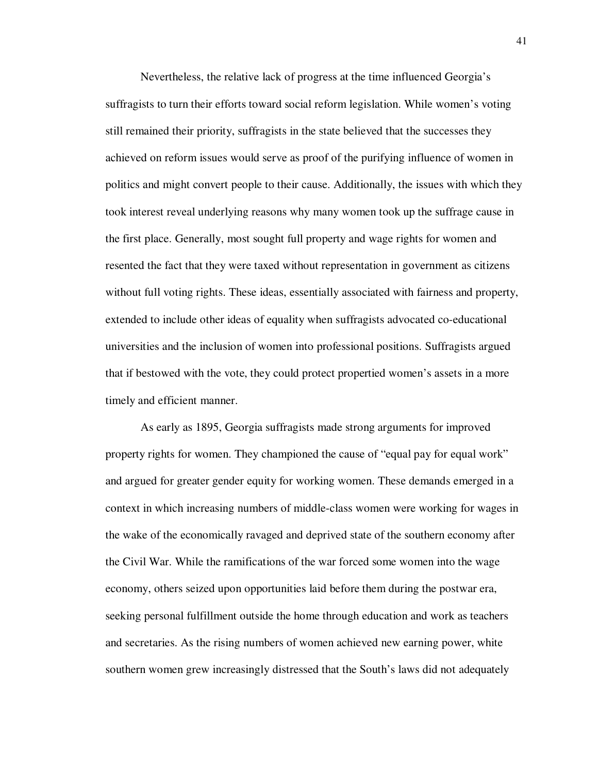Nevertheless, the relative lack of progress at the time influenced Georgia's suffragists to turn their efforts toward social reform legislation. While women's voting still remained their priority, suffragists in the state believed that the successes they achieved on reform issues would serve as proof of the purifying influence of women in politics and might convert people to their cause. Additionally, the issues with which they took interest reveal underlying reasons why many women took up the suffrage cause in the first place. Generally, most sought full property and wage rights for women and resented the fact that they were taxed without representation in government as citizens without full voting rights. These ideas, essentially associated with fairness and property, extended to include other ideas of equality when suffragists advocated co-educational universities and the inclusion of women into professional positions. Suffragists argued that if bestowed with the vote, they could protect propertied women's assets in a more timely and efficient manner.

As early as 1895, Georgia suffragists made strong arguments for improved property rights for women. They championed the cause of "equal pay for equal work" and argued for greater gender equity for working women. These demands emerged in a context in which increasing numbers of middle-class women were working for wages in the wake of the economically ravaged and deprived state of the southern economy after the Civil War. While the ramifications of the war forced some women into the wage economy, others seized upon opportunities laid before them during the postwar era, seeking personal fulfillment outside the home through education and work as teachers and secretaries. As the rising numbers of women achieved new earning power, white southern women grew increasingly distressed that the South's laws did not adequately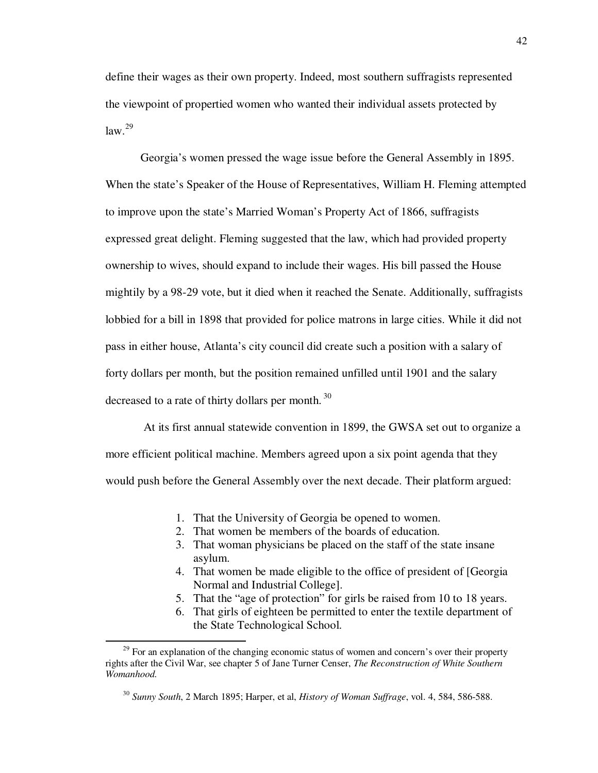define their wages as their own property. Indeed, most southern suffragists represented the viewpoint of propertied women who wanted their individual assets protected by  $law.<sup>29</sup>$ 

Georgia's women pressed the wage issue before the General Assembly in 1895. When the state's Speaker of the House of Representatives, William H. Fleming attempted to improve upon the state's Married Woman's Property Act of 1866, suffragists expressed great delight. Fleming suggested that the law, which had provided property ownership to wives, should expand to include their wages. His bill passed the House mightily by a 98-29 vote, but it died when it reached the Senate. Additionally, suffragists lobbied for a bill in 1898 that provided for police matrons in large cities. While it did not pass in either house, Atlanta's city council did create such a position with a salary of forty dollars per month, but the position remained unfilled until 1901 and the salary decreased to a rate of thirty dollars per month.  $30$ 

 At its first annual statewide convention in 1899, the GWSA set out to organize a more efficient political machine. Members agreed upon a six point agenda that they would push before the General Assembly over the next decade. Their platform argued:

- 1. That the University of Georgia be opened to women.
- 2. That women be members of the boards of education.
- 3. That woman physicians be placed on the staff of the state insane asylum.
- 4. That women be made eligible to the office of president of [Georgia Normal and Industrial College].
- 5. That the "age of protection" for girls be raised from 10 to 18 years.
- 6. That girls of eighteen be permitted to enter the textile department of the State Technological School.

 $29$  For an explanation of the changing economic status of women and concern's over their property rights after the Civil War, see chapter 5 of Jane Turner Censer, *The Reconstruction of White Southern Womanhood.*

<sup>30</sup> *Sunny South*, 2 March 1895; Harper, et al, *History of Woman Suffrage*, vol. 4, 584, 586-588.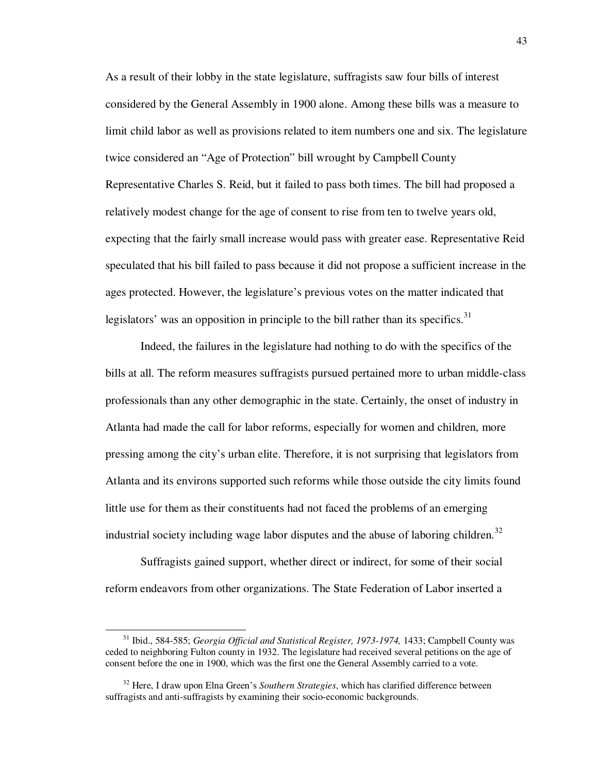As a result of their lobby in the state legislature, suffragists saw four bills of interest considered by the General Assembly in 1900 alone. Among these bills was a measure to limit child labor as well as provisions related to item numbers one and six. The legislature twice considered an "Age of Protection" bill wrought by Campbell County Representative Charles S. Reid, but it failed to pass both times. The bill had proposed a relatively modest change for the age of consent to rise from ten to twelve years old, expecting that the fairly small increase would pass with greater ease. Representative Reid speculated that his bill failed to pass because it did not propose a sufficient increase in the ages protected. However, the legislature's previous votes on the matter indicated that legislators' was an opposition in principle to the bill rather than its specifics.<sup>31</sup>

Indeed, the failures in the legislature had nothing to do with the specifics of the bills at all. The reform measures suffragists pursued pertained more to urban middle-class professionals than any other demographic in the state. Certainly, the onset of industry in Atlanta had made the call for labor reforms, especially for women and children, more pressing among the city's urban elite. Therefore, it is not surprising that legislators from Atlanta and its environs supported such reforms while those outside the city limits found little use for them as their constituents had not faced the problems of an emerging industrial society including wage labor disputes and the abuse of laboring children.<sup>32</sup>

Suffragists gained support, whether direct or indirect, for some of their social reform endeavors from other organizations. The State Federation of Labor inserted a

<sup>&</sup>lt;sup>31</sup> Ibid., 584-585; *Georgia Official and Statistical Register, 1973-1974*, 1433; Campbell County was ceded to neighboring Fulton county in 1932. The legislature had received several petitions on the age of consent before the one in 1900, which was the first one the General Assembly carried to a vote.

<sup>32</sup> Here, I draw upon Elna Green's *Southern Strategies*, which has clarified difference between suffragists and anti-suffragists by examining their socio-economic backgrounds.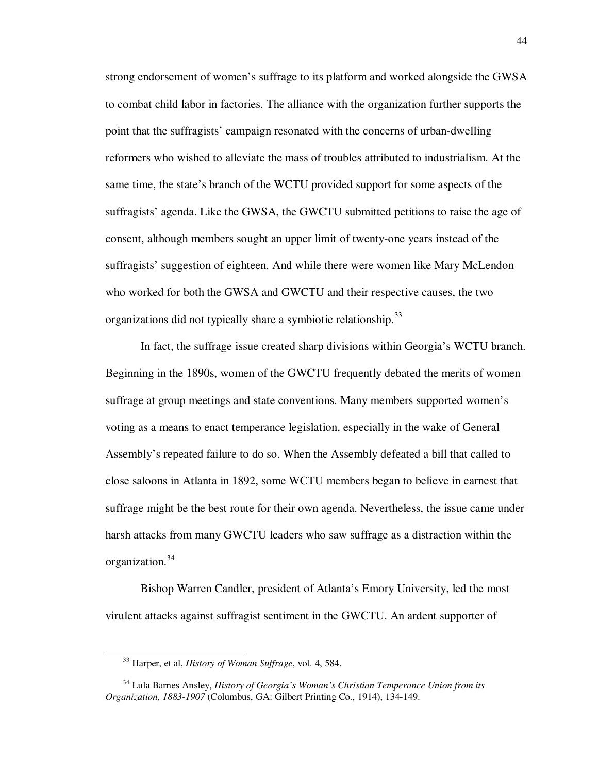strong endorsement of women's suffrage to its platform and worked alongside the GWSA to combat child labor in factories. The alliance with the organization further supports the point that the suffragists' campaign resonated with the concerns of urban-dwelling reformers who wished to alleviate the mass of troubles attributed to industrialism. At the same time, the state's branch of the WCTU provided support for some aspects of the suffragists' agenda. Like the GWSA, the GWCTU submitted petitions to raise the age of consent, although members sought an upper limit of twenty-one years instead of the suffragists' suggestion of eighteen. And while there were women like Mary McLendon who worked for both the GWSA and GWCTU and their respective causes, the two organizations did not typically share a symbiotic relationship.<sup>33</sup>

 In fact, the suffrage issue created sharp divisions within Georgia's WCTU branch. Beginning in the 1890s, women of the GWCTU frequently debated the merits of women suffrage at group meetings and state conventions. Many members supported women's voting as a means to enact temperance legislation, especially in the wake of General Assembly's repeated failure to do so. When the Assembly defeated a bill that called to close saloons in Atlanta in 1892, some WCTU members began to believe in earnest that suffrage might be the best route for their own agenda. Nevertheless, the issue came under harsh attacks from many GWCTU leaders who saw suffrage as a distraction within the organization.<sup>34</sup>

Bishop Warren Candler, president of Atlanta's Emory University, led the most virulent attacks against suffragist sentiment in the GWCTU. An ardent supporter of

<sup>33</sup> Harper, et al, *History of Woman Suffrage*, vol. 4, 584.

<sup>34</sup> Lula Barnes Ansley, *History of Georgia's Woman's Christian Temperance Union from its Organization, 1883-1907* (Columbus, GA: Gilbert Printing Co., 1914), 134-149.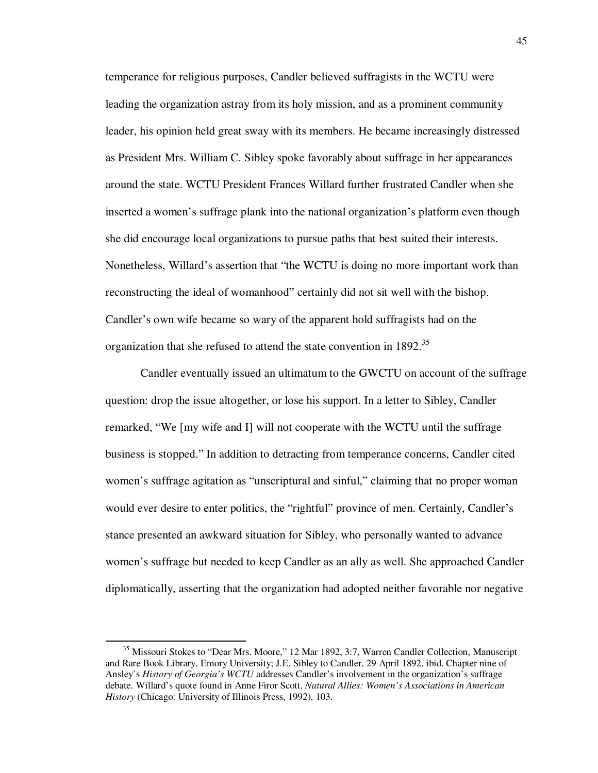temperance for religious purposes, Candler believed suffragists in the WCTU were leading the organization astray from its holy mission, and as a prominent community leader, his opinion held great sway with its members. He became increasingly distressed as President Mrs. William C. Sibley spoke favorably about suffrage in her appearances around the state. WCTU President Frances Willard further frustrated Candler when she inserted a women's suffrage plank into the national organization's platform even though she did encourage local organizations to pursue paths that best suited their interests. Nonetheless, Willard's assertion that "the WCTU is doing no more important work than reconstructing the ideal of womanhood" certainly did not sit well with the bishop. Candler's own wife became so wary of the apparent hold suffragists had on the organization that she refused to attend the state convention in 1892.<sup>35</sup>

Candler eventually issued an ultimatum to the GWCTU on account of the suffrage question: drop the issue altogether, or lose his support. In a letter to Sibley, Candler remarked, "We [my wife and I] will not cooperate with the WCTU until the suffrage business is stopped." In addition to detracting from temperance concerns, Candler cited women's suffrage agitation as "unscriptural and sinful," claiming that no proper woman would ever desire to enter politics, the "rightful" province of men. Certainly, Candler's stance presented an awkward situation for Sibley, who personally wanted to advance women's suffrage but needed to keep Candler as an ally as well. She approached Candler diplomatically, asserting that the organization had adopted neither favorable nor negative

<sup>&</sup>lt;sup>35</sup> Missouri Stokes to "Dear Mrs. Moore," 12 Mar 1892, 3:7, Warren Candler Collection, Manuscript and Rare Book Library, Emory University; J.E. Sibley to Candler, 29 April 1892, ibid. Chapter nine of Ansley's *History of Georgia's WCTU* addresses Candler's involvement in the organization's suffrage debate. Willard's quote found in Anne Firor Scott, *Natural Allies: Women's Associations in American History* (Chicago: University of Illinois Press, 1992), 103.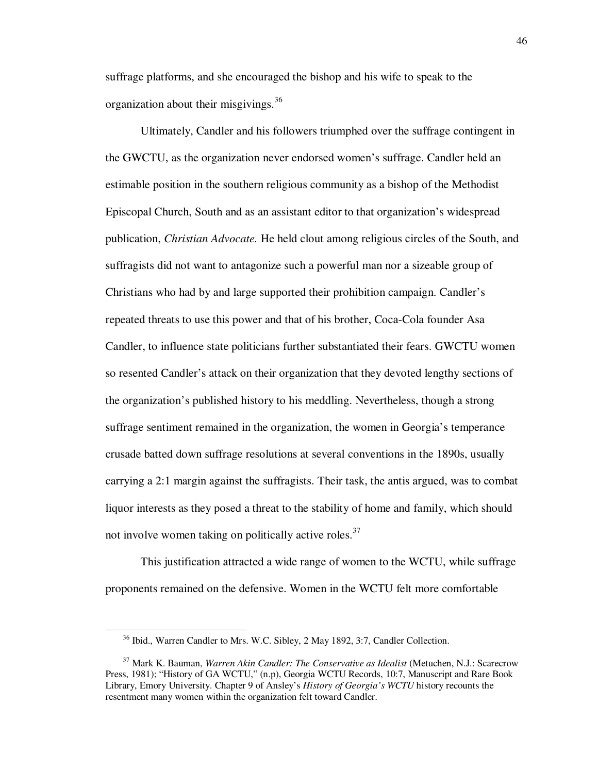suffrage platforms, and she encouraged the bishop and his wife to speak to the organization about their misgivings.<sup>36</sup>

Ultimately, Candler and his followers triumphed over the suffrage contingent in the GWCTU, as the organization never endorsed women's suffrage. Candler held an estimable position in the southern religious community as a bishop of the Methodist Episcopal Church, South and as an assistant editor to that organization's widespread publication, *Christian Advocate.* He held clout among religious circles of the South, and suffragists did not want to antagonize such a powerful man nor a sizeable group of Christians who had by and large supported their prohibition campaign. Candler's repeated threats to use this power and that of his brother, Coca-Cola founder Asa Candler, to influence state politicians further substantiated their fears. GWCTU women so resented Candler's attack on their organization that they devoted lengthy sections of the organization's published history to his meddling. Nevertheless, though a strong suffrage sentiment remained in the organization, the women in Georgia's temperance crusade batted down suffrage resolutions at several conventions in the 1890s, usually carrying a 2:1 margin against the suffragists. Their task, the antis argued, was to combat liquor interests as they posed a threat to the stability of home and family, which should not involve women taking on politically active roles.<sup>37</sup>

This justification attracted a wide range of women to the WCTU, while suffrage proponents remained on the defensive. Women in the WCTU felt more comfortable

<sup>36</sup> Ibid., Warren Candler to Mrs. W.C. Sibley, 2 May 1892, 3:7, Candler Collection.

<sup>37</sup> Mark K. Bauman, *Warren Akin Candler: The Conservative as Idealist* (Metuchen, N.J.: Scarecrow Press, 1981); "History of GA WCTU," (n.p), Georgia WCTU Records, 10:7, Manuscript and Rare Book Library, Emory University. Chapter 9 of Ansley's *History of Georgia's WCTU* history recounts the resentment many women within the organization felt toward Candler.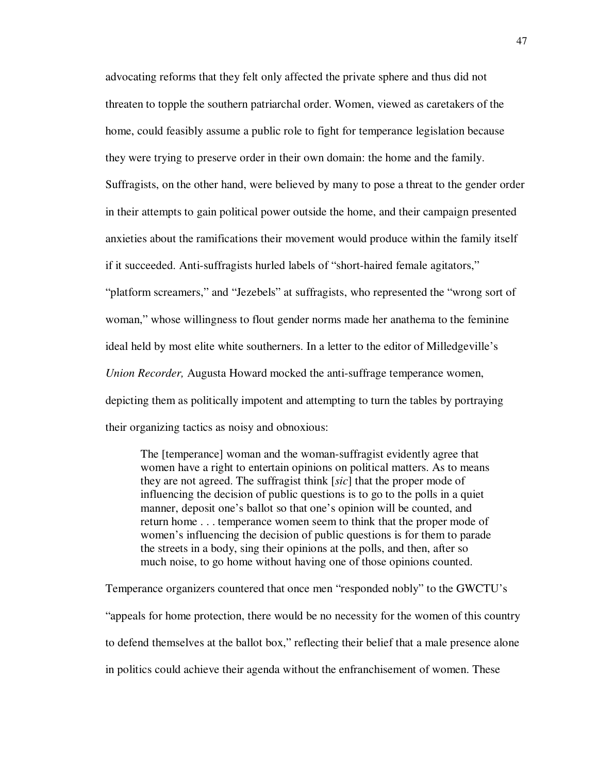advocating reforms that they felt only affected the private sphere and thus did not threaten to topple the southern patriarchal order. Women, viewed as caretakers of the home, could feasibly assume a public role to fight for temperance legislation because they were trying to preserve order in their own domain: the home and the family. Suffragists, on the other hand, were believed by many to pose a threat to the gender order in their attempts to gain political power outside the home, and their campaign presented anxieties about the ramifications their movement would produce within the family itself if it succeeded. Anti-suffragists hurled labels of "short-haired female agitators," "platform screamers," and "Jezebels" at suffragists, who represented the "wrong sort of woman," whose willingness to flout gender norms made her anathema to the feminine ideal held by most elite white southerners. In a letter to the editor of Milledgeville's *Union Recorder,* Augusta Howard mocked the anti-suffrage temperance women, depicting them as politically impotent and attempting to turn the tables by portraying their organizing tactics as noisy and obnoxious:

The [temperance] woman and the woman-suffragist evidently agree that women have a right to entertain opinions on political matters. As to means they are not agreed. The suffragist think [*sic*] that the proper mode of influencing the decision of public questions is to go to the polls in a quiet manner, deposit one's ballot so that one's opinion will be counted, and return home . . . temperance women seem to think that the proper mode of women's influencing the decision of public questions is for them to parade the streets in a body, sing their opinions at the polls, and then, after so much noise, to go home without having one of those opinions counted.

Temperance organizers countered that once men "responded nobly" to the GWCTU's "appeals for home protection, there would be no necessity for the women of this country to defend themselves at the ballot box," reflecting their belief that a male presence alone in politics could achieve their agenda without the enfranchisement of women. These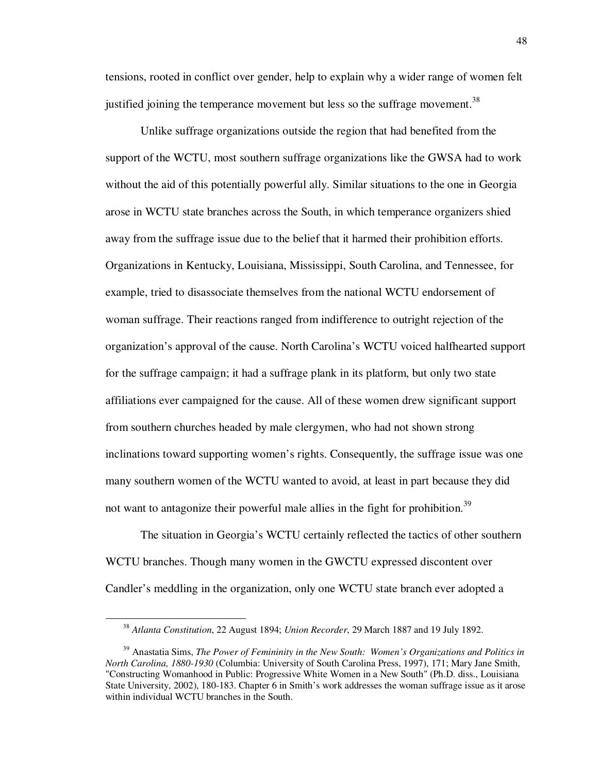tensions, rooted in conflict over gender, help to explain why a wider range of women felt justified joining the temperance movement but less so the suffrage movement.<sup>38</sup>

Unlike suffrage organizations outside the region that had benefited from the support of the WCTU, most southern suffrage organizations like the GWSA had to work without the aid of this potentially powerful ally. Similar situations to the one in Georgia arose in WCTU state branches across the South, in which temperance organizers shied away from the suffrage issue due to the belief that it harmed their prohibition efforts. Organizations in Kentucky, Louisiana, Mississippi, South Carolina, and Tennessee, for example, tried to disassociate themselves from the national WCTU endorsement of woman suffrage. Their reactions ranged from indifference to outright rejection of the organization's approval of the cause. North Carolina's WCTU voiced halfhearted support for the suffrage campaign; it had a suffrage plank in its platform, but only two state affiliations ever campaigned for the cause. All of these women drew significant support from southern churches headed by male clergymen, who had not shown strong inclinations toward supporting women's rights. Consequently, the suffrage issue was one many southern women of the WCTU wanted to avoid, at least in part because they did not want to antagonize their powerful male allies in the fight for prohibition.<sup>39</sup>

The situation in Georgia's WCTU certainly reflected the tactics of other southern WCTU branches. Though many women in the GWCTU expressed discontent over Candler's meddling in the organization, only one WCTU state branch ever adopted a

<sup>38</sup> *Atlanta Constitution*, 22 August 1894; *Union Recorder*, 29 March 1887 and 19 July 1892.

<sup>&</sup>lt;sup>39</sup> Anastatia Sims, *The Power of Femininity in the New South: Women's Organizations and Politics in North Carolina, 1880-1930* (Columbia: University of South Carolina Press, 1997), 171; Mary Jane Smith, "Constructing Womanhood in Public: Progressive White Women in a New South" (Ph.D. diss., Louisiana State University, 2002), 180-183. Chapter 6 in Smith's work addresses the woman suffrage issue as it arose within individual WCTU branches in the South.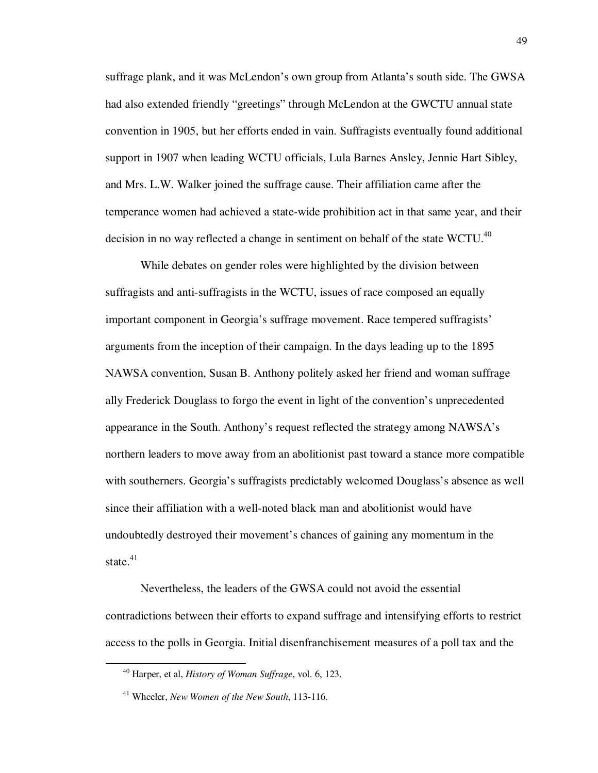suffrage plank, and it was McLendon's own group from Atlanta's south side. The GWSA had also extended friendly "greetings" through McLendon at the GWCTU annual state convention in 1905, but her efforts ended in vain. Suffragists eventually found additional support in 1907 when leading WCTU officials, Lula Barnes Ansley, Jennie Hart Sibley, and Mrs. L.W. Walker joined the suffrage cause. Their affiliation came after the temperance women had achieved a state-wide prohibition act in that same year, and their decision in no way reflected a change in sentiment on behalf of the state WCTU. $^{40}$ 

While debates on gender roles were highlighted by the division between suffragists and anti-suffragists in the WCTU, issues of race composed an equally important component in Georgia's suffrage movement. Race tempered suffragists' arguments from the inception of their campaign. In the days leading up to the 1895 NAWSA convention, Susan B. Anthony politely asked her friend and woman suffrage ally Frederick Douglass to forgo the event in light of the convention's unprecedented appearance in the South. Anthony's request reflected the strategy among NAWSA's northern leaders to move away from an abolitionist past toward a stance more compatible with southerners. Georgia's suffragists predictably welcomed Douglass's absence as well since their affiliation with a well-noted black man and abolitionist would have undoubtedly destroyed their movement's chances of gaining any momentum in the state. $41$ 

Nevertheless, the leaders of the GWSA could not avoid the essential contradictions between their efforts to expand suffrage and intensifying efforts to restrict access to the polls in Georgia. Initial disenfranchisement measures of a poll tax and the

<sup>40</sup> Harper, et al, *History of Woman Suffrage*, vol. 6, 123.

<sup>41</sup> Wheeler, *New Women of the New South*, 113-116.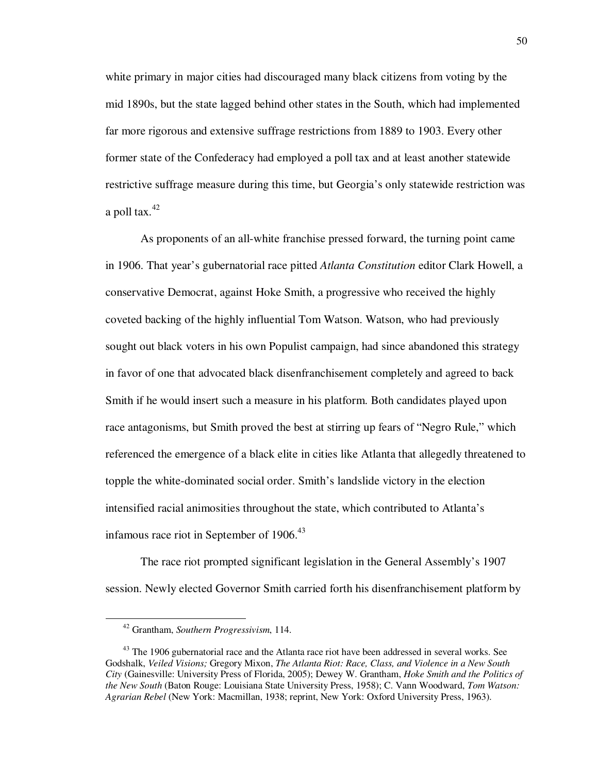white primary in major cities had discouraged many black citizens from voting by the mid 1890s, but the state lagged behind other states in the South, which had implemented far more rigorous and extensive suffrage restrictions from 1889 to 1903. Every other former state of the Confederacy had employed a poll tax and at least another statewide restrictive suffrage measure during this time, but Georgia's only statewide restriction was a poll tax. $42$ 

As proponents of an all-white franchise pressed forward, the turning point came in 1906. That year's gubernatorial race pitted *Atlanta Constitution* editor Clark Howell, a conservative Democrat, against Hoke Smith, a progressive who received the highly coveted backing of the highly influential Tom Watson. Watson, who had previously sought out black voters in his own Populist campaign, had since abandoned this strategy in favor of one that advocated black disenfranchisement completely and agreed to back Smith if he would insert such a measure in his platform. Both candidates played upon race antagonisms, but Smith proved the best at stirring up fears of "Negro Rule," which referenced the emergence of a black elite in cities like Atlanta that allegedly threatened to topple the white-dominated social order. Smith's landslide victory in the election intensified racial animosities throughout the state, which contributed to Atlanta's infamous race riot in September of  $1906<sup>43</sup>$ 

The race riot prompted significant legislation in the General Assembly's 1907 session. Newly elected Governor Smith carried forth his disenfranchisement platform by

<sup>42</sup> Grantham, *Southern Progressivism*, 114.

<sup>&</sup>lt;sup>43</sup> The 1906 gubernatorial race and the Atlanta race riot have been addressed in several works. See Godshalk, *Veiled Visions;* Gregory Mixon, *The Atlanta Riot: Race, Class, and Violence in a New South City* (Gainesville: University Press of Florida, 2005); Dewey W. Grantham, *Hoke Smith and the Politics of the New South* (Baton Rouge: Louisiana State University Press, 1958); C. Vann Woodward, *Tom Watson: Agrarian Rebel* (New York: Macmillan, 1938; reprint, New York: Oxford University Press, 1963).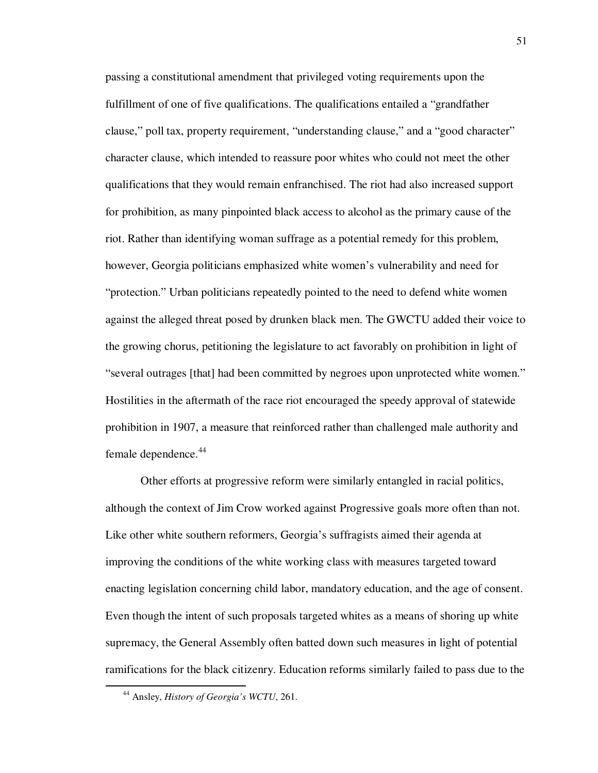passing a constitutional amendment that privileged voting requirements upon the fulfillment of one of five qualifications. The qualifications entailed a "grandfather clause," poll tax, property requirement, "understanding clause," and a "good character" character clause, which intended to reassure poor whites who could not meet the other qualifications that they would remain enfranchised. The riot had also increased support for prohibition, as many pinpointed black access to alcohol as the primary cause of the riot. Rather than identifying woman suffrage as a potential remedy for this problem, however, Georgia politicians emphasized white women's vulnerability and need for "protection." Urban politicians repeatedly pointed to the need to defend white women against the alleged threat posed by drunken black men. The GWCTU added their voice to the growing chorus, petitioning the legislature to act favorably on prohibition in light of "several outrages [that] had been committed by negroes upon unprotected white women." Hostilities in the aftermath of the race riot encouraged the speedy approval of statewide prohibition in 1907, a measure that reinforced rather than challenged male authority and female dependence.<sup>44</sup>

Other efforts at progressive reform were similarly entangled in racial politics, although the context of Jim Crow worked against Progressive goals more often than not. Like other white southern reformers, Georgia's suffragists aimed their agenda at improving the conditions of the white working class with measures targeted toward enacting legislation concerning child labor, mandatory education, and the age of consent. Even though the intent of such proposals targeted whites as a means of shoring up white supremacy, the General Assembly often batted down such measures in light of potential ramifications for the black citizenry. Education reforms similarly failed to pass due to the

<sup>44</sup> Ansley, *History of Georgia's WCTU*, 261.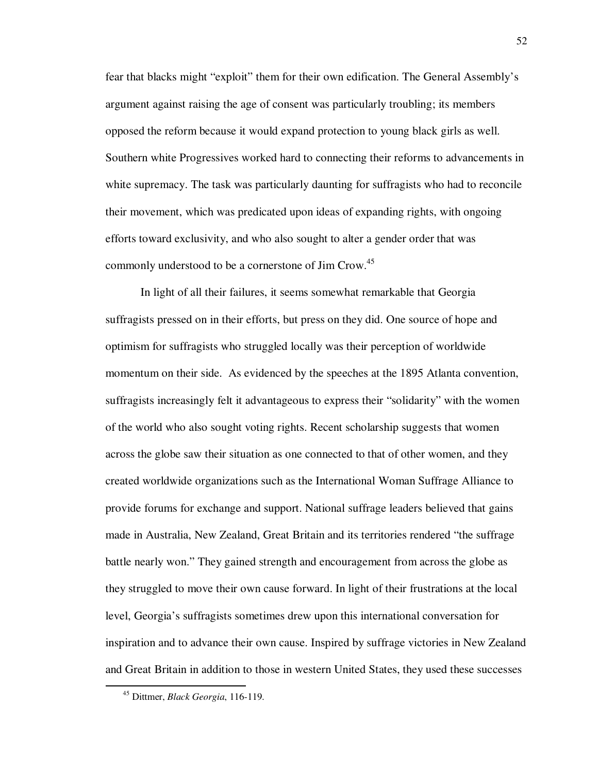fear that blacks might "exploit" them for their own edification. The General Assembly's argument against raising the age of consent was particularly troubling; its members opposed the reform because it would expand protection to young black girls as well. Southern white Progressives worked hard to connecting their reforms to advancements in white supremacy. The task was particularly daunting for suffragists who had to reconcile their movement, which was predicated upon ideas of expanding rights, with ongoing efforts toward exclusivity, and who also sought to alter a gender order that was commonly understood to be a cornerstone of Jim Crow.<sup>45</sup>

In light of all their failures, it seems somewhat remarkable that Georgia suffragists pressed on in their efforts, but press on they did. One source of hope and optimism for suffragists who struggled locally was their perception of worldwide momentum on their side. As evidenced by the speeches at the 1895 Atlanta convention, suffragists increasingly felt it advantageous to express their "solidarity" with the women of the world who also sought voting rights. Recent scholarship suggests that women across the globe saw their situation as one connected to that of other women, and they created worldwide organizations such as the International Woman Suffrage Alliance to provide forums for exchange and support. National suffrage leaders believed that gains made in Australia, New Zealand, Great Britain and its territories rendered "the suffrage battle nearly won." They gained strength and encouragement from across the globe as they struggled to move their own cause forward. In light of their frustrations at the local level, Georgia's suffragists sometimes drew upon this international conversation for inspiration and to advance their own cause. Inspired by suffrage victories in New Zealand and Great Britain in addition to those in western United States, they used these successes

<sup>45</sup> Dittmer, *Black Georgia*, 116-119.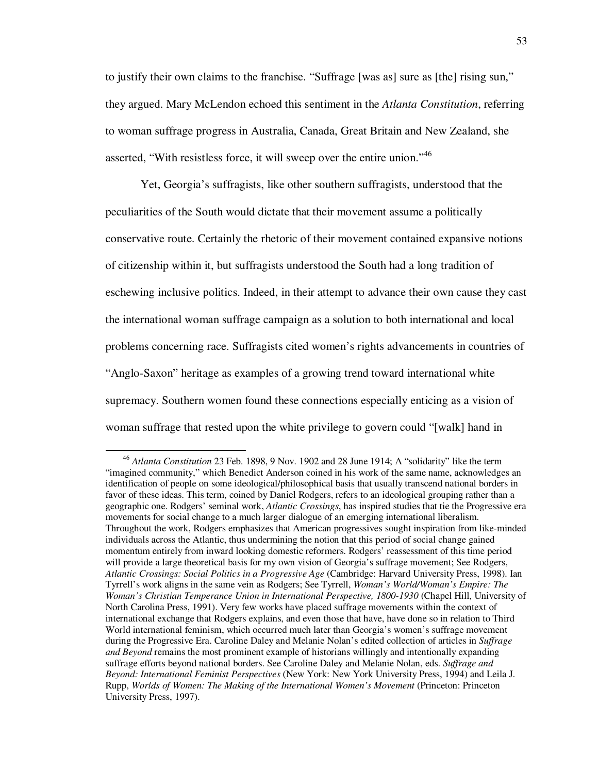to justify their own claims to the franchise. "Suffrage [was as] sure as [the] rising sun," they argued. Mary McLendon echoed this sentiment in the *Atlanta Constitution*, referring to woman suffrage progress in Australia, Canada, Great Britain and New Zealand, she asserted, "With resistless force, it will sweep over the entire union."<sup>46</sup>

Yet, Georgia's suffragists, like other southern suffragists, understood that the peculiarities of the South would dictate that their movement assume a politically conservative route. Certainly the rhetoric of their movement contained expansive notions of citizenship within it, but suffragists understood the South had a long tradition of eschewing inclusive politics. Indeed, in their attempt to advance their own cause they cast the international woman suffrage campaign as a solution to both international and local problems concerning race. Suffragists cited women's rights advancements in countries of "Anglo-Saxon" heritage as examples of a growing trend toward international white supremacy. Southern women found these connections especially enticing as a vision of woman suffrage that rested upon the white privilege to govern could "[walk] hand in

<sup>46</sup> *Atlanta Constitution* 23 Feb. 1898, 9 Nov. 1902 and 28 June 1914; A "solidarity" like the term "imagined community," which Benedict Anderson coined in his work of the same name, acknowledges an identification of people on some ideological/philosophical basis that usually transcend national borders in favor of these ideas. This term, coined by Daniel Rodgers, refers to an ideological grouping rather than a geographic one. Rodgers' seminal work, *Atlantic Crossings*, has inspired studies that tie the Progressive era movements for social change to a much larger dialogue of an emerging international liberalism. Throughout the work, Rodgers emphasizes that American progressives sought inspiration from like-minded individuals across the Atlantic, thus undermining the notion that this period of social change gained momentum entirely from inward looking domestic reformers. Rodgers' reassessment of this time period will provide a large theoretical basis for my own vision of Georgia's suffrage movement; See Rodgers, *Atlantic Crossings: Social Politics in a Progressive Age* (Cambridge: Harvard University Press, 1998). Ian Tyrrell's work aligns in the same vein as Rodgers; See Tyrrell, *Woman's World/Woman's Empire: The Woman's Christian Temperance Union in International Perspective, 1800-1930* (Chapel Hill, University of North Carolina Press, 1991). Very few works have placed suffrage movements within the context of international exchange that Rodgers explains, and even those that have, have done so in relation to Third World international feminism, which occurred much later than Georgia's women's suffrage movement during the Progressive Era. Caroline Daley and Melanie Nolan's edited collection of articles in *Suffrage and Beyond* remains the most prominent example of historians willingly and intentionally expanding suffrage efforts beyond national borders. See Caroline Daley and Melanie Nolan, eds. *Suffrage and Beyond: International Feminist Perspectives* (New York: New York University Press, 1994) and Leila J. Rupp, *Worlds of Women: The Making of the International Women's Movement* (Princeton: Princeton University Press, 1997).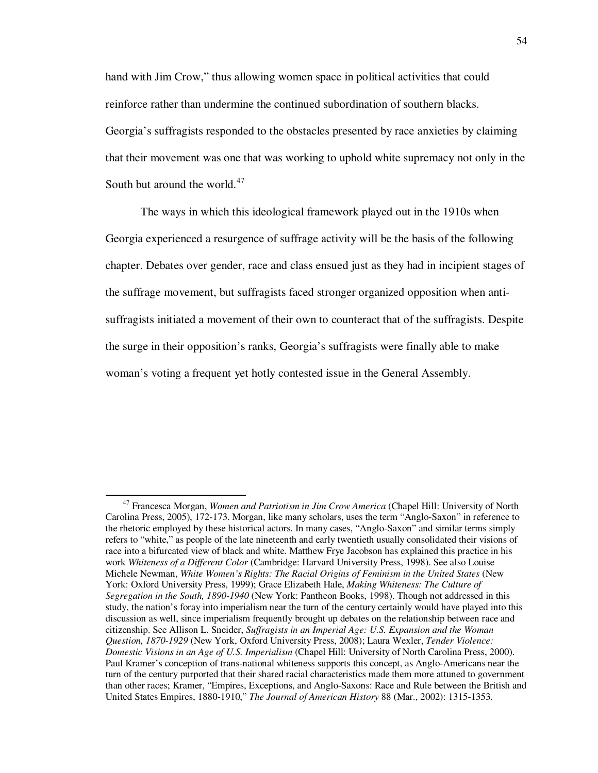hand with Jim Crow," thus allowing women space in political activities that could reinforce rather than undermine the continued subordination of southern blacks. Georgia's suffragists responded to the obstacles presented by race anxieties by claiming that their movement was one that was working to uphold white supremacy not only in the South but around the world. $47$ 

The ways in which this ideological framework played out in the 1910s when Georgia experienced a resurgence of suffrage activity will be the basis of the following chapter. Debates over gender, race and class ensued just as they had in incipient stages of the suffrage movement, but suffragists faced stronger organized opposition when antisuffragists initiated a movement of their own to counteract that of the suffragists. Despite the surge in their opposition's ranks, Georgia's suffragists were finally able to make woman's voting a frequent yet hotly contested issue in the General Assembly.

<sup>47</sup> Francesca Morgan, *Women and Patriotism in Jim Crow America* (Chapel Hill: University of North Carolina Press, 2005), 172-173. Morgan, like many scholars, uses the term "Anglo-Saxon" in reference to the rhetoric employed by these historical actors. In many cases, "Anglo-Saxon" and similar terms simply refers to "white," as people of the late nineteenth and early twentieth usually consolidated their visions of race into a bifurcated view of black and white. Matthew Frye Jacobson has explained this practice in his work *Whiteness of a Different Color* (Cambridge: Harvard University Press, 1998). See also Louise Michele Newman, *White Women's Rights: The Racial Origins of Feminism in the United States* (New York: Oxford University Press, 1999); Grace Elizabeth Hale, *Making Whiteness: The Culture of Segregation in the South, 1890-1940* (New York: Pantheon Books, 1998). Though not addressed in this study, the nation's foray into imperialism near the turn of the century certainly would have played into this discussion as well, since imperialism frequently brought up debates on the relationship between race and citizenship. See Allison L. Sneider, *Suffragists in an Imperial Age: U.S. Expansion and the Woman Question, 1870-1929* (New York, Oxford University Press, 2008); Laura Wexler, *Tender Violence: Domestic Visions in an Age of U.S. Imperialism* (Chapel Hill: University of North Carolina Press, 2000). Paul Kramer's conception of trans-national whiteness supports this concept, as Anglo-Americans near the turn of the century purported that their shared racial characteristics made them more attuned to government than other races; Kramer, "Empires, Exceptions, and Anglo-Saxons: Race and Rule between the British and United States Empires, 1880-1910," *The Journal of American History* 88 (Mar., 2002): 1315-1353.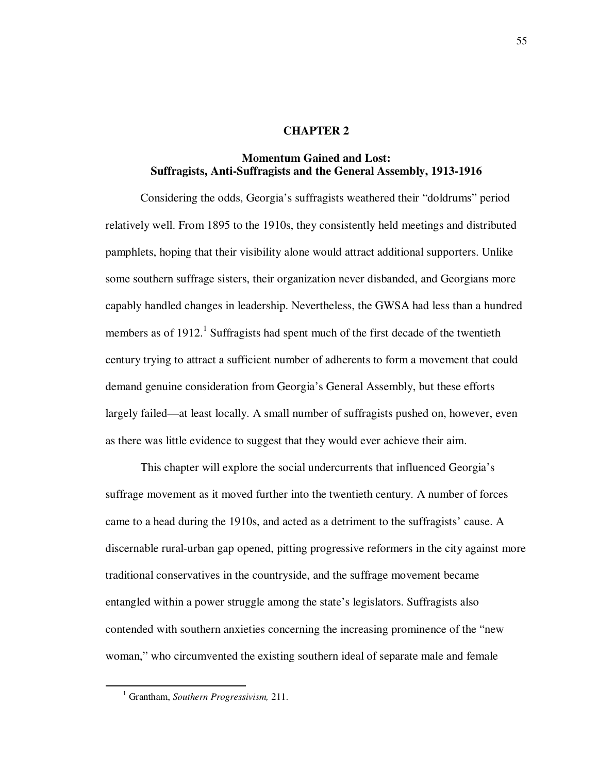## **CHAPTER 2**

## **Momentum Gained and Lost: Suffragists, Anti-Suffragists and the General Assembly, 1913-1916**

Considering the odds, Georgia's suffragists weathered their "doldrums" period relatively well. From 1895 to the 1910s, they consistently held meetings and distributed pamphlets, hoping that their visibility alone would attract additional supporters. Unlike some southern suffrage sisters, their organization never disbanded, and Georgians more capably handled changes in leadership. Nevertheless, the GWSA had less than a hundred members as of  $1912$ .<sup>1</sup> Suffragists had spent much of the first decade of the twentieth century trying to attract a sufficient number of adherents to form a movement that could demand genuine consideration from Georgia's General Assembly, but these efforts largely failed—at least locally. A small number of suffragists pushed on, however, even as there was little evidence to suggest that they would ever achieve their aim.

This chapter will explore the social undercurrents that influenced Georgia's suffrage movement as it moved further into the twentieth century. A number of forces came to a head during the 1910s, and acted as a detriment to the suffragists' cause. A discernable rural-urban gap opened, pitting progressive reformers in the city against more traditional conservatives in the countryside, and the suffrage movement became entangled within a power struggle among the state's legislators. Suffragists also contended with southern anxieties concerning the increasing prominence of the "new woman," who circumvented the existing southern ideal of separate male and female

<sup>1</sup> Grantham, *Southern Progressivism,* 211.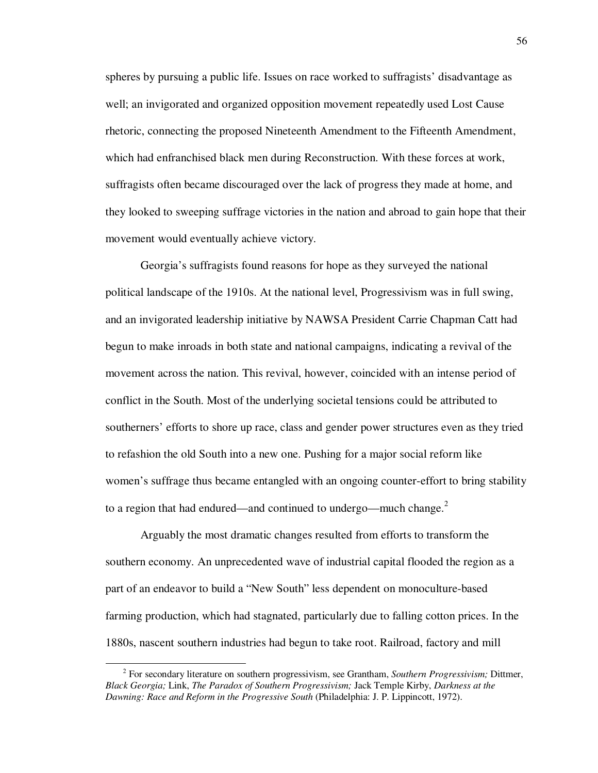spheres by pursuing a public life. Issues on race worked to suffragists' disadvantage as well; an invigorated and organized opposition movement repeatedly used Lost Cause rhetoric, connecting the proposed Nineteenth Amendment to the Fifteenth Amendment, which had enfranchised black men during Reconstruction. With these forces at work, suffragists often became discouraged over the lack of progress they made at home, and they looked to sweeping suffrage victories in the nation and abroad to gain hope that their movement would eventually achieve victory.

Georgia's suffragists found reasons for hope as they surveyed the national political landscape of the 1910s. At the national level, Progressivism was in full swing, and an invigorated leadership initiative by NAWSA President Carrie Chapman Catt had begun to make inroads in both state and national campaigns, indicating a revival of the movement across the nation. This revival, however, coincided with an intense period of conflict in the South. Most of the underlying societal tensions could be attributed to southerners' efforts to shore up race, class and gender power structures even as they tried to refashion the old South into a new one. Pushing for a major social reform like women's suffrage thus became entangled with an ongoing counter-effort to bring stability to a region that had endured—and continued to undergo—much change. $2$ 

Arguably the most dramatic changes resulted from efforts to transform the southern economy. An unprecedented wave of industrial capital flooded the region as a part of an endeavor to build a "New South" less dependent on monoculture-based farming production, which had stagnated, particularly due to falling cotton prices. In the 1880s, nascent southern industries had begun to take root. Railroad, factory and mill

<sup>2</sup> For secondary literature on southern progressivism, see Grantham, *Southern Progressivism;* Dittmer, *Black Georgia;* Link, *The Paradox of Southern Progressivism;* Jack Temple Kirby, *Darkness at the Dawning: Race and Reform in the Progressive South* (Philadelphia: J. P. Lippincott, 1972).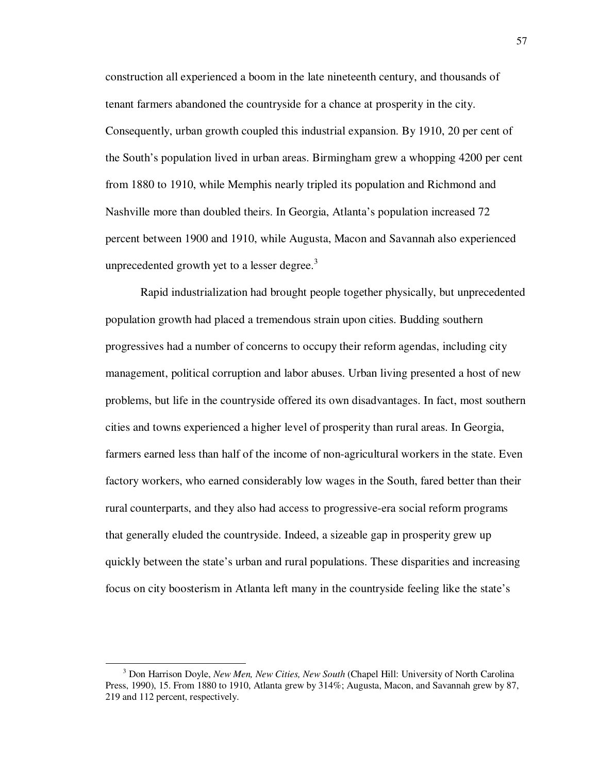construction all experienced a boom in the late nineteenth century, and thousands of tenant farmers abandoned the countryside for a chance at prosperity in the city. Consequently, urban growth coupled this industrial expansion. By 1910, 20 per cent of the South's population lived in urban areas. Birmingham grew a whopping 4200 per cent from 1880 to 1910, while Memphis nearly tripled its population and Richmond and Nashville more than doubled theirs. In Georgia, Atlanta's population increased 72 percent between 1900 and 1910, while Augusta, Macon and Savannah also experienced unprecedented growth yet to a lesser degree. $3$ 

Rapid industrialization had brought people together physically, but unprecedented population growth had placed a tremendous strain upon cities. Budding southern progressives had a number of concerns to occupy their reform agendas, including city management, political corruption and labor abuses. Urban living presented a host of new problems, but life in the countryside offered its own disadvantages. In fact, most southern cities and towns experienced a higher level of prosperity than rural areas. In Georgia, farmers earned less than half of the income of non-agricultural workers in the state. Even factory workers, who earned considerably low wages in the South, fared better than their rural counterparts, and they also had access to progressive-era social reform programs that generally eluded the countryside. Indeed, a sizeable gap in prosperity grew up quickly between the state's urban and rural populations. These disparities and increasing focus on city boosterism in Atlanta left many in the countryside feeling like the state's

<sup>3</sup> Don Harrison Doyle, *New Men, New Cities, New South* (Chapel Hill: University of North Carolina Press, 1990), 15. From 1880 to 1910, Atlanta grew by 314%; Augusta, Macon, and Savannah grew by 87, 219 and 112 percent, respectively.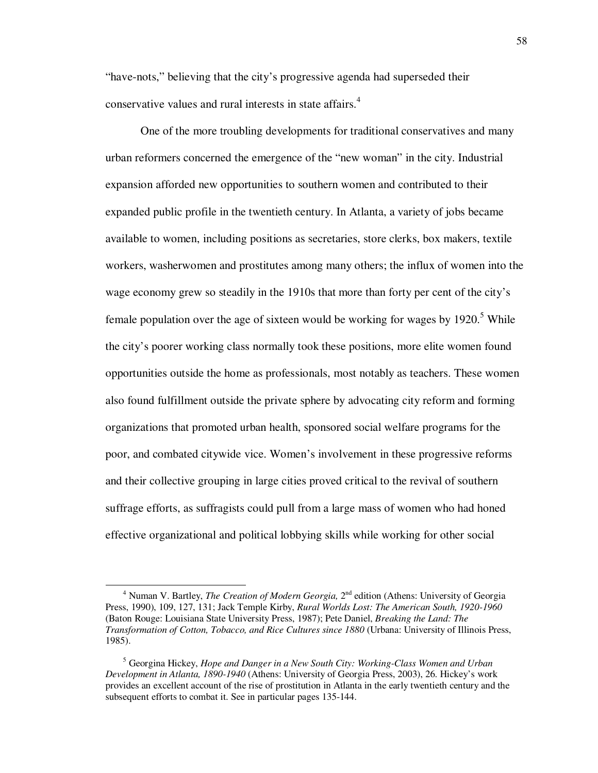"have-nots," believing that the city's progressive agenda had superseded their conservative values and rural interests in state affairs. 4

 One of the more troubling developments for traditional conservatives and many urban reformers concerned the emergence of the "new woman" in the city. Industrial expansion afforded new opportunities to southern women and contributed to their expanded public profile in the twentieth century. In Atlanta, a variety of jobs became available to women, including positions as secretaries, store clerks, box makers, textile workers, washerwomen and prostitutes among many others; the influx of women into the wage economy grew so steadily in the 1910s that more than forty per cent of the city's female population over the age of sixteen would be working for wages by  $1920$ .<sup>5</sup> While the city's poorer working class normally took these positions, more elite women found opportunities outside the home as professionals, most notably as teachers. These women also found fulfillment outside the private sphere by advocating city reform and forming organizations that promoted urban health, sponsored social welfare programs for the poor, and combated citywide vice. Women's involvement in these progressive reforms and their collective grouping in large cities proved critical to the revival of southern suffrage efforts, as suffragists could pull from a large mass of women who had honed effective organizational and political lobbying skills while working for other social

<sup>&</sup>lt;sup>4</sup> Numan V. Bartley, *The Creation of Modern Georgia*, 2<sup>nd</sup> edition (Athens: University of Georgia Press, 1990), 109, 127, 131; Jack Temple Kirby, *Rural Worlds Lost: The American South, 1920-1960*  (Baton Rouge: Louisiana State University Press, 1987); Pete Daniel, *Breaking the Land: The Transformation of Cotton, Tobacco, and Rice Cultures since 1880* (Urbana: University of Illinois Press, 1985).

<sup>5</sup> Georgina Hickey, *Hope and Danger in a New South City: Working-Class Women and Urban Development in Atlanta, 1890-1940* (Athens: University of Georgia Press, 2003), 26. Hickey's work provides an excellent account of the rise of prostitution in Atlanta in the early twentieth century and the subsequent efforts to combat it. See in particular pages 135-144.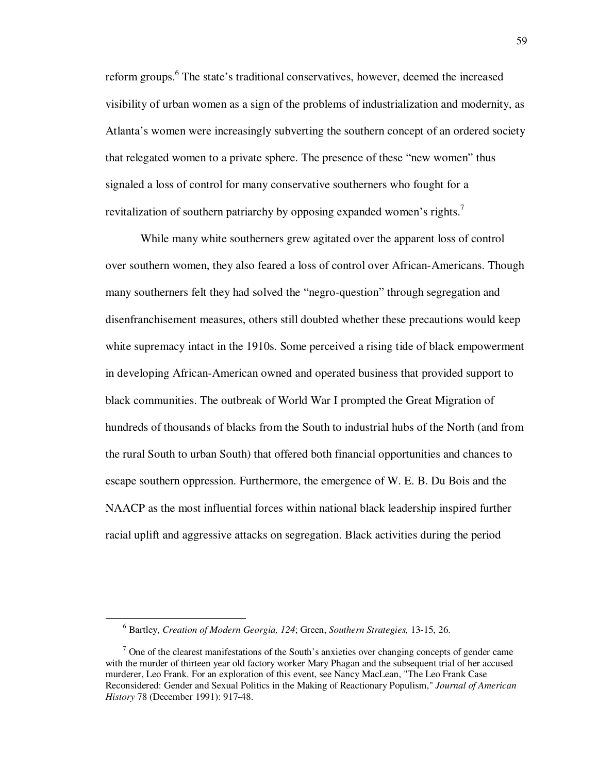reform groups.<sup>6</sup> The state's traditional conservatives, however, deemed the increased visibility of urban women as a sign of the problems of industrialization and modernity, as Atlanta's women were increasingly subverting the southern concept of an ordered society that relegated women to a private sphere. The presence of these "new women" thus signaled a loss of control for many conservative southerners who fought for a revitalization of southern patriarchy by opposing expanded women's rights.<sup>7</sup>

While many white southerners grew agitated over the apparent loss of control over southern women, they also feared a loss of control over African-Americans. Though many southerners felt they had solved the "negro-question" through segregation and disenfranchisement measures, others still doubted whether these precautions would keep white supremacy intact in the 1910s. Some perceived a rising tide of black empowerment in developing African-American owned and operated business that provided support to black communities. The outbreak of World War I prompted the Great Migration of hundreds of thousands of blacks from the South to industrial hubs of the North (and from the rural South to urban South) that offered both financial opportunities and chances to escape southern oppression. Furthermore, the emergence of W. E. B. Du Bois and the NAACP as the most influential forces within national black leadership inspired further racial uplift and aggressive attacks on segregation. Black activities during the period

<sup>6</sup> Bartley, *Creation of Modern Georgia, 124*; Green, *Southern Strategies,* 13-15, 26.

 $7$  One of the clearest manifestations of the South's anxieties over changing concepts of gender came with the murder of thirteen year old factory worker Mary Phagan and the subsequent trial of her accused murderer, Leo Frank. For an exploration of this event, see Nancy MacLean, "The Leo Frank Case Reconsidered: Gender and Sexual Politics in the Making of Reactionary Populism," *Journal of American History* 78 (December 1991): 917-48.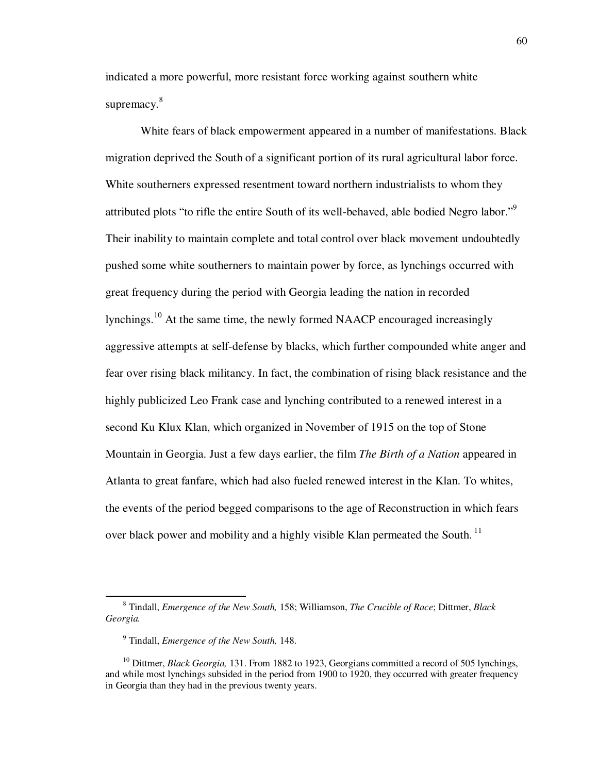indicated a more powerful, more resistant force working against southern white supremacy. $8<sup>8</sup>$ 

 White fears of black empowerment appeared in a number of manifestations. Black migration deprived the South of a significant portion of its rural agricultural labor force. White southerners expressed resentment toward northern industrialists to whom they attributed plots "to rifle the entire South of its well-behaved, able bodied Negro labor."<sup>9</sup> Their inability to maintain complete and total control over black movement undoubtedly pushed some white southerners to maintain power by force, as lynchings occurred with great frequency during the period with Georgia leading the nation in recorded lynchings.<sup>10</sup> At the same time, the newly formed NAACP encouraged increasingly aggressive attempts at self-defense by blacks, which further compounded white anger and fear over rising black militancy. In fact, the combination of rising black resistance and the highly publicized Leo Frank case and lynching contributed to a renewed interest in a second Ku Klux Klan, which organized in November of 1915 on the top of Stone Mountain in Georgia. Just a few days earlier, the film *The Birth of a Nation* appeared in Atlanta to great fanfare, which had also fueled renewed interest in the Klan. To whites, the events of the period begged comparisons to the age of Reconstruction in which fears over black power and mobility and a highly visible Klan permeated the South.<sup>11</sup>

<sup>8</sup> Tindall, *Emergence of the New South,* 158; Williamson, *The Crucible of Race*; Dittmer, *Black Georgia.* 

<sup>9</sup> Tindall, *Emergence of the New South,* 148.

<sup>&</sup>lt;sup>10</sup> Dittmer, *Black Georgia*, 131. From 1882 to 1923, Georgians committed a record of 505 lynchings, and while most lynchings subsided in the period from 1900 to 1920, they occurred with greater frequency in Georgia than they had in the previous twenty years.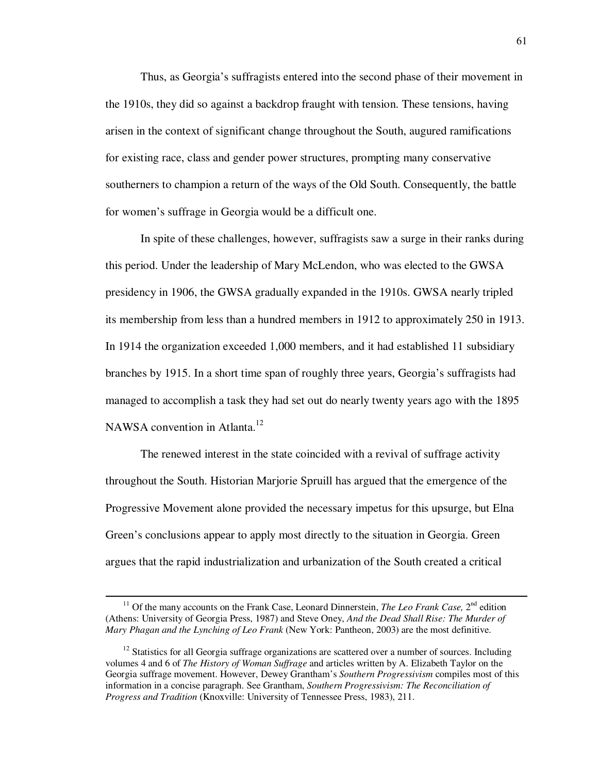Thus, as Georgia's suffragists entered into the second phase of their movement in the 1910s, they did so against a backdrop fraught with tension. These tensions, having arisen in the context of significant change throughout the South, augured ramifications for existing race, class and gender power structures, prompting many conservative southerners to champion a return of the ways of the Old South. Consequently, the battle for women's suffrage in Georgia would be a difficult one.

In spite of these challenges, however, suffragists saw a surge in their ranks during this period. Under the leadership of Mary McLendon, who was elected to the GWSA presidency in 1906, the GWSA gradually expanded in the 1910s. GWSA nearly tripled its membership from less than a hundred members in 1912 to approximately 250 in 1913. In 1914 the organization exceeded 1,000 members, and it had established 11 subsidiary branches by 1915. In a short time span of roughly three years, Georgia's suffragists had managed to accomplish a task they had set out do nearly twenty years ago with the 1895 NAWSA convention in Atlanta.<sup>12</sup>

The renewed interest in the state coincided with a revival of suffrage activity throughout the South. Historian Marjorie Spruill has argued that the emergence of the Progressive Movement alone provided the necessary impetus for this upsurge, but Elna Green's conclusions appear to apply most directly to the situation in Georgia. Green argues that the rapid industrialization and urbanization of the South created a critical

<sup>&</sup>lt;sup>11</sup> Of the many accounts on the Frank Case, Leonard Dinnerstein, *The Leo Frank Case*, 2<sup>nd</sup> edition (Athens: University of Georgia Press, 1987) and Steve Oney, *And the Dead Shall Rise: The Murder of Mary Phagan and the Lynching of Leo Frank* (New York: Pantheon, 2003) are the most definitive.

 $12$  Statistics for all Georgia suffrage organizations are scattered over a number of sources. Including volumes 4 and 6 of *The History of Woman Suffrage* and articles written by A. Elizabeth Taylor on the Georgia suffrage movement. However, Dewey Grantham's *Southern Progressivism* compiles most of this information in a concise paragraph. See Grantham, *Southern Progressivism: The Reconciliation of Progress and Tradition* (Knoxville: University of Tennessee Press, 1983), 211.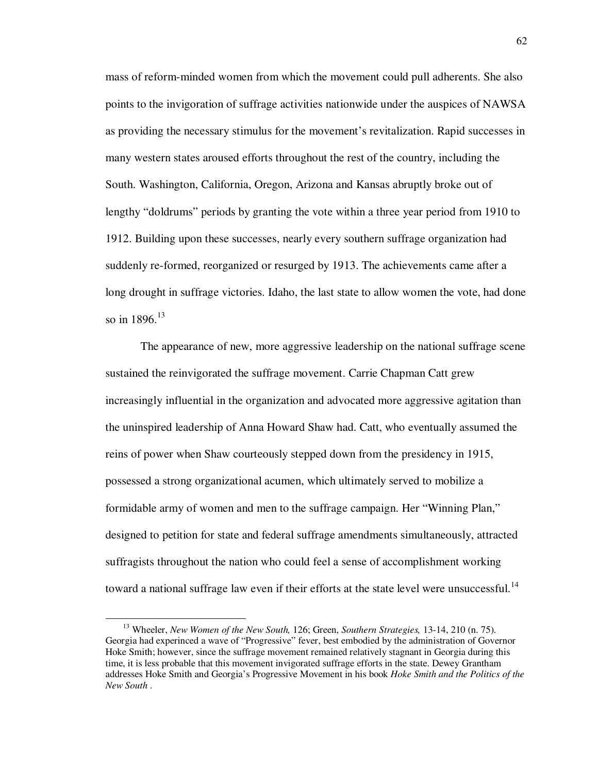mass of reform-minded women from which the movement could pull adherents. She also points to the invigoration of suffrage activities nationwide under the auspices of NAWSA as providing the necessary stimulus for the movement's revitalization. Rapid successes in many western states aroused efforts throughout the rest of the country, including the South. Washington, California, Oregon, Arizona and Kansas abruptly broke out of lengthy "doldrums" periods by granting the vote within a three year period from 1910 to 1912. Building upon these successes, nearly every southern suffrage organization had suddenly re-formed, reorganized or resurged by 1913. The achievements came after a long drought in suffrage victories. Idaho, the last state to allow women the vote, had done so in  $1896.<sup>13</sup>$ 

The appearance of new, more aggressive leadership on the national suffrage scene sustained the reinvigorated the suffrage movement. Carrie Chapman Catt grew increasingly influential in the organization and advocated more aggressive agitation than the uninspired leadership of Anna Howard Shaw had. Catt, who eventually assumed the reins of power when Shaw courteously stepped down from the presidency in 1915, possessed a strong organizational acumen, which ultimately served to mobilize a formidable army of women and men to the suffrage campaign. Her "Winning Plan," designed to petition for state and federal suffrage amendments simultaneously, attracted suffragists throughout the nation who could feel a sense of accomplishment working toward a national suffrage law even if their efforts at the state level were unsuccessful.<sup>14</sup>

<sup>13</sup> Wheeler, *New Women of the New South,* 126; Green, *Southern Strategies,* 13-14, 210 (n. 75). Georgia had experinced a wave of "Progressive" fever, best embodied by the administration of Governor Hoke Smith; however, since the suffrage movement remained relatively stagnant in Georgia during this time, it is less probable that this movement invigorated suffrage efforts in the state. Dewey Grantham addresses Hoke Smith and Georgia's Progressive Movement in his book *Hoke Smith and the Politics of the New South* .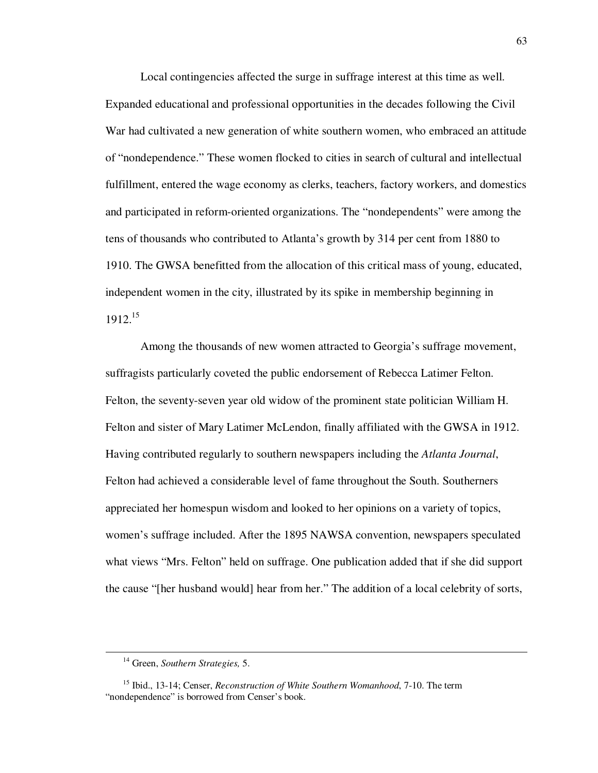Local contingencies affected the surge in suffrage interest at this time as well. Expanded educational and professional opportunities in the decades following the Civil War had cultivated a new generation of white southern women, who embraced an attitude of "nondependence." These women flocked to cities in search of cultural and intellectual fulfillment, entered the wage economy as clerks, teachers, factory workers, and domestics and participated in reform-oriented organizations. The "nondependents" were among the tens of thousands who contributed to Atlanta's growth by 314 per cent from 1880 to 1910. The GWSA benefitted from the allocation of this critical mass of young, educated, independent women in the city, illustrated by its spike in membership beginning in  $1912.<sup>15</sup>$ 

Among the thousands of new women attracted to Georgia's suffrage movement, suffragists particularly coveted the public endorsement of Rebecca Latimer Felton. Felton, the seventy-seven year old widow of the prominent state politician William H. Felton and sister of Mary Latimer McLendon, finally affiliated with the GWSA in 1912. Having contributed regularly to southern newspapers including the *Atlanta Journal*, Felton had achieved a considerable level of fame throughout the South. Southerners appreciated her homespun wisdom and looked to her opinions on a variety of topics, women's suffrage included. After the 1895 NAWSA convention, newspapers speculated what views "Mrs. Felton" held on suffrage. One publication added that if she did support the cause "[her husband would] hear from her." The addition of a local celebrity of sorts,

<sup>14</sup> Green, *Southern Strategies,* 5.

<sup>15</sup> Ibid., 13-14; Censer, *Reconstruction of White Southern Womanhood*, 7-10. The term "nondependence" is borrowed from Censer's book.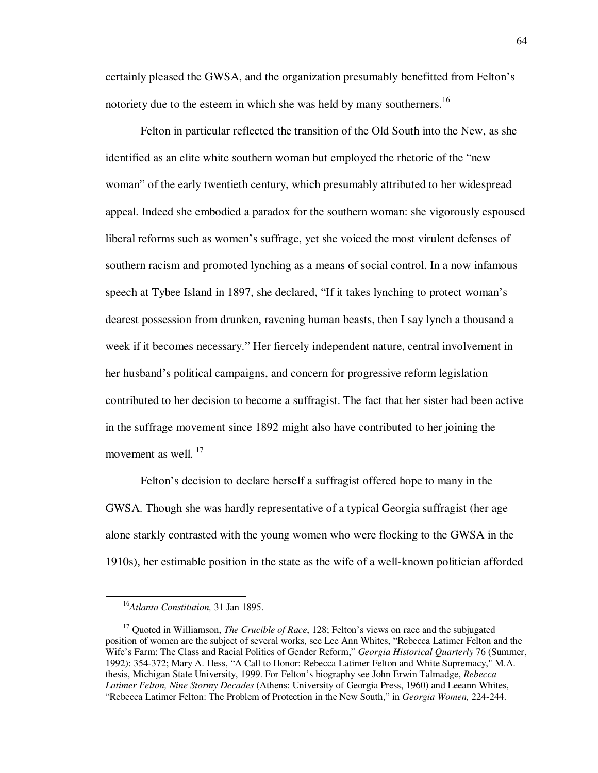certainly pleased the GWSA, and the organization presumably benefitted from Felton's notoriety due to the esteem in which she was held by many southerners.<sup>16</sup>

Felton in particular reflected the transition of the Old South into the New, as she identified as an elite white southern woman but employed the rhetoric of the "new woman" of the early twentieth century, which presumably attributed to her widespread appeal. Indeed she embodied a paradox for the southern woman: she vigorously espoused liberal reforms such as women's suffrage, yet she voiced the most virulent defenses of southern racism and promoted lynching as a means of social control. In a now infamous speech at Tybee Island in 1897, she declared, "If it takes lynching to protect woman's dearest possession from drunken, ravening human beasts, then I say lynch a thousand a week if it becomes necessary." Her fiercely independent nature, central involvement in her husband's political campaigns, and concern for progressive reform legislation contributed to her decision to become a suffragist. The fact that her sister had been active in the suffrage movement since 1892 might also have contributed to her joining the movement as well.<sup>17</sup>

Felton's decision to declare herself a suffragist offered hope to many in the GWSA. Though she was hardly representative of a typical Georgia suffragist (her age alone starkly contrasted with the young women who were flocking to the GWSA in the 1910s), her estimable position in the state as the wife of a well-known politician afforded

<sup>16</sup>*Atlanta Constitution,* 31 Jan 1895.

<sup>&</sup>lt;sup>17</sup> Quoted in Williamson, *The Crucible of Race*, 128; Felton's views on race and the subjugated position of women are the subject of several works, see Lee Ann Whites, "Rebecca Latimer Felton and the Wife's Farm: The Class and Racial Politics of Gender Reform," *Georgia Historical Quarterly* 76 (Summer, 1992): 354-372; Mary A. Hess, "A Call to Honor: Rebecca Latimer Felton and White Supremacy," M.A. thesis, Michigan State University, 1999. For Felton's biography see John Erwin Talmadge, *Rebecca Latimer Felton, Nine Stormy Decades* (Athens: University of Georgia Press, 1960) and Leeann Whites, "Rebecca Latimer Felton: The Problem of Protection in the New South," in *Georgia Women,* 224-244.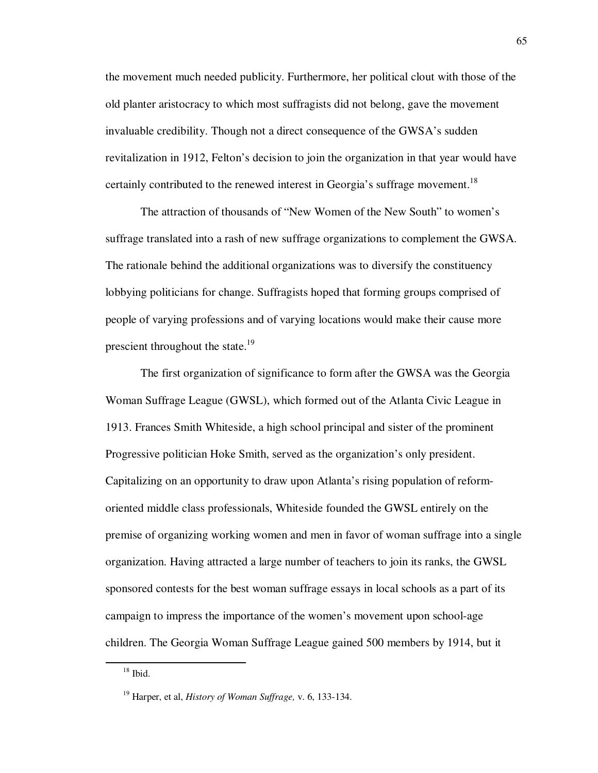the movement much needed publicity. Furthermore, her political clout with those of the old planter aristocracy to which most suffragists did not belong, gave the movement invaluable credibility. Though not a direct consequence of the GWSA's sudden revitalization in 1912, Felton's decision to join the organization in that year would have certainly contributed to the renewed interest in Georgia's suffrage movement.<sup>18</sup>

The attraction of thousands of "New Women of the New South" to women's suffrage translated into a rash of new suffrage organizations to complement the GWSA. The rationale behind the additional organizations was to diversify the constituency lobbying politicians for change. Suffragists hoped that forming groups comprised of people of varying professions and of varying locations would make their cause more prescient throughout the state.<sup>19</sup>

The first organization of significance to form after the GWSA was the Georgia Woman Suffrage League (GWSL), which formed out of the Atlanta Civic League in 1913. Frances Smith Whiteside, a high school principal and sister of the prominent Progressive politician Hoke Smith, served as the organization's only president. Capitalizing on an opportunity to draw upon Atlanta's rising population of reformoriented middle class professionals, Whiteside founded the GWSL entirely on the premise of organizing working women and men in favor of woman suffrage into a single organization. Having attracted a large number of teachers to join its ranks, the GWSL sponsored contests for the best woman suffrage essays in local schools as a part of its campaign to impress the importance of the women's movement upon school-age children. The Georgia Woman Suffrage League gained 500 members by 1914, but it

 $18$  Ibid.

<sup>19</sup> Harper, et al, *History of Woman Suffrage,* v. 6, 133-134.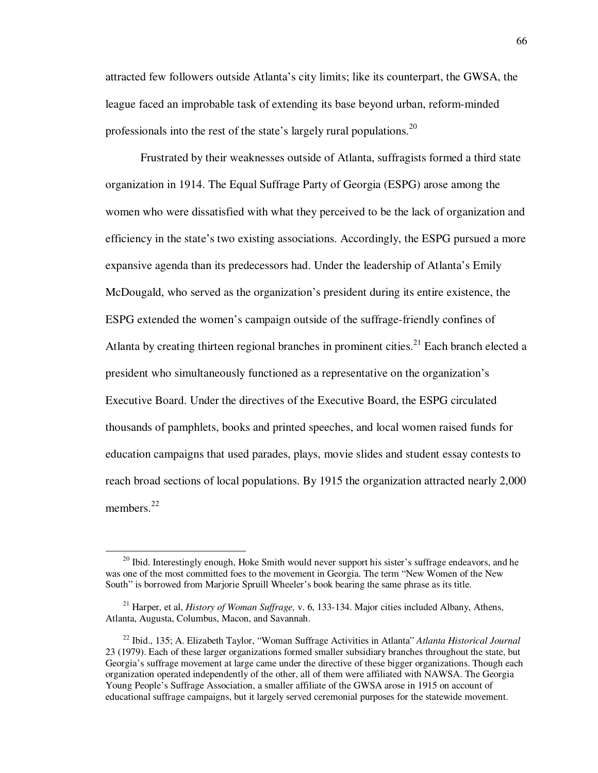attracted few followers outside Atlanta's city limits; like its counterpart, the GWSA, the league faced an improbable task of extending its base beyond urban, reform-minded professionals into the rest of the state's largely rural populations.<sup>20</sup>

Frustrated by their weaknesses outside of Atlanta, suffragists formed a third state organization in 1914. The Equal Suffrage Party of Georgia (ESPG) arose among the women who were dissatisfied with what they perceived to be the lack of organization and efficiency in the state's two existing associations. Accordingly, the ESPG pursued a more expansive agenda than its predecessors had. Under the leadership of Atlanta's Emily McDougald, who served as the organization's president during its entire existence, the ESPG extended the women's campaign outside of the suffrage-friendly confines of Atlanta by creating thirteen regional branches in prominent cities.<sup>21</sup> Each branch elected a president who simultaneously functioned as a representative on the organization's Executive Board. Under the directives of the Executive Board, the ESPG circulated thousands of pamphlets, books and printed speeches, and local women raised funds for education campaigns that used parades, plays, movie slides and student essay contests to reach broad sections of local populations. By 1915 the organization attracted nearly 2,000 members.<sup>22</sup>

 $20$  Ibid. Interestingly enough, Hoke Smith would never support his sister's suffrage endeavors, and he was one of the most committed foes to the movement in Georgia. The term "New Women of the New South" is borrowed from Marjorie Spruill Wheeler's book bearing the same phrase as its title.

<sup>21</sup> Harper, et al, *History of Woman Suffrage,* v. 6, 133-134. Major cities included Albany, Athens, Atlanta, Augusta, Columbus, Macon, and Savannah.

<sup>22</sup> Ibid., 135; A. Elizabeth Taylor, "Woman Suffrage Activities in Atlanta" *Atlanta Historical Journal*  23 (1979). Each of these larger organizations formed smaller subsidiary branches throughout the state, but Georgia's suffrage movement at large came under the directive of these bigger organizations. Though each organization operated independently of the other, all of them were affiliated with NAWSA. The Georgia Young People's Suffrage Association, a smaller affiliate of the GWSA arose in 1915 on account of educational suffrage campaigns, but it largely served ceremonial purposes for the statewide movement.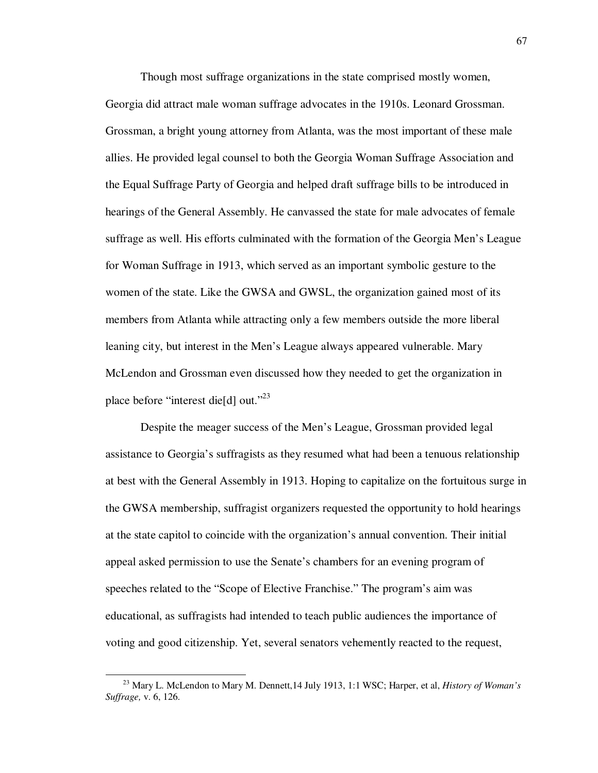Though most suffrage organizations in the state comprised mostly women,

Georgia did attract male woman suffrage advocates in the 1910s. Leonard Grossman. Grossman, a bright young attorney from Atlanta, was the most important of these male allies. He provided legal counsel to both the Georgia Woman Suffrage Association and the Equal Suffrage Party of Georgia and helped draft suffrage bills to be introduced in hearings of the General Assembly. He canvassed the state for male advocates of female suffrage as well. His efforts culminated with the formation of the Georgia Men's League for Woman Suffrage in 1913, which served as an important symbolic gesture to the women of the state. Like the GWSA and GWSL, the organization gained most of its members from Atlanta while attracting only a few members outside the more liberal leaning city, but interest in the Men's League always appeared vulnerable. Mary McLendon and Grossman even discussed how they needed to get the organization in place before "interest die[d] out."<sup>23</sup>

Despite the meager success of the Men's League, Grossman provided legal assistance to Georgia's suffragists as they resumed what had been a tenuous relationship at best with the General Assembly in 1913. Hoping to capitalize on the fortuitous surge in the GWSA membership, suffragist organizers requested the opportunity to hold hearings at the state capitol to coincide with the organization's annual convention. Their initial appeal asked permission to use the Senate's chambers for an evening program of speeches related to the "Scope of Elective Franchise." The program's aim was educational, as suffragists had intended to teach public audiences the importance of voting and good citizenship. Yet, several senators vehemently reacted to the request,

<sup>23</sup> Mary L. McLendon to Mary M. Dennett,14 July 1913, 1:1 WSC; Harper, et al, *History of Woman's Suffrage,* v. 6, 126.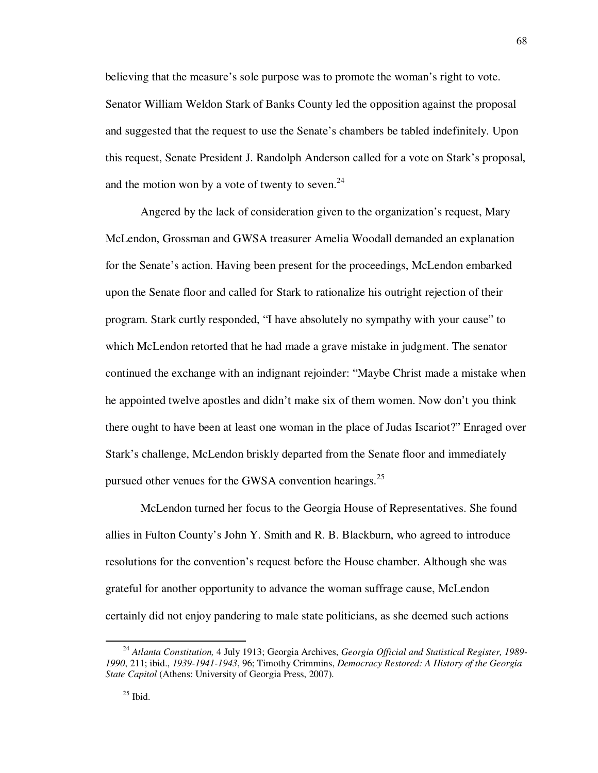believing that the measure's sole purpose was to promote the woman's right to vote. Senator William Weldon Stark of Banks County led the opposition against the proposal and suggested that the request to use the Senate's chambers be tabled indefinitely. Upon this request, Senate President J. Randolph Anderson called for a vote on Stark's proposal, and the motion won by a vote of twenty to seven. $24$ 

 Angered by the lack of consideration given to the organization's request, Mary McLendon, Grossman and GWSA treasurer Amelia Woodall demanded an explanation for the Senate's action. Having been present for the proceedings, McLendon embarked upon the Senate floor and called for Stark to rationalize his outright rejection of their program. Stark curtly responded, "I have absolutely no sympathy with your cause" to which McLendon retorted that he had made a grave mistake in judgment. The senator continued the exchange with an indignant rejoinder: "Maybe Christ made a mistake when he appointed twelve apostles and didn't make six of them women. Now don't you think there ought to have been at least one woman in the place of Judas Iscariot?" Enraged over Stark's challenge, McLendon briskly departed from the Senate floor and immediately pursued other venues for the GWSA convention hearings.<sup>25</sup>

 McLendon turned her focus to the Georgia House of Representatives. She found allies in Fulton County's John Y. Smith and R. B. Blackburn, who agreed to introduce resolutions for the convention's request before the House chamber. Although she was grateful for another opportunity to advance the woman suffrage cause, McLendon certainly did not enjoy pandering to male state politicians, as she deemed such actions

<sup>24</sup> *Atlanta Constitution,* 4 July 1913; Georgia Archives, *Georgia Official and Statistical Register, 1989- 1990*, 211; ibid., *1939-1941-1943*, 96; Timothy Crimmins, *Democracy Restored: A History of the Georgia State Capitol* (Athens: University of Georgia Press, 2007).

<sup>68</sup>

 $25$  Ibid.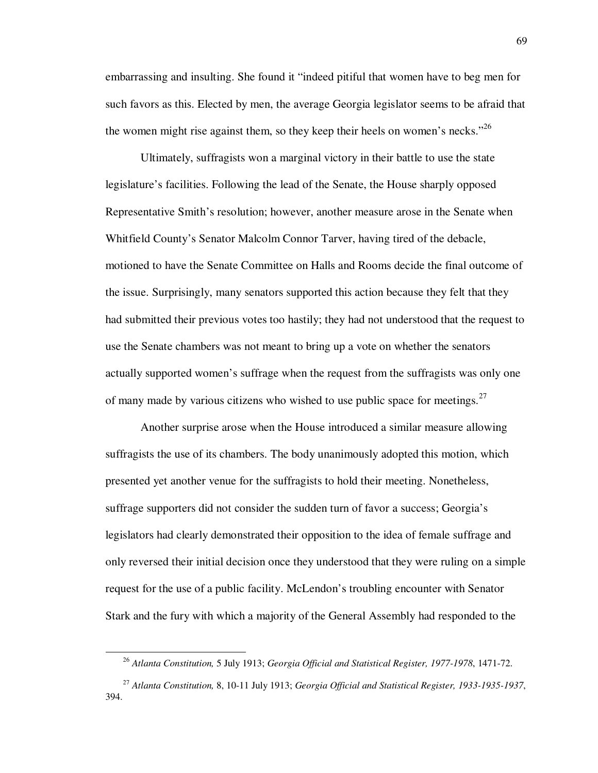embarrassing and insulting. She found it "indeed pitiful that women have to beg men for such favors as this. Elected by men, the average Georgia legislator seems to be afraid that the women might rise against them, so they keep their heels on women's necks."<sup>26</sup>

 Ultimately, suffragists won a marginal victory in their battle to use the state legislature's facilities. Following the lead of the Senate, the House sharply opposed Representative Smith's resolution; however, another measure arose in the Senate when Whitfield County's Senator Malcolm Connor Tarver, having tired of the debacle, motioned to have the Senate Committee on Halls and Rooms decide the final outcome of the issue. Surprisingly, many senators supported this action because they felt that they had submitted their previous votes too hastily; they had not understood that the request to use the Senate chambers was not meant to bring up a vote on whether the senators actually supported women's suffrage when the request from the suffragists was only one of many made by various citizens who wished to use public space for meetings. $27$ 

 Another surprise arose when the House introduced a similar measure allowing suffragists the use of its chambers. The body unanimously adopted this motion, which presented yet another venue for the suffragists to hold their meeting. Nonetheless, suffrage supporters did not consider the sudden turn of favor a success; Georgia's legislators had clearly demonstrated their opposition to the idea of female suffrage and only reversed their initial decision once they understood that they were ruling on a simple request for the use of a public facility. McLendon's troubling encounter with Senator Stark and the fury with which a majority of the General Assembly had responded to the

<sup>26</sup> *Atlanta Constitution,* 5 July 1913; *Georgia Official and Statistical Register, 1977-1978*, 1471-72.

<sup>27</sup> *Atlanta Constitution,* 8, 10-11 July 1913; *Georgia Official and Statistical Register, 1933-1935-1937*, 394.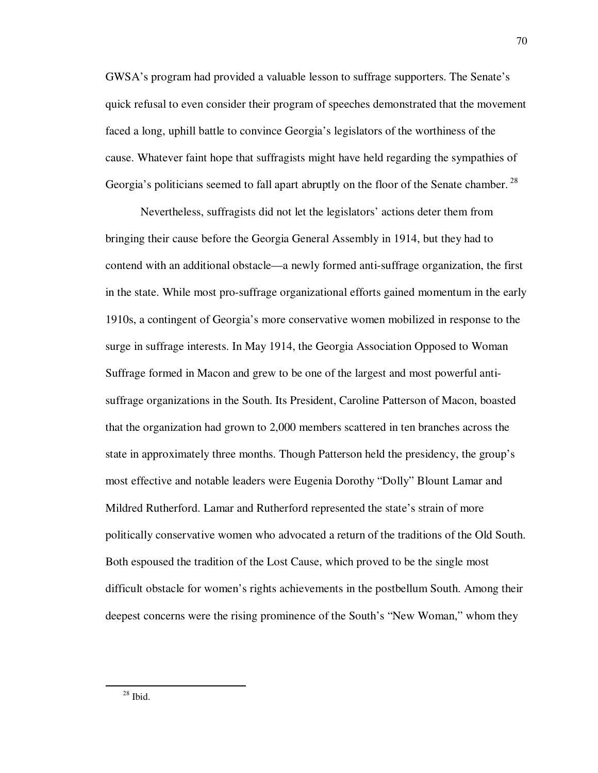GWSA's program had provided a valuable lesson to suffrage supporters. The Senate's quick refusal to even consider their program of speeches demonstrated that the movement faced a long, uphill battle to convince Georgia's legislators of the worthiness of the cause. Whatever faint hope that suffragists might have held regarding the sympathies of Georgia's politicians seemed to fall apart abruptly on the floor of the Senate chamber.<sup>28</sup>

 Nevertheless, suffragists did not let the legislators' actions deter them from bringing their cause before the Georgia General Assembly in 1914, but they had to contend with an additional obstacle—a newly formed anti-suffrage organization, the first in the state. While most pro-suffrage organizational efforts gained momentum in the early 1910s, a contingent of Georgia's more conservative women mobilized in response to the surge in suffrage interests. In May 1914, the Georgia Association Opposed to Woman Suffrage formed in Macon and grew to be one of the largest and most powerful antisuffrage organizations in the South. Its President, Caroline Patterson of Macon, boasted that the organization had grown to 2,000 members scattered in ten branches across the state in approximately three months. Though Patterson held the presidency, the group's most effective and notable leaders were Eugenia Dorothy "Dolly" Blount Lamar and Mildred Rutherford. Lamar and Rutherford represented the state's strain of more politically conservative women who advocated a return of the traditions of the Old South. Both espoused the tradition of the Lost Cause, which proved to be the single most difficult obstacle for women's rights achievements in the postbellum South. Among their deepest concerns were the rising prominence of the South's "New Woman," whom they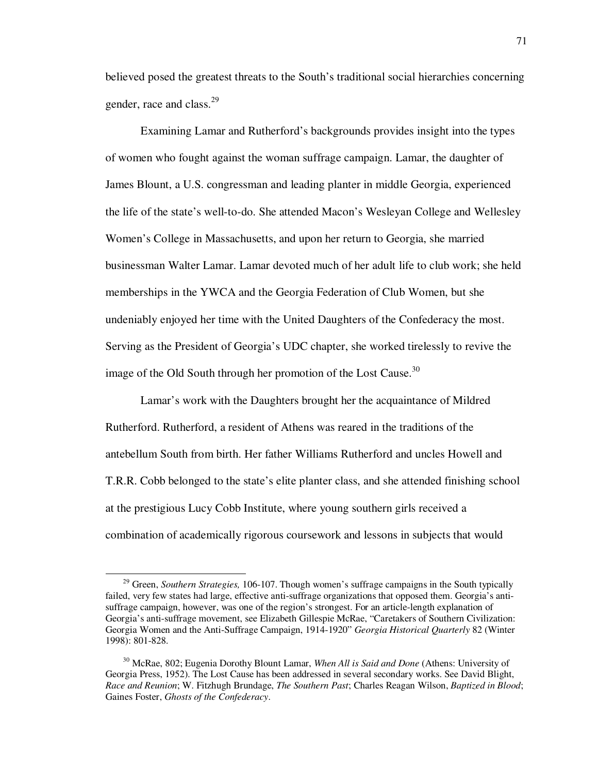believed posed the greatest threats to the South's traditional social hierarchies concerning gender, race and class.<sup>29</sup>

 Examining Lamar and Rutherford's backgrounds provides insight into the types of women who fought against the woman suffrage campaign. Lamar, the daughter of James Blount, a U.S. congressman and leading planter in middle Georgia, experienced the life of the state's well-to-do. She attended Macon's Wesleyan College and Wellesley Women's College in Massachusetts, and upon her return to Georgia, she married businessman Walter Lamar. Lamar devoted much of her adult life to club work; she held memberships in the YWCA and the Georgia Federation of Club Women, but she undeniably enjoyed her time with the United Daughters of the Confederacy the most. Serving as the President of Georgia's UDC chapter, she worked tirelessly to revive the image of the Old South through her promotion of the Lost Cause.<sup>30</sup>

 Lamar's work with the Daughters brought her the acquaintance of Mildred Rutherford. Rutherford, a resident of Athens was reared in the traditions of the antebellum South from birth. Her father Williams Rutherford and uncles Howell and T.R.R. Cobb belonged to the state's elite planter class, and she attended finishing school at the prestigious Lucy Cobb Institute, where young southern girls received a combination of academically rigorous coursework and lessons in subjects that would

<sup>&</sup>lt;sup>29</sup> Green, *Southern Strategies*, 106-107. Though women's suffrage campaigns in the South typically failed, very few states had large, effective anti-suffrage organizations that opposed them. Georgia's antisuffrage campaign, however, was one of the region's strongest. For an article-length explanation of Georgia's anti-suffrage movement, see Elizabeth Gillespie McRae, "Caretakers of Southern Civilization: Georgia Women and the Anti-Suffrage Campaign, 1914-1920" *Georgia Historical Quarterly* 82 (Winter 1998): 801-828.

<sup>30</sup> McRae, 802; Eugenia Dorothy Blount Lamar, *When All is Said and Done* (Athens: University of Georgia Press, 1952). The Lost Cause has been addressed in several secondary works. See David Blight, *Race and Reunion*; W. Fitzhugh Brundage, *The Southern Past*; Charles Reagan Wilson, *Baptized in Blood*; Gaines Foster, *Ghosts of the Confederacy*.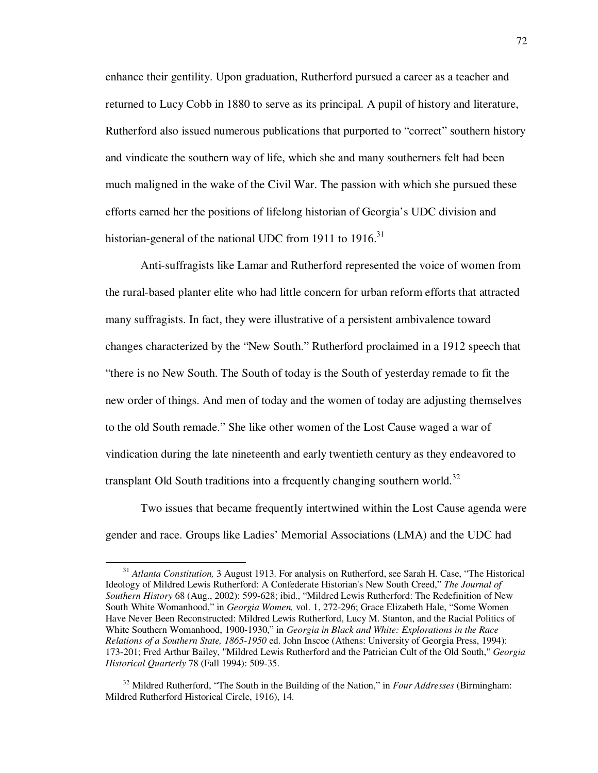enhance their gentility. Upon graduation, Rutherford pursued a career as a teacher and returned to Lucy Cobb in 1880 to serve as its principal. A pupil of history and literature, Rutherford also issued numerous publications that purported to "correct" southern history and vindicate the southern way of life, which she and many southerners felt had been much maligned in the wake of the Civil War. The passion with which she pursued these efforts earned her the positions of lifelong historian of Georgia's UDC division and historian-general of the national UDC from 1911 to 1916.<sup>31</sup>

 Anti-suffragists like Lamar and Rutherford represented the voice of women from the rural-based planter elite who had little concern for urban reform efforts that attracted many suffragists. In fact, they were illustrative of a persistent ambivalence toward changes characterized by the "New South." Rutherford proclaimed in a 1912 speech that "there is no New South. The South of today is the South of yesterday remade to fit the new order of things. And men of today and the women of today are adjusting themselves to the old South remade." She like other women of the Lost Cause waged a war of vindication during the late nineteenth and early twentieth century as they endeavored to transplant Old South traditions into a frequently changing southern world.<sup>32</sup>

 Two issues that became frequently intertwined within the Lost Cause agenda were gender and race. Groups like Ladies' Memorial Associations (LMA) and the UDC had

<sup>&</sup>lt;sup>31</sup> *Atlanta Constitution*, 3 August 1913. For analysis on Rutherford, see Sarah H. Case, "The Historical Ideology of Mildred Lewis Rutherford: A Confederate Historian's New South Creed," *The Journal of Southern History* 68 (Aug., 2002): 599-628; ibid., "Mildred Lewis Rutherford: The Redefinition of New South White Womanhood," in *Georgia Women,* vol. 1, 272-296; Grace Elizabeth Hale, "Some Women Have Never Been Reconstructed: Mildred Lewis Rutherford, Lucy M. Stanton, and the Racial Politics of White Southern Womanhood, 1900-1930," in *Georgia in Black and White: Explorations in the Race Relations of a Southern State, 1865-1950* ed. John Inscoe (Athens: University of Georgia Press, 1994): 173-201; Fred Arthur Bailey, "Mildred Lewis Rutherford and the Patrician Cult of the Old South," *Georgia Historical Quarterly* 78 (Fall 1994): 509-35.

<sup>32</sup> Mildred Rutherford, "The South in the Building of the Nation," in *Four Addresses* (Birmingham: Mildred Rutherford Historical Circle, 1916), 14.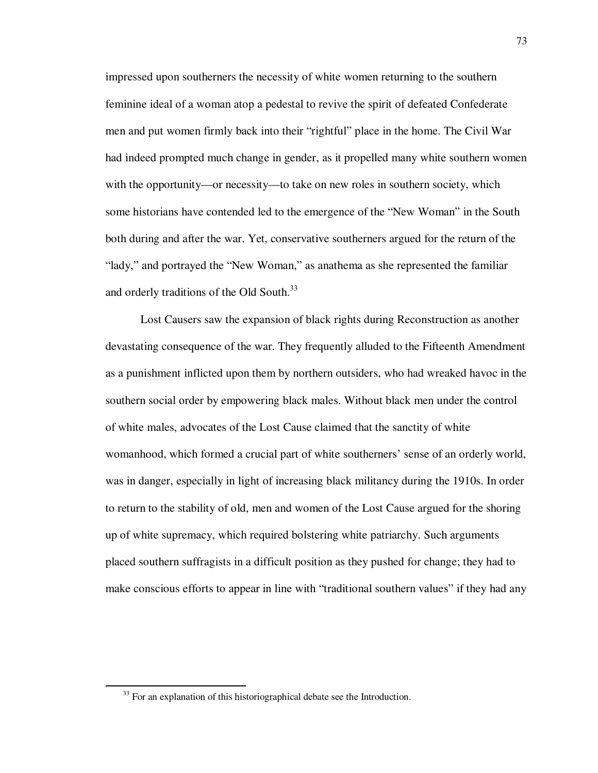impressed upon southerners the necessity of white women returning to the southern feminine ideal of a woman atop a pedestal to revive the spirit of defeated Confederate men and put women firmly back into their "rightful" place in the home. The Civil War had indeed prompted much change in gender, as it propelled many white southern women with the opportunity—or necessity—to take on new roles in southern society, which some historians have contended led to the emergence of the "New Woman" in the South both during and after the war. Yet, conservative southerners argued for the return of the "lady," and portrayed the "New Woman," as anathema as she represented the familiar and orderly traditions of the Old South.<sup>33</sup>

Lost Causers saw the expansion of black rights during Reconstruction as another devastating consequence of the war. They frequently alluded to the Fifteenth Amendment as a punishment inflicted upon them by northern outsiders, who had wreaked havoc in the southern social order by empowering black males. Without black men under the control of white males, advocates of the Lost Cause claimed that the sanctity of white womanhood, which formed a crucial part of white southerners' sense of an orderly world, was in danger, especially in light of increasing black militancy during the 1910s. In order to return to the stability of old, men and women of the Lost Cause argued for the shoring up of white supremacy, which required bolstering white patriarchy. Such arguments placed southern suffragists in a difficult position as they pushed for change; they had to make conscious efforts to appear in line with "traditional southern values" if they had any

 $33$  For an explanation of this historiographical debate see the Introduction.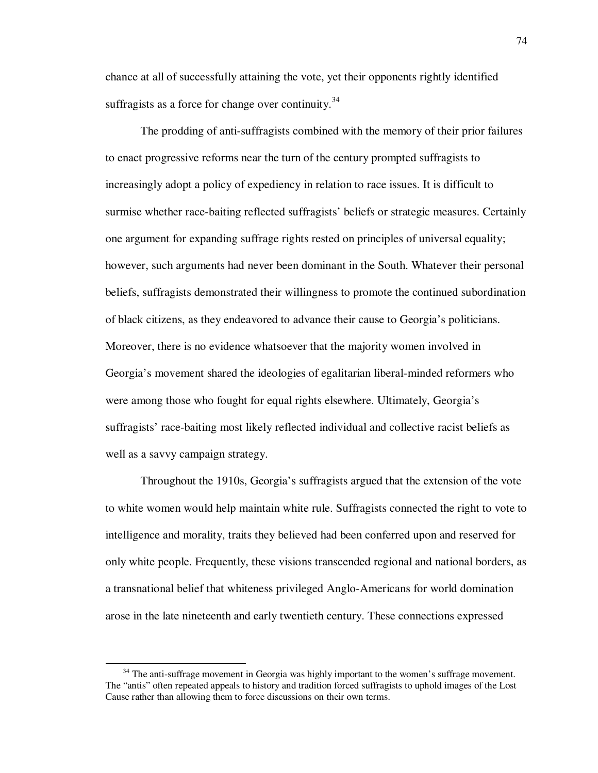chance at all of successfully attaining the vote, yet their opponents rightly identified suffragists as a force for change over continuity.<sup>34</sup>

The prodding of anti-suffragists combined with the memory of their prior failures to enact progressive reforms near the turn of the century prompted suffragists to increasingly adopt a policy of expediency in relation to race issues. It is difficult to surmise whether race-baiting reflected suffragists' beliefs or strategic measures. Certainly one argument for expanding suffrage rights rested on principles of universal equality; however, such arguments had never been dominant in the South. Whatever their personal beliefs, suffragists demonstrated their willingness to promote the continued subordination of black citizens, as they endeavored to advance their cause to Georgia's politicians. Moreover, there is no evidence whatsoever that the majority women involved in Georgia's movement shared the ideologies of egalitarian liberal-minded reformers who were among those who fought for equal rights elsewhere. Ultimately, Georgia's suffragists' race-baiting most likely reflected individual and collective racist beliefs as well as a savvy campaign strategy.

Throughout the 1910s, Georgia's suffragists argued that the extension of the vote to white women would help maintain white rule. Suffragists connected the right to vote to intelligence and morality, traits they believed had been conferred upon and reserved for only white people. Frequently, these visions transcended regional and national borders, as a transnational belief that whiteness privileged Anglo-Americans for world domination arose in the late nineteenth and early twentieth century. These connections expressed

<sup>&</sup>lt;sup>34</sup> The anti-suffrage movement in Georgia was highly important to the women's suffrage movement. The "antis" often repeated appeals to history and tradition forced suffragists to uphold images of the Lost Cause rather than allowing them to force discussions on their own terms.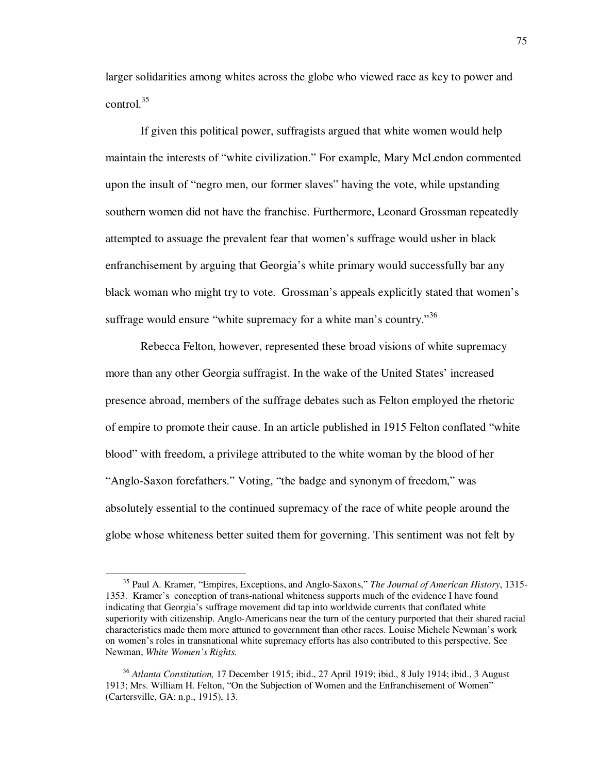larger solidarities among whites across the globe who viewed race as key to power and control. $35$ 

If given this political power, suffragists argued that white women would help maintain the interests of "white civilization." For example, Mary McLendon commented upon the insult of "negro men, our former slaves" having the vote, while upstanding southern women did not have the franchise. Furthermore, Leonard Grossman repeatedly attempted to assuage the prevalent fear that women's suffrage would usher in black enfranchisement by arguing that Georgia's white primary would successfully bar any black woman who might try to vote. Grossman's appeals explicitly stated that women's suffrage would ensure "white supremacy for a white man's country."<sup>36</sup>

Rebecca Felton, however, represented these broad visions of white supremacy more than any other Georgia suffragist. In the wake of the United States' increased presence abroad, members of the suffrage debates such as Felton employed the rhetoric of empire to promote their cause. In an article published in 1915 Felton conflated "white blood" with freedom, a privilege attributed to the white woman by the blood of her "Anglo-Saxon forefathers." Voting, "the badge and synonym of freedom," was absolutely essential to the continued supremacy of the race of white people around the globe whose whiteness better suited them for governing. This sentiment was not felt by

<sup>35</sup> Paul A. Kramer, "Empires, Exceptions, and Anglo-Saxons," *The Journal of American History*, 1315- 1353. Kramer's conception of trans-national whiteness supports much of the evidence I have found indicating that Georgia's suffrage movement did tap into worldwide currents that conflated white superiority with citizenship. Anglo-Americans near the turn of the century purported that their shared racial characteristics made them more attuned to government than other races. Louise Michele Newman's work on women's roles in transnational white supremacy efforts has also contributed to this perspective. See Newman, *White Women's Rights.*

<sup>36</sup> *Atlanta Constitution,* 17 December 1915; ibid., 27 April 1919; ibid., 8 July 1914; ibid., 3 August 1913; Mrs. William H. Felton, "On the Subjection of Women and the Enfranchisement of Women" (Cartersville, GA: n.p., 1915), 13.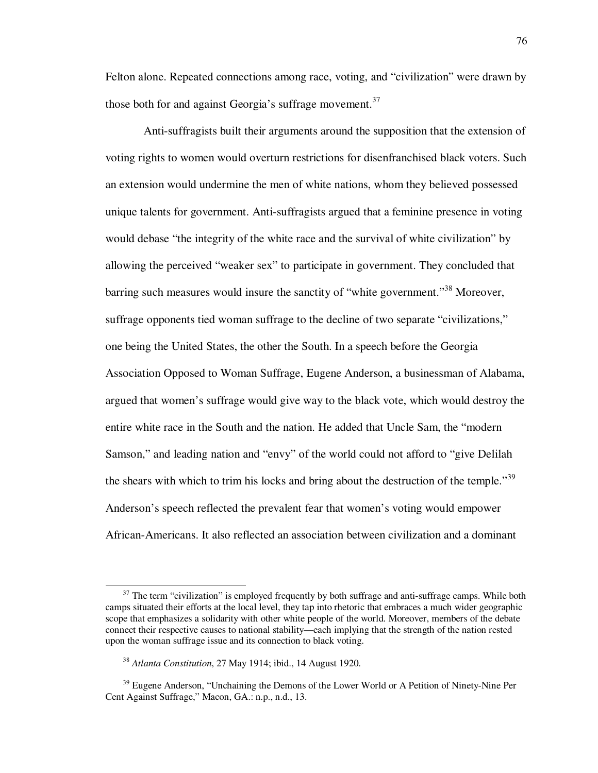Felton alone. Repeated connections among race, voting, and "civilization" were drawn by those both for and against Georgia's suffrage movement.<sup>37</sup>

 Anti-suffragists built their arguments around the supposition that the extension of voting rights to women would overturn restrictions for disenfranchised black voters. Such an extension would undermine the men of white nations, whom they believed possessed unique talents for government. Anti-suffragists argued that a feminine presence in voting would debase "the integrity of the white race and the survival of white civilization" by allowing the perceived "weaker sex" to participate in government. They concluded that barring such measures would insure the sanctity of "white government."<sup>38</sup> Moreover, suffrage opponents tied woman suffrage to the decline of two separate "civilizations," one being the United States, the other the South. In a speech before the Georgia Association Opposed to Woman Suffrage, Eugene Anderson, a businessman of Alabama, argued that women's suffrage would give way to the black vote, which would destroy the entire white race in the South and the nation. He added that Uncle Sam, the "modern Samson," and leading nation and "envy" of the world could not afford to "give Delilah the shears with which to trim his locks and bring about the destruction of the temple.<sup>39</sup> Anderson's speech reflected the prevalent fear that women's voting would empower African-Americans. It also reflected an association between civilization and a dominant

<sup>&</sup>lt;sup>37</sup> The term "civilization" is employed frequently by both suffrage and anti-suffrage camps. While both camps situated their efforts at the local level, they tap into rhetoric that embraces a much wider geographic scope that emphasizes a solidarity with other white people of the world. Moreover, members of the debate connect their respective causes to national stability—each implying that the strength of the nation rested upon the woman suffrage issue and its connection to black voting.

<sup>38</sup> *Atlanta Constitution*, 27 May 1914; ibid., 14 August 1920.

<sup>&</sup>lt;sup>39</sup> Eugene Anderson, "Unchaining the Demons of the Lower World or A Petition of Ninety-Nine Per Cent Against Suffrage," Macon, GA.: n.p., n.d., 13.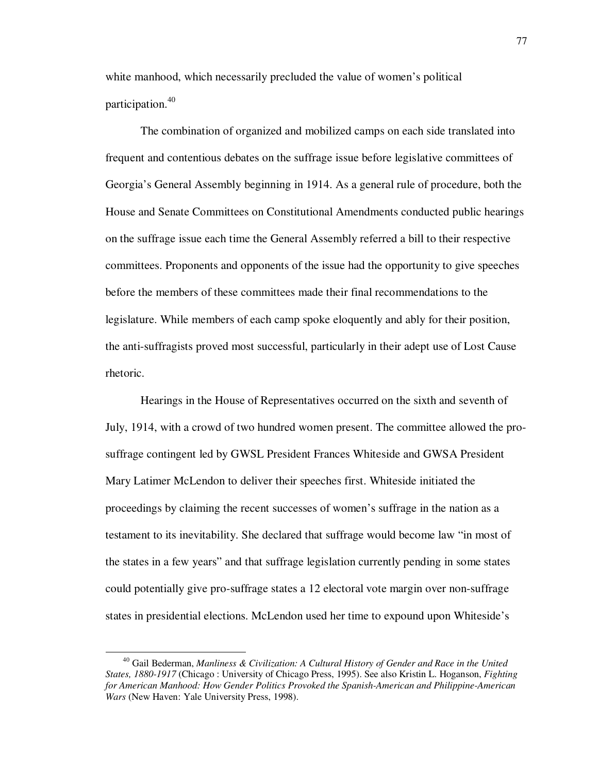white manhood, which necessarily precluded the value of women's political participation.<sup>40</sup>

The combination of organized and mobilized camps on each side translated into frequent and contentious debates on the suffrage issue before legislative committees of Georgia's General Assembly beginning in 1914. As a general rule of procedure, both the House and Senate Committees on Constitutional Amendments conducted public hearings on the suffrage issue each time the General Assembly referred a bill to their respective committees. Proponents and opponents of the issue had the opportunity to give speeches before the members of these committees made their final recommendations to the legislature. While members of each camp spoke eloquently and ably for their position, the anti-suffragists proved most successful, particularly in their adept use of Lost Cause rhetoric.

 Hearings in the House of Representatives occurred on the sixth and seventh of July, 1914, with a crowd of two hundred women present. The committee allowed the prosuffrage contingent led by GWSL President Frances Whiteside and GWSA President Mary Latimer McLendon to deliver their speeches first. Whiteside initiated the proceedings by claiming the recent successes of women's suffrage in the nation as a testament to its inevitability. She declared that suffrage would become law "in most of the states in a few years" and that suffrage legislation currently pending in some states could potentially give pro-suffrage states a 12 electoral vote margin over non-suffrage states in presidential elections. McLendon used her time to expound upon Whiteside's

<sup>40</sup> Gail Bederman, *Manliness & Civilization: A Cultural History of Gender and Race in the United States, 1880-1917* (Chicago : University of Chicago Press, 1995). See also Kristin L. Hoganson, *Fighting for American Manhood: How Gender Politics Provoked the Spanish-American and Philippine-American Wars* (New Haven: Yale University Press, 1998).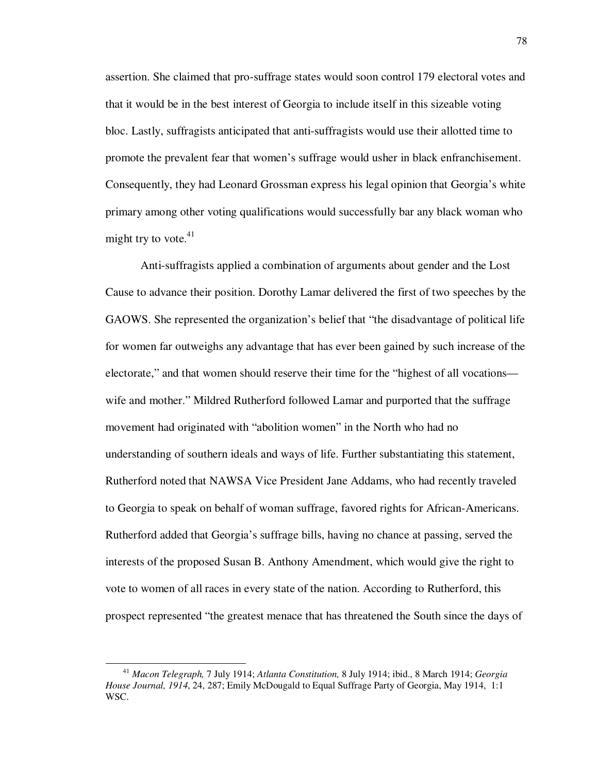assertion. She claimed that pro-suffrage states would soon control 179 electoral votes and that it would be in the best interest of Georgia to include itself in this sizeable voting bloc. Lastly, suffragists anticipated that anti-suffragists would use their allotted time to promote the prevalent fear that women's suffrage would usher in black enfranchisement. Consequently, they had Leonard Grossman express his legal opinion that Georgia's white primary among other voting qualifications would successfully bar any black woman who might try to vote. $41$ 

Anti-suffragists applied a combination of arguments about gender and the Lost Cause to advance their position. Dorothy Lamar delivered the first of two speeches by the GAOWS. She represented the organization's belief that "the disadvantage of political life for women far outweighs any advantage that has ever been gained by such increase of the electorate," and that women should reserve their time for the "highest of all vocations wife and mother." Mildred Rutherford followed Lamar and purported that the suffrage movement had originated with "abolition women" in the North who had no understanding of southern ideals and ways of life. Further substantiating this statement, Rutherford noted that NAWSA Vice President Jane Addams, who had recently traveled to Georgia to speak on behalf of woman suffrage, favored rights for African-Americans. Rutherford added that Georgia's suffrage bills, having no chance at passing, served the interests of the proposed Susan B. Anthony Amendment, which would give the right to vote to women of all races in every state of the nation. According to Rutherford, this prospect represented "the greatest menace that has threatened the South since the days of

<sup>41</sup> *Macon Telegraph,* 7 July 1914; *Atlanta Constitution,* 8 July 1914; ibid., 8 March 1914; *Georgia House Journal, 1914*, 24, 287; Emily McDougald to Equal Suffrage Party of Georgia, May 1914, 1:1 WSC.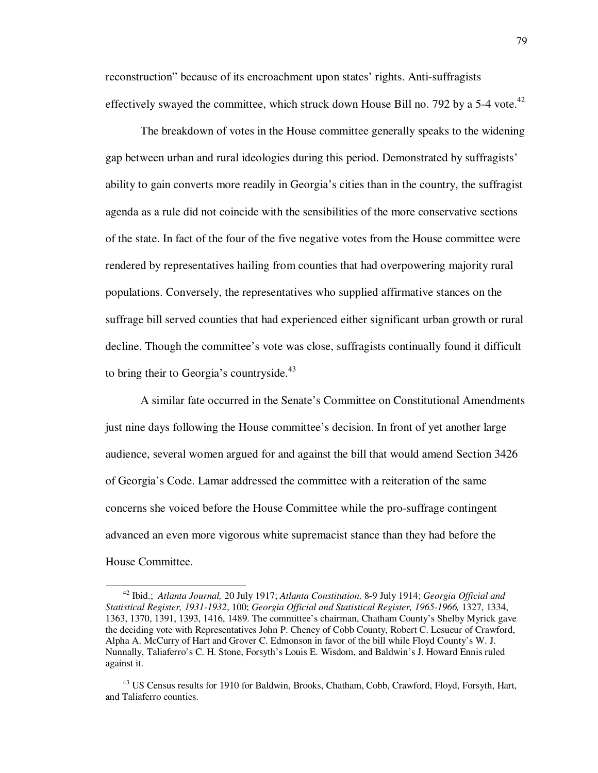reconstruction" because of its encroachment upon states' rights. Anti-suffragists effectively swayed the committee, which struck down House Bill no. 792 by a 5-4 vote. $^{42}$ 

 The breakdown of votes in the House committee generally speaks to the widening gap between urban and rural ideologies during this period. Demonstrated by suffragists' ability to gain converts more readily in Georgia's cities than in the country, the suffragist agenda as a rule did not coincide with the sensibilities of the more conservative sections of the state. In fact of the four of the five negative votes from the House committee were rendered by representatives hailing from counties that had overpowering majority rural populations. Conversely, the representatives who supplied affirmative stances on the suffrage bill served counties that had experienced either significant urban growth or rural decline. Though the committee's vote was close, suffragists continually found it difficult to bring their to Georgia's countryside. $43$ 

A similar fate occurred in the Senate's Committee on Constitutional Amendments just nine days following the House committee's decision. In front of yet another large audience, several women argued for and against the bill that would amend Section 3426 of Georgia's Code. Lamar addressed the committee with a reiteration of the same concerns she voiced before the House Committee while the pro-suffrage contingent advanced an even more vigorous white supremacist stance than they had before the House Committee.

<sup>42</sup> Ibid.; *Atlanta Journal,* 20 July 1917; *Atlanta Constitution,* 8-9 July 1914; *Georgia Official and Statistical Register, 1931-1932*, 100; *Georgia Official and Statistical Register, 1965-1966,* 1327, 1334, 1363, 1370, 1391, 1393, 1416, 1489. The committee's chairman, Chatham County's Shelby Myrick gave the deciding vote with Representatives John P. Cheney of Cobb County, Robert C. Lesueur of Crawford, Alpha A. McCurry of Hart and Grover C. Edmonson in favor of the bill while Floyd County's W. J. Nunnally, Taliaferro's C. H. Stone, Forsyth's Louis E. Wisdom, and Baldwin's J. Howard Ennis ruled against it.

<sup>&</sup>lt;sup>43</sup> US Census results for 1910 for Baldwin, Brooks, Chatham, Cobb, Crawford, Floyd, Forsyth, Hart, and Taliaferro counties.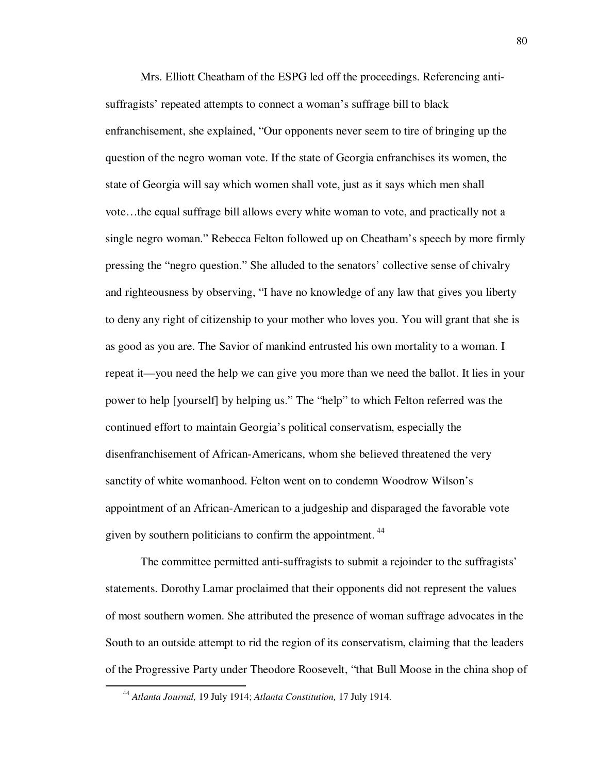Mrs. Elliott Cheatham of the ESPG led off the proceedings. Referencing antisuffragists' repeated attempts to connect a woman's suffrage bill to black enfranchisement, she explained, "Our opponents never seem to tire of bringing up the question of the negro woman vote. If the state of Georgia enfranchises its women, the state of Georgia will say which women shall vote, just as it says which men shall vote…the equal suffrage bill allows every white woman to vote, and practically not a single negro woman." Rebecca Felton followed up on Cheatham's speech by more firmly pressing the "negro question." She alluded to the senators' collective sense of chivalry and righteousness by observing, "I have no knowledge of any law that gives you liberty to deny any right of citizenship to your mother who loves you. You will grant that she is as good as you are. The Savior of mankind entrusted his own mortality to a woman. I repeat it—you need the help we can give you more than we need the ballot. It lies in your power to help [yourself] by helping us." The "help" to which Felton referred was the continued effort to maintain Georgia's political conservatism, especially the disenfranchisement of African-Americans, whom she believed threatened the very sanctity of white womanhood. Felton went on to condemn Woodrow Wilson's appointment of an African-American to a judgeship and disparaged the favorable vote given by southern politicians to confirm the appointment.<sup>44</sup>

The committee permitted anti-suffragists to submit a rejoinder to the suffragists' statements. Dorothy Lamar proclaimed that their opponents did not represent the values of most southern women. She attributed the presence of woman suffrage advocates in the South to an outside attempt to rid the region of its conservatism, claiming that the leaders of the Progressive Party under Theodore Roosevelt, "that Bull Moose in the china shop of

<sup>44</sup> *Atlanta Journal,* 19 July 1914; *Atlanta Constitution,* 17 July 1914.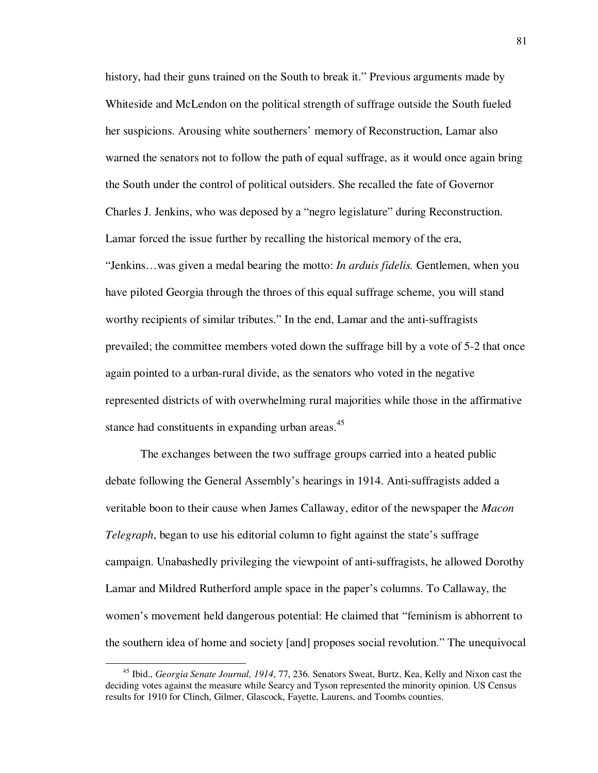history, had their guns trained on the South to break it." Previous arguments made by Whiteside and McLendon on the political strength of suffrage outside the South fueled her suspicions. Arousing white southerners' memory of Reconstruction, Lamar also warned the senators not to follow the path of equal suffrage, as it would once again bring the South under the control of political outsiders. She recalled the fate of Governor Charles J. Jenkins, who was deposed by a "negro legislature" during Reconstruction. Lamar forced the issue further by recalling the historical memory of the era, "Jenkins…was given a medal bearing the motto: *In arduis fidelis.* Gentlemen, when you have piloted Georgia through the throes of this equal suffrage scheme, you will stand worthy recipients of similar tributes." In the end, Lamar and the anti-suffragists prevailed; the committee members voted down the suffrage bill by a vote of 5-2 that once again pointed to a urban-rural divide, as the senators who voted in the negative represented districts of with overwhelming rural majorities while those in the affirmative stance had constituents in expanding urban areas.<sup>45</sup>

The exchanges between the two suffrage groups carried into a heated public debate following the General Assembly's hearings in 1914. Anti-suffragists added a veritable boon to their cause when James Callaway, editor of the newspaper the *Macon Telegraph*, began to use his editorial column to fight against the state's suffrage campaign. Unabashedly privileging the viewpoint of anti-suffragists, he allowed Dorothy Lamar and Mildred Rutherford ample space in the paper's columns. To Callaway, the women's movement held dangerous potential: He claimed that "feminism is abhorrent to the southern idea of home and society [and] proposes social revolution." The unequivocal

<sup>45</sup> Ibid., *Georgia Senate Journal, 1914*, 77, 236. Senators Sweat, Burtz, Kea, Kelly and Nixon cast the deciding votes against the measure while Searcy and Tyson represented the minority opinion. US Census results for 1910 for Clinch, Gilmer, Glascock, Fayette, Laurens, and Toombs counties.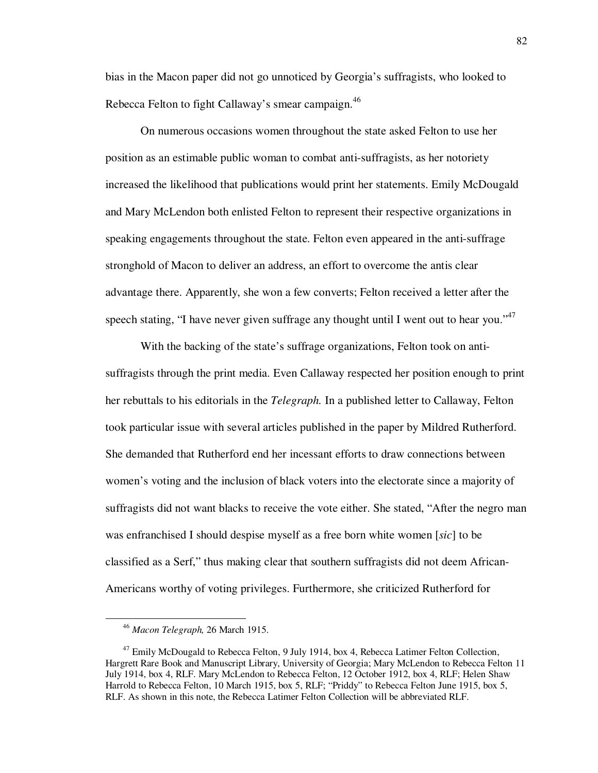bias in the Macon paper did not go unnoticed by Georgia's suffragists, who looked to Rebecca Felton to fight Callaway's smear campaign.<sup>46</sup>

On numerous occasions women throughout the state asked Felton to use her position as an estimable public woman to combat anti-suffragists, as her notoriety increased the likelihood that publications would print her statements. Emily McDougald and Mary McLendon both enlisted Felton to represent their respective organizations in speaking engagements throughout the state. Felton even appeared in the anti-suffrage stronghold of Macon to deliver an address, an effort to overcome the antis clear advantage there. Apparently, she won a few converts; Felton received a letter after the speech stating, "I have never given suffrage any thought until I went out to hear you."<sup>47</sup>

With the backing of the state's suffrage organizations, Felton took on antisuffragists through the print media. Even Callaway respected her position enough to print her rebuttals to his editorials in the *Telegraph.* In a published letter to Callaway, Felton took particular issue with several articles published in the paper by Mildred Rutherford. She demanded that Rutherford end her incessant efforts to draw connections between women's voting and the inclusion of black voters into the electorate since a majority of suffragists did not want blacks to receive the vote either. She stated, "After the negro man was enfranchised I should despise myself as a free born white women [*sic*] to be classified as a Serf," thus making clear that southern suffragists did not deem African-Americans worthy of voting privileges. Furthermore, she criticized Rutherford for

<sup>46</sup> *Macon Telegraph,* 26 March 1915.

<sup>&</sup>lt;sup>47</sup> Emily McDougald to Rebecca Felton, 9 July 1914, box 4, Rebecca Latimer Felton Collection, Hargrett Rare Book and Manuscript Library, University of Georgia; Mary McLendon to Rebecca Felton 11 July 1914, box 4, RLF. Mary McLendon to Rebecca Felton, 12 October 1912, box 4, RLF; Helen Shaw Harrold to Rebecca Felton, 10 March 1915, box 5, RLF; "Priddy" to Rebecca Felton June 1915, box 5, RLF. As shown in this note, the Rebecca Latimer Felton Collection will be abbreviated RLF.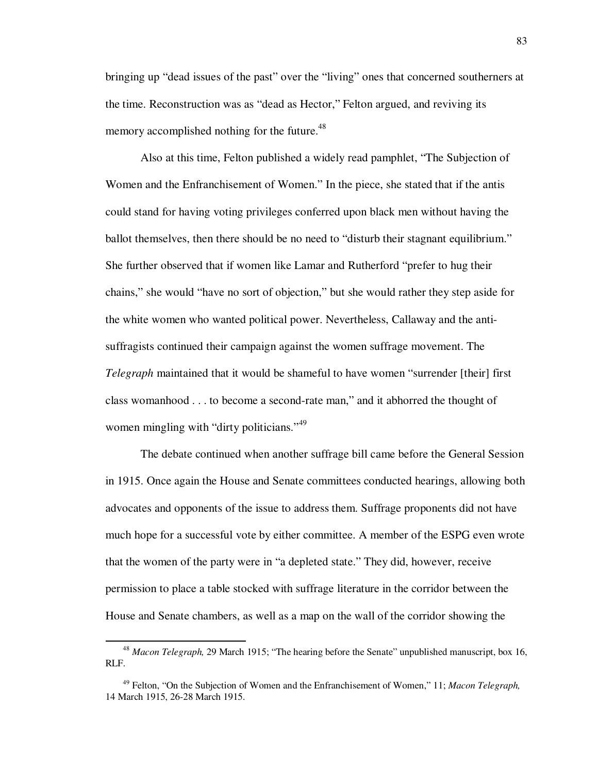bringing up "dead issues of the past" over the "living" ones that concerned southerners at the time. Reconstruction was as "dead as Hector," Felton argued, and reviving its memory accomplished nothing for the future.<sup>48</sup>

Also at this time, Felton published a widely read pamphlet, "The Subjection of Women and the Enfranchisement of Women." In the piece, she stated that if the antis could stand for having voting privileges conferred upon black men without having the ballot themselves, then there should be no need to "disturb their stagnant equilibrium." She further observed that if women like Lamar and Rutherford "prefer to hug their chains," she would "have no sort of objection," but she would rather they step aside for the white women who wanted political power. Nevertheless, Callaway and the antisuffragists continued their campaign against the women suffrage movement. The *Telegraph* maintained that it would be shameful to have women "surrender [their] first class womanhood . . . to become a second-rate man," and it abhorred the thought of women mingling with "dirty politicians."<sup>49</sup>

The debate continued when another suffrage bill came before the General Session in 1915. Once again the House and Senate committees conducted hearings, allowing both advocates and opponents of the issue to address them. Suffrage proponents did not have much hope for a successful vote by either committee. A member of the ESPG even wrote that the women of the party were in "a depleted state." They did, however, receive permission to place a table stocked with suffrage literature in the corridor between the House and Senate chambers, as well as a map on the wall of the corridor showing the

<sup>48</sup> *Macon Telegraph,* 29 March 1915; "The hearing before the Senate" unpublished manuscript, box 16, RLF.

<sup>49</sup> Felton, "On the Subjection of Women and the Enfranchisement of Women," 11; *Macon Telegraph,* 14 March 1915, 26-28 March 1915.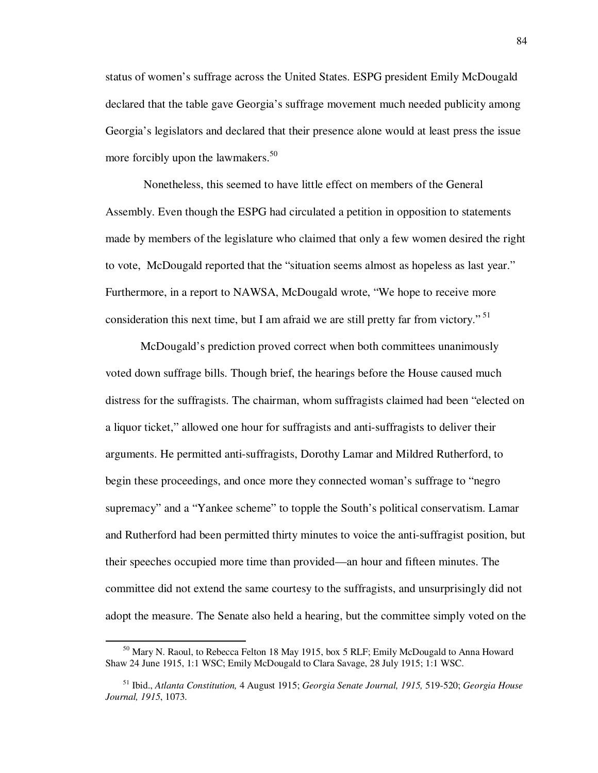status of women's suffrage across the United States. ESPG president Emily McDougald declared that the table gave Georgia's suffrage movement much needed publicity among Georgia's legislators and declared that their presence alone would at least press the issue more forcibly upon the lawmakers. $50<sup>50</sup>$ 

 Nonetheless, this seemed to have little effect on members of the General Assembly. Even though the ESPG had circulated a petition in opposition to statements made by members of the legislature who claimed that only a few women desired the right to vote, McDougald reported that the "situation seems almost as hopeless as last year." Furthermore, in a report to NAWSA, McDougald wrote, "We hope to receive more consideration this next time, but I am afraid we are still pretty far from victory."<sup>51</sup>

McDougald's prediction proved correct when both committees unanimously voted down suffrage bills. Though brief, the hearings before the House caused much distress for the suffragists. The chairman, whom suffragists claimed had been "elected on a liquor ticket," allowed one hour for suffragists and anti-suffragists to deliver their arguments. He permitted anti-suffragists, Dorothy Lamar and Mildred Rutherford, to begin these proceedings, and once more they connected woman's suffrage to "negro supremacy" and a "Yankee scheme" to topple the South's political conservatism. Lamar and Rutherford had been permitted thirty minutes to voice the anti-suffragist position, but their speeches occupied more time than provided—an hour and fifteen minutes. The committee did not extend the same courtesy to the suffragists, and unsurprisingly did not adopt the measure. The Senate also held a hearing, but the committee simply voted on the

<sup>50</sup> Mary N. Raoul, to Rebecca Felton 18 May 1915, box 5 RLF; Emily McDougald to Anna Howard Shaw 24 June 1915, 1:1 WSC; Emily McDougald to Clara Savage, 28 July 1915; 1:1 WSC.

<sup>51</sup> Ibid., *Atlanta Constitution,* 4 August 1915; *Georgia Senate Journal, 1915,* 519-520; *Georgia House Journal, 1915*, 1073.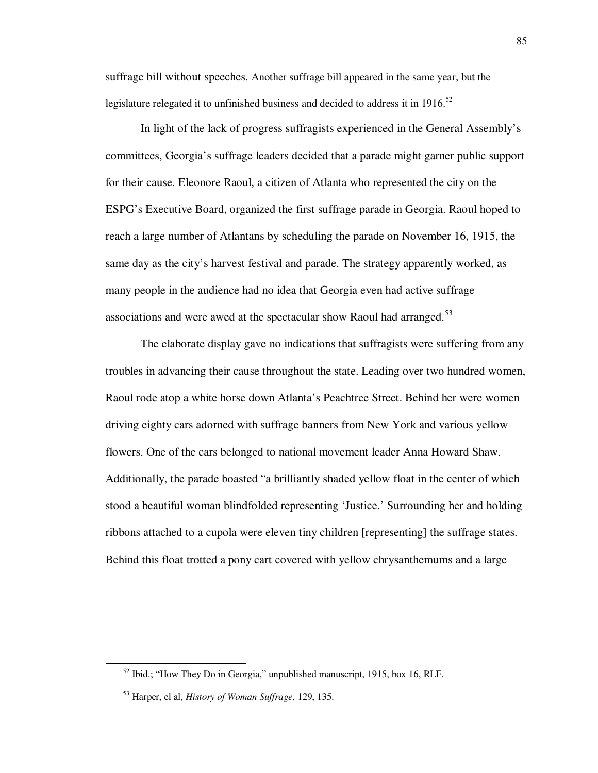suffrage bill without speeches. Another suffrage bill appeared in the same year, but the legislature relegated it to unfinished business and decided to address it in 1916.<sup>52</sup>

 In light of the lack of progress suffragists experienced in the General Assembly's committees, Georgia's suffrage leaders decided that a parade might garner public support for their cause. Eleonore Raoul, a citizen of Atlanta who represented the city on the ESPG's Executive Board, organized the first suffrage parade in Georgia. Raoul hoped to reach a large number of Atlantans by scheduling the parade on November 16, 1915, the same day as the city's harvest festival and parade. The strategy apparently worked, as many people in the audience had no idea that Georgia even had active suffrage associations and were awed at the spectacular show Raoul had arranged.<sup>53</sup>

 The elaborate display gave no indications that suffragists were suffering from any troubles in advancing their cause throughout the state. Leading over two hundred women, Raoul rode atop a white horse down Atlanta's Peachtree Street. Behind her were women driving eighty cars adorned with suffrage banners from New York and various yellow flowers. One of the cars belonged to national movement leader Anna Howard Shaw. Additionally, the parade boasted "a brilliantly shaded yellow float in the center of which stood a beautiful woman blindfolded representing 'Justice.' Surrounding her and holding ribbons attached to a cupola were eleven tiny children [representing] the suffrage states. Behind this float trotted a pony cart covered with yellow chrysanthemums and a large

 $52$  Ibid.; "How They Do in Georgia," unpublished manuscript, 1915, box 16, RLF.

<sup>53</sup> Harper, el al, *History of Woman Suffrage,* 129, 135.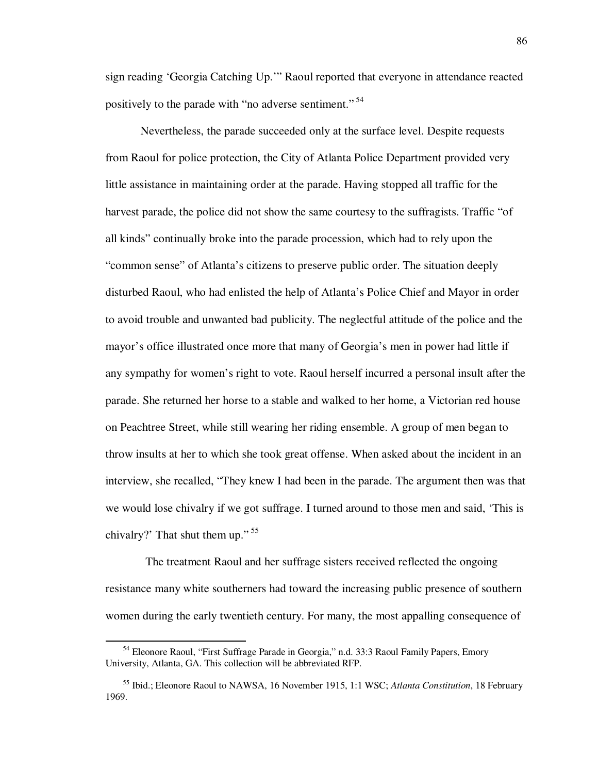sign reading 'Georgia Catching Up.'" Raoul reported that everyone in attendance reacted positively to the parade with "no adverse sentiment."<sup>54</sup>

 Nevertheless, the parade succeeded only at the surface level. Despite requests from Raoul for police protection, the City of Atlanta Police Department provided very little assistance in maintaining order at the parade. Having stopped all traffic for the harvest parade, the police did not show the same courtesy to the suffragists. Traffic "of all kinds" continually broke into the parade procession, which had to rely upon the "common sense" of Atlanta's citizens to preserve public order. The situation deeply disturbed Raoul, who had enlisted the help of Atlanta's Police Chief and Mayor in order to avoid trouble and unwanted bad publicity. The neglectful attitude of the police and the mayor's office illustrated once more that many of Georgia's men in power had little if any sympathy for women's right to vote. Raoul herself incurred a personal insult after the parade. She returned her horse to a stable and walked to her home, a Victorian red house on Peachtree Street, while still wearing her riding ensemble. A group of men began to throw insults at her to which she took great offense. When asked about the incident in an interview, she recalled, "They knew I had been in the parade. The argument then was that we would lose chivalry if we got suffrage. I turned around to those men and said, 'This is chivalry?' That shut them up."  $55$ 

 The treatment Raoul and her suffrage sisters received reflected the ongoing resistance many white southerners had toward the increasing public presence of southern women during the early twentieth century. For many, the most appalling consequence of

<sup>&</sup>lt;sup>54</sup> Eleonore Raoul, "First Suffrage Parade in Georgia," n.d. 33:3 Raoul Family Papers, Emory University, Atlanta, GA. This collection will be abbreviated RFP.

<sup>55</sup> Ibid.; Eleonore Raoul to NAWSA, 16 November 1915, 1:1 WSC; *Atlanta Constitution*, 18 February 1969.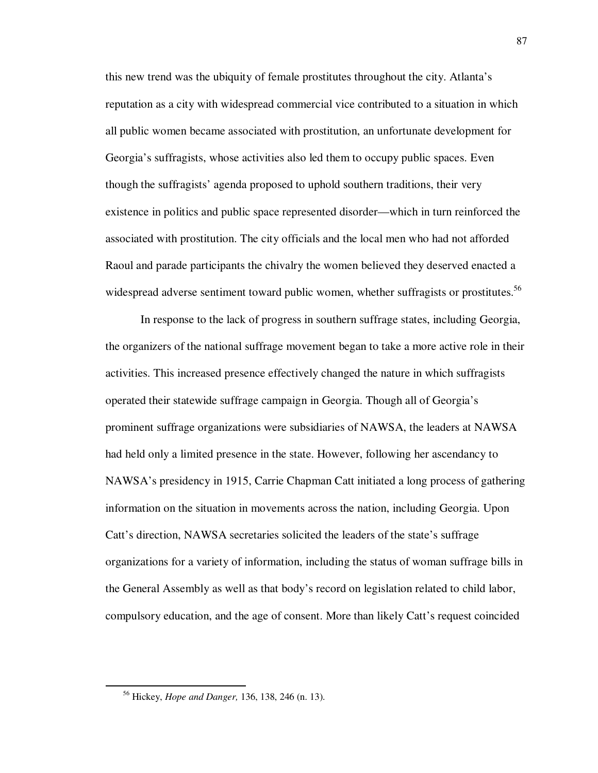this new trend was the ubiquity of female prostitutes throughout the city. Atlanta's reputation as a city with widespread commercial vice contributed to a situation in which all public women became associated with prostitution, an unfortunate development for Georgia's suffragists, whose activities also led them to occupy public spaces. Even though the suffragists' agenda proposed to uphold southern traditions, their very existence in politics and public space represented disorder—which in turn reinforced the associated with prostitution. The city officials and the local men who had not afforded Raoul and parade participants the chivalry the women believed they deserved enacted a widespread adverse sentiment toward public women, whether suffragists or prostitutes.<sup>56</sup>

In response to the lack of progress in southern suffrage states, including Georgia, the organizers of the national suffrage movement began to take a more active role in their activities. This increased presence effectively changed the nature in which suffragists operated their statewide suffrage campaign in Georgia. Though all of Georgia's prominent suffrage organizations were subsidiaries of NAWSA, the leaders at NAWSA had held only a limited presence in the state. However, following her ascendancy to NAWSA's presidency in 1915, Carrie Chapman Catt initiated a long process of gathering information on the situation in movements across the nation, including Georgia. Upon Catt's direction, NAWSA secretaries solicited the leaders of the state's suffrage organizations for a variety of information, including the status of woman suffrage bills in the General Assembly as well as that body's record on legislation related to child labor, compulsory education, and the age of consent. More than likely Catt's request coincided

<sup>56</sup> Hickey, *Hope and Danger,* 136, 138, 246 (n. 13).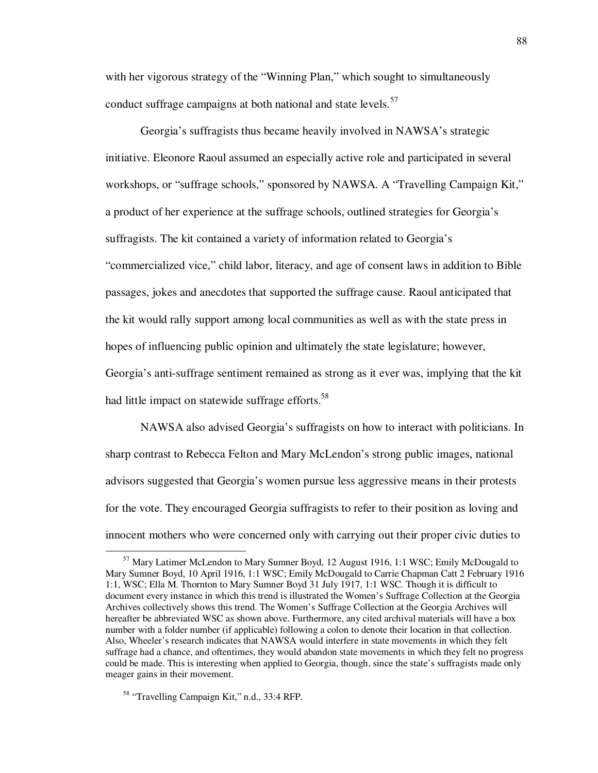with her vigorous strategy of the "Winning Plan," which sought to simultaneously conduct suffrage campaigns at both national and state levels.<sup>57</sup>

 Georgia's suffragists thus became heavily involved in NAWSA's strategic initiative. Eleonore Raoul assumed an especially active role and participated in several workshops, or "suffrage schools," sponsored by NAWSA. A "Travelling Campaign Kit," a product of her experience at the suffrage schools, outlined strategies for Georgia's suffragists. The kit contained a variety of information related to Georgia's "commercialized vice," child labor, literacy, and age of consent laws in addition to Bible passages, jokes and anecdotes that supported the suffrage cause. Raoul anticipated that the kit would rally support among local communities as well as with the state press in hopes of influencing public opinion and ultimately the state legislature; however, Georgia's anti-suffrage sentiment remained as strong as it ever was, implying that the kit had little impact on statewide suffrage efforts.<sup>58</sup>

 NAWSA also advised Georgia's suffragists on how to interact with politicians. In sharp contrast to Rebecca Felton and Mary McLendon's strong public images, national advisors suggested that Georgia's women pursue less aggressive means in their protests for the vote. They encouraged Georgia suffragists to refer to their position as loving and innocent mothers who were concerned only with carrying out their proper civic duties to

<sup>57</sup> Mary Latimer McLendon to Mary Sumner Boyd, 12 August 1916, 1:1 WSC; Emily McDougald to Mary Sumner Boyd, 10 April 1916, 1:1 WSC; Emily McDougald to Carrie Chapman Catt 2 February 1916 1:1, WSC; Ella M. Thornton to Mary Sumner Boyd 31 July 1917, 1:1 WSC. Though it is difficult to document every instance in which this trend is illustrated the Women's Suffrage Collection at the Georgia Archives collectively shows this trend. The Women's Suffrage Collection at the Georgia Archives will hereafter be abbreviated WSC as shown above. Furthermore, any cited archival materials will have a box number with a folder number (if applicable) following a colon to denote their location in that collection. Also, Wheeler's research indicates that NAWSA would interfere in state movements in which they felt suffrage had a chance, and oftentimes, they would abandon state movements in which they felt no progress could be made. This is interesting when applied to Georgia, though, since the state's suffragists made only meager gains in their movement.

<sup>58</sup> "Travelling Campaign Kit," n.d., 33:4 RFP.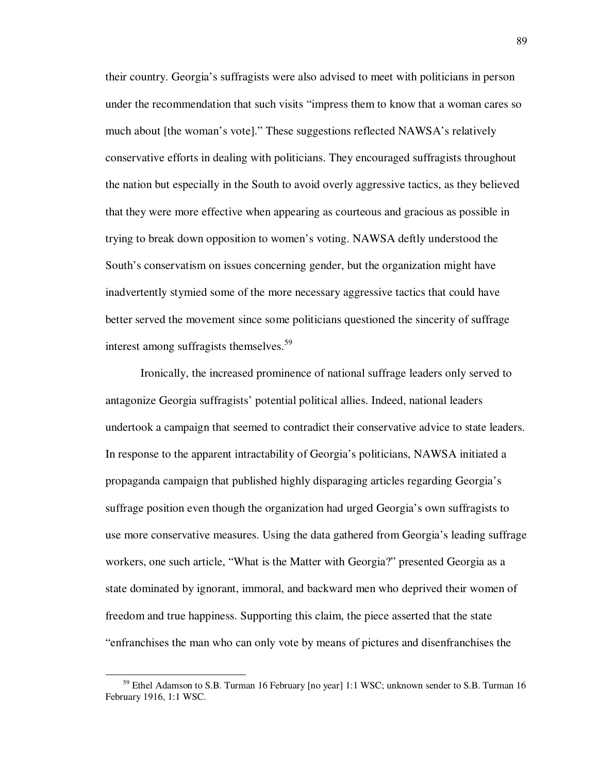their country. Georgia's suffragists were also advised to meet with politicians in person under the recommendation that such visits "impress them to know that a woman cares so much about [the woman's vote]." These suggestions reflected NAWSA's relatively conservative efforts in dealing with politicians. They encouraged suffragists throughout the nation but especially in the South to avoid overly aggressive tactics, as they believed that they were more effective when appearing as courteous and gracious as possible in trying to break down opposition to women's voting. NAWSA deftly understood the South's conservatism on issues concerning gender, but the organization might have inadvertently stymied some of the more necessary aggressive tactics that could have better served the movement since some politicians questioned the sincerity of suffrage interest among suffragists themselves.<sup>59</sup>

 Ironically, the increased prominence of national suffrage leaders only served to antagonize Georgia suffragists' potential political allies. Indeed, national leaders undertook a campaign that seemed to contradict their conservative advice to state leaders. In response to the apparent intractability of Georgia's politicians, NAWSA initiated a propaganda campaign that published highly disparaging articles regarding Georgia's suffrage position even though the organization had urged Georgia's own suffragists to use more conservative measures. Using the data gathered from Georgia's leading suffrage workers, one such article, "What is the Matter with Georgia?" presented Georgia as a state dominated by ignorant, immoral, and backward men who deprived their women of freedom and true happiness. Supporting this claim, the piece asserted that the state "enfranchises the man who can only vote by means of pictures and disenfranchises the

<sup>59</sup> Ethel Adamson to S.B. Turman 16 February [no year] 1:1 WSC; unknown sender to S.B. Turman 16 February 1916, 1:1 WSC.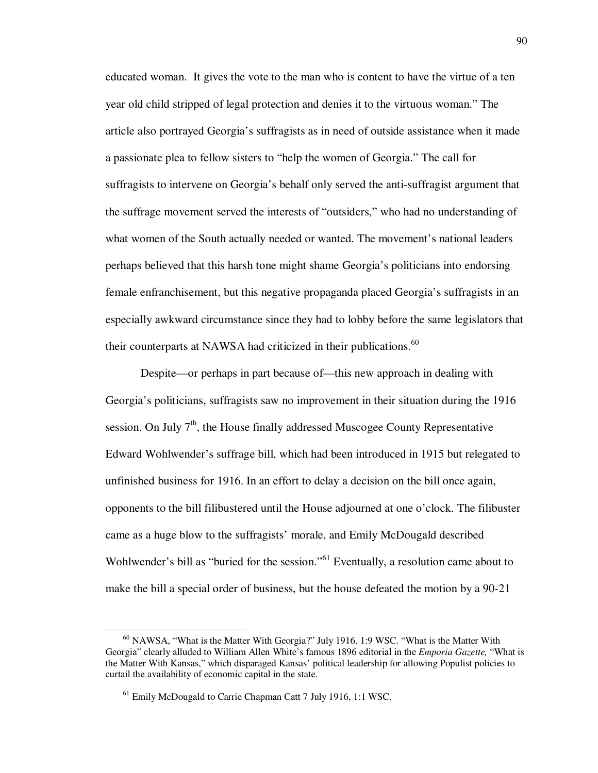educated woman. It gives the vote to the man who is content to have the virtue of a ten year old child stripped of legal protection and denies it to the virtuous woman." The article also portrayed Georgia's suffragists as in need of outside assistance when it made a passionate plea to fellow sisters to "help the women of Georgia." The call for suffragists to intervene on Georgia's behalf only served the anti-suffragist argument that the suffrage movement served the interests of "outsiders," who had no understanding of what women of the South actually needed or wanted. The movement's national leaders perhaps believed that this harsh tone might shame Georgia's politicians into endorsing female enfranchisement, but this negative propaganda placed Georgia's suffragists in an especially awkward circumstance since they had to lobby before the same legislators that their counterparts at NAWSA had criticized in their publications. $^{60}$ 

Despite—or perhaps in part because of—this new approach in dealing with Georgia's politicians, suffragists saw no improvement in their situation during the 1916 session. On July  $7<sup>th</sup>$ , the House finally addressed Muscogee County Representative Edward Wohlwender's suffrage bill, which had been introduced in 1915 but relegated to unfinished business for 1916. In an effort to delay a decision on the bill once again, opponents to the bill filibustered until the House adjourned at one o'clock. The filibuster came as a huge blow to the suffragists' morale, and Emily McDougald described Wohlwender's bill as "buried for the session."<sup>61</sup> Eventually, a resolution came about to make the bill a special order of business, but the house defeated the motion by a 90-21

 $60$  NAWSA, "What is the Matter With Georgia?" July 1916. 1:9 WSC. "What is the Matter With Georgia" clearly alluded to William Allen White's famous 1896 editorial in the *Emporia Gazette,* "What is the Matter With Kansas," which disparaged Kansas' political leadership for allowing Populist policies to curtail the availability of economic capital in the state.

<sup>&</sup>lt;sup>61</sup> Emily McDougald to Carrie Chapman Catt 7 July 1916, 1:1 WSC.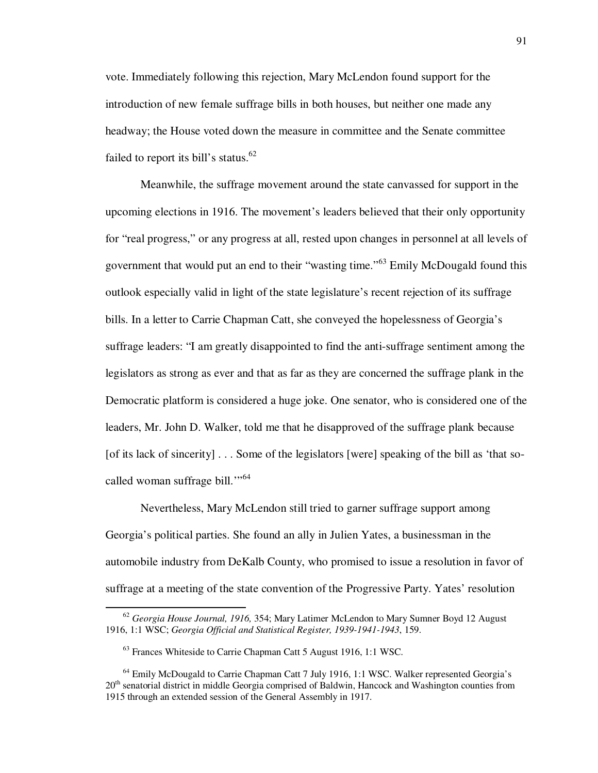vote. Immediately following this rejection, Mary McLendon found support for the introduction of new female suffrage bills in both houses, but neither one made any headway; the House voted down the measure in committee and the Senate committee failed to report its bill's status.<sup>62</sup>

 Meanwhile, the suffrage movement around the state canvassed for support in the upcoming elections in 1916. The movement's leaders believed that their only opportunity for "real progress," or any progress at all, rested upon changes in personnel at all levels of government that would put an end to their "wasting time."<sup>63</sup> Emily McDougald found this outlook especially valid in light of the state legislature's recent rejection of its suffrage bills. In a letter to Carrie Chapman Catt, she conveyed the hopelessness of Georgia's suffrage leaders: "I am greatly disappointed to find the anti-suffrage sentiment among the legislators as strong as ever and that as far as they are concerned the suffrage plank in the Democratic platform is considered a huge joke. One senator, who is considered one of the leaders, Mr. John D. Walker, told me that he disapproved of the suffrage plank because [of its lack of sincerity] . . . Some of the legislators [were] speaking of the bill as 'that socalled woman suffrage bill."<sup>64</sup>

 Nevertheless, Mary McLendon still tried to garner suffrage support among Georgia's political parties. She found an ally in Julien Yates, a businessman in the automobile industry from DeKalb County, who promised to issue a resolution in favor of suffrage at a meeting of the state convention of the Progressive Party. Yates' resolution

<sup>62</sup> *Georgia House Journal, 1916,* 354; Mary Latimer McLendon to Mary Sumner Boyd 12 August 1916, 1:1 WSC; *Georgia Official and Statistical Register, 1939-1941-1943*, 159.

<sup>63</sup> Frances Whiteside to Carrie Chapman Catt 5 August 1916, 1:1 WSC.

<sup>&</sup>lt;sup>64</sup> Emily McDougald to Carrie Chapman Catt 7 July 1916, 1:1 WSC. Walker represented Georgia's  $20<sup>th</sup>$  senatorial district in middle Georgia comprised of Baldwin, Hancock and Washington counties from 1915 through an extended session of the General Assembly in 1917.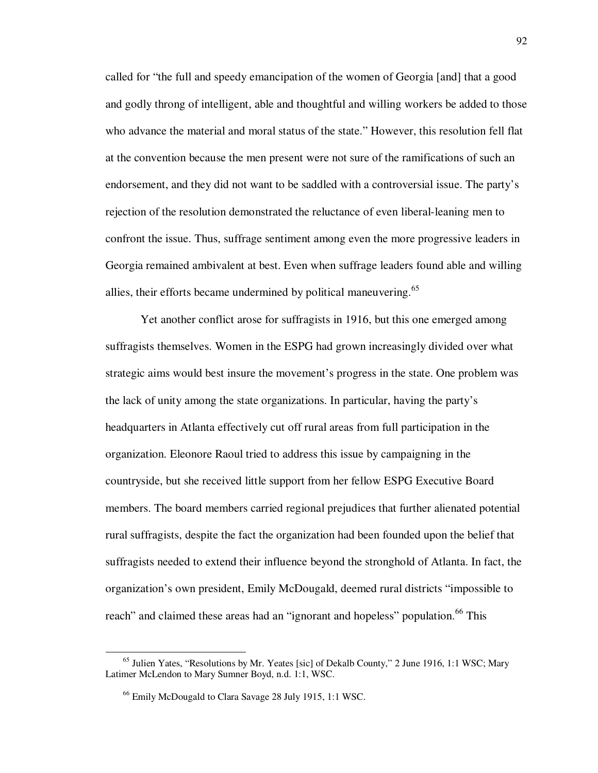called for "the full and speedy emancipation of the women of Georgia [and] that a good and godly throng of intelligent, able and thoughtful and willing workers be added to those who advance the material and moral status of the state." However, this resolution fell flat at the convention because the men present were not sure of the ramifications of such an endorsement, and they did not want to be saddled with a controversial issue. The party's rejection of the resolution demonstrated the reluctance of even liberal-leaning men to confront the issue. Thus, suffrage sentiment among even the more progressive leaders in Georgia remained ambivalent at best. Even when suffrage leaders found able and willing allies, their efforts became undermined by political maneuvering.<sup>65</sup>

Yet another conflict arose for suffragists in 1916, but this one emerged among suffragists themselves. Women in the ESPG had grown increasingly divided over what strategic aims would best insure the movement's progress in the state. One problem was the lack of unity among the state organizations. In particular, having the party's headquarters in Atlanta effectively cut off rural areas from full participation in the organization. Eleonore Raoul tried to address this issue by campaigning in the countryside, but she received little support from her fellow ESPG Executive Board members. The board members carried regional prejudices that further alienated potential rural suffragists, despite the fact the organization had been founded upon the belief that suffragists needed to extend their influence beyond the stronghold of Atlanta. In fact, the organization's own president, Emily McDougald, deemed rural districts "impossible to reach" and claimed these areas had an "ignorant and hopeless" population.<sup>66</sup> This

<sup>65</sup> Julien Yates, "Resolutions by Mr. Yeates [sic] of Dekalb County," 2 June 1916, 1:1 WSC; Mary Latimer McLendon to Mary Sumner Boyd, n.d. 1:1, WSC.

<sup>66</sup> Emily McDougald to Clara Savage 28 July 1915, 1:1 WSC.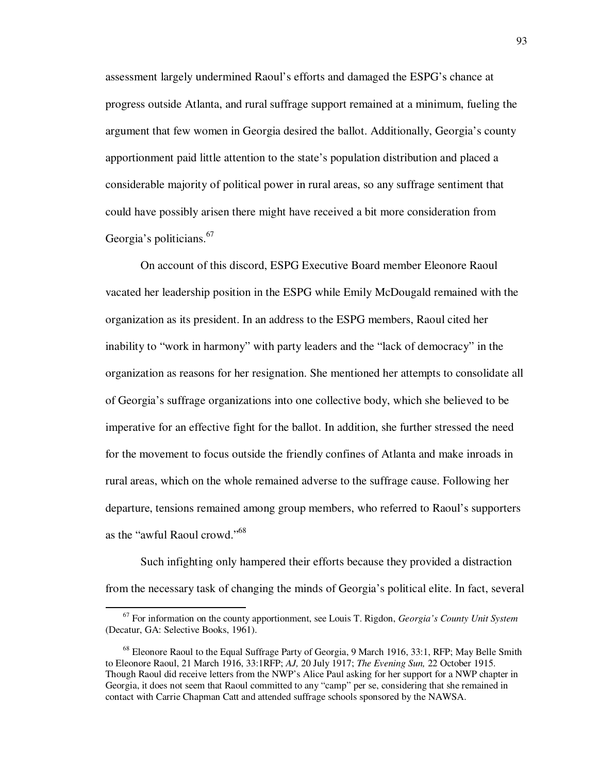assessment largely undermined Raoul's efforts and damaged the ESPG's chance at progress outside Atlanta, and rural suffrage support remained at a minimum, fueling the argument that few women in Georgia desired the ballot. Additionally, Georgia's county apportionment paid little attention to the state's population distribution and placed a considerable majority of political power in rural areas, so any suffrage sentiment that could have possibly arisen there might have received a bit more consideration from Georgia's politicians.<sup>67</sup>

 On account of this discord, ESPG Executive Board member Eleonore Raoul vacated her leadership position in the ESPG while Emily McDougald remained with the organization as its president. In an address to the ESPG members, Raoul cited her inability to "work in harmony" with party leaders and the "lack of democracy" in the organization as reasons for her resignation. She mentioned her attempts to consolidate all of Georgia's suffrage organizations into one collective body, which she believed to be imperative for an effective fight for the ballot. In addition, she further stressed the need for the movement to focus outside the friendly confines of Atlanta and make inroads in rural areas, which on the whole remained adverse to the suffrage cause. Following her departure, tensions remained among group members, who referred to Raoul's supporters as the "awful Raoul crowd."<sup>68</sup>

Such infighting only hampered their efforts because they provided a distraction from the necessary task of changing the minds of Georgia's political elite. In fact, several

<sup>67</sup> For information on the county apportionment, see Louis T. Rigdon, *Georgia's County Unit System*  (Decatur, GA: Selective Books, 1961).

<sup>&</sup>lt;sup>68</sup> Eleonore Raoul to the Equal Suffrage Party of Georgia, 9 March 1916, 33:1, RFP; May Belle Smith to Eleonore Raoul, 21 March 1916, 33:1RFP; *AJ,* 20 July 1917; *The Evening Sun,* 22 October 1915. Though Raoul did receive letters from the NWP's Alice Paul asking for her support for a NWP chapter in Georgia, it does not seem that Raoul committed to any "camp" per se, considering that she remained in contact with Carrie Chapman Catt and attended suffrage schools sponsored by the NAWSA.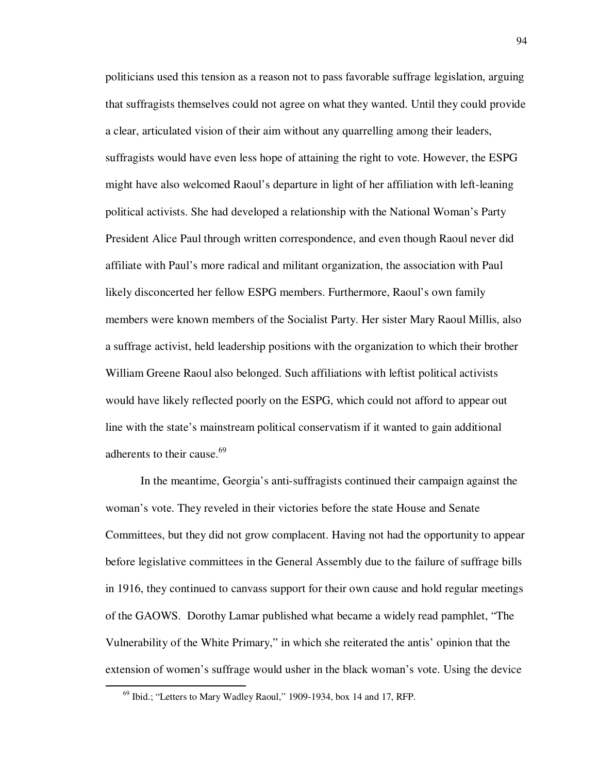politicians used this tension as a reason not to pass favorable suffrage legislation, arguing that suffragists themselves could not agree on what they wanted. Until they could provide a clear, articulated vision of their aim without any quarrelling among their leaders, suffragists would have even less hope of attaining the right to vote. However, the ESPG might have also welcomed Raoul's departure in light of her affiliation with left-leaning political activists. She had developed a relationship with the National Woman's Party President Alice Paul through written correspondence, and even though Raoul never did affiliate with Paul's more radical and militant organization, the association with Paul likely disconcerted her fellow ESPG members. Furthermore, Raoul's own family members were known members of the Socialist Party. Her sister Mary Raoul Millis, also a suffrage activist, held leadership positions with the organization to which their brother William Greene Raoul also belonged. Such affiliations with leftist political activists would have likely reflected poorly on the ESPG, which could not afford to appear out line with the state's mainstream political conservatism if it wanted to gain additional adherents to their cause.<sup>69</sup>

In the meantime, Georgia's anti-suffragists continued their campaign against the woman's vote. They reveled in their victories before the state House and Senate Committees, but they did not grow complacent. Having not had the opportunity to appear before legislative committees in the General Assembly due to the failure of suffrage bills in 1916, they continued to canvass support for their own cause and hold regular meetings of the GAOWS. Dorothy Lamar published what became a widely read pamphlet, "The Vulnerability of the White Primary," in which she reiterated the antis' opinion that the extension of women's suffrage would usher in the black woman's vote. Using the device

 $^{69}$  Ibid.; "Letters to Mary Wadley Raoul," 1909-1934, box 14 and 17, RFP.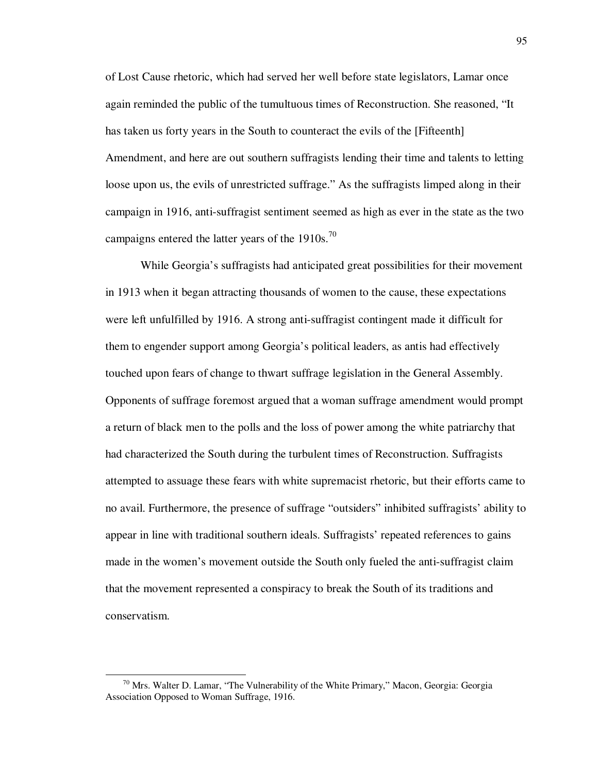of Lost Cause rhetoric, which had served her well before state legislators, Lamar once again reminded the public of the tumultuous times of Reconstruction. She reasoned, "It has taken us forty years in the South to counteract the evils of the [Fifteenth] Amendment, and here are out southern suffragists lending their time and talents to letting loose upon us, the evils of unrestricted suffrage." As the suffragists limped along in their campaign in 1916, anti-suffragist sentiment seemed as high as ever in the state as the two campaigns entered the latter years of the  $1910s$ .<sup>70</sup>

 While Georgia's suffragists had anticipated great possibilities for their movement in 1913 when it began attracting thousands of women to the cause, these expectations were left unfulfilled by 1916. A strong anti-suffragist contingent made it difficult for them to engender support among Georgia's political leaders, as antis had effectively touched upon fears of change to thwart suffrage legislation in the General Assembly. Opponents of suffrage foremost argued that a woman suffrage amendment would prompt a return of black men to the polls and the loss of power among the white patriarchy that had characterized the South during the turbulent times of Reconstruction. Suffragists attempted to assuage these fears with white supremacist rhetoric, but their efforts came to no avail. Furthermore, the presence of suffrage "outsiders" inhibited suffragists' ability to appear in line with traditional southern ideals. Suffragists' repeated references to gains made in the women's movement outside the South only fueled the anti-suffragist claim that the movement represented a conspiracy to break the South of its traditions and conservatism.

 $^{70}$  Mrs. Walter D. Lamar, "The Vulnerability of the White Primary," Macon, Georgia: Georgia Association Opposed to Woman Suffrage, 1916.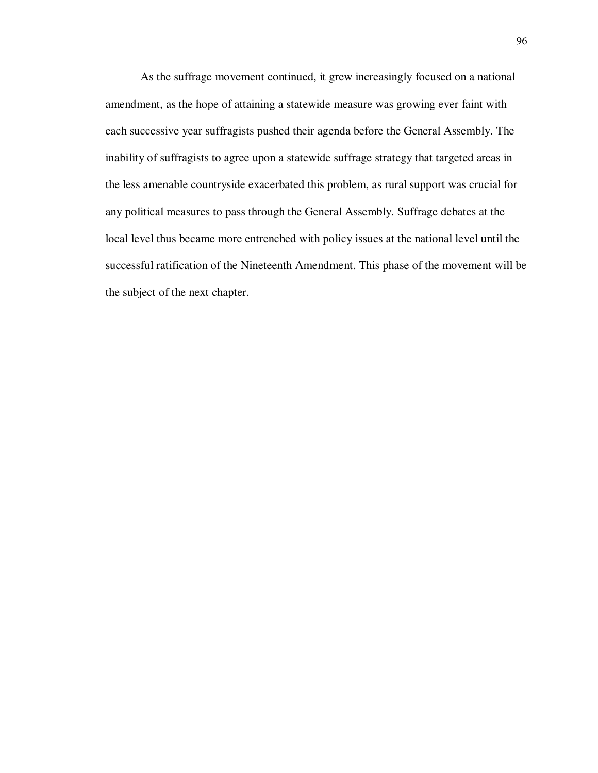As the suffrage movement continued, it grew increasingly focused on a national amendment, as the hope of attaining a statewide measure was growing ever faint with each successive year suffragists pushed their agenda before the General Assembly. The inability of suffragists to agree upon a statewide suffrage strategy that targeted areas in the less amenable countryside exacerbated this problem, as rural support was crucial for any political measures to pass through the General Assembly. Suffrage debates at the local level thus became more entrenched with policy issues at the national level until the successful ratification of the Nineteenth Amendment. This phase of the movement will be the subject of the next chapter.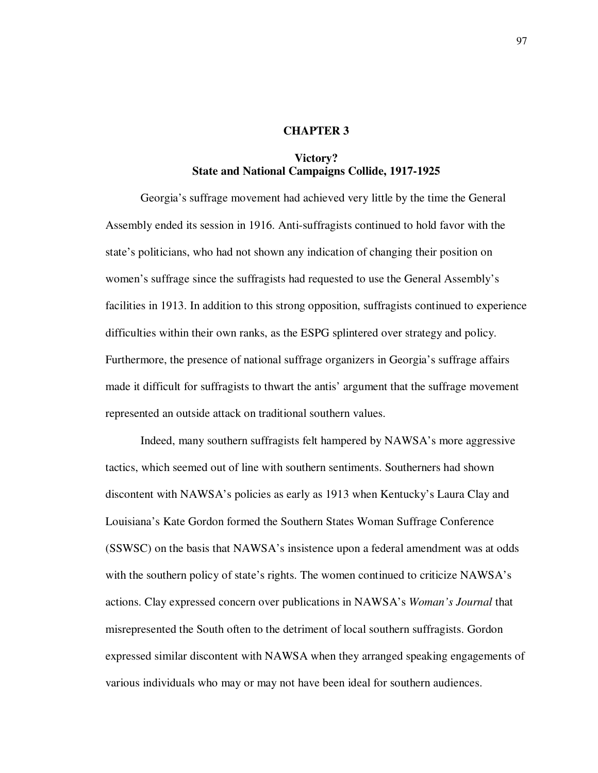## **CHAPTER 3**

## **Victory? State and National Campaigns Collide, 1917-1925**

Georgia's suffrage movement had achieved very little by the time the General Assembly ended its session in 1916. Anti-suffragists continued to hold favor with the state's politicians, who had not shown any indication of changing their position on women's suffrage since the suffragists had requested to use the General Assembly's facilities in 1913. In addition to this strong opposition, suffragists continued to experience difficulties within their own ranks, as the ESPG splintered over strategy and policy. Furthermore, the presence of national suffrage organizers in Georgia's suffrage affairs made it difficult for suffragists to thwart the antis' argument that the suffrage movement represented an outside attack on traditional southern values.

Indeed, many southern suffragists felt hampered by NAWSA's more aggressive tactics, which seemed out of line with southern sentiments. Southerners had shown discontent with NAWSA's policies as early as 1913 when Kentucky's Laura Clay and Louisiana's Kate Gordon formed the Southern States Woman Suffrage Conference (SSWSC) on the basis that NAWSA's insistence upon a federal amendment was at odds with the southern policy of state's rights. The women continued to criticize NAWSA's actions. Clay expressed concern over publications in NAWSA's *Woman's Journal* that misrepresented the South often to the detriment of local southern suffragists. Gordon expressed similar discontent with NAWSA when they arranged speaking engagements of various individuals who may or may not have been ideal for southern audiences.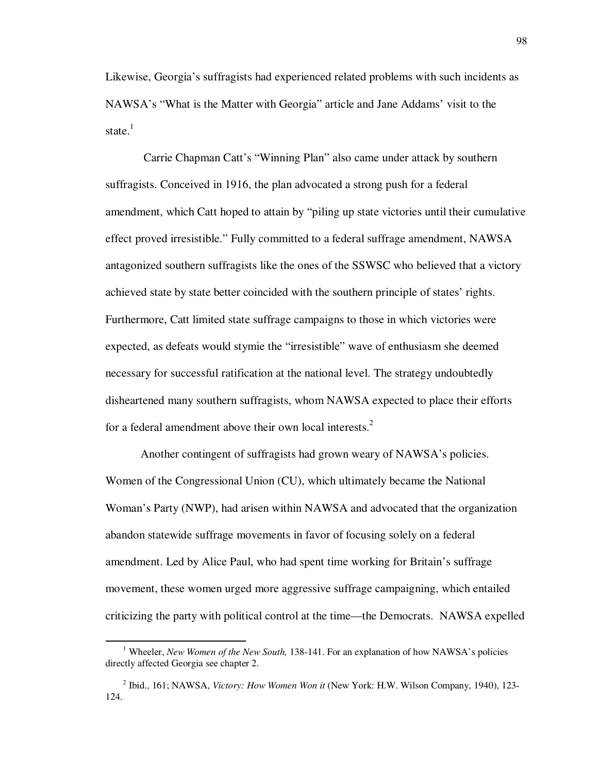Likewise, Georgia's suffragists had experienced related problems with such incidents as NAWSA's "What is the Matter with Georgia" article and Jane Addams' visit to the state.<sup>1</sup>

 Carrie Chapman Catt's "Winning Plan" also came under attack by southern suffragists. Conceived in 1916, the plan advocated a strong push for a federal amendment, which Catt hoped to attain by "piling up state victories until their cumulative effect proved irresistible." Fully committed to a federal suffrage amendment, NAWSA antagonized southern suffragists like the ones of the SSWSC who believed that a victory achieved state by state better coincided with the southern principle of states' rights. Furthermore, Catt limited state suffrage campaigns to those in which victories were expected, as defeats would stymie the "irresistible" wave of enthusiasm she deemed necessary for successful ratification at the national level. The strategy undoubtedly disheartened many southern suffragists, whom NAWSA expected to place their efforts for a federal amendment above their own local interests.<sup>2</sup>

Another contingent of suffragists had grown weary of NAWSA's policies. Women of the Congressional Union (CU), which ultimately became the National Woman's Party (NWP), had arisen within NAWSA and advocated that the organization abandon statewide suffrage movements in favor of focusing solely on a federal amendment. Led by Alice Paul, who had spent time working for Britain's suffrage movement, these women urged more aggressive suffrage campaigning, which entailed criticizing the party with political control at the time—the Democrats. NAWSA expelled

<sup>&</sup>lt;sup>1</sup> Wheeler, *New Women of the New South*, 138-141. For an explanation of how NAWSA's policies directly affected Georgia see chapter 2.

<sup>2</sup> Ibid., 161; NAWSA, *Victory: How Women Won it* (New York: H.W. Wilson Company, 1940), 123- 124.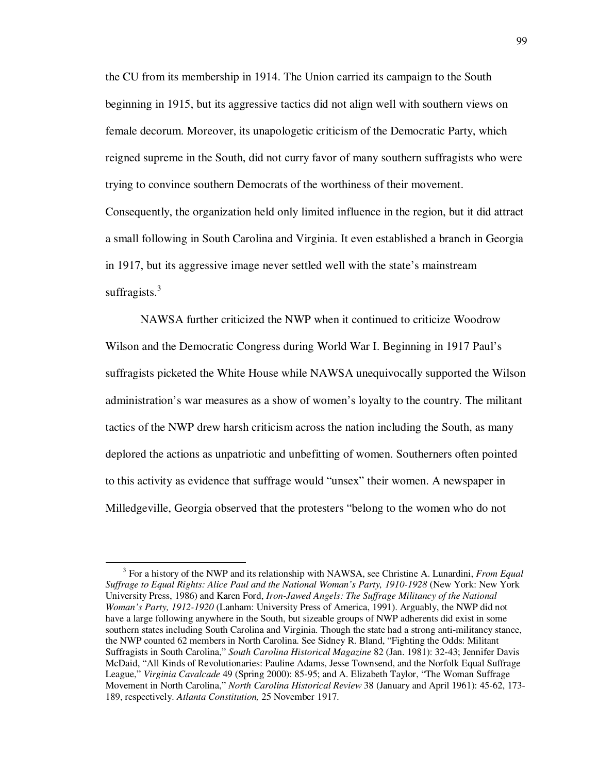the CU from its membership in 1914. The Union carried its campaign to the South beginning in 1915, but its aggressive tactics did not align well with southern views on female decorum. Moreover, its unapologetic criticism of the Democratic Party, which reigned supreme in the South, did not curry favor of many southern suffragists who were trying to convince southern Democrats of the worthiness of their movement. Consequently, the organization held only limited influence in the region, but it did attract a small following in South Carolina and Virginia. It even established a branch in Georgia in 1917, but its aggressive image never settled well with the state's mainstream suffragists.<sup>3</sup>

 NAWSA further criticized the NWP when it continued to criticize Woodrow Wilson and the Democratic Congress during World War I. Beginning in 1917 Paul's suffragists picketed the White House while NAWSA unequivocally supported the Wilson administration's war measures as a show of women's loyalty to the country. The militant tactics of the NWP drew harsh criticism across the nation including the South, as many deplored the actions as unpatriotic and unbefitting of women. Southerners often pointed to this activity as evidence that suffrage would "unsex" their women. A newspaper in Milledgeville, Georgia observed that the protesters "belong to the women who do not

<sup>3</sup> For a history of the NWP and its relationship with NAWSA, see Christine A. Lunardini, *From Equal Suffrage to Equal Rights: Alice Paul and the National Woman's Party, 1910-1928* (New York: New York University Press, 1986) and Karen Ford, *Iron-Jawed Angels: The Suffrage Militancy of the National Woman's Party, 1912-1920* (Lanham: University Press of America, 1991). Arguably, the NWP did not have a large following anywhere in the South, but sizeable groups of NWP adherents did exist in some southern states including South Carolina and Virginia. Though the state had a strong anti-militancy stance, the NWP counted 62 members in North Carolina. See Sidney R. Bland, "Fighting the Odds: Militant Suffragists in South Carolina," *South Carolina Historical Magazine* 82 (Jan. 1981): 32-43; Jennifer Davis McDaid, "All Kinds of Revolutionaries: Pauline Adams, Jesse Townsend, and the Norfolk Equal Suffrage League," *Virginia Cavalcade* 49 (Spring 2000): 85-95; and A. Elizabeth Taylor, "The Woman Suffrage Movement in North Carolina," *North Carolina Historical Review* 38 (January and April 1961): 45-62, 173- 189, respectively. *Atlanta Constitution,* 25 November 1917.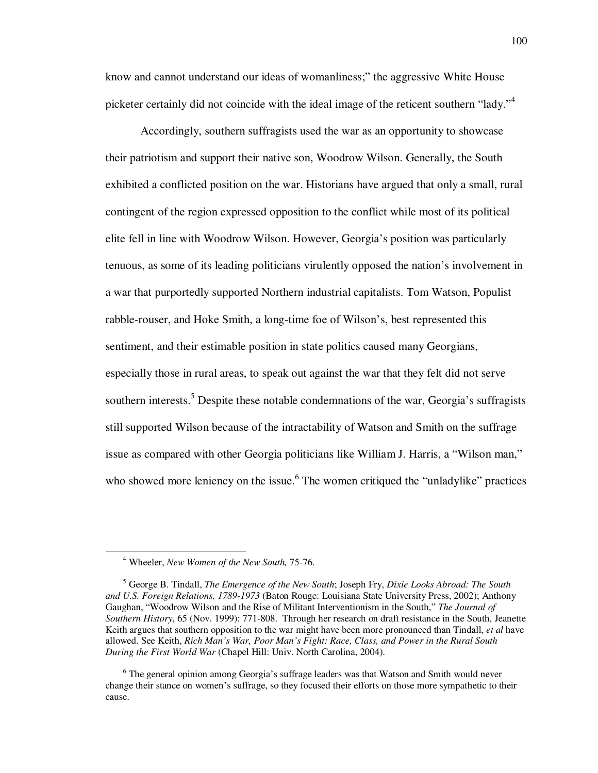know and cannot understand our ideas of womanliness;" the aggressive White House picketer certainly did not coincide with the ideal image of the reticent southern "lady."<sup>4</sup>

Accordingly, southern suffragists used the war as an opportunity to showcase their patriotism and support their native son, Woodrow Wilson. Generally, the South exhibited a conflicted position on the war. Historians have argued that only a small, rural contingent of the region expressed opposition to the conflict while most of its political elite fell in line with Woodrow Wilson. However, Georgia's position was particularly tenuous, as some of its leading politicians virulently opposed the nation's involvement in a war that purportedly supported Northern industrial capitalists. Tom Watson, Populist rabble-rouser, and Hoke Smith, a long-time foe of Wilson's, best represented this sentiment, and their estimable position in state politics caused many Georgians, especially those in rural areas, to speak out against the war that they felt did not serve southern interests.<sup>5</sup> Despite these notable condemnations of the war, Georgia's suffragists still supported Wilson because of the intractability of Watson and Smith on the suffrage issue as compared with other Georgia politicians like William J. Harris, a "Wilson man," who showed more leniency on the issue.<sup>6</sup> The women critiqued the "unladylike" practices

<sup>4</sup> Wheeler, *New Women of the New South,* 75-76.

<sup>5</sup> George B. Tindall, *The Emergence of the New South*; Joseph Fry, *Dixie Looks Abroad: The South and U.S. Foreign Relations, 1789-1973* (Baton Rouge: Louisiana State University Press, 2002); Anthony Gaughan, "Woodrow Wilson and the Rise of Militant Interventionism in the South," *The Journal of Southern History*, 65 (Nov. 1999): 771-808. Through her research on draft resistance in the South, Jeanette Keith argues that southern opposition to the war might have been more pronounced than Tindall, *et al* have allowed. See Keith, *Rich Man's War, Poor Man's Fight: Race, Class, and Power in the Rural South During the First World War* (Chapel Hill: Univ. North Carolina, 2004).

<sup>&</sup>lt;sup>6</sup> The general opinion among Georgia's suffrage leaders was that Watson and Smith would never change their stance on women's suffrage, so they focused their efforts on those more sympathetic to their cause.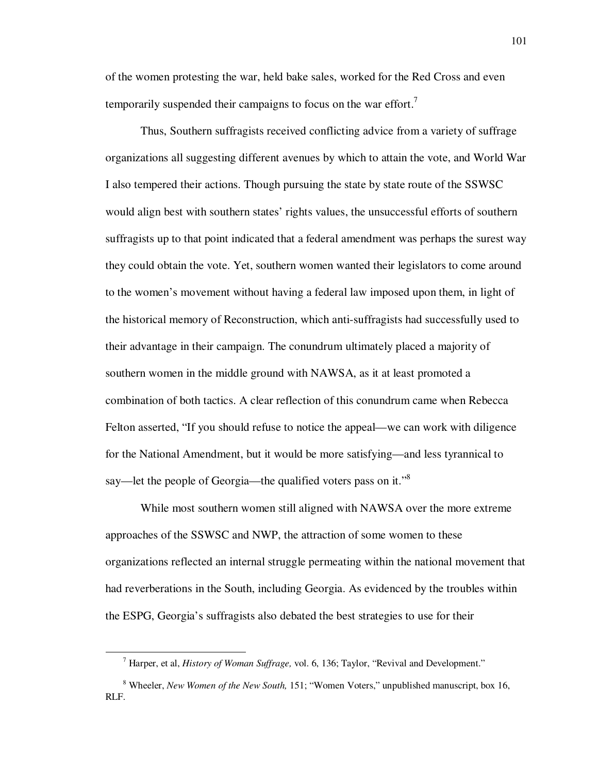of the women protesting the war, held bake sales, worked for the Red Cross and even temporarily suspended their campaigns to focus on the war effort.<sup>7</sup>

Thus, Southern suffragists received conflicting advice from a variety of suffrage organizations all suggesting different avenues by which to attain the vote, and World War I also tempered their actions. Though pursuing the state by state route of the SSWSC would align best with southern states' rights values, the unsuccessful efforts of southern suffragists up to that point indicated that a federal amendment was perhaps the surest way they could obtain the vote. Yet, southern women wanted their legislators to come around to the women's movement without having a federal law imposed upon them, in light of the historical memory of Reconstruction, which anti-suffragists had successfully used to their advantage in their campaign. The conundrum ultimately placed a majority of southern women in the middle ground with NAWSA, as it at least promoted a combination of both tactics. A clear reflection of this conundrum came when Rebecca Felton asserted, "If you should refuse to notice the appeal—we can work with diligence for the National Amendment, but it would be more satisfying—and less tyrannical to say—let the people of Georgia—the qualified voters pass on it."<sup>8</sup>

While most southern women still aligned with NAWSA over the more extreme approaches of the SSWSC and NWP, the attraction of some women to these organizations reflected an internal struggle permeating within the national movement that had reverberations in the South, including Georgia. As evidenced by the troubles within the ESPG, Georgia's suffragists also debated the best strategies to use for their

<sup>7</sup> Harper, et al, *History of Woman Suffrage,* vol. 6, 136; Taylor, "Revival and Development."

<sup>&</sup>lt;sup>8</sup> Wheeler, *New Women of the New South*, 151; "Women Voters," unpublished manuscript, box 16, RLF.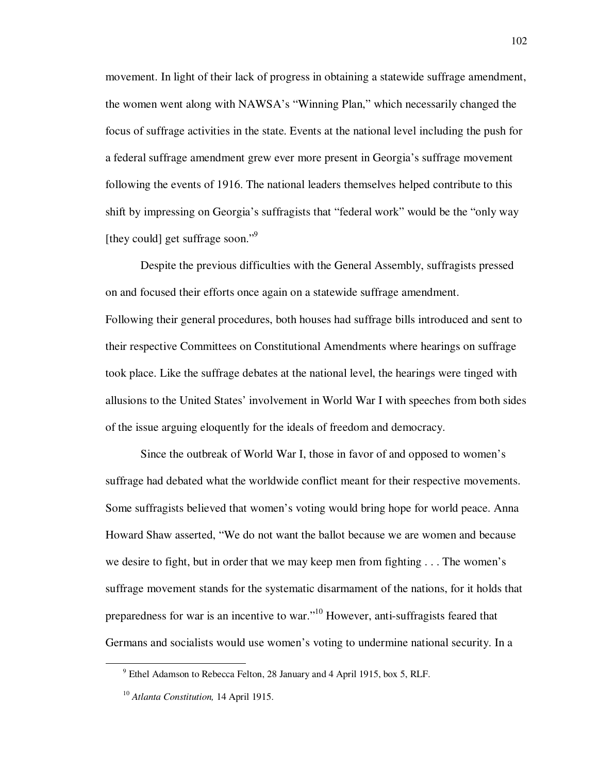movement. In light of their lack of progress in obtaining a statewide suffrage amendment, the women went along with NAWSA's "Winning Plan," which necessarily changed the focus of suffrage activities in the state. Events at the national level including the push for a federal suffrage amendment grew ever more present in Georgia's suffrage movement following the events of 1916. The national leaders themselves helped contribute to this shift by impressing on Georgia's suffragists that "federal work" would be the "only way [they could] get suffrage soon."<sup>9</sup>

Despite the previous difficulties with the General Assembly, suffragists pressed on and focused their efforts once again on a statewide suffrage amendment. Following their general procedures, both houses had suffrage bills introduced and sent to their respective Committees on Constitutional Amendments where hearings on suffrage took place. Like the suffrage debates at the national level, the hearings were tinged with allusions to the United States' involvement in World War I with speeches from both sides of the issue arguing eloquently for the ideals of freedom and democracy.

Since the outbreak of World War I, those in favor of and opposed to women's suffrage had debated what the worldwide conflict meant for their respective movements. Some suffragists believed that women's voting would bring hope for world peace. Anna Howard Shaw asserted, "We do not want the ballot because we are women and because we desire to fight, but in order that we may keep men from fighting . . . The women's suffrage movement stands for the systematic disarmament of the nations, for it holds that preparedness for war is an incentive to war."<sup>10</sup> However, anti-suffragists feared that Germans and socialists would use women's voting to undermine national security. In a

<sup>&</sup>lt;sup>9</sup> Ethel Adamson to Rebecca Felton, 28 January and 4 April 1915, box 5, RLF.

<sup>10</sup> *Atlanta Constitution,* 14 April 1915.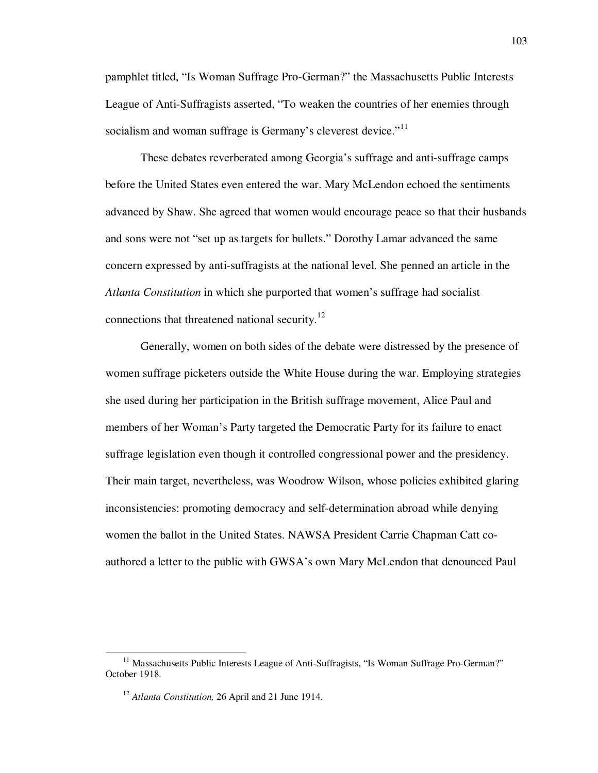pamphlet titled, "Is Woman Suffrage Pro-German?" the Massachusetts Public Interests League of Anti-Suffragists asserted, "To weaken the countries of her enemies through socialism and woman suffrage is Germany's cleverest device."<sup>11</sup>

These debates reverberated among Georgia's suffrage and anti-suffrage camps before the United States even entered the war. Mary McLendon echoed the sentiments advanced by Shaw. She agreed that women would encourage peace so that their husbands and sons were not "set up as targets for bullets." Dorothy Lamar advanced the same concern expressed by anti-suffragists at the national level. She penned an article in the *Atlanta Constitution* in which she purported that women's suffrage had socialist connections that threatened national security.<sup>12</sup>

Generally, women on both sides of the debate were distressed by the presence of women suffrage picketers outside the White House during the war. Employing strategies she used during her participation in the British suffrage movement, Alice Paul and members of her Woman's Party targeted the Democratic Party for its failure to enact suffrage legislation even though it controlled congressional power and the presidency. Their main target, nevertheless, was Woodrow Wilson, whose policies exhibited glaring inconsistencies: promoting democracy and self-determination abroad while denying women the ballot in the United States. NAWSA President Carrie Chapman Catt coauthored a letter to the public with GWSA's own Mary McLendon that denounced Paul

<sup>&</sup>lt;sup>11</sup> Massachusetts Public Interests League of Anti-Suffragists, "Is Woman Suffrage Pro-German?" October 1918.

<sup>12</sup> *Atlanta Constitution,* 26 April and 21 June 1914.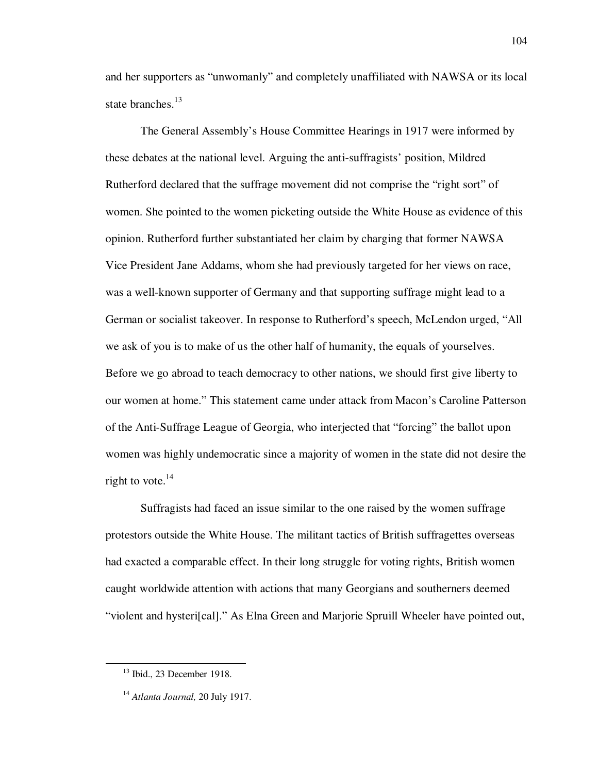and her supporters as "unwomanly" and completely unaffiliated with NAWSA or its local state branches.<sup>13</sup>

The General Assembly's House Committee Hearings in 1917 were informed by these debates at the national level. Arguing the anti-suffragists' position, Mildred Rutherford declared that the suffrage movement did not comprise the "right sort" of women. She pointed to the women picketing outside the White House as evidence of this opinion. Rutherford further substantiated her claim by charging that former NAWSA Vice President Jane Addams, whom she had previously targeted for her views on race, was a well-known supporter of Germany and that supporting suffrage might lead to a German or socialist takeover. In response to Rutherford's speech, McLendon urged, "All we ask of you is to make of us the other half of humanity, the equals of yourselves. Before we go abroad to teach democracy to other nations, we should first give liberty to our women at home." This statement came under attack from Macon's Caroline Patterson of the Anti-Suffrage League of Georgia, who interjected that "forcing" the ballot upon women was highly undemocratic since a majority of women in the state did not desire the right to vote. $^{14}$ 

Suffragists had faced an issue similar to the one raised by the women suffrage protestors outside the White House. The militant tactics of British suffragettes overseas had exacted a comparable effect. In their long struggle for voting rights, British women caught worldwide attention with actions that many Georgians and southerners deemed "violent and hysteri[cal]." As Elna Green and Marjorie Spruill Wheeler have pointed out,

<sup>13</sup> Ibid., 23 December 1918.

<sup>14</sup> *Atlanta Journal,* 20 July 1917.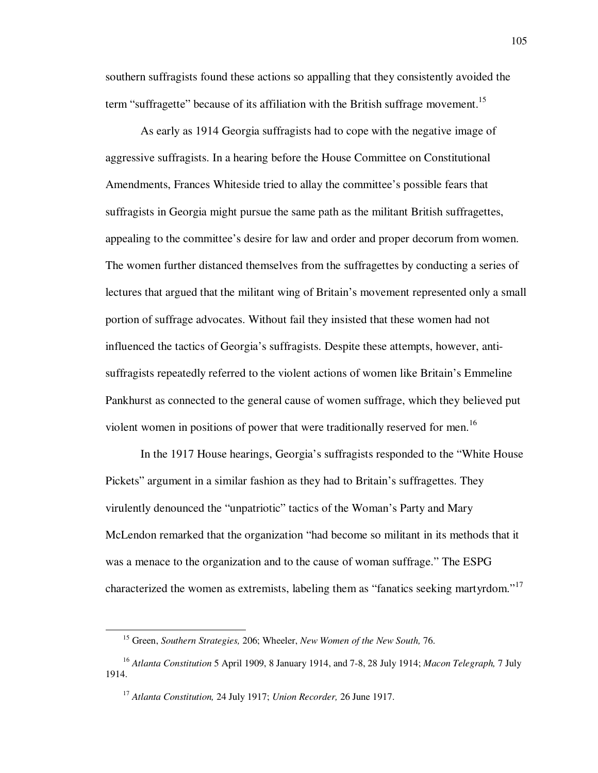southern suffragists found these actions so appalling that they consistently avoided the term "suffragette" because of its affiliation with the British suffrage movement.<sup>15</sup>

As early as 1914 Georgia suffragists had to cope with the negative image of aggressive suffragists. In a hearing before the House Committee on Constitutional Amendments, Frances Whiteside tried to allay the committee's possible fears that suffragists in Georgia might pursue the same path as the militant British suffragettes, appealing to the committee's desire for law and order and proper decorum from women. The women further distanced themselves from the suffragettes by conducting a series of lectures that argued that the militant wing of Britain's movement represented only a small portion of suffrage advocates. Without fail they insisted that these women had not influenced the tactics of Georgia's suffragists. Despite these attempts, however, antisuffragists repeatedly referred to the violent actions of women like Britain's Emmeline Pankhurst as connected to the general cause of women suffrage, which they believed put violent women in positions of power that were traditionally reserved for men.<sup>16</sup>

In the 1917 House hearings, Georgia's suffragists responded to the "White House Pickets" argument in a similar fashion as they had to Britain's suffragettes. They virulently denounced the "unpatriotic" tactics of the Woman's Party and Mary McLendon remarked that the organization "had become so militant in its methods that it was a menace to the organization and to the cause of woman suffrage." The ESPG characterized the women as extremists, labeling them as "fanatics seeking martyrdom."<sup>17</sup>

<sup>15</sup> Green, *Southern Strategies,* 206; Wheeler, *New Women of the New South,* 76.

<sup>16</sup> *Atlanta Constitution* 5 April 1909, 8 January 1914, and 7-8, 28 July 1914; *Macon Telegraph,* 7 July 1914.

<sup>17</sup> *Atlanta Constitution,* 24 July 1917; *Union Recorder,* 26 June 1917.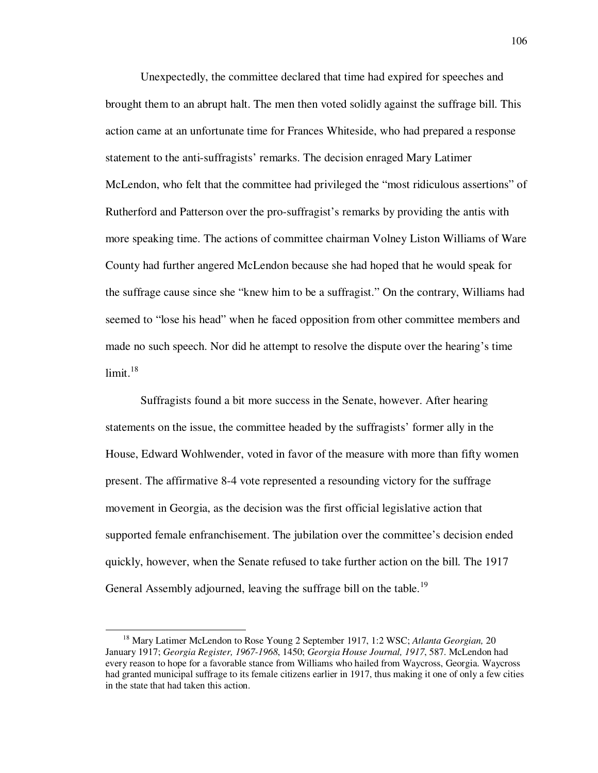Unexpectedly, the committee declared that time had expired for speeches and brought them to an abrupt halt. The men then voted solidly against the suffrage bill. This action came at an unfortunate time for Frances Whiteside, who had prepared a response statement to the anti-suffragists' remarks. The decision enraged Mary Latimer McLendon, who felt that the committee had privileged the "most ridiculous assertions" of Rutherford and Patterson over the pro-suffragist's remarks by providing the antis with more speaking time. The actions of committee chairman Volney Liston Williams of Ware County had further angered McLendon because she had hoped that he would speak for the suffrage cause since she "knew him to be a suffragist." On the contrary, Williams had seemed to "lose his head" when he faced opposition from other committee members and made no such speech. Nor did he attempt to resolve the dispute over the hearing's time  $limit.<sup>18</sup>$ 

 Suffragists found a bit more success in the Senate, however. After hearing statements on the issue, the committee headed by the suffragists' former ally in the House, Edward Wohlwender, voted in favor of the measure with more than fifty women present. The affirmative 8-4 vote represented a resounding victory for the suffrage movement in Georgia, as the decision was the first official legislative action that supported female enfranchisement. The jubilation over the committee's decision ended quickly, however, when the Senate refused to take further action on the bill. The 1917 General Assembly adjourned, leaving the suffrage bill on the table.<sup>19</sup>

<sup>18</sup> Mary Latimer McLendon to Rose Young 2 September 1917, 1:2 WSC; *Atlanta Georgian,* 20 January 1917; *Georgia Register, 1967-1968*, 1450; *Georgia House Journal, 1917*, 587. McLendon had every reason to hope for a favorable stance from Williams who hailed from Waycross, Georgia. Waycross had granted municipal suffrage to its female citizens earlier in 1917, thus making it one of only a few cities in the state that had taken this action.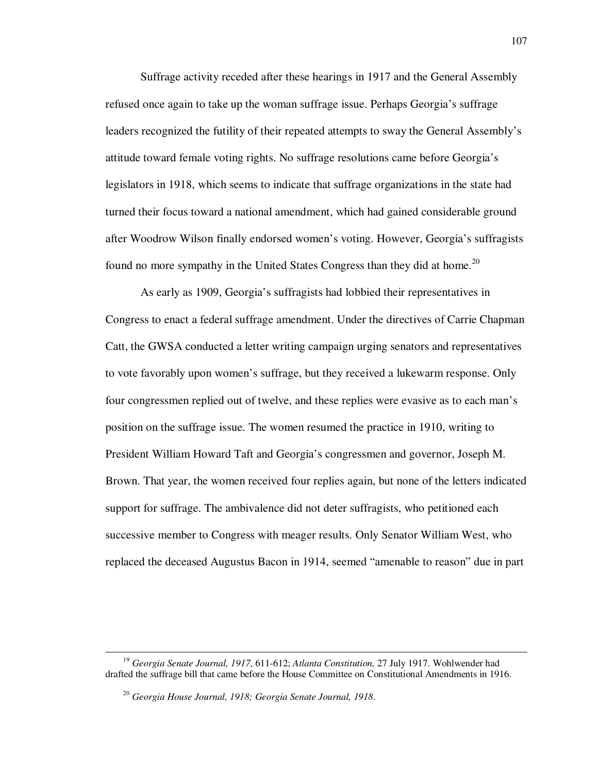Suffrage activity receded after these hearings in 1917 and the General Assembly refused once again to take up the woman suffrage issue. Perhaps Georgia's suffrage leaders recognized the futility of their repeated attempts to sway the General Assembly's attitude toward female voting rights. No suffrage resolutions came before Georgia's legislators in 1918, which seems to indicate that suffrage organizations in the state had turned their focus toward a national amendment, which had gained considerable ground after Woodrow Wilson finally endorsed women's voting. However, Georgia's suffragists found no more sympathy in the United States Congress than they did at home.<sup>20</sup>

 As early as 1909, Georgia's suffragists had lobbied their representatives in Congress to enact a federal suffrage amendment. Under the directives of Carrie Chapman Catt, the GWSA conducted a letter writing campaign urging senators and representatives to vote favorably upon women's suffrage, but they received a lukewarm response. Only four congressmen replied out of twelve, and these replies were evasive as to each man's position on the suffrage issue. The women resumed the practice in 1910, writing to President William Howard Taft and Georgia's congressmen and governor, Joseph M. Brown. That year, the women received four replies again, but none of the letters indicated support for suffrage. The ambivalence did not deter suffragists, who petitioned each successive member to Congress with meager results. Only Senator William West, who replaced the deceased Augustus Bacon in 1914, seemed "amenable to reason" due in part

<sup>19</sup> *Georgia Senate Journal, 1917*, 611-612; *Atlanta Constitution,* 27 July 1917. Wohlwender had drafted the suffrage bill that came before the House Committee on Constitutional Amendments in 1916.

<sup>20</sup> *Georgia House Journal, 1918; Georgia Senate Journal, 1918*.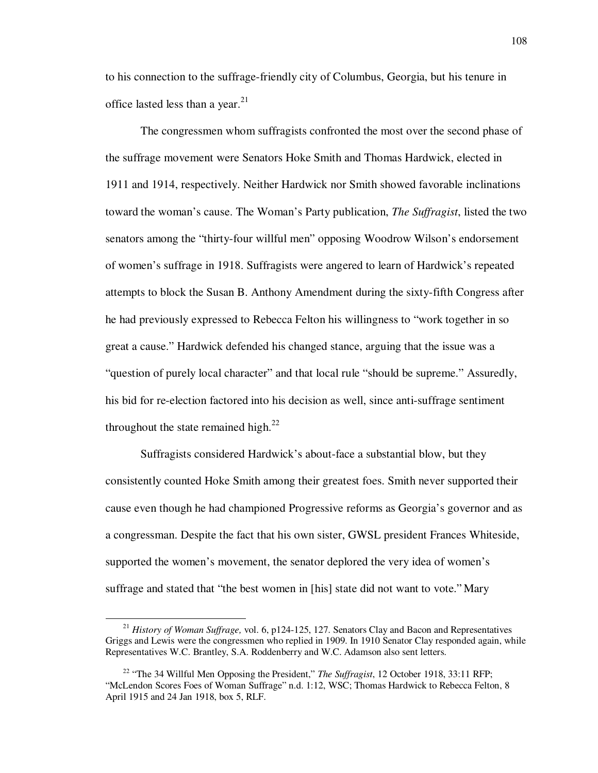to his connection to the suffrage-friendly city of Columbus, Georgia, but his tenure in office lasted less than a year. $2<sup>1</sup>$ 

 The congressmen whom suffragists confronted the most over the second phase of the suffrage movement were Senators Hoke Smith and Thomas Hardwick, elected in 1911 and 1914, respectively. Neither Hardwick nor Smith showed favorable inclinations toward the woman's cause. The Woman's Party publication, *The Suffragist*, listed the two senators among the "thirty-four willful men" opposing Woodrow Wilson's endorsement of women's suffrage in 1918. Suffragists were angered to learn of Hardwick's repeated attempts to block the Susan B. Anthony Amendment during the sixty-fifth Congress after he had previously expressed to Rebecca Felton his willingness to "work together in so great a cause." Hardwick defended his changed stance, arguing that the issue was a "question of purely local character" and that local rule "should be supreme." Assuredly, his bid for re-election factored into his decision as well, since anti-suffrage sentiment throughout the state remained high. $^{22}$ 

Suffragists considered Hardwick's about-face a substantial blow, but they consistently counted Hoke Smith among their greatest foes. Smith never supported their cause even though he had championed Progressive reforms as Georgia's governor and as a congressman. Despite the fact that his own sister, GWSL president Frances Whiteside, supported the women's movement, the senator deplored the very idea of women's suffrage and stated that "the best women in [his] state did not want to vote." Mary

<sup>&</sup>lt;sup>21</sup> *History of Woman Suffrage*, vol. 6, p124-125, 127. Senators Clay and Bacon and Representatives Griggs and Lewis were the congressmen who replied in 1909. In 1910 Senator Clay responded again, while Representatives W.C. Brantley, S.A. Roddenberry and W.C. Adamson also sent letters.

<sup>&</sup>lt;sup>22</sup> "The 34 Willful Men Opposing the President," *The Suffragist*, 12 October 1918, 33:11 RFP; "McLendon Scores Foes of Woman Suffrage" n.d. 1:12, WSC; Thomas Hardwick to Rebecca Felton, 8 April 1915 and 24 Jan 1918, box 5, RLF.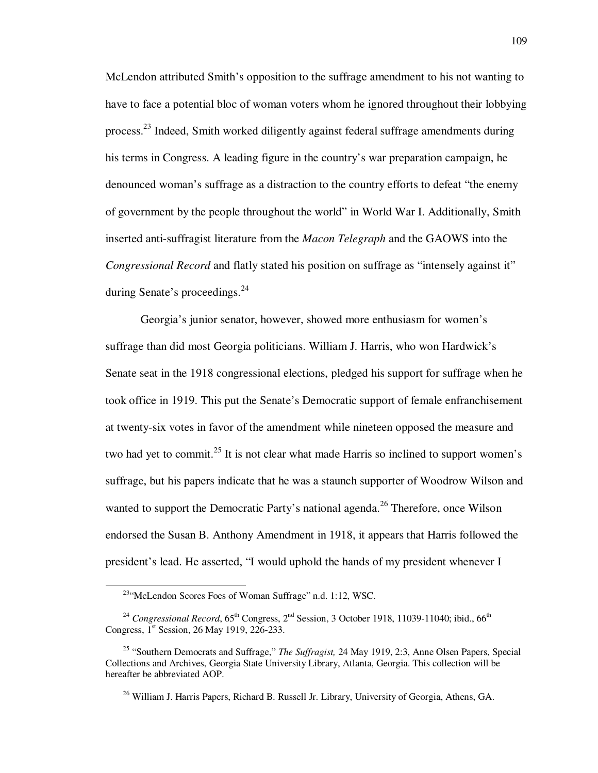McLendon attributed Smith's opposition to the suffrage amendment to his not wanting to have to face a potential bloc of woman voters whom he ignored throughout their lobbying process.<sup>23</sup> Indeed, Smith worked diligently against federal suffrage amendments during his terms in Congress. A leading figure in the country's war preparation campaign, he denounced woman's suffrage as a distraction to the country efforts to defeat "the enemy of government by the people throughout the world" in World War I. Additionally, Smith inserted anti-suffragist literature from the *Macon Telegraph* and the GAOWS into the *Congressional Record* and flatly stated his position on suffrage as "intensely against it" during Senate's proceedings. $^{24}$ 

Georgia's junior senator, however, showed more enthusiasm for women's suffrage than did most Georgia politicians. William J. Harris, who won Hardwick's Senate seat in the 1918 congressional elections, pledged his support for suffrage when he took office in 1919. This put the Senate's Democratic support of female enfranchisement at twenty-six votes in favor of the amendment while nineteen opposed the measure and two had yet to commit.<sup>25</sup> It is not clear what made Harris so inclined to support women's suffrage, but his papers indicate that he was a staunch supporter of Woodrow Wilson and wanted to support the Democratic Party's national agenda.<sup>26</sup> Therefore, once Wilson endorsed the Susan B. Anthony Amendment in 1918, it appears that Harris followed the president's lead. He asserted, "I would uphold the hands of my president whenever I

<sup>23</sup>"McLendon Scores Foes of Woman Suffrage" n.d. 1:12, WSC.

<sup>&</sup>lt;sup>24</sup> *Congressional Record*,  $65^{th}$  Congress,  $2^{nd}$  Session, 3 October 1918, 11039-11040; ibid.,  $66^{th}$ Congress, 1<sup>st</sup> Session, 26 May 1919, 226-233.

<sup>25</sup> "Southern Democrats and Suffrage," *The Suffragist,* 24 May 1919, 2:3, Anne Olsen Papers, Special Collections and Archives, Georgia State University Library, Atlanta, Georgia. This collection will be hereafter be abbreviated AOP.

<sup>&</sup>lt;sup>26</sup> William J. Harris Papers, Richard B. Russell Jr. Library, University of Georgia, Athens, GA.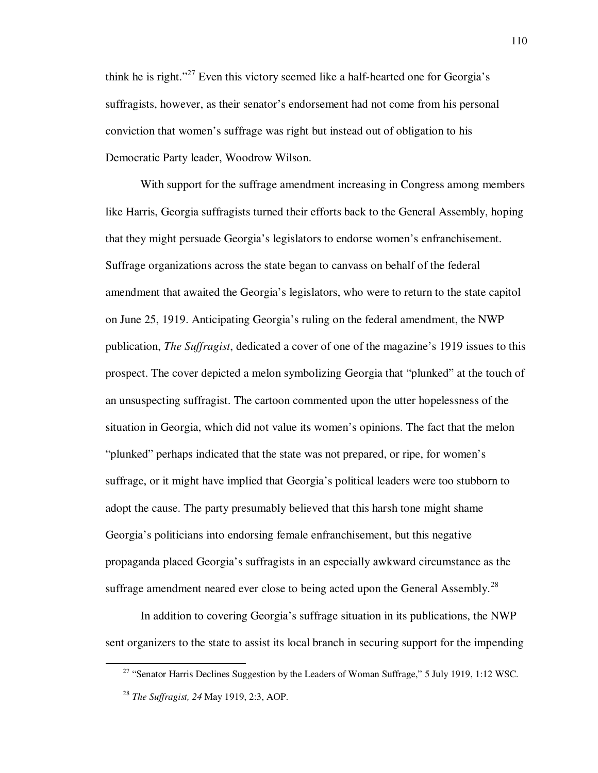think he is right."<sup>27</sup> Even this victory seemed like a half-hearted one for Georgia's suffragists, however, as their senator's endorsement had not come from his personal conviction that women's suffrage was right but instead out of obligation to his Democratic Party leader, Woodrow Wilson.

With support for the suffrage amendment increasing in Congress among members like Harris, Georgia suffragists turned their efforts back to the General Assembly, hoping that they might persuade Georgia's legislators to endorse women's enfranchisement. Suffrage organizations across the state began to canvass on behalf of the federal amendment that awaited the Georgia's legislators, who were to return to the state capitol on June 25, 1919. Anticipating Georgia's ruling on the federal amendment, the NWP publication, *The Suffragist*, dedicated a cover of one of the magazine's 1919 issues to this prospect. The cover depicted a melon symbolizing Georgia that "plunked" at the touch of an unsuspecting suffragist. The cartoon commented upon the utter hopelessness of the situation in Georgia, which did not value its women's opinions. The fact that the melon "plunked" perhaps indicated that the state was not prepared, or ripe, for women's suffrage, or it might have implied that Georgia's political leaders were too stubborn to adopt the cause. The party presumably believed that this harsh tone might shame Georgia's politicians into endorsing female enfranchisement, but this negative propaganda placed Georgia's suffragists in an especially awkward circumstance as the suffrage amendment neared ever close to being acted upon the General Assembly.<sup>28</sup>

In addition to covering Georgia's suffrage situation in its publications, the NWP sent organizers to the state to assist its local branch in securing support for the impending

<sup>&</sup>lt;sup>27</sup> "Senator Harris Declines Suggestion by the Leaders of Woman Suffrage," 5 July 1919, 1:12 WSC.

<sup>28</sup> *The Suffragist, 24* May 1919, 2:3, AOP.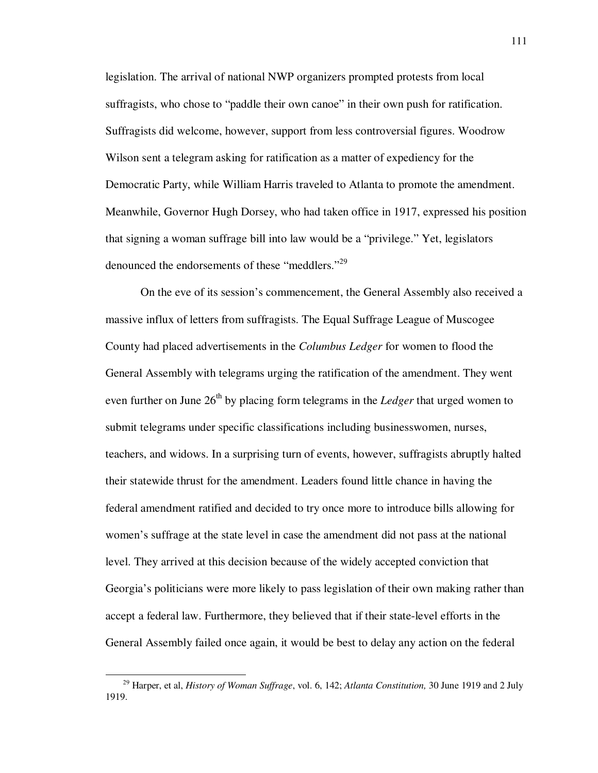legislation. The arrival of national NWP organizers prompted protests from local suffragists, who chose to "paddle their own canoe" in their own push for ratification. Suffragists did welcome, however, support from less controversial figures. Woodrow Wilson sent a telegram asking for ratification as a matter of expediency for the Democratic Party, while William Harris traveled to Atlanta to promote the amendment. Meanwhile, Governor Hugh Dorsey, who had taken office in 1917, expressed his position that signing a woman suffrage bill into law would be a "privilege." Yet, legislators denounced the endorsements of these "meddlers."<sup>29</sup>

On the eve of its session's commencement, the General Assembly also received a massive influx of letters from suffragists. The Equal Suffrage League of Muscogee County had placed advertisements in the *Columbus Ledger* for women to flood the General Assembly with telegrams urging the ratification of the amendment. They went even further on June 26<sup>th</sup> by placing form telegrams in the *Ledger* that urged women to submit telegrams under specific classifications including businesswomen, nurses, teachers, and widows. In a surprising turn of events, however, suffragists abruptly halted their statewide thrust for the amendment. Leaders found little chance in having the federal amendment ratified and decided to try once more to introduce bills allowing for women's suffrage at the state level in case the amendment did not pass at the national level. They arrived at this decision because of the widely accepted conviction that Georgia's politicians were more likely to pass legislation of their own making rather than accept a federal law. Furthermore, they believed that if their state-level efforts in the General Assembly failed once again, it would be best to delay any action on the federal

<sup>29</sup> Harper, et al, *History of Woman Suffrage*, vol. 6, 142; *Atlanta Constitution,* 30 June 1919 and 2 July 1919.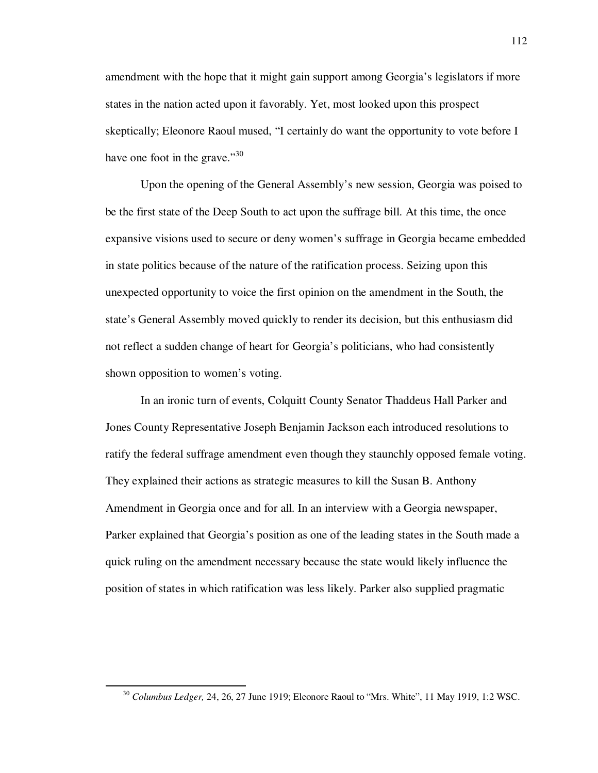amendment with the hope that it might gain support among Georgia's legislators if more states in the nation acted upon it favorably. Yet, most looked upon this prospect skeptically; Eleonore Raoul mused, "I certainly do want the opportunity to vote before I have one foot in the grave." $30$ 

Upon the opening of the General Assembly's new session, Georgia was poised to be the first state of the Deep South to act upon the suffrage bill. At this time, the once expansive visions used to secure or deny women's suffrage in Georgia became embedded in state politics because of the nature of the ratification process. Seizing upon this unexpected opportunity to voice the first opinion on the amendment in the South, the state's General Assembly moved quickly to render its decision, but this enthusiasm did not reflect a sudden change of heart for Georgia's politicians, who had consistently shown opposition to women's voting.

In an ironic turn of events, Colquitt County Senator Thaddeus Hall Parker and Jones County Representative Joseph Benjamin Jackson each introduced resolutions to ratify the federal suffrage amendment even though they staunchly opposed female voting. They explained their actions as strategic measures to kill the Susan B. Anthony Amendment in Georgia once and for all. In an interview with a Georgia newspaper, Parker explained that Georgia's position as one of the leading states in the South made a quick ruling on the amendment necessary because the state would likely influence the position of states in which ratification was less likely. Parker also supplied pragmatic

<sup>30</sup> *Columbus Ledger,* 24, 26, 27 June 1919; Eleonore Raoul to "Mrs. White", 11 May 1919, 1:2 WSC.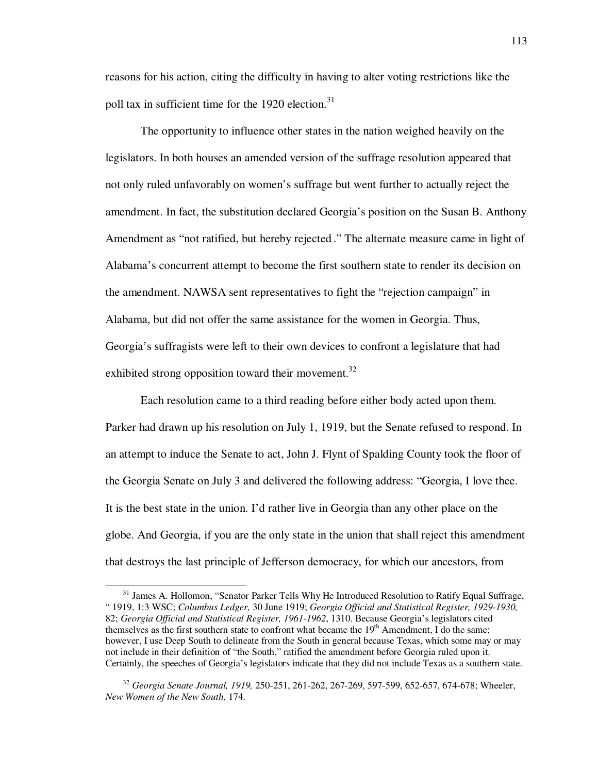reasons for his action, citing the difficulty in having to alter voting restrictions like the poll tax in sufficient time for the 1920 election. $31$ 

The opportunity to influence other states in the nation weighed heavily on the legislators. In both houses an amended version of the suffrage resolution appeared that not only ruled unfavorably on women's suffrage but went further to actually reject the amendment. In fact, the substitution declared Georgia's position on the Susan B. Anthony Amendment as "not ratified, but hereby rejected ." The alternate measure came in light of Alabama's concurrent attempt to become the first southern state to render its decision on the amendment. NAWSA sent representatives to fight the "rejection campaign" in Alabama, but did not offer the same assistance for the women in Georgia. Thus, Georgia's suffragists were left to their own devices to confront a legislature that had exhibited strong opposition toward their movement.<sup>32</sup>

 Each resolution came to a third reading before either body acted upon them. Parker had drawn up his resolution on July 1, 1919, but the Senate refused to respond. In an attempt to induce the Senate to act, John J. Flynt of Spalding County took the floor of the Georgia Senate on July 3 and delivered the following address: "Georgia, I love thee. It is the best state in the union. I'd rather live in Georgia than any other place on the globe. And Georgia, if you are the only state in the union that shall reject this amendment that destroys the last principle of Jefferson democracy, for which our ancestors, from

<sup>&</sup>lt;sup>31</sup> James A. Hollomon, "Senator Parker Tells Why He Introduced Resolution to Ratify Equal Suffrage, " 1919, 1:3 WSC; *Columbus Ledger,* 30 June 1919; *Georgia Official and Statistical Register, 1929-1930,*  82; *Georgia Official and Statistical Register, 1961-1962*, 1310. Because Georgia's legislators cited themselves as the first southern state to confront what became the 19<sup>th</sup> Amendment, I do the same; however, I use Deep South to delineate from the South in general because Texas, which some may or may not include in their definition of "the South," ratified the amendment before Georgia ruled upon it. Certainly, the speeches of Georgia's legislators indicate that they did not include Texas as a southern state.

<sup>32</sup> *Georgia Senate Journal, 1919,* 250-251, 261-262, 267-269, 597-599, 652-657, 674-678; Wheeler, *New Women of the New South,* 174.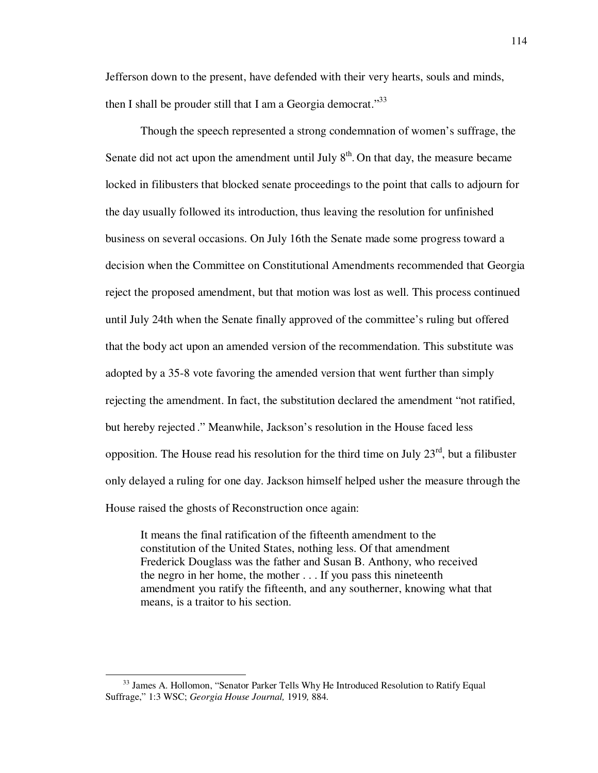Jefferson down to the present, have defended with their very hearts, souls and minds, then I shall be prouder still that I am a Georgia democrat."<sup>33</sup>

 Though the speech represented a strong condemnation of women's suffrage, the Senate did not act upon the amendment until July  $8<sup>th</sup>$ . On that day, the measure became locked in filibusters that blocked senate proceedings to the point that calls to adjourn for the day usually followed its introduction, thus leaving the resolution for unfinished business on several occasions. On July 16th the Senate made some progress toward a decision when the Committee on Constitutional Amendments recommended that Georgia reject the proposed amendment, but that motion was lost as well. This process continued until July 24th when the Senate finally approved of the committee's ruling but offered that the body act upon an amended version of the recommendation. This substitute was adopted by a 35-8 vote favoring the amended version that went further than simply rejecting the amendment. In fact, the substitution declared the amendment "not ratified, but hereby rejected ." Meanwhile, Jackson's resolution in the House faced less opposition. The House read his resolution for the third time on July  $23<sup>rd</sup>$ , but a filibuster only delayed a ruling for one day. Jackson himself helped usher the measure through the House raised the ghosts of Reconstruction once again:

It means the final ratification of the fifteenth amendment to the constitution of the United States, nothing less. Of that amendment Frederick Douglass was the father and Susan B. Anthony, who received the negro in her home, the mother . . . If you pass this nineteenth amendment you ratify the fifteenth, and any southerner, knowing what that means, is a traitor to his section.

<sup>&</sup>lt;sup>33</sup> James A. Hollomon, "Senator Parker Tells Why He Introduced Resolution to Ratify Equal Suffrage," 1:3 WSC; *Georgia House Journal,* 1919*,* 884.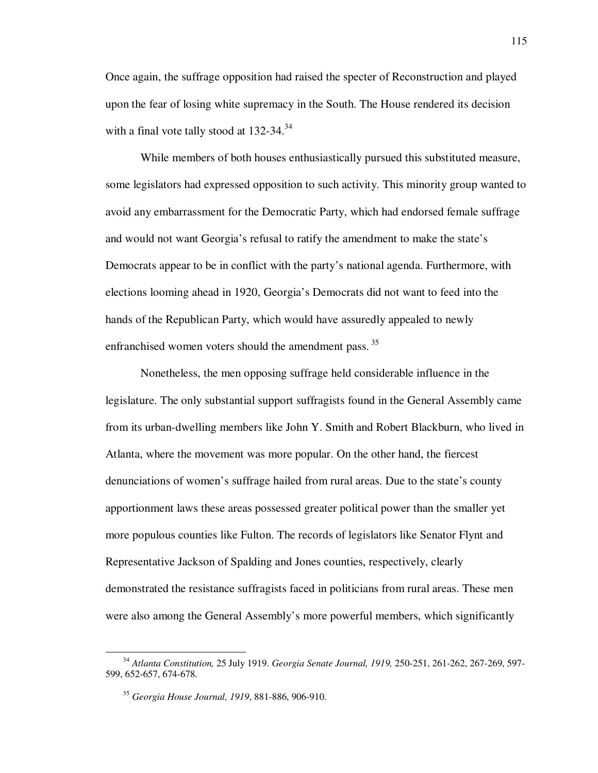Once again, the suffrage opposition had raised the specter of Reconstruction and played upon the fear of losing white supremacy in the South. The House rendered its decision with a final vote tally stood at  $132-34$ .<sup>34</sup>

While members of both houses enthusiastically pursued this substituted measure, some legislators had expressed opposition to such activity. This minority group wanted to avoid any embarrassment for the Democratic Party, which had endorsed female suffrage and would not want Georgia's refusal to ratify the amendment to make the state's Democrats appear to be in conflict with the party's national agenda. Furthermore, with elections looming ahead in 1920, Georgia's Democrats did not want to feed into the hands of the Republican Party, which would have assuredly appealed to newly enfranchised women voters should the amendment pass.<sup>35</sup>

Nonetheless, the men opposing suffrage held considerable influence in the legislature. The only substantial support suffragists found in the General Assembly came from its urban-dwelling members like John Y. Smith and Robert Blackburn, who lived in Atlanta, where the movement was more popular. On the other hand, the fiercest denunciations of women's suffrage hailed from rural areas. Due to the state's county apportionment laws these areas possessed greater political power than the smaller yet more populous counties like Fulton. The records of legislators like Senator Flynt and Representative Jackson of Spalding and Jones counties, respectively, clearly demonstrated the resistance suffragists faced in politicians from rural areas. These men were also among the General Assembly's more powerful members, which significantly

<sup>34</sup> *Atlanta Constitution,* 25 July 1919. *Georgia Senate Journal, 1919,* 250-251, 261-262, 267-269, 597- 599, 652-657, 674-678.

<sup>35</sup> *Georgia House Journal, 1919*, 881-886, 906-910.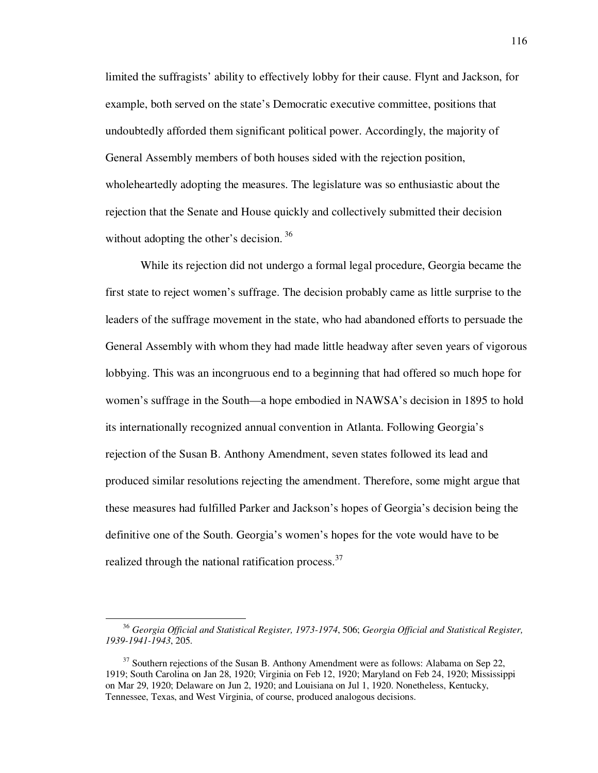limited the suffragists' ability to effectively lobby for their cause. Flynt and Jackson, for example, both served on the state's Democratic executive committee, positions that undoubtedly afforded them significant political power. Accordingly, the majority of General Assembly members of both houses sided with the rejection position, wholeheartedly adopting the measures. The legislature was so enthusiastic about the rejection that the Senate and House quickly and collectively submitted their decision without adopting the other's decision.  $36$ 

While its rejection did not undergo a formal legal procedure, Georgia became the first state to reject women's suffrage. The decision probably came as little surprise to the leaders of the suffrage movement in the state, who had abandoned efforts to persuade the General Assembly with whom they had made little headway after seven years of vigorous lobbying. This was an incongruous end to a beginning that had offered so much hope for women's suffrage in the South—a hope embodied in NAWSA's decision in 1895 to hold its internationally recognized annual convention in Atlanta. Following Georgia's rejection of the Susan B. Anthony Amendment, seven states followed its lead and produced similar resolutions rejecting the amendment. Therefore, some might argue that these measures had fulfilled Parker and Jackson's hopes of Georgia's decision being the definitive one of the South. Georgia's women's hopes for the vote would have to be realized through the national ratification process.<sup>37</sup>

<sup>36</sup> *Georgia Official and Statistical Register, 1973-1974*, 506; *Georgia Official and Statistical Register, 1939-1941-1943*, 205.

 $37$  Southern rejections of the Susan B. Anthony Amendment were as follows: Alabama on Sep 22, 1919; South Carolina on Jan 28, 1920; Virginia on Feb 12, 1920; Maryland on Feb 24, 1920; Mississippi on Mar 29, 1920; Delaware on Jun 2, 1920; and Louisiana on Jul 1, 1920. Nonetheless, Kentucky, Tennessee, Texas, and West Virginia, of course, produced analogous decisions.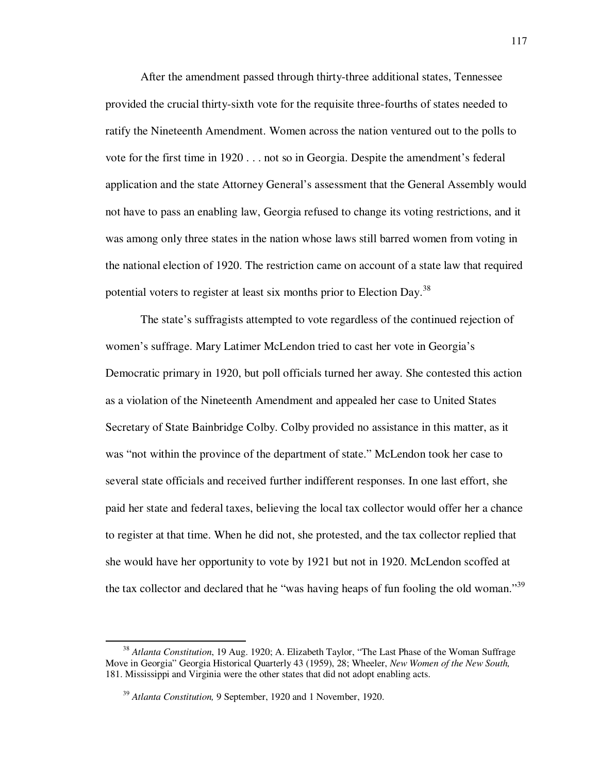After the amendment passed through thirty-three additional states, Tennessee provided the crucial thirty-sixth vote for the requisite three-fourths of states needed to ratify the Nineteenth Amendment. Women across the nation ventured out to the polls to vote for the first time in 1920 . . . not so in Georgia. Despite the amendment's federal application and the state Attorney General's assessment that the General Assembly would not have to pass an enabling law, Georgia refused to change its voting restrictions, and it was among only three states in the nation whose laws still barred women from voting in the national election of 1920. The restriction came on account of a state law that required potential voters to register at least six months prior to Election Day.<sup>38</sup>

The state's suffragists attempted to vote regardless of the continued rejection of women's suffrage. Mary Latimer McLendon tried to cast her vote in Georgia's Democratic primary in 1920, but poll officials turned her away. She contested this action as a violation of the Nineteenth Amendment and appealed her case to United States Secretary of State Bainbridge Colby. Colby provided no assistance in this matter, as it was "not within the province of the department of state." McLendon took her case to several state officials and received further indifferent responses. In one last effort, she paid her state and federal taxes, believing the local tax collector would offer her a chance to register at that time. When he did not, she protested, and the tax collector replied that she would have her opportunity to vote by 1921 but not in 1920. McLendon scoffed at the tax collector and declared that he "was having heaps of fun fooling the old woman."<sup>39</sup>

<sup>38</sup> *Atlanta Constitution*, 19 Aug. 1920; A. Elizabeth Taylor, "The Last Phase of the Woman Suffrage Move in Georgia" Georgia Historical Quarterly 43 (1959), 28; Wheeler, *New Women of the New South,*  181. Mississippi and Virginia were the other states that did not adopt enabling acts.

<sup>39</sup> *Atlanta Constitution,* 9 September, 1920 and 1 November, 1920.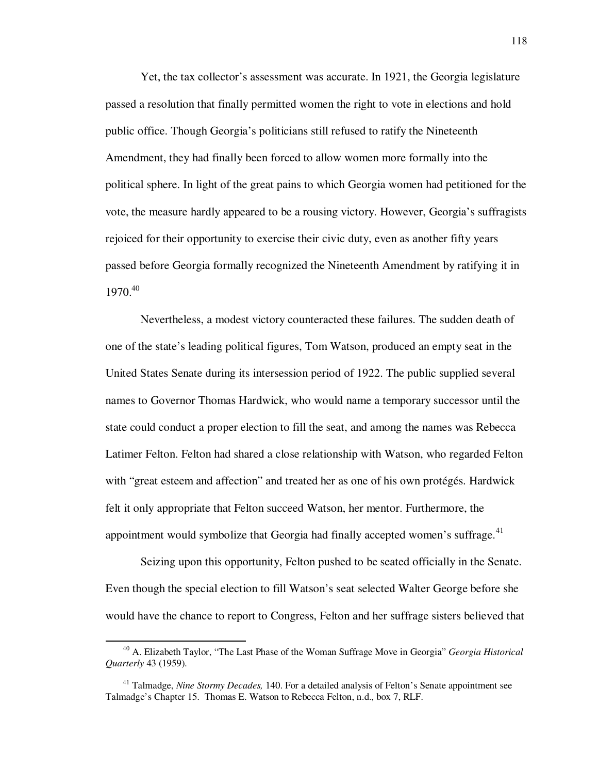Yet, the tax collector's assessment was accurate. In 1921, the Georgia legislature passed a resolution that finally permitted women the right to vote in elections and hold public office. Though Georgia's politicians still refused to ratify the Nineteenth Amendment, they had finally been forced to allow women more formally into the political sphere. In light of the great pains to which Georgia women had petitioned for the vote, the measure hardly appeared to be a rousing victory. However, Georgia's suffragists rejoiced for their opportunity to exercise their civic duty, even as another fifty years passed before Georgia formally recognized the Nineteenth Amendment by ratifying it in 1970.<sup>40</sup>

 Nevertheless, a modest victory counteracted these failures. The sudden death of one of the state's leading political figures, Tom Watson, produced an empty seat in the United States Senate during its intersession period of 1922. The public supplied several names to Governor Thomas Hardwick, who would name a temporary successor until the state could conduct a proper election to fill the seat, and among the names was Rebecca Latimer Felton. Felton had shared a close relationship with Watson, who regarded Felton with "great esteem and affection" and treated her as one of his own protégés. Hardwick felt it only appropriate that Felton succeed Watson, her mentor. Furthermore, the appointment would symbolize that Georgia had finally accepted women's suffrage. $41$ 

 Seizing upon this opportunity, Felton pushed to be seated officially in the Senate. Even though the special election to fill Watson's seat selected Walter George before she would have the chance to report to Congress, Felton and her suffrage sisters believed that

<sup>40</sup> A. Elizabeth Taylor, "The Last Phase of the Woman Suffrage Move in Georgia" *Georgia Historical Quarterly* 43 (1959).

<sup>&</sup>lt;sup>41</sup> Talmadge, *Nine Stormy Decades*, 140. For a detailed analysis of Felton's Senate appointment see Talmadge's Chapter 15. Thomas E. Watson to Rebecca Felton, n.d., box 7, RLF.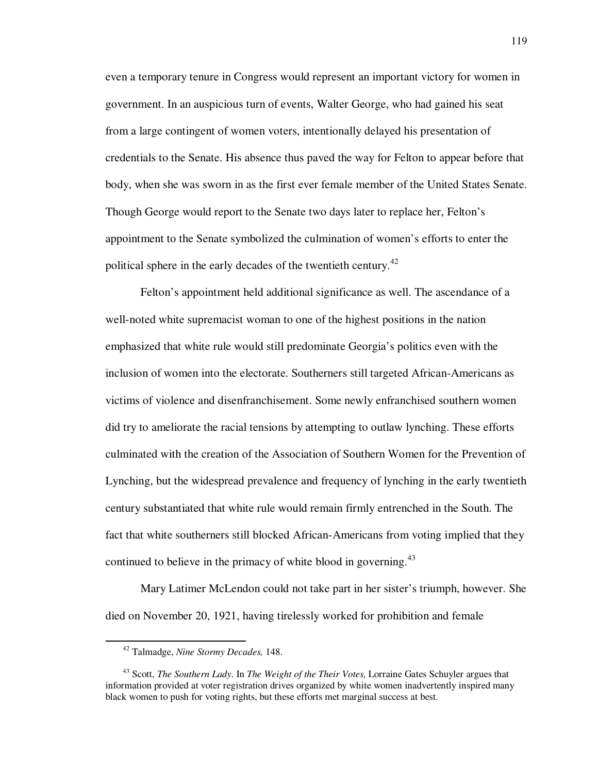even a temporary tenure in Congress would represent an important victory for women in government. In an auspicious turn of events, Walter George, who had gained his seat from a large contingent of women voters, intentionally delayed his presentation of credentials to the Senate. His absence thus paved the way for Felton to appear before that body, when she was sworn in as the first ever female member of the United States Senate. Though George would report to the Senate two days later to replace her, Felton's appointment to the Senate symbolized the culmination of women's efforts to enter the political sphere in the early decades of the twentieth century.<sup>42</sup>

 Felton's appointment held additional significance as well. The ascendance of a well-noted white supremacist woman to one of the highest positions in the nation emphasized that white rule would still predominate Georgia's politics even with the inclusion of women into the electorate. Southerners still targeted African-Americans as victims of violence and disenfranchisement. Some newly enfranchised southern women did try to ameliorate the racial tensions by attempting to outlaw lynching. These efforts culminated with the creation of the Association of Southern Women for the Prevention of Lynching, but the widespread prevalence and frequency of lynching in the early twentieth century substantiated that white rule would remain firmly entrenched in the South. The fact that white southerners still blocked African-Americans from voting implied that they continued to believe in the primacy of white blood in governing.<sup>43</sup>

Mary Latimer McLendon could not take part in her sister's triumph, however. She died on November 20, 1921, having tirelessly worked for prohibition and female

<sup>42</sup> Talmadge, *Nine Stormy Decades,* 148.

<sup>43</sup> Scott, *The Southern Lady*. In *The Weight of the Their Votes,* Lorraine Gates Schuyler argues that information provided at voter registration drives organized by white women inadvertently inspired many black women to push for voting rights, but these efforts met marginal success at best.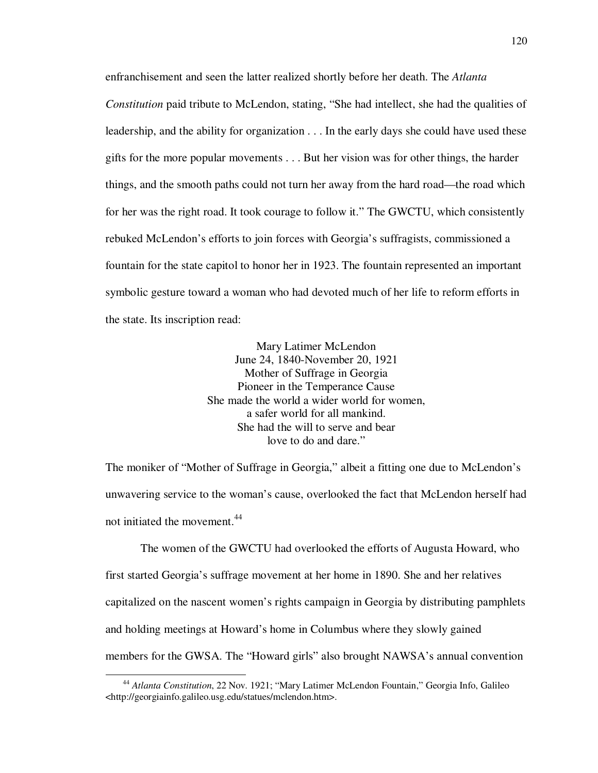enfranchisement and seen the latter realized shortly before her death. The *Atlanta Constitution* paid tribute to McLendon, stating, "She had intellect, she had the qualities of leadership, and the ability for organization . . . In the early days she could have used these gifts for the more popular movements . . . But her vision was for other things, the harder things, and the smooth paths could not turn her away from the hard road—the road which for her was the right road. It took courage to follow it." The GWCTU, which consistently rebuked McLendon's efforts to join forces with Georgia's suffragists, commissioned a fountain for the state capitol to honor her in 1923. The fountain represented an important symbolic gesture toward a woman who had devoted much of her life to reform efforts in the state. Its inscription read:

> Mary Latimer McLendon June 24, 1840-November 20, 1921 Mother of Suffrage in Georgia Pioneer in the Temperance Cause She made the world a wider world for women, a safer world for all mankind. She had the will to serve and bear love to do and dare."

The moniker of "Mother of Suffrage in Georgia," albeit a fitting one due to McLendon's unwavering service to the woman's cause, overlooked the fact that McLendon herself had not initiated the movement.<sup>44</sup>

The women of the GWCTU had overlooked the efforts of Augusta Howard, who first started Georgia's suffrage movement at her home in 1890. She and her relatives capitalized on the nascent women's rights campaign in Georgia by distributing pamphlets and holding meetings at Howard's home in Columbus where they slowly gained members for the GWSA. The "Howard girls" also brought NAWSA's annual convention

<sup>44</sup> *Atlanta Constitution*, 22 Nov. 1921; "Mary Latimer McLendon Fountain," Georgia Info, Galileo <http://georgiainfo.galileo.usg.edu/statues/mclendon.htm>.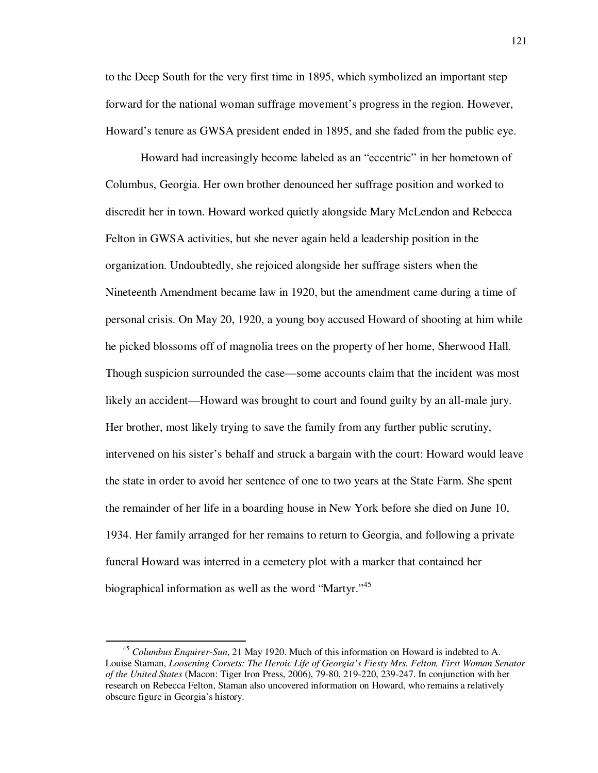to the Deep South for the very first time in 1895, which symbolized an important step forward for the national woman suffrage movement's progress in the region. However, Howard's tenure as GWSA president ended in 1895, and she faded from the public eye.

Howard had increasingly become labeled as an "eccentric" in her hometown of Columbus, Georgia. Her own brother denounced her suffrage position and worked to discredit her in town. Howard worked quietly alongside Mary McLendon and Rebecca Felton in GWSA activities, but she never again held a leadership position in the organization. Undoubtedly, she rejoiced alongside her suffrage sisters when the Nineteenth Amendment became law in 1920, but the amendment came during a time of personal crisis. On May 20, 1920, a young boy accused Howard of shooting at him while he picked blossoms off of magnolia trees on the property of her home, Sherwood Hall. Though suspicion surrounded the case—some accounts claim that the incident was most likely an accident—Howard was brought to court and found guilty by an all-male jury. Her brother, most likely trying to save the family from any further public scrutiny, intervened on his sister's behalf and struck a bargain with the court: Howard would leave the state in order to avoid her sentence of one to two years at the State Farm. She spent the remainder of her life in a boarding house in New York before she died on June 10, 1934. Her family arranged for her remains to return to Georgia, and following a private funeral Howard was interred in a cemetery plot with a marker that contained her biographical information as well as the word "Martyr."<sup>45</sup>

<sup>45</sup> *Columbus Enquirer-Sun*, 21 May 1920. Much of this information on Howard is indebted to A. Louise Staman, *Loosening Corsets: The Heroic Life of Georgia's Fiesty Mrs. Felton, First Woman Senator of the United States* (Macon: Tiger Iron Press, 2006), 79-80, 219-220, 239-247. In conjunction with her research on Rebecca Felton, Staman also uncovered information on Howard, who remains a relatively obscure figure in Georgia's history.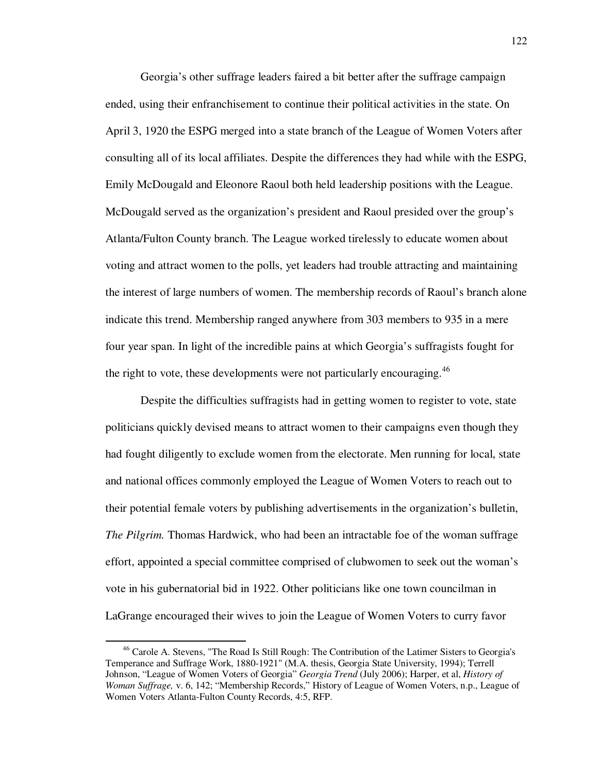Georgia's other suffrage leaders faired a bit better after the suffrage campaign ended, using their enfranchisement to continue their political activities in the state. On April 3, 1920 the ESPG merged into a state branch of the League of Women Voters after consulting all of its local affiliates. Despite the differences they had while with the ESPG, Emily McDougald and Eleonore Raoul both held leadership positions with the League. McDougald served as the organization's president and Raoul presided over the group's Atlanta/Fulton County branch. The League worked tirelessly to educate women about voting and attract women to the polls, yet leaders had trouble attracting and maintaining the interest of large numbers of women. The membership records of Raoul's branch alone indicate this trend. Membership ranged anywhere from 303 members to 935 in a mere four year span. In light of the incredible pains at which Georgia's suffragists fought for the right to vote, these developments were not particularly encouraging.<sup>46</sup>

Despite the difficulties suffragists had in getting women to register to vote, state politicians quickly devised means to attract women to their campaigns even though they had fought diligently to exclude women from the electorate. Men running for local, state and national offices commonly employed the League of Women Voters to reach out to their potential female voters by publishing advertisements in the organization's bulletin, *The Pilgrim.* Thomas Hardwick, who had been an intractable foe of the woman suffrage effort, appointed a special committee comprised of clubwomen to seek out the woman's vote in his gubernatorial bid in 1922. Other politicians like one town councilman in LaGrange encouraged their wives to join the League of Women Voters to curry favor

<sup>&</sup>lt;sup>46</sup> Carole A. Stevens, "The Road Is Still Rough: The Contribution of the Latimer Sisters to Georgia's Temperance and Suffrage Work, 1880-1921" (M.A. thesis, Georgia State University, 1994); Terrell Johnson, "League of Women Voters of Georgia" *Georgia Trend* (July 2006); Harper, et al, *History of Woman Suffrage,* v. 6, 142; "Membership Records," History of League of Women Voters, n.p., League of Women Voters Atlanta-Fulton County Records, 4:5, RFP.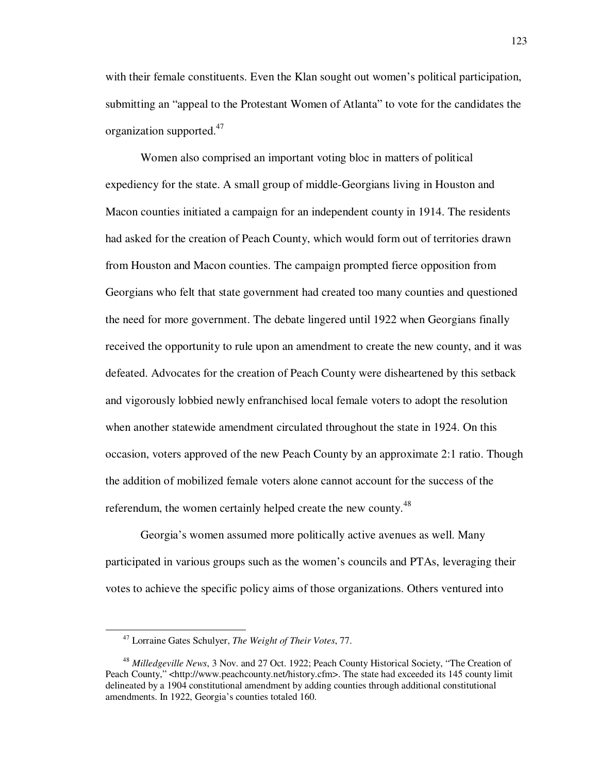with their female constituents. Even the Klan sought out women's political participation, submitting an "appeal to the Protestant Women of Atlanta" to vote for the candidates the organization supported.<sup>47</sup>

Women also comprised an important voting bloc in matters of political expediency for the state. A small group of middle-Georgians living in Houston and Macon counties initiated a campaign for an independent county in 1914. The residents had asked for the creation of Peach County, which would form out of territories drawn from Houston and Macon counties. The campaign prompted fierce opposition from Georgians who felt that state government had created too many counties and questioned the need for more government. The debate lingered until 1922 when Georgians finally received the opportunity to rule upon an amendment to create the new county, and it was defeated. Advocates for the creation of Peach County were disheartened by this setback and vigorously lobbied newly enfranchised local female voters to adopt the resolution when another statewide amendment circulated throughout the state in 1924. On this occasion, voters approved of the new Peach County by an approximate 2:1 ratio. Though the addition of mobilized female voters alone cannot account for the success of the referendum, the women certainly helped create the new county.<sup>48</sup>

Georgia's women assumed more politically active avenues as well. Many participated in various groups such as the women's councils and PTAs, leveraging their votes to achieve the specific policy aims of those organizations. Others ventured into

<sup>47</sup> Lorraine Gates Schulyer, *The Weight of Their Votes*, 77.

<sup>48</sup> *Milledgeville News*, 3 Nov. and 27 Oct. 1922; Peach County Historical Society, "The Creation of Peach County," <http://www.peachcounty.net/history.cfm>. The state had exceeded its 145 county limit delineated by a 1904 constitutional amendment by adding counties through additional constitutional amendments. In 1922, Georgia's counties totaled 160.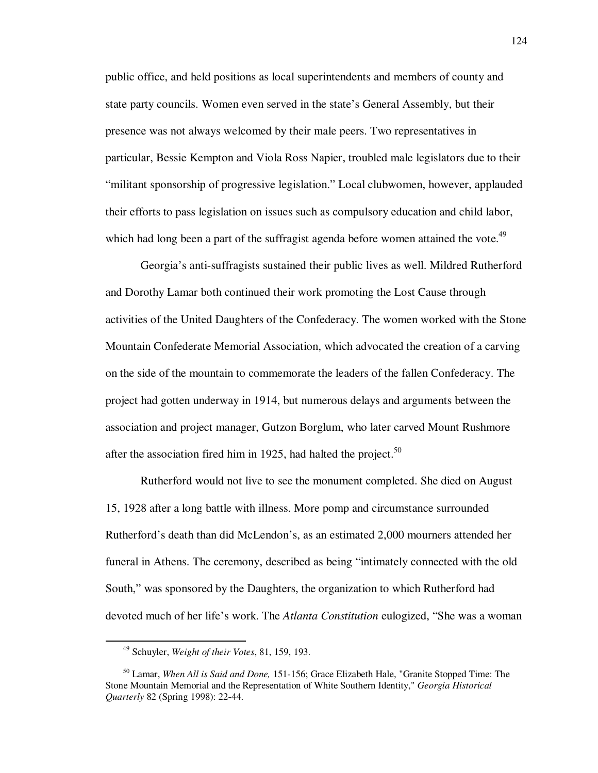public office, and held positions as local superintendents and members of county and state party councils. Women even served in the state's General Assembly, but their presence was not always welcomed by their male peers. Two representatives in particular, Bessie Kempton and Viola Ross Napier, troubled male legislators due to their "militant sponsorship of progressive legislation." Local clubwomen, however, applauded their efforts to pass legislation on issues such as compulsory education and child labor, which had long been a part of the suffragist agenda before women attained the vote.<sup>49</sup>

Georgia's anti-suffragists sustained their public lives as well. Mildred Rutherford and Dorothy Lamar both continued their work promoting the Lost Cause through activities of the United Daughters of the Confederacy. The women worked with the Stone Mountain Confederate Memorial Association, which advocated the creation of a carving on the side of the mountain to commemorate the leaders of the fallen Confederacy. The project had gotten underway in 1914, but numerous delays and arguments between the association and project manager, Gutzon Borglum, who later carved Mount Rushmore after the association fired him in 1925, had halted the project.<sup>50</sup>

Rutherford would not live to see the monument completed. She died on August 15, 1928 after a long battle with illness. More pomp and circumstance surrounded Rutherford's death than did McLendon's, as an estimated 2,000 mourners attended her funeral in Athens. The ceremony, described as being "intimately connected with the old South," was sponsored by the Daughters, the organization to which Rutherford had devoted much of her life's work. The *Atlanta Constitution* eulogized, "She was a woman

<sup>49</sup> Schuyler, *Weight of their Votes*, 81, 159, 193.

<sup>50</sup> Lamar, *When All is Said and Done,* 151-156; Grace Elizabeth Hale, "Granite Stopped Time: The Stone Mountain Memorial and the Representation of White Southern Identity," *Georgia Historical Quarterly* 82 (Spring 1998): 22-44.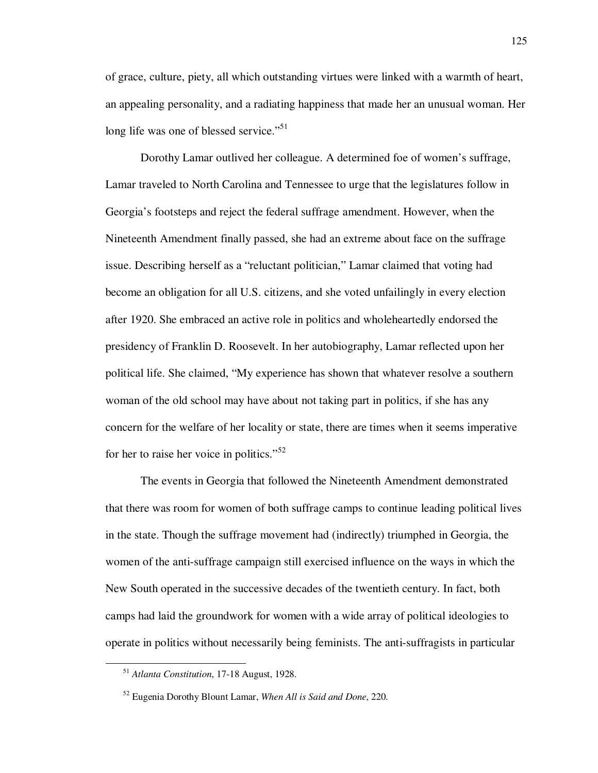of grace, culture, piety, all which outstanding virtues were linked with a warmth of heart, an appealing personality, and a radiating happiness that made her an unusual woman. Her long life was one of blessed service."<sup>51</sup>

Dorothy Lamar outlived her colleague. A determined foe of women's suffrage, Lamar traveled to North Carolina and Tennessee to urge that the legislatures follow in Georgia's footsteps and reject the federal suffrage amendment. However, when the Nineteenth Amendment finally passed, she had an extreme about face on the suffrage issue. Describing herself as a "reluctant politician," Lamar claimed that voting had become an obligation for all U.S. citizens, and she voted unfailingly in every election after 1920. She embraced an active role in politics and wholeheartedly endorsed the presidency of Franklin D. Roosevelt. In her autobiography, Lamar reflected upon her political life. She claimed, "My experience has shown that whatever resolve a southern woman of the old school may have about not taking part in politics, if she has any concern for the welfare of her locality or state, there are times when it seems imperative for her to raise her voice in politics."<sup>52</sup>

The events in Georgia that followed the Nineteenth Amendment demonstrated that there was room for women of both suffrage camps to continue leading political lives in the state. Though the suffrage movement had (indirectly) triumphed in Georgia, the women of the anti-suffrage campaign still exercised influence on the ways in which the New South operated in the successive decades of the twentieth century. In fact, both camps had laid the groundwork for women with a wide array of political ideologies to operate in politics without necessarily being feminists. The anti-suffragists in particular

<sup>51</sup> *Atlanta Constitution*, 17-18 August, 1928.

<sup>52</sup> Eugenia Dorothy Blount Lamar, *When All is Said and Done*, 220.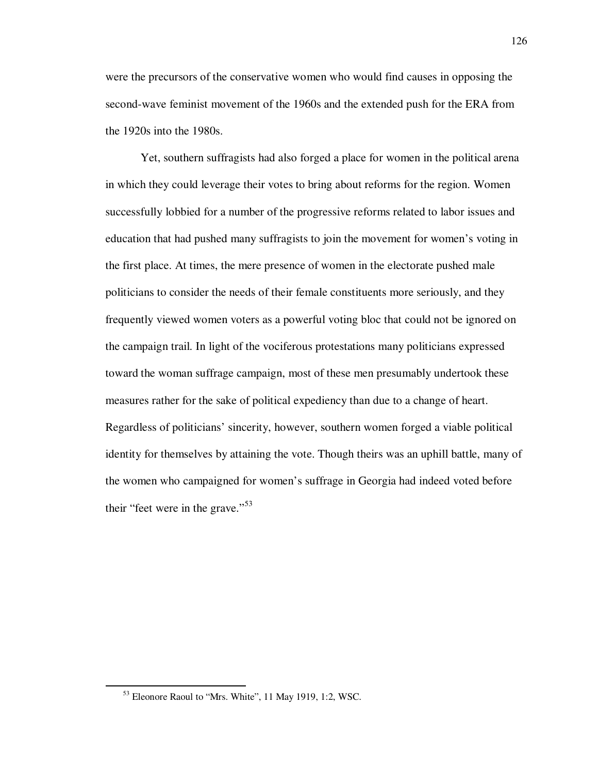were the precursors of the conservative women who would find causes in opposing the second-wave feminist movement of the 1960s and the extended push for the ERA from the 1920s into the 1980s.

Yet, southern suffragists had also forged a place for women in the political arena in which they could leverage their votes to bring about reforms for the region. Women successfully lobbied for a number of the progressive reforms related to labor issues and education that had pushed many suffragists to join the movement for women's voting in the first place. At times, the mere presence of women in the electorate pushed male politicians to consider the needs of their female constituents more seriously, and they frequently viewed women voters as a powerful voting bloc that could not be ignored on the campaign trail. In light of the vociferous protestations many politicians expressed toward the woman suffrage campaign, most of these men presumably undertook these measures rather for the sake of political expediency than due to a change of heart. Regardless of politicians' sincerity, however, southern women forged a viable political identity for themselves by attaining the vote. Though theirs was an uphill battle, many of the women who campaigned for women's suffrage in Georgia had indeed voted before their "feet were in the grave."<sup>53</sup>

<sup>53</sup> Eleonore Raoul to "Mrs. White", 11 May 1919, 1:2, WSC.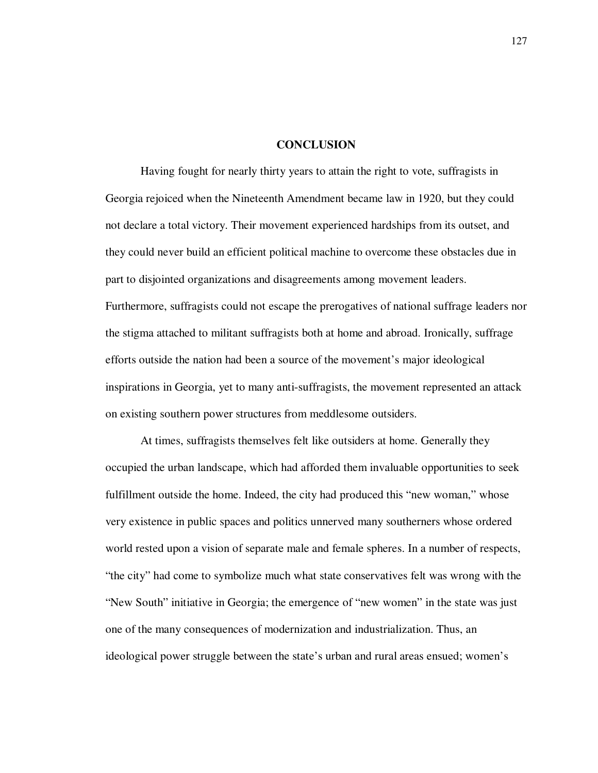#### **CONCLUSION**

Having fought for nearly thirty years to attain the right to vote, suffragists in Georgia rejoiced when the Nineteenth Amendment became law in 1920, but they could not declare a total victory. Their movement experienced hardships from its outset, and they could never build an efficient political machine to overcome these obstacles due in part to disjointed organizations and disagreements among movement leaders. Furthermore, suffragists could not escape the prerogatives of national suffrage leaders nor the stigma attached to militant suffragists both at home and abroad. Ironically, suffrage efforts outside the nation had been a source of the movement's major ideological inspirations in Georgia, yet to many anti-suffragists, the movement represented an attack on existing southern power structures from meddlesome outsiders.

At times, suffragists themselves felt like outsiders at home. Generally they occupied the urban landscape, which had afforded them invaluable opportunities to seek fulfillment outside the home. Indeed, the city had produced this "new woman," whose very existence in public spaces and politics unnerved many southerners whose ordered world rested upon a vision of separate male and female spheres. In a number of respects, "the city" had come to symbolize much what state conservatives felt was wrong with the "New South" initiative in Georgia; the emergence of "new women" in the state was just one of the many consequences of modernization and industrialization. Thus, an ideological power struggle between the state's urban and rural areas ensued; women's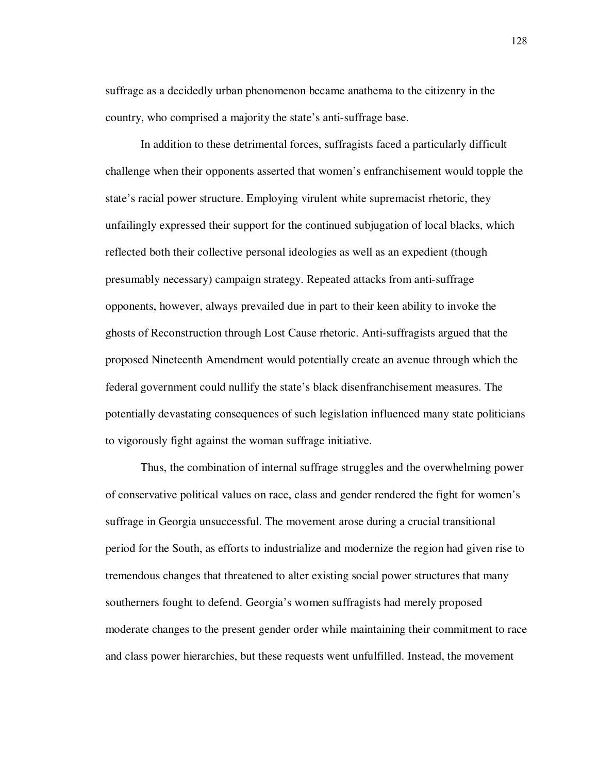suffrage as a decidedly urban phenomenon became anathema to the citizenry in the country, who comprised a majority the state's anti-suffrage base.

In addition to these detrimental forces, suffragists faced a particularly difficult challenge when their opponents asserted that women's enfranchisement would topple the state's racial power structure. Employing virulent white supremacist rhetoric, they unfailingly expressed their support for the continued subjugation of local blacks, which reflected both their collective personal ideologies as well as an expedient (though presumably necessary) campaign strategy. Repeated attacks from anti-suffrage opponents, however, always prevailed due in part to their keen ability to invoke the ghosts of Reconstruction through Lost Cause rhetoric. Anti-suffragists argued that the proposed Nineteenth Amendment would potentially create an avenue through which the federal government could nullify the state's black disenfranchisement measures. The potentially devastating consequences of such legislation influenced many state politicians to vigorously fight against the woman suffrage initiative.

Thus, the combination of internal suffrage struggles and the overwhelming power of conservative political values on race, class and gender rendered the fight for women's suffrage in Georgia unsuccessful. The movement arose during a crucial transitional period for the South, as efforts to industrialize and modernize the region had given rise to tremendous changes that threatened to alter existing social power structures that many southerners fought to defend. Georgia's women suffragists had merely proposed moderate changes to the present gender order while maintaining their commitment to race and class power hierarchies, but these requests went unfulfilled. Instead, the movement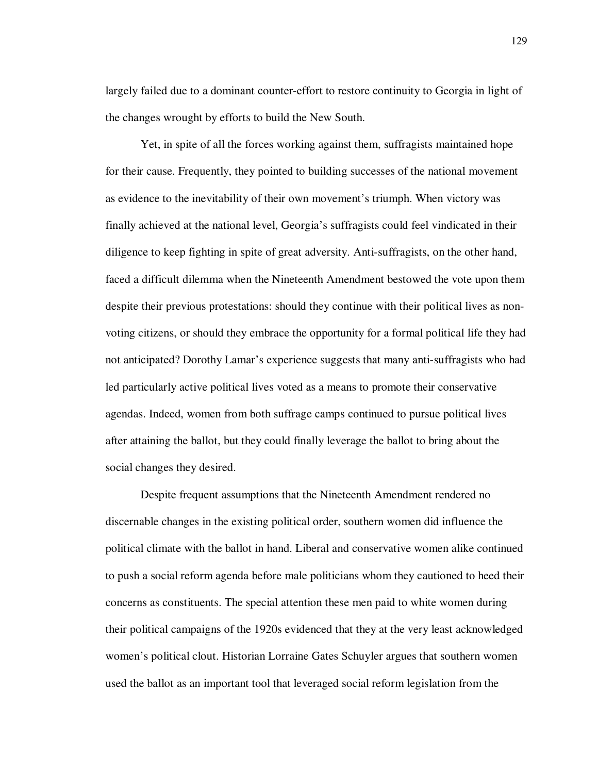largely failed due to a dominant counter-effort to restore continuity to Georgia in light of the changes wrought by efforts to build the New South.

Yet, in spite of all the forces working against them, suffragists maintained hope for their cause. Frequently, they pointed to building successes of the national movement as evidence to the inevitability of their own movement's triumph. When victory was finally achieved at the national level, Georgia's suffragists could feel vindicated in their diligence to keep fighting in spite of great adversity. Anti-suffragists, on the other hand, faced a difficult dilemma when the Nineteenth Amendment bestowed the vote upon them despite their previous protestations: should they continue with their political lives as nonvoting citizens, or should they embrace the opportunity for a formal political life they had not anticipated? Dorothy Lamar's experience suggests that many anti-suffragists who had led particularly active political lives voted as a means to promote their conservative agendas. Indeed, women from both suffrage camps continued to pursue political lives after attaining the ballot, but they could finally leverage the ballot to bring about the social changes they desired.

Despite frequent assumptions that the Nineteenth Amendment rendered no discernable changes in the existing political order, southern women did influence the political climate with the ballot in hand. Liberal and conservative women alike continued to push a social reform agenda before male politicians whom they cautioned to heed their concerns as constituents. The special attention these men paid to white women during their political campaigns of the 1920s evidenced that they at the very least acknowledged women's political clout. Historian Lorraine Gates Schuyler argues that southern women used the ballot as an important tool that leveraged social reform legislation from the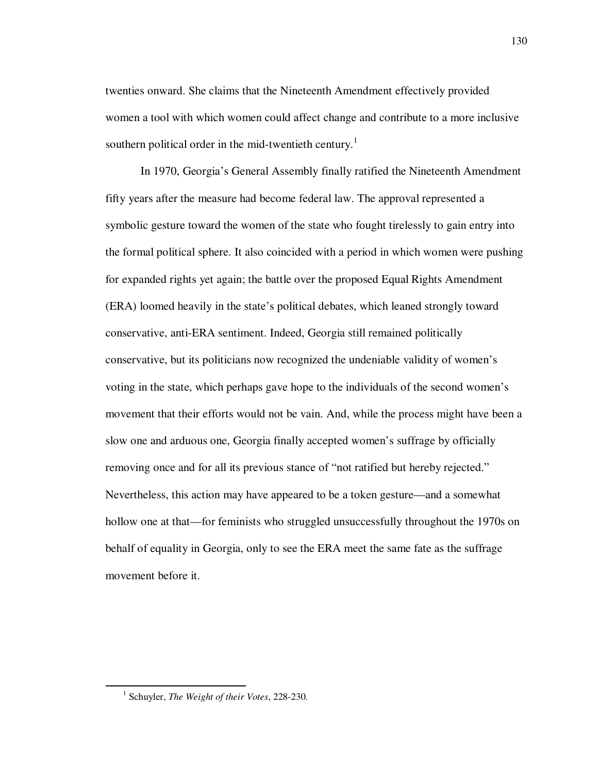twenties onward. She claims that the Nineteenth Amendment effectively provided women a tool with which women could affect change and contribute to a more inclusive southern political order in the mid-twentieth century.<sup>1</sup>

In 1970, Georgia's General Assembly finally ratified the Nineteenth Amendment fifty years after the measure had become federal law. The approval represented a symbolic gesture toward the women of the state who fought tirelessly to gain entry into the formal political sphere. It also coincided with a period in which women were pushing for expanded rights yet again; the battle over the proposed Equal Rights Amendment (ERA) loomed heavily in the state's political debates, which leaned strongly toward conservative, anti-ERA sentiment. Indeed, Georgia still remained politically conservative, but its politicians now recognized the undeniable validity of women's voting in the state, which perhaps gave hope to the individuals of the second women's movement that their efforts would not be vain. And, while the process might have been a slow one and arduous one, Georgia finally accepted women's suffrage by officially removing once and for all its previous stance of "not ratified but hereby rejected." Nevertheless, this action may have appeared to be a token gesture—and a somewhat hollow one at that—for feminists who struggled unsuccessfully throughout the 1970s on behalf of equality in Georgia, only to see the ERA meet the same fate as the suffrage movement before it.

<sup>1</sup> Schuyler, *The Weight of their Votes*, 228-230.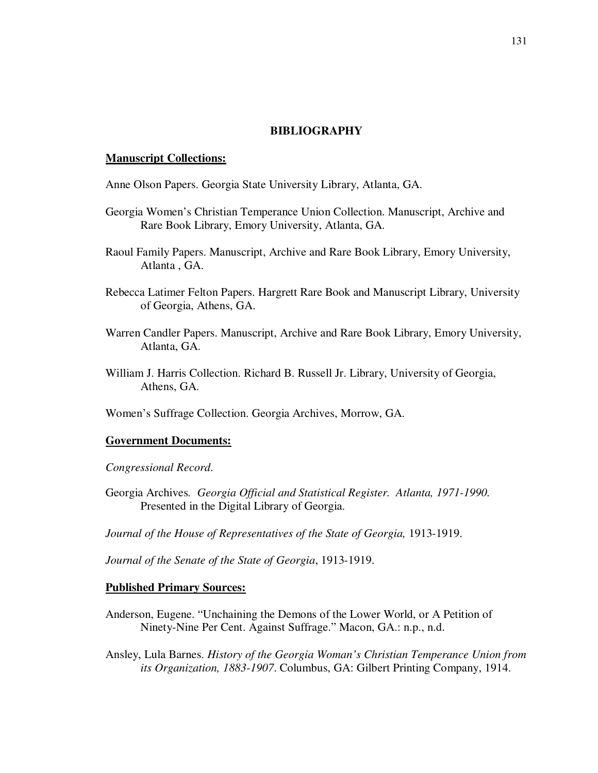# **BIBLIOGRAPHY**

### **Manuscript Collections:**

Anne Olson Papers. Georgia State University Library, Atlanta, GA.

- Georgia Women's Christian Temperance Union Collection. Manuscript, Archive and Rare Book Library, Emory University, Atlanta, GA.
- Raoul Family Papers. Manuscript, Archive and Rare Book Library, Emory University, Atlanta , GA.
- Rebecca Latimer Felton Papers. Hargrett Rare Book and Manuscript Library, University of Georgia, Athens, GA.
- Warren Candler Papers. Manuscript, Archive and Rare Book Library, Emory University, Atlanta, GA.
- William J. Harris Collection. Richard B. Russell Jr. Library, University of Georgia, Athens, GA.

Women's Suffrage Collection. Georgia Archives, Morrow, GA.

## **Government Documents:**

*Congressional Record*.

Georgia Archives*. Georgia Official and Statistical Register. Atlanta, 1971-1990.*  Presented in the Digital Library of Georgia.

Journal of the House of Representatives of the State of Georgia, 1913-1919.

*Journal of the Senate of the State of Georgia*, 1913-1919.

#### **Published Primary Sources:**

Anderson, Eugene. "Unchaining the Demons of the Lower World, or A Petition of Ninety-Nine Per Cent. Against Suffrage." Macon, GA.: n.p., n.d.

Ansley, Lula Barnes. *History of the Georgia Woman's Christian Temperance Union from its Organization, 1883-1907*. Columbus, GA: Gilbert Printing Company, 1914.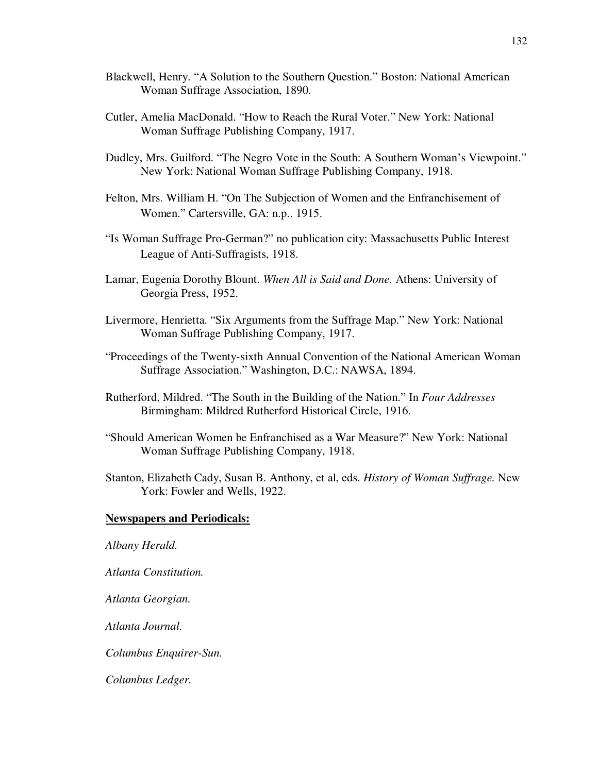- Blackwell, Henry. "A Solution to the Southern Question." Boston: National American Woman Suffrage Association, 1890.
- Cutler, Amelia MacDonald. "How to Reach the Rural Voter." New York: National Woman Suffrage Publishing Company, 1917.
- Dudley, Mrs. Guilford. "The Negro Vote in the South: A Southern Woman's Viewpoint." New York: National Woman Suffrage Publishing Company, 1918.
- Felton, Mrs. William H. "On The Subjection of Women and the Enfranchisement of Women." Cartersville, GA: n.p.. 1915.
- "Is Woman Suffrage Pro-German?" no publication city: Massachusetts Public Interest League of Anti-Suffragists, 1918.
- Lamar, Eugenia Dorothy Blount. *When All is Said and Done.* Athens: University of Georgia Press, 1952.
- Livermore, Henrietta. "Six Arguments from the Suffrage Map." New York: National Woman Suffrage Publishing Company, 1917.
- "Proceedings of the Twenty-sixth Annual Convention of the National American Woman Suffrage Association." Washington, D.C.: NAWSA, 1894.
- Rutherford, Mildred. "The South in the Building of the Nation." In *Four Addresses*  Birmingham: Mildred Rutherford Historical Circle, 1916.
- "Should American Women be Enfranchised as a War Measure?" New York: National Woman Suffrage Publishing Company, 1918.
- Stanton, Elizabeth Cady, Susan B. Anthony, et al, eds. *History of Woman Suffrage.* New York: Fowler and Wells, 1922.

#### **Newspapers and Periodicals:**

*Albany Herald.* 

*Atlanta Constitution.* 

*Atlanta Georgian.*

*Atlanta Journal.* 

*Columbus Enquirer-Sun.*

*Columbus Ledger.*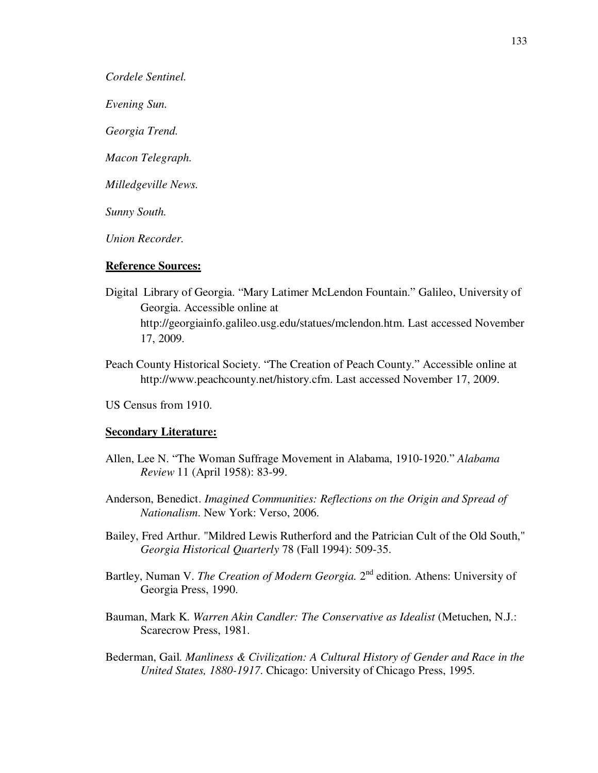*Cordele Sentinel.* 

*Evening Sun.* 

*Georgia Trend.* 

*Macon Telegraph.* 

*Milledgeville News.* 

*Sunny South.* 

*Union Recorder.* 

## **Reference Sources:**

- Digital Library of Georgia. "Mary Latimer McLendon Fountain." Galileo, University of Georgia. Accessible online at http://georgiainfo.galileo.usg.edu/statues/mclendon.htm. Last accessed November 17, 2009.
- Peach County Historical Society. "The Creation of Peach County." Accessible online at http://www.peachcounty.net/history.cfm. Last accessed November 17, 2009.

US Census from 1910.

#### **Secondary Literature:**

- Allen, Lee N. "The Woman Suffrage Movement in Alabama, 1910-1920." *Alabama Review* 11 (April 1958): 83-99.
- Anderson, Benedict. *Imagined Communities: Reflections on the Origin and Spread of Nationalism*. New York: Verso, 2006.
- Bailey, Fred Arthur. "Mildred Lewis Rutherford and the Patrician Cult of the Old South," *Georgia Historical Quarterly* 78 (Fall 1994): 509-35.
- Bartley, Numan V. *The Creation of Modern Georgia*. 2<sup>nd</sup> edition. Athens: University of Georgia Press, 1990.
- Bauman, Mark K. *Warren Akin Candler: The Conservative as Idealist* (Metuchen, N.J.: Scarecrow Press, 1981.
- Bederman, Gail. *Manliness & Civilization: A Cultural History of Gender and Race in the United States, 1880-1917*. Chicago: University of Chicago Press, 1995.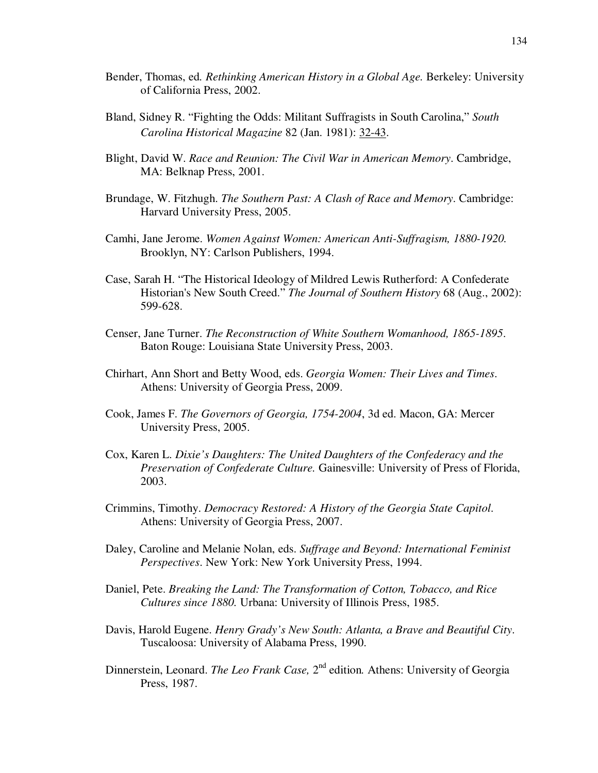- Bender, Thomas, ed*. Rethinking American History in a Global Age.* Berkeley: University of California Press, 2002.
- Bland, Sidney R. "Fighting the Odds: Militant Suffragists in South Carolina," *South Carolina Historical Magazine* 82 (Jan. 1981): 32-43.
- Blight, David W. *Race and Reunion: The Civil War in American Memory*. Cambridge, MA: Belknap Press, 2001.
- Brundage, W. Fitzhugh. *The Southern Past: A Clash of Race and Memory*. Cambridge: Harvard University Press, 2005.
- Camhi, Jane Jerome. *Women Against Women: American Anti-Suffragism, 1880-1920.* Brooklyn, NY: Carlson Publishers, 1994.
- Case, Sarah H. "The Historical Ideology of Mildred Lewis Rutherford: A Confederate Historian's New South Creed." *The Journal of Southern History* 68 (Aug., 2002): 599-628.
- Censer, Jane Turner. *The Reconstruction of White Southern Womanhood, 1865-1895*. Baton Rouge: Louisiana State University Press, 2003.
- Chirhart, Ann Short and Betty Wood, eds. *Georgia Women: Their Lives and Times*. Athens: University of Georgia Press, 2009.
- Cook, James F. *The Governors of Georgia, 1754-2004*, 3d ed. Macon, GA: Mercer University Press, 2005.
- Cox, Karen L. *Dixie's Daughters: The United Daughters of the Confederacy and the Preservation of Confederate Culture.* Gainesville: University of Press of Florida, 2003.
- Crimmins, Timothy. *Democracy Restored: A History of the Georgia State Capitol*. Athens: University of Georgia Press, 2007.
- Daley, Caroline and Melanie Nolan, eds. *Suffrage and Beyond: International Feminist Perspectives*. New York: New York University Press, 1994.
- Daniel, Pete. *Breaking the Land: The Transformation of Cotton, Tobacco, and Rice Cultures since 1880.* Urbana: University of Illinois Press, 1985.
- Davis, Harold Eugene. *Henry Grady's New South: Atlanta, a Brave and Beautiful City*. Tuscaloosa: University of Alabama Press, 1990.
- Dinnerstein, Leonard. *The Leo Frank Case*, 2<sup>nd</sup> edition. Athens: University of Georgia Press, 1987.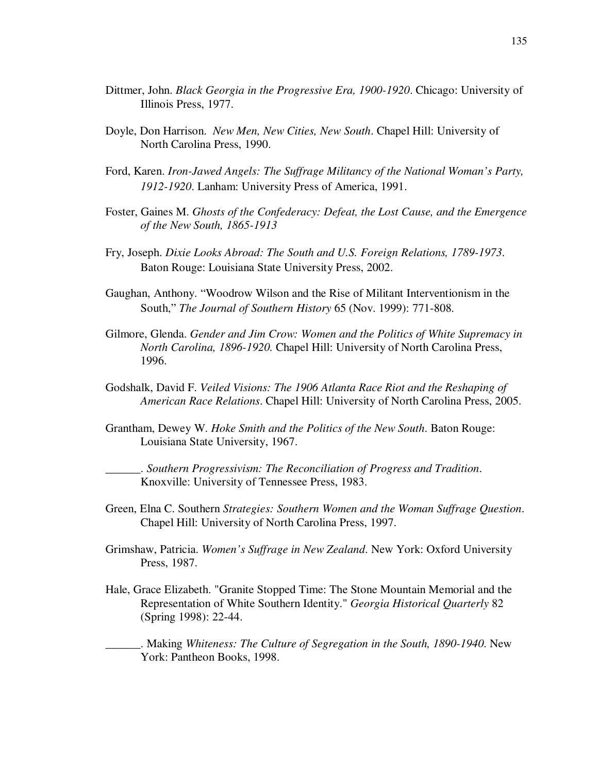- Dittmer, John. *Black Georgia in the Progressive Era, 1900-1920*. Chicago: University of Illinois Press, 1977.
- Doyle, Don Harrison. *New Men, New Cities, New South*. Chapel Hill: University of North Carolina Press, 1990.
- Ford, Karen. *Iron-Jawed Angels: The Suffrage Militancy of the National Woman's Party, 1912-1920*. Lanham: University Press of America, 1991.
- Foster, Gaines M. *Ghosts of the Confederacy: Defeat, the Lost Cause, and the Emergence of the New South, 1865-1913*
- Fry, Joseph. *Dixie Looks Abroad: The South and U.S. Foreign Relations, 1789-1973*. Baton Rouge: Louisiana State University Press, 2002.
- Gaughan, Anthony. "Woodrow Wilson and the Rise of Militant Interventionism in the South," *The Journal of Southern History* 65 (Nov. 1999): 771-808.
- Gilmore, Glenda. *Gender and Jim Crow: Women and the Politics of White Supremacy in North Carolina, 1896-1920.* Chapel Hill: University of North Carolina Press, 1996.
- Godshalk, David F. *Veiled Visions: The 1906 Atlanta Race Riot and the Reshaping of American Race Relations*. Chapel Hill: University of North Carolina Press, 2005.
- Grantham, Dewey W. *Hoke Smith and the Politics of the New South*. Baton Rouge: Louisiana State University, 1967.

\_\_\_\_\_\_. *Southern Progressivism: The Reconciliation of Progress and Tradition*. Knoxville: University of Tennessee Press, 1983.

- Green, Elna C. Southern *Strategies: Southern Women and the Woman Suffrage Question*. Chapel Hill: University of North Carolina Press, 1997.
- Grimshaw, Patricia. *Women's Suffrage in New Zealand*. New York: Oxford University Press, 1987.
- Hale, Grace Elizabeth. "Granite Stopped Time: The Stone Mountain Memorial and the Representation of White Southern Identity." *Georgia Historical Quarterly* 82 (Spring 1998): 22-44.

\_\_\_\_\_\_. Making *Whiteness: The Culture of Segregation in the South, 1890-1940*. New York: Pantheon Books, 1998.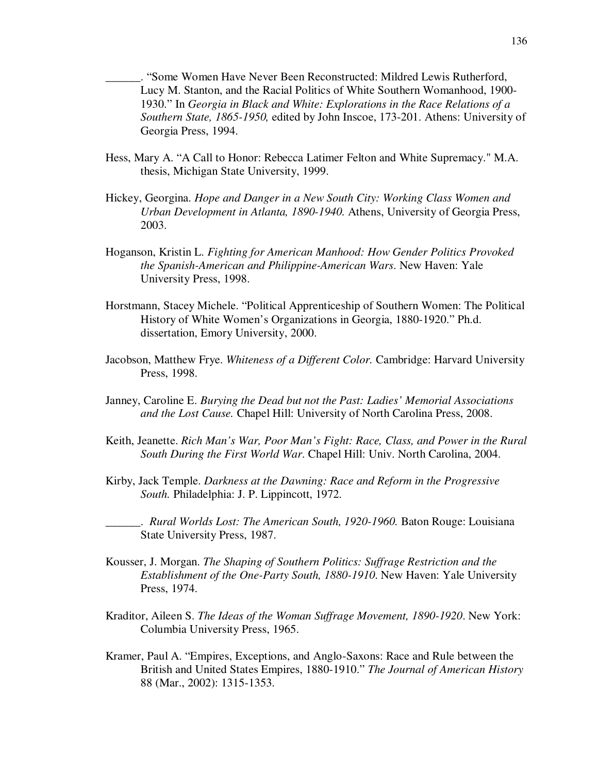\_\_\_\_\_\_. "Some Women Have Never Been Reconstructed: Mildred Lewis Rutherford, Lucy M. Stanton, and the Racial Politics of White Southern Womanhood, 1900- 1930." In *Georgia in Black and White: Explorations in the Race Relations of a Southern State, 1865-1950,* edited by John Inscoe, 173-201. Athens: University of Georgia Press, 1994.

- Hess, Mary A. "A Call to Honor: Rebecca Latimer Felton and White Supremacy." M.A. thesis, Michigan State University, 1999.
- Hickey, Georgina. *Hope and Danger in a New South City: Working Class Women and Urban Development in Atlanta, 1890-1940.* Athens, University of Georgia Press, 2003.
- Hoganson, Kristin L. *Fighting for American Manhood: How Gender Politics Provoked the Spanish-American and Philippine-American Wars*. New Haven: Yale University Press, 1998.
- Horstmann, Stacey Michele. "Political Apprenticeship of Southern Women: The Political History of White Women's Organizations in Georgia, 1880-1920." Ph.d. dissertation, Emory University, 2000.
- Jacobson, Matthew Frye. *Whiteness of a Different Color.* Cambridge: Harvard University Press, 1998.
- Janney, Caroline E. *Burying the Dead but not the Past: Ladies' Memorial Associations and the Lost Cause.* Chapel Hill: University of North Carolina Press, 2008.
- Keith, Jeanette. *Rich Man's War, Poor Man's Fight: Race, Class, and Power in the Rural South During the First World War*. Chapel Hill: Univ. North Carolina, 2004.
- Kirby, Jack Temple. *Darkness at the Dawning: Race and Reform in the Progressive South.* Philadelphia: J. P. Lippincott, 1972.

\_\_\_\_\_\_. *Rural Worlds Lost: The American South, 1920-1960.* Baton Rouge: Louisiana State University Press, 1987.

- Kousser, J. Morgan. *The Shaping of Southern Politics: Suffrage Restriction and the Establishment of the One-Party South, 1880-1910*. New Haven: Yale University Press, 1974.
- Kraditor, Aileen S. *The Ideas of the Woman Suffrage Movement, 1890-1920*. New York: Columbia University Press, 1965.
- Kramer, Paul A. "Empires, Exceptions, and Anglo-Saxons: Race and Rule between the British and United States Empires, 1880-1910." *The Journal of American History* 88 (Mar., 2002): 1315-1353.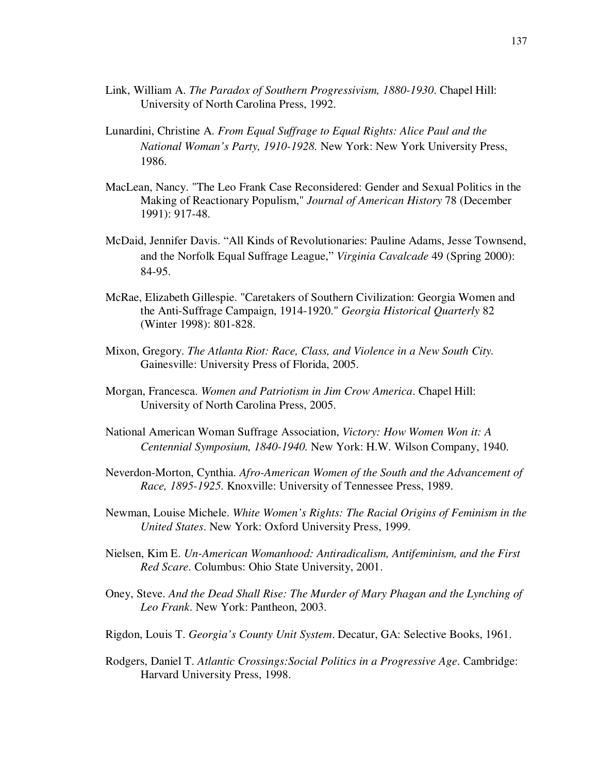- Link, William A. *The Paradox of Southern Progressivism, 1880-1930*. Chapel Hill: University of North Carolina Press, 1992.
- Lunardini, Christine A. *From Equal Suffrage to Equal Rights: Alice Paul and the National Woman's Party, 1910-1928.* New York: New York University Press, 1986.
- MacLean, Nancy. "The Leo Frank Case Reconsidered: Gender and Sexual Politics in the Making of Reactionary Populism," *Journal of American History* 78 (December 1991): 917-48.
- McDaid, Jennifer Davis. "All Kinds of Revolutionaries: Pauline Adams, Jesse Townsend, and the Norfolk Equal Suffrage League," *Virginia Cavalcade* 49 (Spring 2000): 84-95.
- McRae, Elizabeth Gillespie. "Caretakers of Southern Civilization: Georgia Women and the Anti-Suffrage Campaign, 1914-1920." *Georgia Historical Quarterly* 82 (Winter 1998): 801-828.
- Mixon, Gregory. *The Atlanta Riot: Race, Class, and Violence in a New South City.* Gainesville: University Press of Florida, 2005.
- Morgan, Francesca. *Women and Patriotism in Jim Crow America*. Chapel Hill: University of North Carolina Press, 2005.
- National American Woman Suffrage Association, *Victory: How Women Won it: A Centennial Symposium, 1840-1940.* New York: H.W. Wilson Company, 1940.
- Neverdon-Morton, Cynthia. *Afro-American Women of the South and the Advancement of Race, 1895-1925*. Knoxville: University of Tennessee Press, 1989.
- Newman, Louise Michele. *White Women's Rights: The Racial Origins of Feminism in the United States*. New York: Oxford University Press, 1999.
- Nielsen, Kim E. *Un-American Womanhood: Antiradicalism, Antifeminism, and the First Red Scare*. Columbus: Ohio State University, 2001.
- Oney, Steve. *And the Dead Shall Rise: The Murder of Mary Phagan and the Lynching of Leo Frank*. New York: Pantheon, 2003.
- Rigdon, Louis T. *Georgia's County Unit System*. Decatur, GA: Selective Books, 1961.
- Rodgers, Daniel T. *Atlantic Crossings:Social Politics in a Progressive Age*. Cambridge: Harvard University Press, 1998.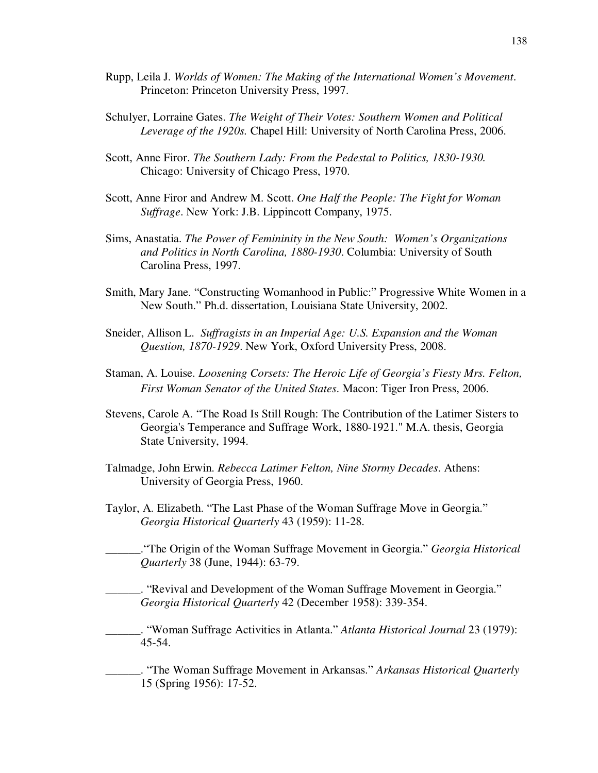- Rupp, Leila J. *Worlds of Women: The Making of the International Women's Movement*. Princeton: Princeton University Press, 1997.
- Schulyer, Lorraine Gates. *The Weight of Their Votes: Southern Women and Political Leverage of the 1920s.* Chapel Hill: University of North Carolina Press, 2006.
- Scott, Anne Firor. *The Southern Lady: From the Pedestal to Politics, 1830-1930.* Chicago: University of Chicago Press, 1970.
- Scott, Anne Firor and Andrew M. Scott. *One Half the People: The Fight for Woman Suffrage*. New York: J.B. Lippincott Company, 1975.
- Sims, Anastatia. *The Power of Femininity in the New South: Women's Organizations and Politics in North Carolina, 1880-1930*. Columbia: University of South Carolina Press, 1997.
- Smith, Mary Jane. "Constructing Womanhood in Public:" Progressive White Women in a New South." Ph.d. dissertation, Louisiana State University, 2002.
- Sneider, Allison L. *Suffragists in an Imperial Age: U.S. Expansion and the Woman Question, 1870-1929*. New York, Oxford University Press, 2008.
- Staman, A. Louise. *Loosening Corsets: The Heroic Life of Georgia's Fiesty Mrs. Felton, First Woman Senator of the United States*. Macon: Tiger Iron Press, 2006.
- Stevens, Carole A. "The Road Is Still Rough: The Contribution of the Latimer Sisters to Georgia's Temperance and Suffrage Work, 1880-1921." M.A. thesis, Georgia State University, 1994.
- Talmadge, John Erwin. *Rebecca Latimer Felton, Nine Stormy Decades*. Athens: University of Georgia Press, 1960.
- Taylor, A. Elizabeth. "The Last Phase of the Woman Suffrage Move in Georgia." *Georgia Historical Quarterly* 43 (1959): 11-28.

\_\_\_\_\_\_."The Origin of the Woman Suffrage Movement in Georgia." *Georgia Historical Quarterly* 38 (June, 1944): 63-79.

\_\_\_\_\_\_. "Revival and Development of the Woman Suffrage Movement in Georgia." *Georgia Historical Quarterly* 42 (December 1958): 339-354.

\_\_\_\_\_\_. "Woman Suffrage Activities in Atlanta." *Atlanta Historical Journal* 23 (1979): 45-54.

\_\_\_\_\_\_. "The Woman Suffrage Movement in Arkansas." *Arkansas Historical Quarterly* 15 (Spring 1956): 17-52.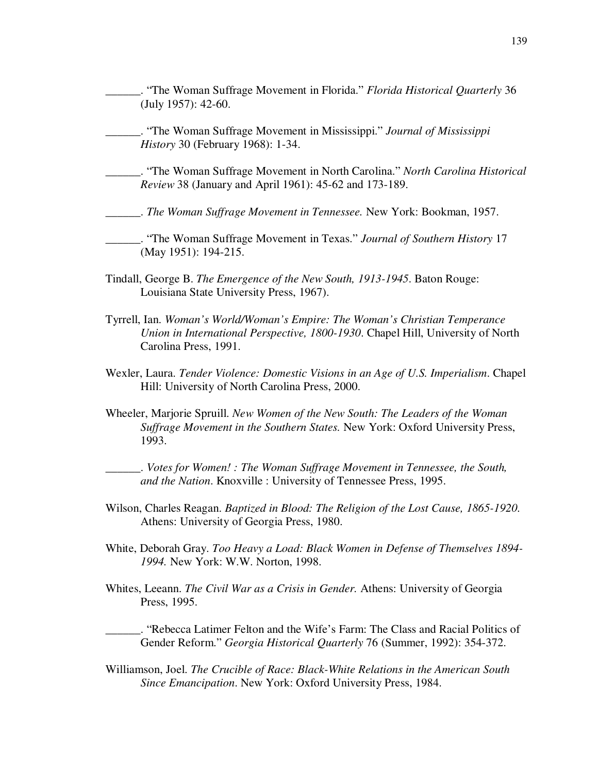- \_\_\_\_\_\_. "The Woman Suffrage Movement in Florida." *Florida Historical Quarterly* 36 (July 1957): 42-60.
- \_\_\_\_\_\_. "The Woman Suffrage Movement in Mississippi." *Journal of Mississippi History* 30 (February 1968): 1-34.
- \_\_\_\_\_\_. "The Woman Suffrage Movement in North Carolina." *North Carolina Historical Review* 38 (January and April 1961): 45-62 and 173-189.

\_\_\_\_\_\_. *The Woman Suffrage Movement in Tennessee.* New York: Bookman, 1957.

\_\_\_\_\_\_. "The Woman Suffrage Movement in Texas." *Journal of Southern History* 17 (May 1951): 194-215.

- Tindall, George B. *The Emergence of the New South, 1913-1945*. Baton Rouge: Louisiana State University Press, 1967).
- Tyrrell, Ian. *Woman's World/Woman's Empire: The Woman's Christian Temperance Union in International Perspective, 1800-1930*. Chapel Hill, University of North Carolina Press, 1991.
- Wexler, Laura. *Tender Violence: Domestic Visions in an Age of U.S. Imperialism*. Chapel Hill: University of North Carolina Press, 2000.
- Wheeler, Marjorie Spruill. *New Women of the New South: The Leaders of the Woman Suffrage Movement in the Southern States.* New York: Oxford University Press, 1993.

\_\_\_\_\_\_. *Votes for Women! : The Woman Suffrage Movement in Tennessee, the South, and the Nation*. Knoxville : University of Tennessee Press, 1995.

- Wilson, Charles Reagan. *Baptized in Blood: The Religion of the Lost Cause, 1865-1920*. Athens: University of Georgia Press, 1980.
- White, Deborah Gray. *Too Heavy a Load: Black Women in Defense of Themselves 1894- 1994.* New York: W.W. Norton, 1998.
- Whites, Leeann. *The Civil War as a Crisis in Gender.* Athens: University of Georgia Press, 1995.

\_\_\_\_\_\_. "Rebecca Latimer Felton and the Wife's Farm: The Class and Racial Politics of Gender Reform." *Georgia Historical Quarterly* 76 (Summer, 1992): 354-372.

Williamson, Joel. *The Crucible of Race: Black-White Relations in the American South Since Emancipation*. New York: Oxford University Press, 1984.